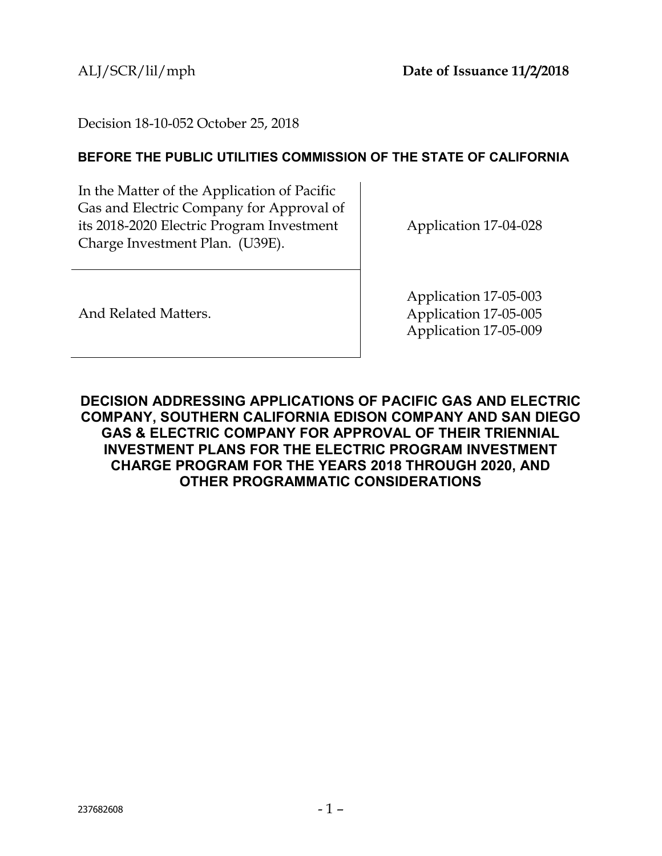Decision 18-10-052 October 25, 2018

## **BEFORE THE PUBLIC UTILITIES COMMISSION OF THE STATE OF CALIFORNIA**

In the Matter of the Application of Pacific Gas and Electric Company for Approval of its 2018-2020 Electric Program Investment Charge Investment Plan. (U39E).

Application 17-04-028

And Related Matters.

Application 17-05-003 Application 17-05-005 Application 17-05-009

<span id="page-0-0"></span>**DECISION ADDRESSING APPLICATIONS OF PACIFIC GAS AND ELECTRIC COMPANY, SOUTHERN CALIFORNIA EDISON COMPANY AND SAN DIEGO GAS & ELECTRIC COMPANY FOR APPROVAL OF THEIR TRIENNIAL INVESTMENT PLANS FOR THE ELECTRIC PROGRAM INVESTMENT CHARGE PROGRAM FOR THE YEARS 2018 THROUGH 2020, AND OTHER PROGRAMMATIC CONSIDERATIONS**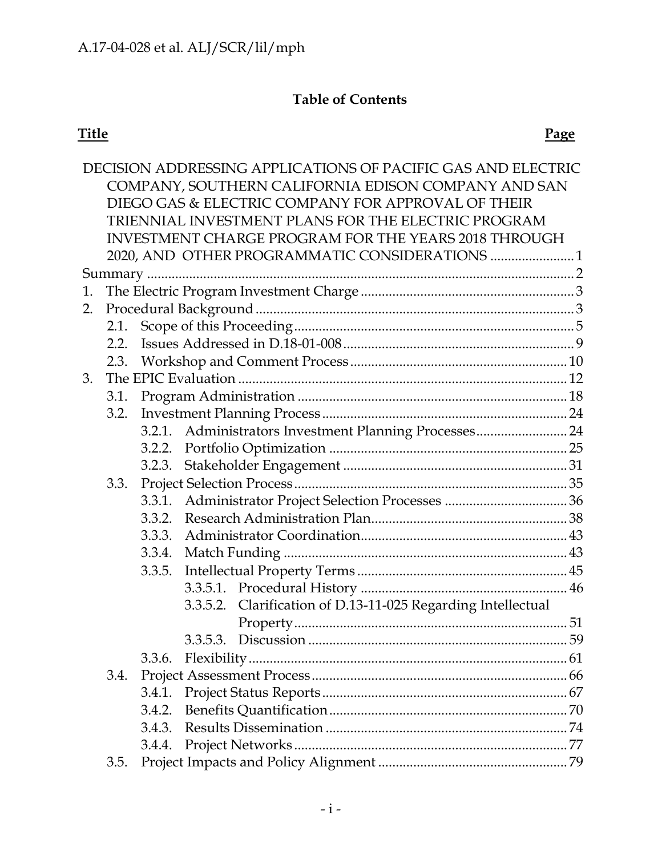# **Table of Contents**

|                                                      |                                                    |                                                     |  | DECISION ADDRESSING APPLICATIONS OF PACIFIC GAS AND ELECTRIC |  |  |  |  |
|------------------------------------------------------|----------------------------------------------------|-----------------------------------------------------|--|--------------------------------------------------------------|--|--|--|--|
|                                                      |                                                    |                                                     |  | COMPANY, SOUTHERN CALIFORNIA EDISON COMPANY AND SAN          |  |  |  |  |
|                                                      | DIEGO GAS & ELECTRIC COMPANY FOR APPROVAL OF THEIR |                                                     |  |                                                              |  |  |  |  |
|                                                      |                                                    | TRIENNIAL INVESTMENT PLANS FOR THE ELECTRIC PROGRAM |  |                                                              |  |  |  |  |
| INVESTMENT CHARGE PROGRAM FOR THE YEARS 2018 THROUGH |                                                    |                                                     |  |                                                              |  |  |  |  |
|                                                      |                                                    |                                                     |  | 2020, AND OTHER PROGRAMMATIC CONSIDERATIONS  1               |  |  |  |  |
|                                                      |                                                    |                                                     |  |                                                              |  |  |  |  |
| 1.                                                   |                                                    |                                                     |  |                                                              |  |  |  |  |
| 2.                                                   |                                                    |                                                     |  |                                                              |  |  |  |  |
|                                                      |                                                    | 2.1.                                                |  |                                                              |  |  |  |  |
|                                                      | 2.2.                                               |                                                     |  |                                                              |  |  |  |  |
|                                                      | 2.3.                                               |                                                     |  |                                                              |  |  |  |  |
| 3.                                                   |                                                    |                                                     |  |                                                              |  |  |  |  |
|                                                      | 3.1.                                               |                                                     |  |                                                              |  |  |  |  |
|                                                      | 3.2.                                               |                                                     |  |                                                              |  |  |  |  |
|                                                      |                                                    |                                                     |  | 3.2.1. Administrators Investment Planning Processes 24       |  |  |  |  |
|                                                      |                                                    | 3.2.2.                                              |  |                                                              |  |  |  |  |
|                                                      |                                                    |                                                     |  |                                                              |  |  |  |  |
|                                                      | 3.3.                                               |                                                     |  |                                                              |  |  |  |  |
|                                                      |                                                    | 3.3.1.                                              |  |                                                              |  |  |  |  |
|                                                      |                                                    |                                                     |  |                                                              |  |  |  |  |
|                                                      |                                                    | 3.3.3.                                              |  |                                                              |  |  |  |  |
|                                                      |                                                    | 3.3.4.                                              |  |                                                              |  |  |  |  |
|                                                      |                                                    | 3.3.5.                                              |  |                                                              |  |  |  |  |
|                                                      |                                                    |                                                     |  |                                                              |  |  |  |  |
|                                                      |                                                    |                                                     |  | 3.3.5.2. Clarification of D.13-11-025 Regarding Intellectual |  |  |  |  |
|                                                      |                                                    |                                                     |  |                                                              |  |  |  |  |
|                                                      |                                                    |                                                     |  |                                                              |  |  |  |  |
|                                                      |                                                    | 3.3.6.                                              |  |                                                              |  |  |  |  |
|                                                      | 3.4.                                               |                                                     |  |                                                              |  |  |  |  |
|                                                      |                                                    | 3.4.1.                                              |  |                                                              |  |  |  |  |
|                                                      |                                                    | 3.4.2.                                              |  |                                                              |  |  |  |  |
|                                                      |                                                    | 3.4.3.                                              |  |                                                              |  |  |  |  |
|                                                      |                                                    | 3.4.4.                                              |  |                                                              |  |  |  |  |
|                                                      | 3.5.                                               |                                                     |  |                                                              |  |  |  |  |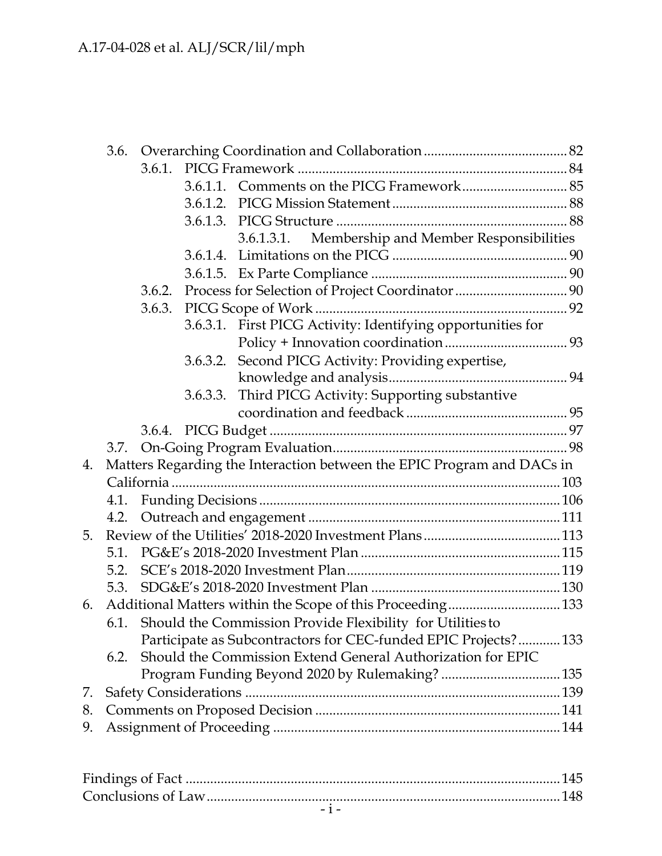|    | 3.6.                                                                   |        |          |                                                                 |  |  |  |  |
|----|------------------------------------------------------------------------|--------|----------|-----------------------------------------------------------------|--|--|--|--|
|    |                                                                        |        |          |                                                                 |  |  |  |  |
|    |                                                                        |        |          |                                                                 |  |  |  |  |
|    |                                                                        |        |          |                                                                 |  |  |  |  |
|    |                                                                        |        |          |                                                                 |  |  |  |  |
|    |                                                                        |        |          | Membership and Member Responsibilities<br>3.6.1.3.1.            |  |  |  |  |
|    |                                                                        |        |          |                                                                 |  |  |  |  |
|    |                                                                        |        |          |                                                                 |  |  |  |  |
|    |                                                                        | 3.6.2. |          |                                                                 |  |  |  |  |
|    |                                                                        |        |          |                                                                 |  |  |  |  |
|    |                                                                        |        |          | 3.6.3.1. First PICG Activity: Identifying opportunities for     |  |  |  |  |
|    |                                                                        |        |          |                                                                 |  |  |  |  |
|    |                                                                        |        |          | 3.6.3.2. Second PICG Activity: Providing expertise,             |  |  |  |  |
|    |                                                                        |        |          |                                                                 |  |  |  |  |
|    |                                                                        |        | 3.6.3.3. | Third PICG Activity: Supporting substantive                     |  |  |  |  |
|    |                                                                        |        |          |                                                                 |  |  |  |  |
|    |                                                                        |        |          |                                                                 |  |  |  |  |
|    |                                                                        |        |          |                                                                 |  |  |  |  |
| 4. | Matters Regarding the Interaction between the EPIC Program and DACs in |        |          |                                                                 |  |  |  |  |
|    | 4.1.                                                                   |        |          |                                                                 |  |  |  |  |
|    |                                                                        |        |          |                                                                 |  |  |  |  |
|    | 4.2.                                                                   |        |          |                                                                 |  |  |  |  |
| 5. |                                                                        |        |          |                                                                 |  |  |  |  |
|    |                                                                        |        |          |                                                                 |  |  |  |  |
|    | 5.2.                                                                   |        |          |                                                                 |  |  |  |  |
|    | 5.3.                                                                   |        |          |                                                                 |  |  |  |  |
| 6. |                                                                        |        |          |                                                                 |  |  |  |  |
|    |                                                                        |        |          | 6.1. Should the Commission Provide Flexibility for Utilities to |  |  |  |  |
|    |                                                                        |        |          | Participate as Subcontractors for CEC-funded EPIC Projects? 133 |  |  |  |  |
|    | 6.2.                                                                   |        |          | Should the Commission Extend General Authorization for EPIC     |  |  |  |  |
|    |                                                                        |        |          |                                                                 |  |  |  |  |
| 7. |                                                                        |        |          |                                                                 |  |  |  |  |
| 8. |                                                                        |        |          |                                                                 |  |  |  |  |
| 9. |                                                                        |        |          |                                                                 |  |  |  |  |
|    |                                                                        |        |          |                                                                 |  |  |  |  |
|    |                                                                        |        |          |                                                                 |  |  |  |  |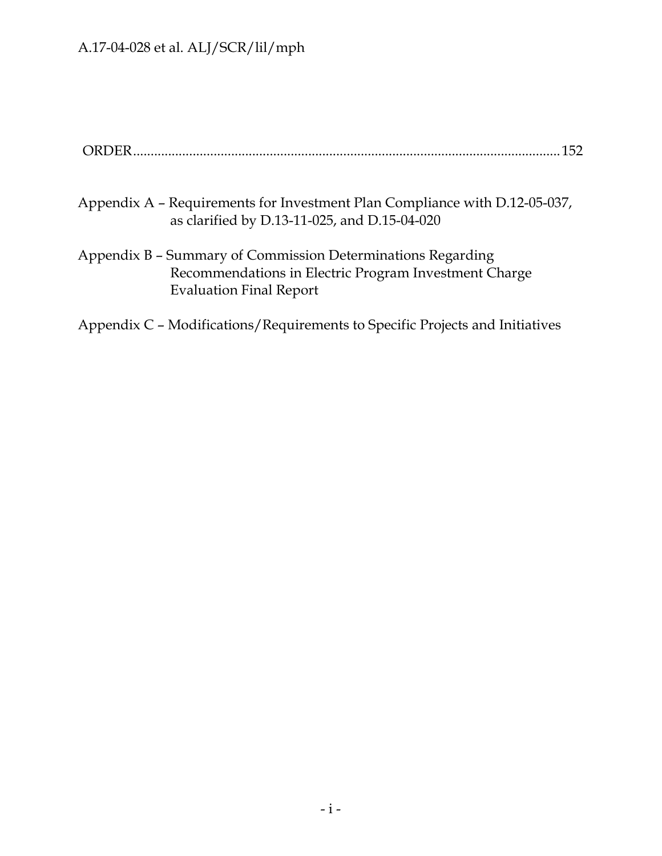- Appendix A Requirements for Investment Plan Compliance with D.12-05-037, as clarified by D.13-11-025, and D.15-04-020
- Appendix B Summary of Commission Determinations Regarding Recommendations in Electric Program Investment Charge Evaluation Final Report
- Appendix C Modifications/Requirements to Specific Projects and Initiatives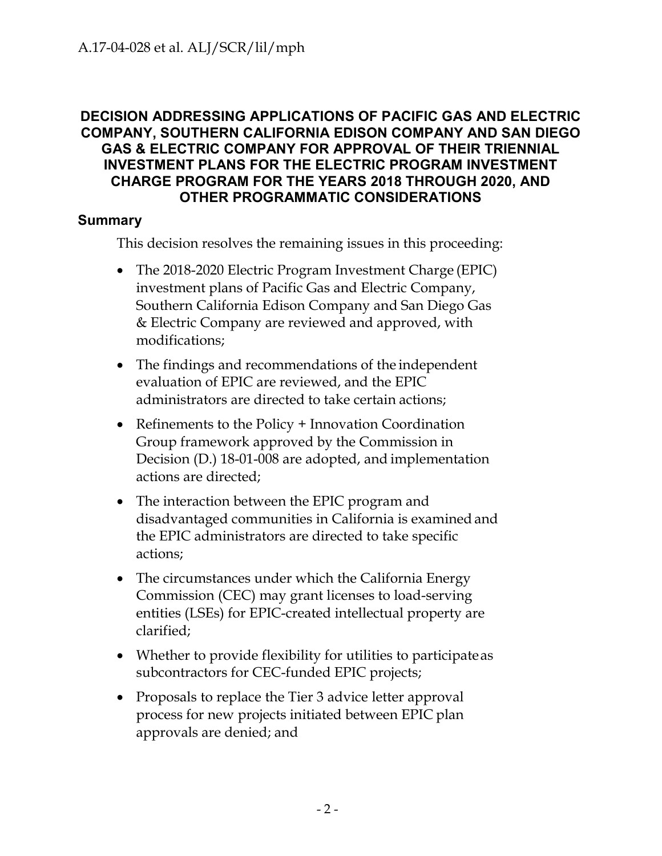## **DECISION ADDRESSING APPLICATIONS OF PACIFIC GAS AND ELECTRIC COMPANY, SOUTHERN CALIFORNIA EDISON COMPANY AND SAN DIEGO GAS & ELECTRIC COMPANY FOR APPROVAL OF THEIR TRIENNIAL INVESTMENT PLANS FOR THE ELECTRIC PROGRAM INVESTMENT CHARGE PROGRAM FOR THE YEARS 2018 THROUGH 2020, AND OTHER PROGRAMMATIC CONSIDERATIONS**

## <span id="page-4-0"></span>**Summary**

This decision resolves the remaining issues in this proceeding:

- The 2018-2020 Electric Program Investment Charge (EPIC) investment plans of Pacific Gas and Electric Company, Southern California Edison Company and San Diego Gas & Electric Company are reviewed and approved, with modifications;
- The findings and recommendations of the independent evaluation of EPIC are reviewed, and the EPIC administrators are directed to take certain actions;
- Refinements to the Policy + Innovation Coordination Group framework approved by the Commission in Decision (D.) 18-01-008 are adopted, and implementation actions are directed;
- The interaction between the EPIC program and disadvantaged communities in California is examined and the EPIC administrators are directed to take specific actions;
- The circumstances under which the California Energy Commission (CEC) may grant licenses to load-serving entities (LSEs) for EPIC-created intellectual property are clarified;
- Whether to provide flexibility for utilities to participate as subcontractors for CEC-funded EPIC projects;
- Proposals to replace the Tier 3 advice letter approval process for new projects initiated between EPIC plan approvals are denied; and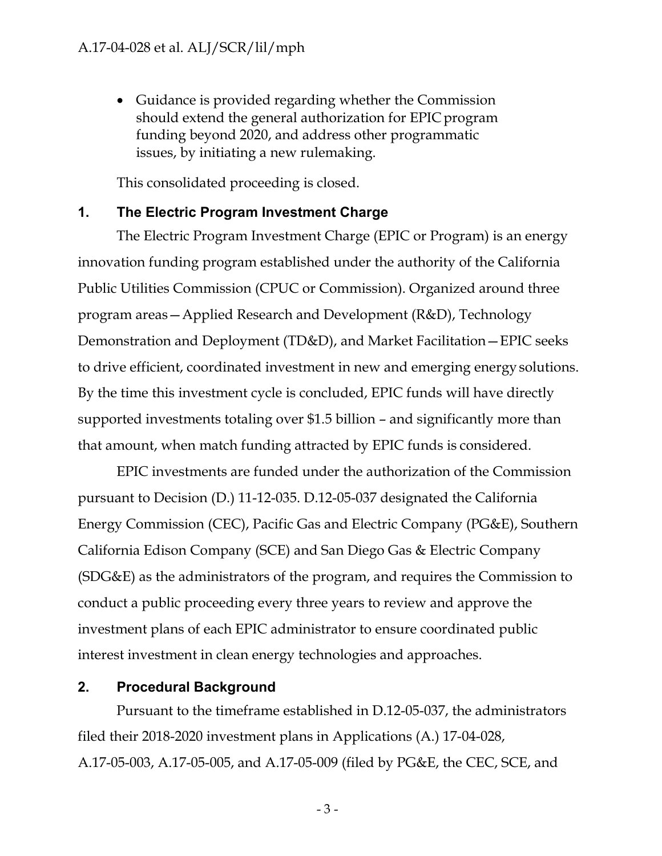• Guidance is provided regarding whether the Commission should extend the general authorization for EPIC program funding beyond 2020, and address other programmatic issues, by initiating a new rulemaking.

This consolidated proceeding is closed.

## <span id="page-5-0"></span>**1. The Electric Program Investment Charge**

The Electric Program Investment Charge (EPIC or Program) is an energy innovation funding program established under the authority of the California Public Utilities Commission (CPUC or Commission). Organized around three program areas—Applied Research and Development (R&D), Technology Demonstration and Deployment (TD&D), and Market Facilitation—EPIC seeks to drive efficient, coordinated investment in new and emerging energy solutions. By the time this investment cycle is concluded, EPIC funds will have directly supported investments totaling over \$1.5 billion – and significantly more than that amount, when match funding attracted by EPIC funds is considered.

EPIC investments are funded under the authorization of the Commission pursuant to Decision (D.) 11-12-035. D.12-05-037 designated the California Energy Commission (CEC), Pacific Gas and Electric Company (PG&E), Southern California Edison Company (SCE) and San Diego Gas & Electric Company (SDG&E) as the administrators of the program, and requires the Commission to conduct a public proceeding every three years to review and approve the investment plans of each EPIC administrator to ensure coordinated public interest investment in clean energy technologies and approaches.

## <span id="page-5-1"></span>**2. Procedural Background**

Pursuant to the timeframe established in D.12-05-037, the administrators filed their 2018-2020 investment plans in Applications (A.) 17-04-028, A.17-05-003, A.17-05-005, and A.17-05-009 (filed by PG&E, the CEC, SCE, and

- 3 -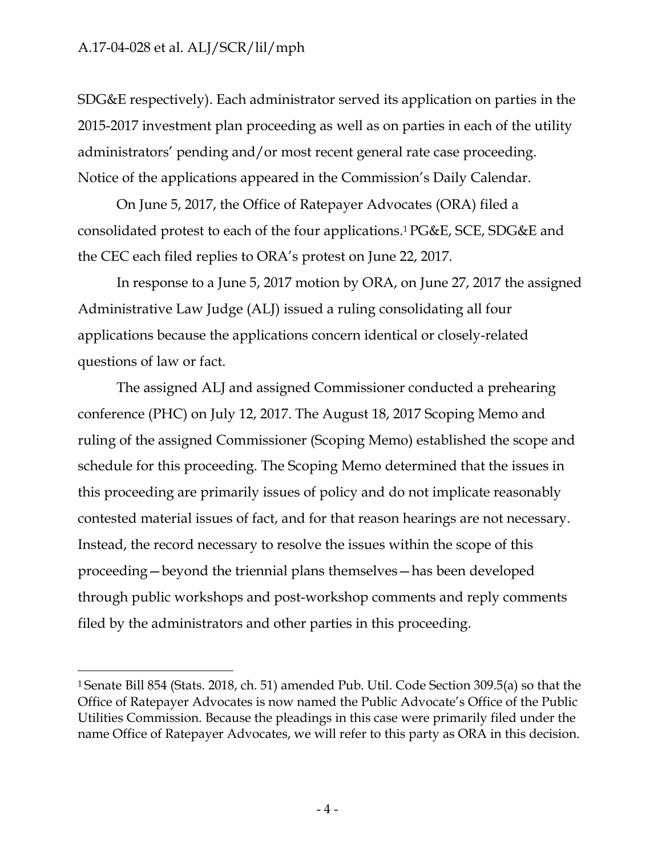SDG&E respectively). Each administrator served its application on parties in the 2015-2017 investment plan proceeding as well as on parties in each of the utility administrators' pending and/or most recent general rate case proceeding. Notice of the applications appeared in the Commission's Daily Calendar.

On June 5, 2017, the Office of Ratepayer Advocates (ORA) filed a consolidated protest to each of the four applications.1 PG&E, SCE, SDG&E and the CEC each filed replies to ORA's protest on June 22, 2017.

In response to a June 5, 2017 motion by ORA, on June 27, 2017 the assigned Administrative Law Judge (ALJ) issued a ruling consolidating all four applications because the applications concern identical or closely-related questions of law or fact.

The assigned ALJ and assigned Commissioner conducted a prehearing conference (PHC) on July 12, 2017. The August 18, 2017 Scoping Memo and ruling of the assigned Commissioner (Scoping Memo) established the scope and schedule for this proceeding. The Scoping Memo determined that the issues in this proceeding are primarily issues of policy and do not implicate reasonably contested material issues of fact, and for that reason hearings are not necessary. Instead, the record necessary to resolve the issues within the scope of this proceeding—beyond the triennial plans themselves—has been developed through public workshops and post-workshop comments and reply comments filed by the administrators and other parties in this proceeding.

<sup>1</sup> Senate Bill 854 (Stats. 2018, ch. 51) amended Pub. Util. Code Section 309.5(a) so that the Office of Ratepayer Advocates is now named the Public Advocate's Office of the Public Utilities Commission. Because the pleadings in this case were primarily filed under the name Office of Ratepayer Advocates, we will refer to this party as ORA in this decision.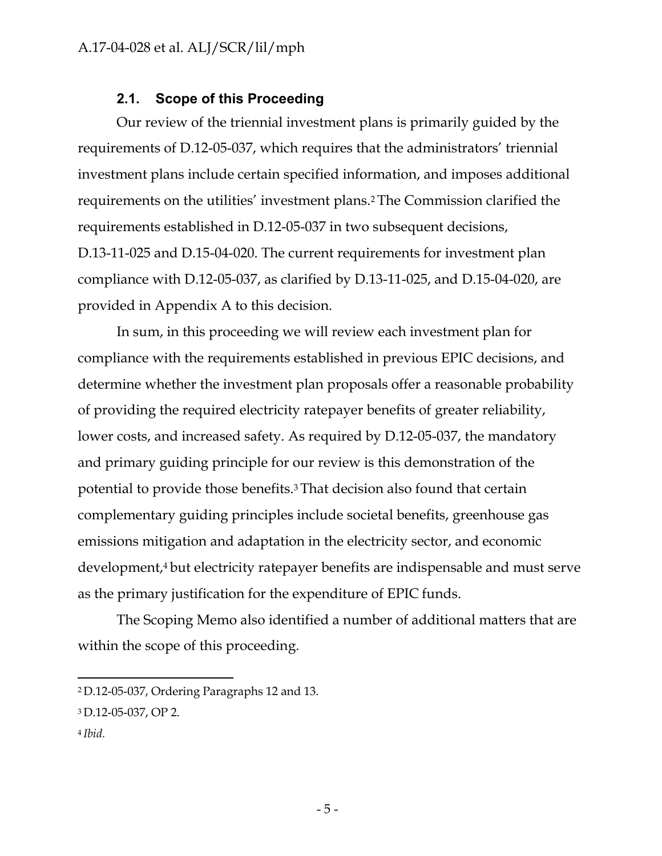#### **2.1. Scope of this Proceeding**

<span id="page-7-0"></span>Our review of the triennial investment plans is primarily guided by the requirements of D.12-05-037, which requires that the administrators' triennial investment plans include certain specified information, and imposes additional requirements on the utilities' investment plans.2 The Commission clarified the requirements established in D.12-05-037 in two subsequent decisions, D.13-11-025 and D.15-04-020. The current requirements for investment plan compliance with D.12-05-037, as clarified by D.13-11-025, and D.15-04-020, are provided in Appendix A to this decision.

In sum, in this proceeding we will review each investment plan for compliance with the requirements established in previous EPIC decisions, and determine whether the investment plan proposals offer a reasonable probability of providing the required electricity ratepayer benefits of greater reliability, lower costs, and increased safety. As required by D.12-05-037, the mandatory and primary guiding principle for our review is this demonstration of the potential to provide those benefits.3 That decision also found that certain complementary guiding principles include societal benefits, greenhouse gas emissions mitigation and adaptation in the electricity sector, and economic development,4 but electricity ratepayer benefits are indispensable and must serve as the primary justification for the expenditure of EPIC funds.

The Scoping Memo also identified a number of additional matters that are within the scope of this proceeding.

4 *Ibid.*

<sup>2</sup> D.12-05-037, Ordering Paragraphs 12 and 13.

<sup>3</sup> D.12-05-037, OP 2.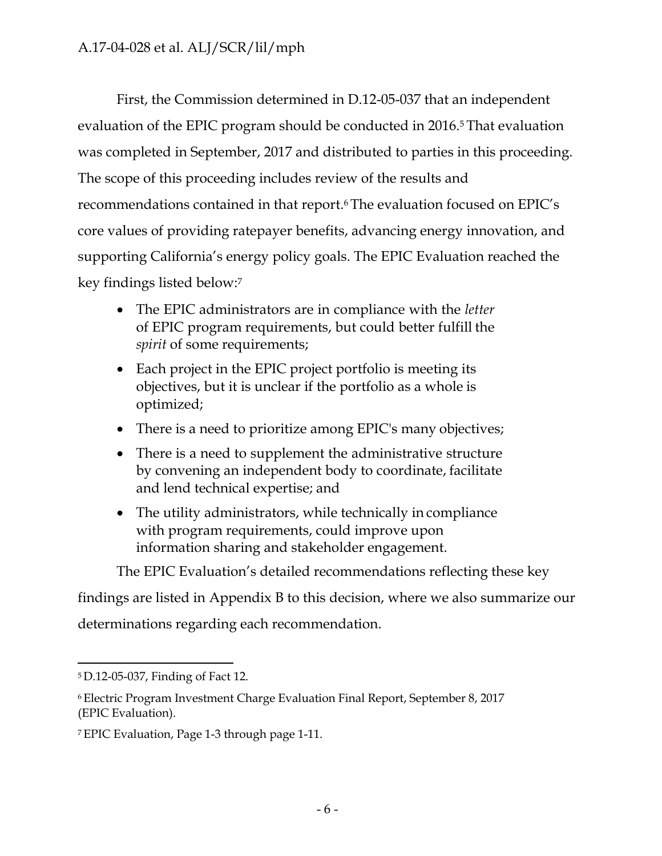First, the Commission determined in D.12-05-037 that an independent evaluation of the EPIC program should be conducted in 2016.<sup>5</sup> That evaluation was completed in September, 2017 and distributed to parties in this proceeding. The scope of this proceeding includes review of the results and recommendations contained in that report.6 The evaluation focused on EPIC's core values of providing ratepayer benefits, advancing energy innovation, and supporting California's energy policy goals. The EPIC Evaluation reached the key findings listed below:7

- The EPIC administrators are in compliance with the *letter*  of EPIC program requirements, but could better fulfill the *spirit* of some requirements;
- Each project in the EPIC project portfolio is meeting its objectives, but it is unclear if the portfolio as a whole is optimized;
- There is a need to prioritize among EPIC's many objectives;
- There is a need to supplement the administrative structure by convening an independent body to coordinate, facilitate and lend technical expertise; and
- The utility administrators, while technically in compliance with program requirements, could improve upon information sharing and stakeholder engagement.

The EPIC Evaluation's detailed recommendations reflecting these key

findings are listed in Appendix B to this decision, where we also summarize our

determinations regarding each recommendation.

<sup>5</sup> D.12-05-037, Finding of Fact 12.

<sup>6</sup> Electric Program Investment Charge Evaluation Final Report, September 8, 2017 (EPIC Evaluation).

<sup>7</sup> EPIC Evaluation, Page 1-3 through page 1-11.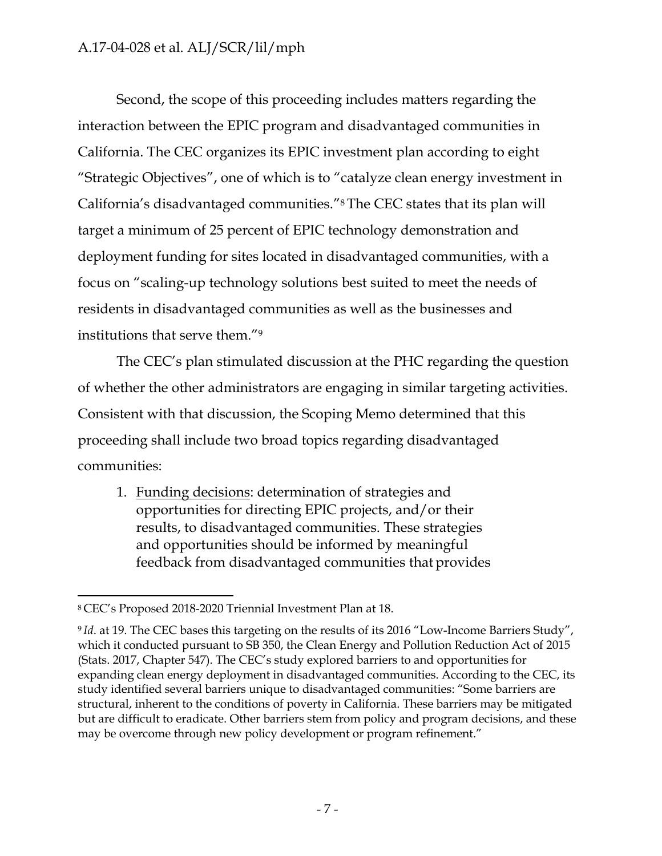Second, the scope of this proceeding includes matters regarding the interaction between the EPIC program and disadvantaged communities in California. The CEC organizes its EPIC investment plan according to eight "Strategic Objectives", one of which is to "catalyze clean energy investment in California's disadvantaged communities."8 The CEC states that its plan will target a minimum of 25 percent of EPIC technology demonstration and deployment funding for sites located in disadvantaged communities, with a focus on "scaling-up technology solutions best suited to meet the needs of residents in disadvantaged communities as well as the businesses and institutions that serve them."9

The CEC's plan stimulated discussion at the PHC regarding the question of whether the other administrators are engaging in similar targeting activities. Consistent with that discussion, the Scoping Memo determined that this proceeding shall include two broad topics regarding disadvantaged communities:

1. Funding decisions: determination of strategies and opportunities for directing EPIC projects, and/or their results, to disadvantaged communities. These strategies and opportunities should be informed by meaningful feedback from disadvantaged communities that provides

<sup>8</sup> CEC's Proposed 2018-2020 Triennial Investment Plan at 18.

<sup>9</sup>*Id*. at 19. The CEC bases this targeting on the results of its 2016 "Low-Income Barriers Study", which it conducted pursuant to SB 350, the Clean Energy and Pollution Reduction Act of 2015 (Stats. 2017, Chapter 547). The CEC's study explored barriers to and opportunities for expanding clean energy deployment in disadvantaged communities. According to the CEC, its study identified several barriers unique to disadvantaged communities: "Some barriers are structural, inherent to the conditions of poverty in California. These barriers may be mitigated but are difficult to eradicate. Other barriers stem from policy and program decisions, and these may be overcome through new policy development or program refinement."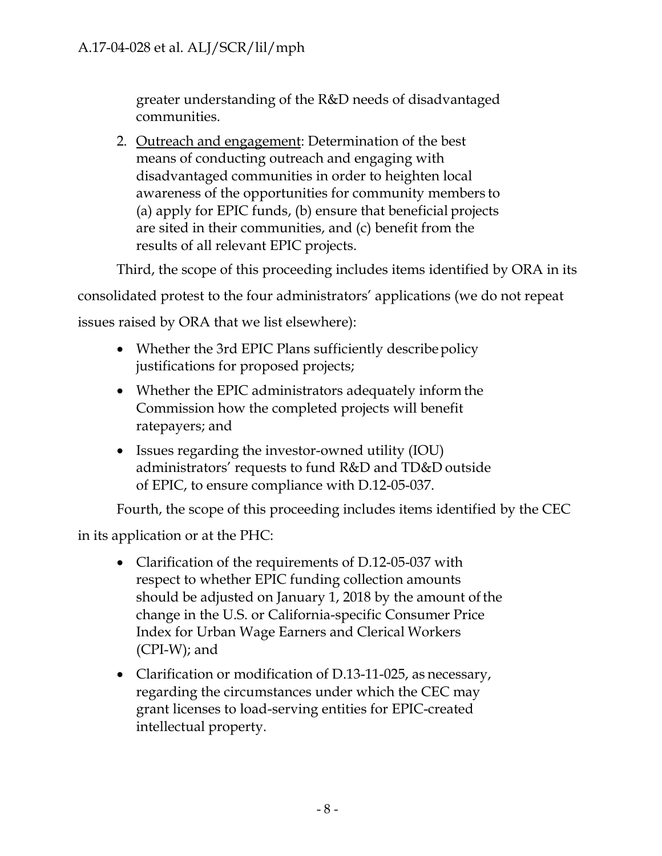greater understanding of the R&D needs of disadvantaged communities.

2. Outreach and engagement: Determination of the best means of conducting outreach and engaging with disadvantaged communities in order to heighten local awareness of the opportunities for community members to (a) apply for EPIC funds, (b) ensure that beneficial projects are sited in their communities, and (c) benefit from the results of all relevant EPIC projects.

Third, the scope of this proceeding includes items identified by ORA in its

consolidated protest to the four administrators' applications (we do not repeat

issues raised by ORA that we list elsewhere):

- Whether the 3rd EPIC Plans sufficiently describe policy justifications for proposed projects;
- Whether the EPIC administrators adequately inform the Commission how the completed projects will benefit ratepayers; and
- Issues regarding the investor-owned utility (IOU) administrators' requests to fund R&D and TD&D outside of EPIC, to ensure compliance with D.12-05-037.

Fourth, the scope of this proceeding includes items identified by the CEC

in its application or at the PHC:

- Clarification of the requirements of D.12-05-037 with respect to whether EPIC funding collection amounts should be adjusted on January 1, 2018 by the amount of the change in the U.S. or California-specific Consumer Price Index for Urban Wage Earners and Clerical Workers (CPI-W); and
- Clarification or modification of D.13-11-025, as necessary, regarding the circumstances under which the CEC may grant licenses to load-serving entities for EPIC-created intellectual property.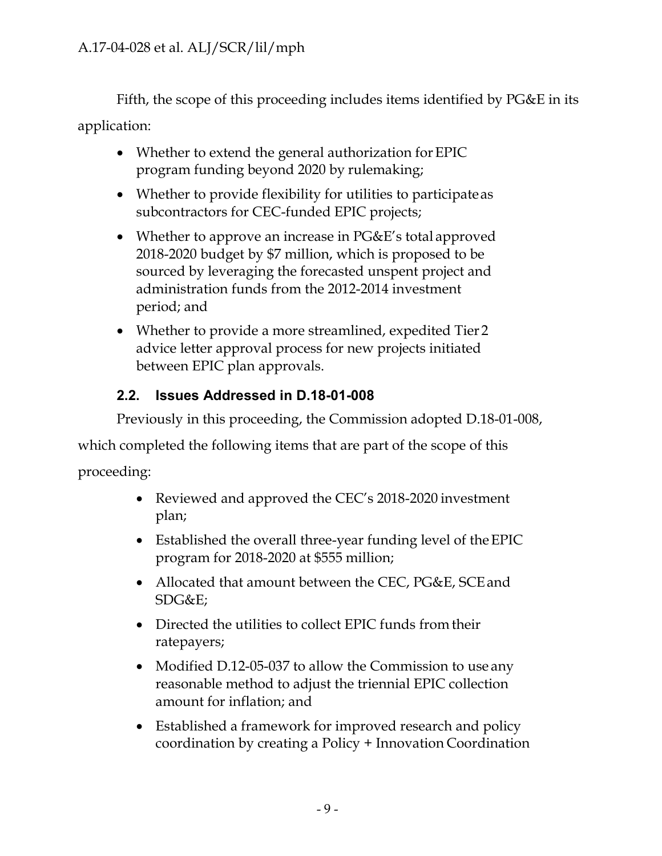Fifth, the scope of this proceeding includes items identified by PG&E in its application:

- Whether to extend the general authorization for EPIC program funding beyond 2020 by rulemaking;
- Whether to provide flexibility for utilities to participate as subcontractors for CEC-funded EPIC projects;
- Whether to approve an increase in PG&E's total approved 2018-2020 budget by \$7 million, which is proposed to be sourced by leveraging the forecasted unspent project and administration funds from the 2012-2014 investment period; and
- Whether to provide a more streamlined, expedited Tier 2 advice letter approval process for new projects initiated between EPIC plan approvals.

# <span id="page-11-0"></span>**2.2. Issues Addressed in D.18-01-008**

Previously in this proceeding, the Commission adopted D.18-01-008,

which completed the following items that are part of the scope of this

proceeding:

- Reviewed and approved the CEC's 2018-2020 investment plan;
- Established the overall three-year funding level of the EPIC program for 2018-2020 at \$555 million;
- Allocated that amount between the CEC, PG&E, SCE and SDG&E;
- Directed the utilities to collect EPIC funds from their ratepayers;
- Modified D.12-05-037 to allow the Commission to use any reasonable method to adjust the triennial EPIC collection amount for inflation; and
- Established a framework for improved research and policy coordination by creating a Policy + Innovation Coordination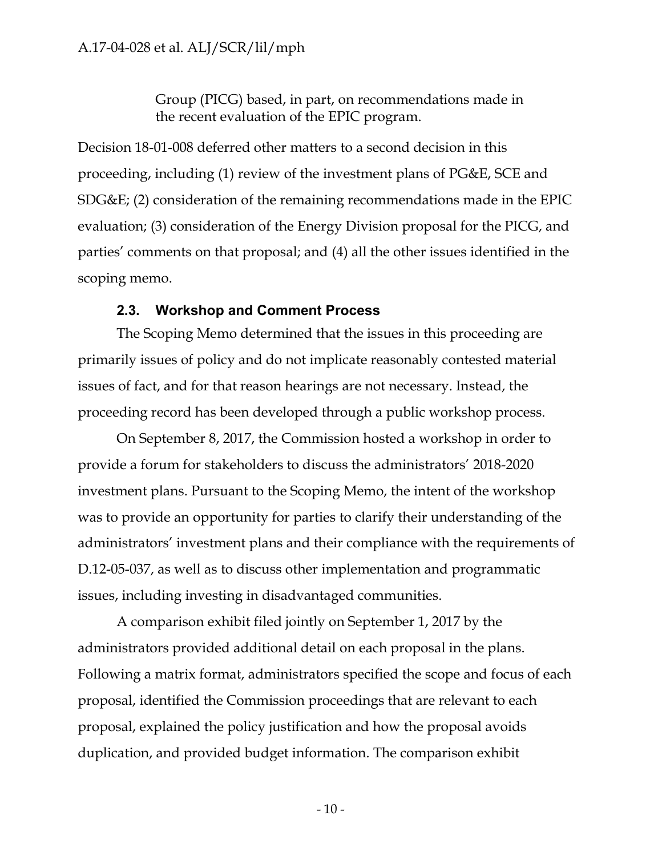Group (PICG) based, in part, on recommendations made in the recent evaluation of the EPIC program.

Decision 18-01-008 deferred other matters to a second decision in this proceeding, including (1) review of the investment plans of PG&E, SCE and SDG&E; (2) consideration of the remaining recommendations made in the EPIC evaluation; (3) consideration of the Energy Division proposal for the PICG, and parties' comments on that proposal; and (4) all the other issues identified in the scoping memo.

#### **2.3. Workshop and Comment Process**

<span id="page-12-0"></span>The Scoping Memo determined that the issues in this proceeding are primarily issues of policy and do not implicate reasonably contested material issues of fact, and for that reason hearings are not necessary. Instead, the proceeding record has been developed through a public workshop process.

On September 8, 2017, the Commission hosted a workshop in order to provide a forum for stakeholders to discuss the administrators' 2018-2020 investment plans. Pursuant to the Scoping Memo, the intent of the workshop was to provide an opportunity for parties to clarify their understanding of the administrators' investment plans and their compliance with the requirements of D.12-05-037, as well as to discuss other implementation and programmatic issues, including investing in disadvantaged communities.

A comparison exhibit filed jointly on September 1, 2017 by the administrators provided additional detail on each proposal in the plans. Following a matrix format, administrators specified the scope and focus of each proposal, identified the Commission proceedings that are relevant to each proposal, explained the policy justification and how the proposal avoids duplication, and provided budget information. The comparison exhibit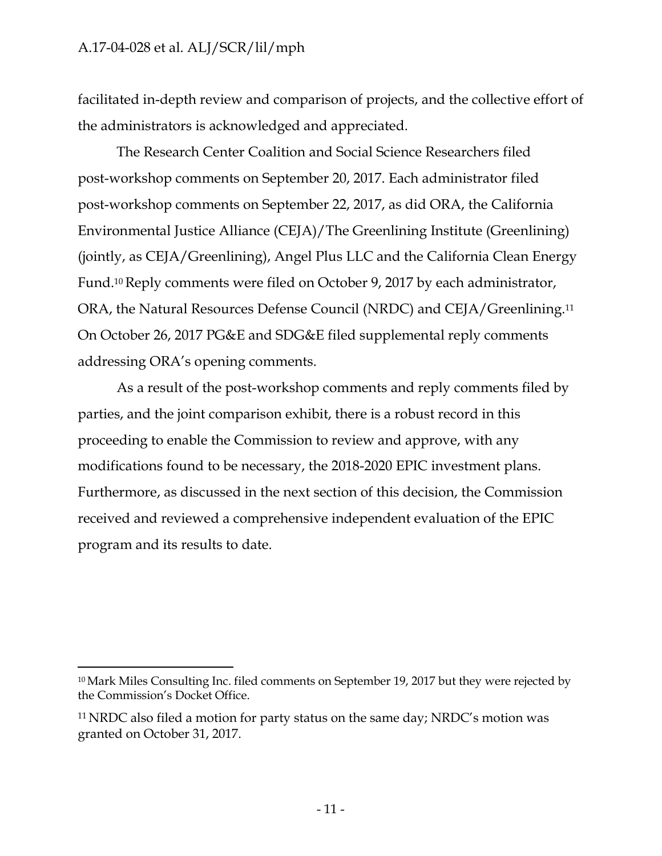facilitated in-depth review and comparison of projects, and the collective effort of the administrators is acknowledged and appreciated.

The Research Center Coalition and Social Science Researchers filed post-workshop comments on September 20, 2017. Each administrator filed post-workshop comments on September 22, 2017, as did ORA, the California Environmental Justice Alliance (CEJA)/The Greenlining Institute (Greenlining) (jointly, as CEJA/Greenlining), Angel Plus LLC and the California Clean Energy Fund.10 Reply comments were filed on October 9, 2017 by each administrator, ORA, the Natural Resources Defense Council (NRDC) and CEJA/Greenlining.11 On October 26, 2017 PG&E and SDG&E filed supplemental reply comments addressing ORA's opening comments.

As a result of the post-workshop comments and reply comments filed by parties, and the joint comparison exhibit, there is a robust record in this proceeding to enable the Commission to review and approve, with any modifications found to be necessary, the 2018-2020 EPIC investment plans. Furthermore, as discussed in the next section of this decision, the Commission received and reviewed a comprehensive independent evaluation of the EPIC program and its results to date.

<sup>10</sup> Mark Miles Consulting Inc. filed comments on September 19, 2017 but they were rejected by the Commission's Docket Office.

<sup>11</sup> NRDC also filed a motion for party status on the same day; NRDC's motion was granted on October 31, 2017.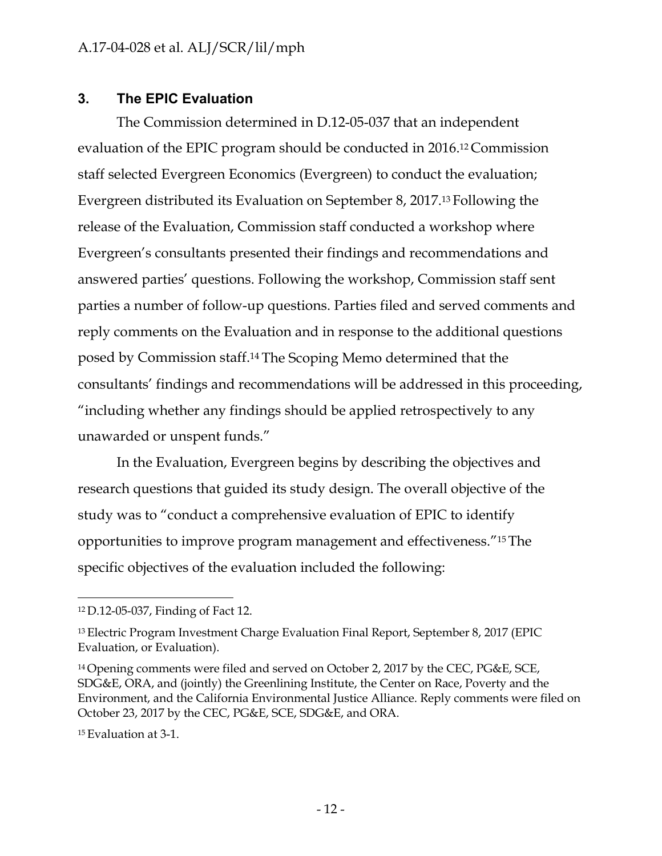## <span id="page-14-0"></span>**3. The EPIC Evaluation**

The Commission determined in D.12-05-037 that an independent evaluation of the EPIC program should be conducted in 2016.12 Commission staff selected Evergreen Economics (Evergreen) to conduct the evaluation; Evergreen distributed its Evaluation on September 8, 2017.13 Following the release of the Evaluation, Commission staff conducted a workshop where Evergreen's consultants presented their findings and recommendations and answered parties' questions. Following the workshop, Commission staff sent parties a number of follow-up questions. Parties filed and served comments and reply comments on the Evaluation and in response to the additional questions posed by Commission staff.14 The Scoping Memo determined that the consultants' findings and recommendations will be addressed in this proceeding, "including whether any findings should be applied retrospectively to any unawarded or unspent funds."

In the Evaluation, Evergreen begins by describing the objectives and research questions that guided its study design. The overall objective of the study was to "conduct a comprehensive evaluation of EPIC to identify opportunities to improve program management and effectiveness."15 The specific objectives of the evaluation included the following:

<sup>12</sup> D.12-05-037, Finding of Fact 12.

<sup>13</sup> Electric Program Investment Charge Evaluation Final Report, September 8, 2017 (EPIC Evaluation, or Evaluation).

<sup>14</sup> Opening comments were filed and served on October 2, 2017 by the CEC, PG&E, SCE, SDG&E, ORA, and (jointly) the Greenlining Institute, the Center on Race, Poverty and the Environment, and the California Environmental Justice Alliance. Reply comments were filed on October 23, 2017 by the CEC, PG&E, SCE, SDG&E, and ORA.

<sup>15</sup> Evaluation at 3-1.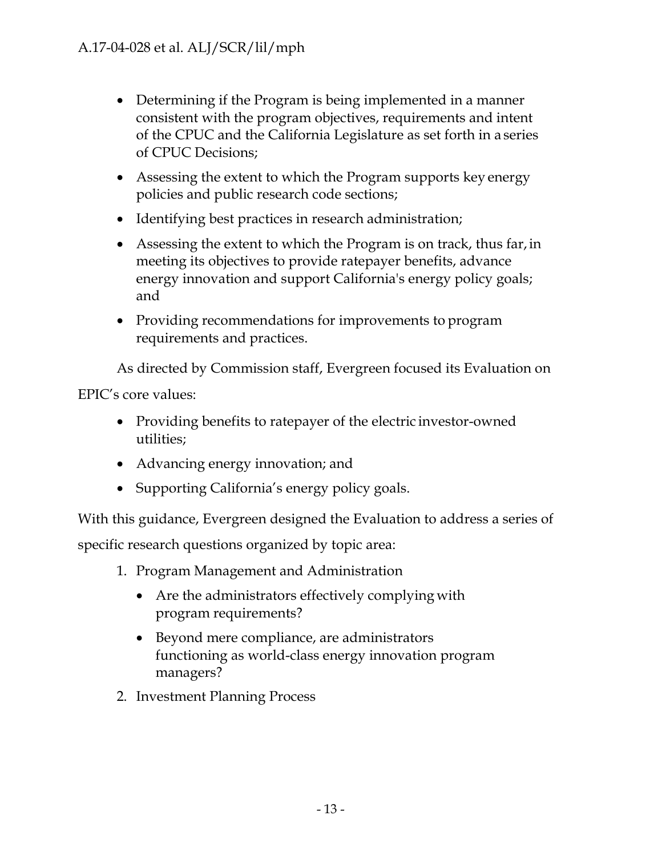- Determining if the Program is being implemented in a manner consistent with the program objectives, requirements and intent of the CPUC and the California Legislature as set forth in a series of CPUC Decisions;
- Assessing the extent to which the Program supports key energy policies and public research code sections;
- Identifying best practices in research administration;
- Assessing the extent to which the Program is on track, thus far, in meeting its objectives to provide ratepayer benefits, advance energy innovation and support California's energy policy goals; and
- Providing recommendations for improvements to program requirements and practices.

As directed by Commission staff, Evergreen focused its Evaluation on

EPIC's core values:

- Providing benefits to ratepayer of the electric investor-owned utilities;
- Advancing energy innovation; and
- Supporting California's energy policy goals.

With this guidance, Evergreen designed the Evaluation to address a series of

specific research questions organized by topic area:

- 1. Program Management and Administration
	- Are the administrators effectively complying with program requirements?
	- Beyond mere compliance, are administrators functioning as world-class energy innovation program managers?
- 2. Investment Planning Process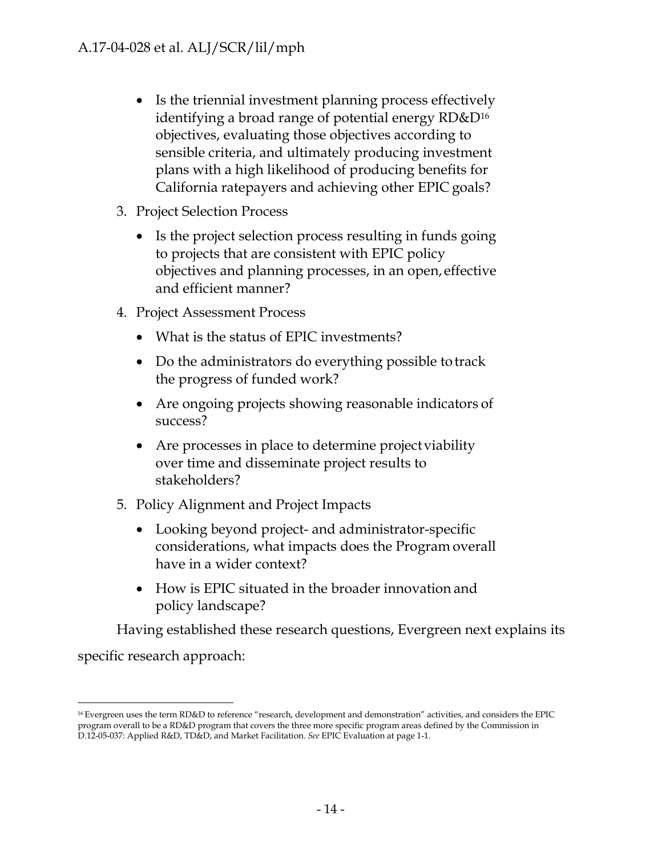- Is the triennial investment planning process effectively identifying a broad range of potential energy RD&D16 objectives, evaluating those objectives according to sensible criteria, and ultimately producing investment plans with a high likelihood of producing benefits for California ratepayers and achieving other EPIC goals?
- 3. Project Selection Process
	- Is the project selection process resulting in funds going to projects that are consistent with EPIC policy objectives and planning processes, in an open, effective and efficient manner?
- 4. Project Assessment Process
	- What is the status of EPIC investments?
	- Do the administrators do everything possible to track the progress of funded work?
	- Are ongoing projects showing reasonable indicators of success?
	- Are processes in place to determine project viability over time and disseminate project results to stakeholders?
- 5. Policy Alignment and Project Impacts
	- Looking beyond project- and administrator-specific considerations, what impacts does the Program overall have in a wider context?
	- How is EPIC situated in the broader innovation and policy landscape?

Having established these research questions, Evergreen next explains its specific research approach:

<sup>16</sup> Evergreen uses the term RD&D to reference "research, development and demonstration" activities, and considers the EPIC program overall to be a RD&D program that covers the three more specific program areas defined by the Commission in D.12-05-037: Applied R&D, TD&D, and Market Facilitation. *See* EPIC Evaluation at page 1-1.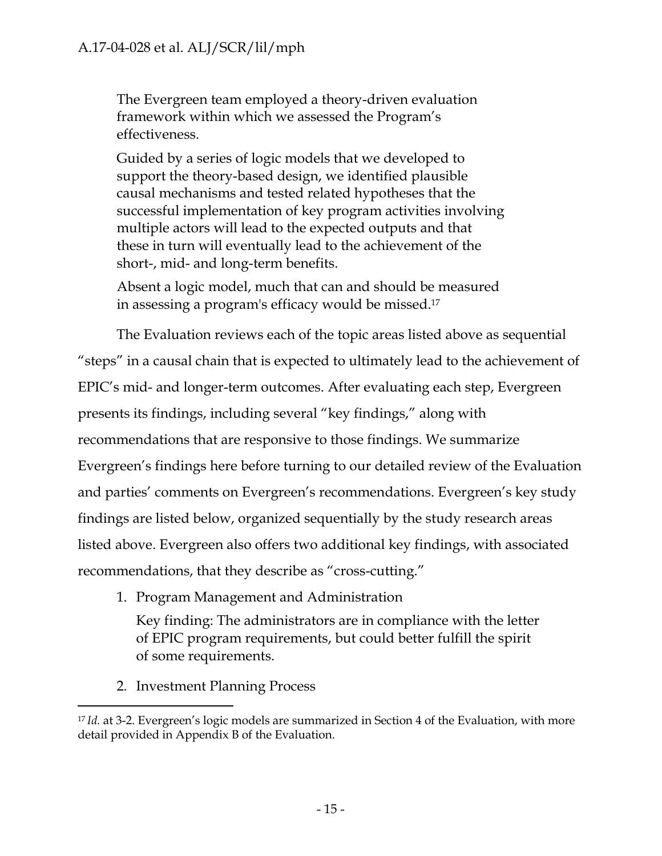The Evergreen team employed a theory-driven evaluation framework within which we assessed the Program's effectiveness.

Guided by a series of logic models that we developed to support the theory-based design, we identified plausible causal mechanisms and tested related hypotheses that the successful implementation of key program activities involving multiple actors will lead to the expected outputs and that these in turn will eventually lead to the achievement of the short-, mid- and long-term benefits.

Absent a logic model, much that can and should be measured in assessing a program's efficacy would be missed.17

The Evaluation reviews each of the topic areas listed above as sequential "steps" in a causal chain that is expected to ultimately lead to the achievement of EPIC's mid- and longer-term outcomes. After evaluating each step, Evergreen presents its findings, including several "key findings," along with recommendations that are responsive to those findings. We summarize Evergreen's findings here before turning to our detailed review of the Evaluation and parties' comments on Evergreen's recommendations. Evergreen's key study findings are listed below, organized sequentially by the study research areas listed above. Evergreen also offers two additional key findings, with associated recommendations, that they describe as "cross-cutting."

1. Program Management and Administration

Key finding: The administrators are in compliance with the letter of EPIC program requirements, but could better fulfill the spirit of some requirements.

2. Investment Planning Process

<sup>&</sup>lt;sup>17</sup> Id. at 3-2. Evergreen's logic models are summarized in Section 4 of the Evaluation, with more detail provided in Appendix B of the Evaluation.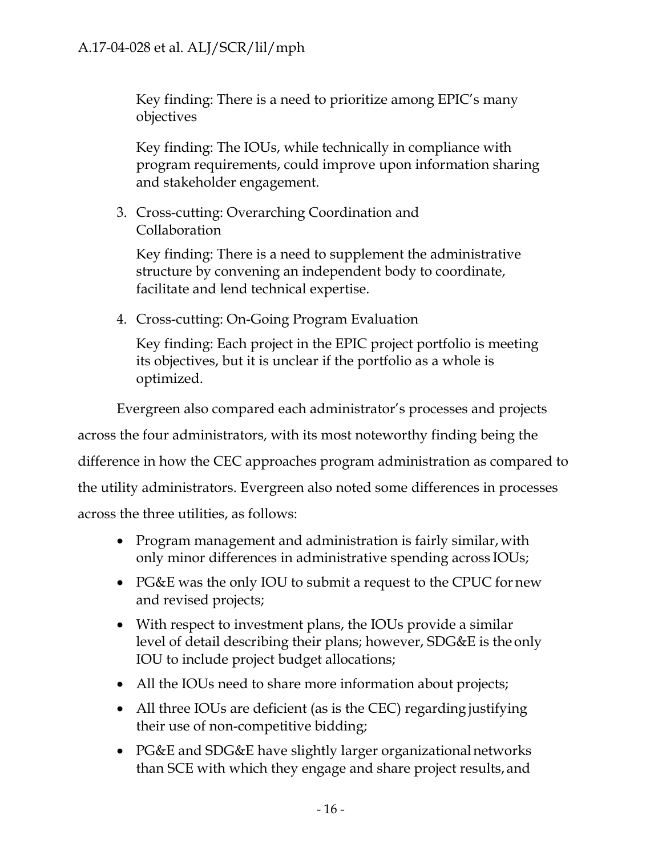Key finding: There is a need to prioritize among EPIC's many objectives

Key finding: The IOUs, while technically in compliance with program requirements, could improve upon information sharing and stakeholder engagement.

3. Cross-cutting: Overarching Coordination and Collaboration

Key finding: There is a need to supplement the administrative structure by convening an independent body to coordinate, facilitate and lend technical expertise.

4. Cross-cutting: On-Going Program Evaluation

Key finding: Each project in the EPIC project portfolio is meeting its objectives, but it is unclear if the portfolio as a whole is optimized.

Evergreen also compared each administrator's processes and projects across the four administrators, with its most noteworthy finding being the difference in how the CEC approaches program administration as compared to the utility administrators. Evergreen also noted some differences in processes across the three utilities, as follows:

- Program management and administration is fairly similar, with only minor differences in administrative spending across IOUs;
- PG&E was the only IOU to submit a request to the CPUC for new and revised projects;
- With respect to investment plans, the IOUs provide a similar level of detail describing their plans; however, SDG&E is the only IOU to include project budget allocations;
- All the IOUs need to share more information about projects;
- All three IOUs are deficient (as is the CEC) regarding justifying their use of non-competitive bidding;
- PG&E and SDG&E have slightly larger organizational networks than SCE with which they engage and share project results, and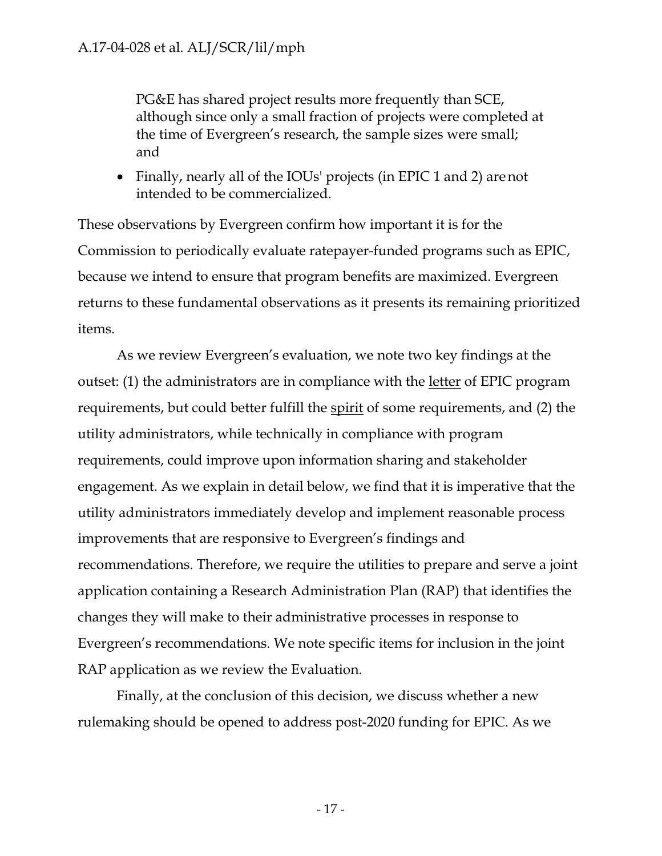PG&E has shared project results more frequently than SCE, although since only a small fraction of projects were completed at the time of Evergreen's research, the sample sizes were small; and

• Finally, nearly all of the IOUs' projects (in EPIC 1 and 2) are not intended to be commercialized.

These observations by Evergreen confirm how important it is for the Commission to periodically evaluate ratepayer-funded programs such as EPIC, because we intend to ensure that program benefits are maximized. Evergreen returns to these fundamental observations as it presents its remaining prioritized items.

As we review Evergreen's evaluation, we note two key findings at the outset: (1) the administrators are in compliance with the letter of EPIC program requirements, but could better fulfill the spirit of some requirements, and (2) the utility administrators, while technically in compliance with program requirements, could improve upon information sharing and stakeholder engagement. As we explain in detail below, we find that it is imperative that the utility administrators immediately develop and implement reasonable process improvements that are responsive to Evergreen's findings and recommendations. Therefore, we require the utilities to prepare and serve a joint application containing a Research Administration Plan (RAP) that identifies the changes they will make to their administrative processes in response to Evergreen's recommendations. We note specific items for inclusion in the joint RAP application as we review the Evaluation.

Finally, at the conclusion of this decision, we discuss whether a new rulemaking should be opened to address post-2020 funding for EPIC. As we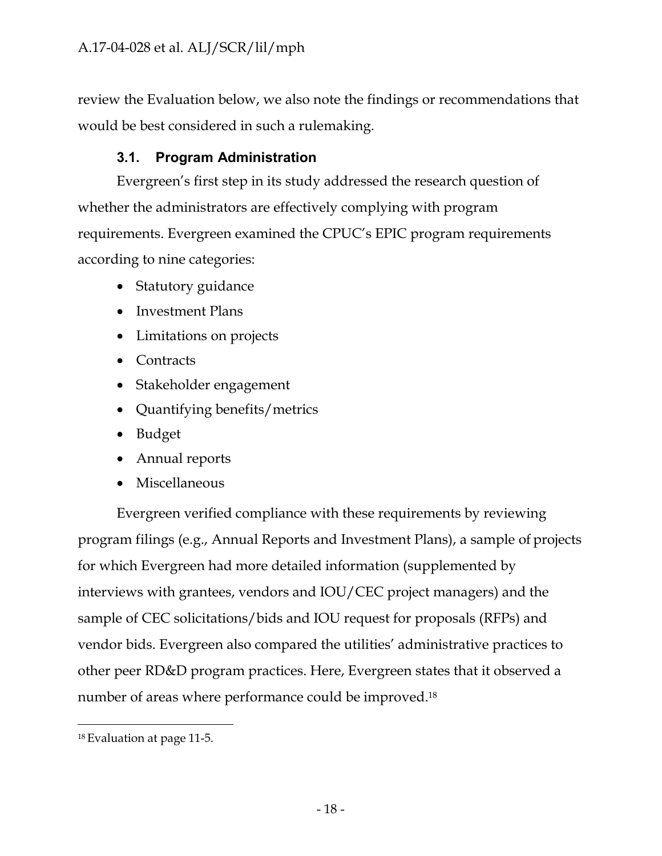review the Evaluation below, we also note the findings or recommendations that would be best considered in such a rulemaking.

# **3.1. Program Administration**

<span id="page-20-0"></span>Evergreen's first step in its study addressed the research question of whether the administrators are effectively complying with program requirements. Evergreen examined the CPUC's EPIC program requirements according to nine categories:

- Statutory guidance
- Investment Plans
- Limitations on projects
- Contracts
- Stakeholder engagement
- Quantifying benefits/metrics
- Budget
- Annual reports
- Miscellaneous

Evergreen verified compliance with these requirements by reviewing program filings (e.g., Annual Reports and Investment Plans), a sample of projects for which Evergreen had more detailed information (supplemented by interviews with grantees, vendors and IOU/CEC project managers) and the sample of CEC solicitations/bids and IOU request for proposals (RFPs) and vendor bids. Evergreen also compared the utilities' administrative practices to other peer RD&D program practices. Here, Evergreen states that it observed a number of areas where performance could be improved.18

<sup>18</sup> Evaluation at page 11-5.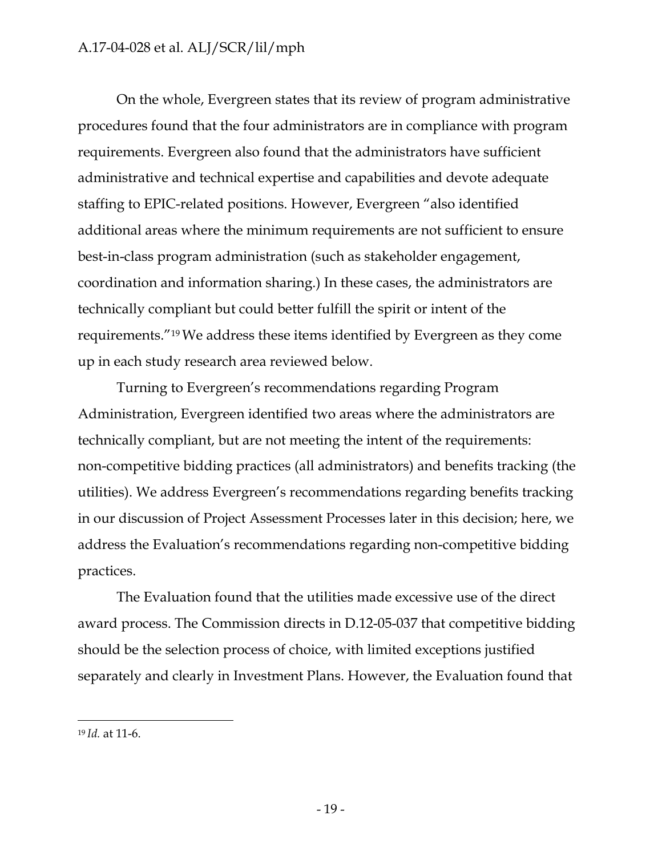On the whole, Evergreen states that its review of program administrative procedures found that the four administrators are in compliance with program requirements. Evergreen also found that the administrators have sufficient administrative and technical expertise and capabilities and devote adequate staffing to EPIC-related positions. However, Evergreen "also identified additional areas where the minimum requirements are not sufficient to ensure best-in-class program administration (such as stakeholder engagement, coordination and information sharing.) In these cases, the administrators are technically compliant but could better fulfill the spirit or intent of the requirements."19 We address these items identified by Evergreen as they come up in each study research area reviewed below.

Turning to Evergreen's recommendations regarding Program Administration, Evergreen identified two areas where the administrators are technically compliant, but are not meeting the intent of the requirements: non-competitive bidding practices (all administrators) and benefits tracking (the utilities). We address Evergreen's recommendations regarding benefits tracking in our discussion of Project Assessment Processes later in this decision; here, we address the Evaluation's recommendations regarding non-competitive bidding practices.

The Evaluation found that the utilities made excessive use of the direct award process. The Commission directs in D.12-05-037 that competitive bidding should be the selection process of choice, with limited exceptions justified separately and clearly in Investment Plans. However, the Evaluation found that

<sup>19</sup> *Id.* at 11-6.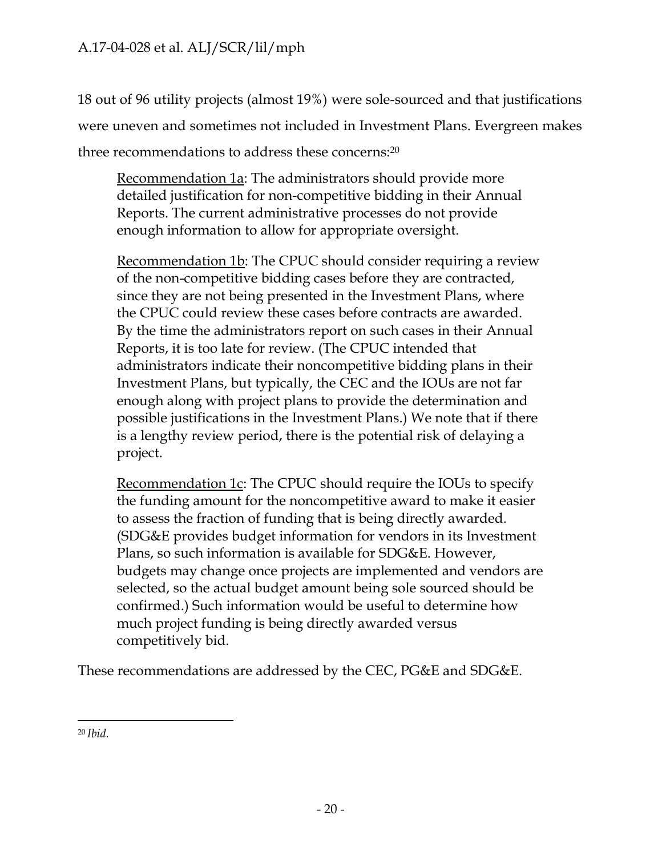18 out of 96 utility projects (almost 19%) were sole-sourced and that justifications were uneven and sometimes not included in Investment Plans. Evergreen makes three recommendations to address these concerns:20

Recommendation 1a: The administrators should provide more detailed justification for non-competitive bidding in their Annual Reports. The current administrative processes do not provide enough information to allow for appropriate oversight.

Recommendation 1b: The CPUC should consider requiring a review of the non-competitive bidding cases before they are contracted, since they are not being presented in the Investment Plans, where the CPUC could review these cases before contracts are awarded. By the time the administrators report on such cases in their Annual Reports, it is too late for review. (The CPUC intended that administrators indicate their noncompetitive bidding plans in their Investment Plans, but typically, the CEC and the IOUs are not far enough along with project plans to provide the determination and possible justifications in the Investment Plans.) We note that if there is a lengthy review period, there is the potential risk of delaying a project.

Recommendation 1c: The CPUC should require the IOUs to specify the funding amount for the noncompetitive award to make it easier to assess the fraction of funding that is being directly awarded. (SDG&E provides budget information for vendors in its Investment Plans, so such information is available for SDG&E. However, budgets may change once projects are implemented and vendors are selected, so the actual budget amount being sole sourced should be confirmed.) Such information would be useful to determine how much project funding is being directly awarded versus competitively bid.

These recommendations are addressed by the CEC, PG&E and SDG&E.

<sup>20</sup> *Ibid.*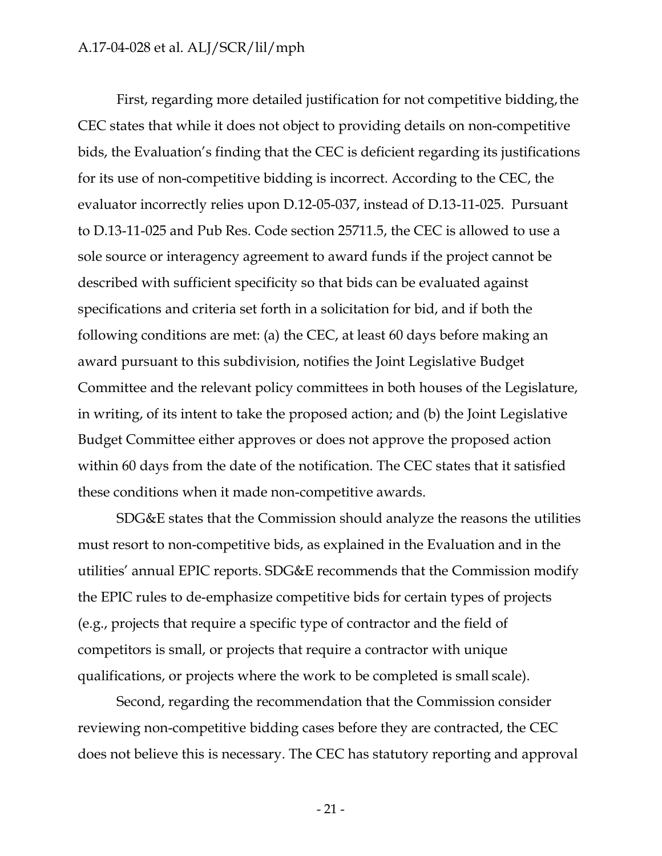First, regarding more detailed justification for not competitive bidding, the CEC states that while it does not object to providing details on non-competitive bids, the Evaluation's finding that the CEC is deficient regarding its justifications for its use of non-competitive bidding is incorrect. According to the CEC, the evaluator incorrectly relies upon D.12-05-037, instead of D.13-11-025. Pursuant to D.13-11-025 and Pub Res. Code section 25711.5, the CEC is allowed to use a sole source or interagency agreement to award funds if the project cannot be described with sufficient specificity so that bids can be evaluated against specifications and criteria set forth in a solicitation for bid, and if both the following conditions are met: (a) the CEC, at least 60 days before making an award pursuant to this subdivision, notifies the Joint Legislative Budget Committee and the relevant policy committees in both houses of the Legislature, in writing, of its intent to take the proposed action; and (b) the Joint Legislative Budget Committee either approves or does not approve the proposed action within 60 days from the date of the notification. The CEC states that it satisfied these conditions when it made non-competitive awards.

SDG&E states that the Commission should analyze the reasons the utilities must resort to non-competitive bids, as explained in the Evaluation and in the utilities' annual EPIC reports. SDG&E recommends that the Commission modify the EPIC rules to de-emphasize competitive bids for certain types of projects (e.g., projects that require a specific type of contractor and the field of competitors is small, or projects that require a contractor with unique qualifications, or projects where the work to be completed is small scale).

Second, regarding the recommendation that the Commission consider reviewing non-competitive bidding cases before they are contracted, the CEC does not believe this is necessary. The CEC has statutory reporting and approval

- 21 -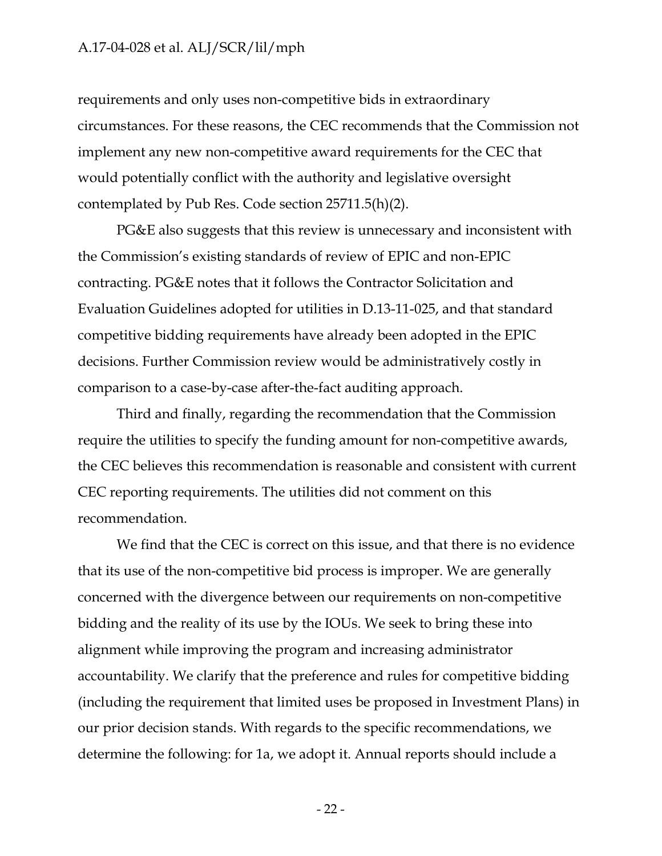requirements and only uses non-competitive bids in extraordinary circumstances. For these reasons, the CEC recommends that the Commission not implement any new non-competitive award requirements for the CEC that would potentially conflict with the authority and legislative oversight contemplated by Pub Res. Code section 25711.5(h)(2).

PG&E also suggests that this review is unnecessary and inconsistent with the Commission's existing standards of review of EPIC and non-EPIC contracting. PG&E notes that it follows the Contractor Solicitation and Evaluation Guidelines adopted for utilities in D.13-11-025, and that standard competitive bidding requirements have already been adopted in the EPIC decisions. Further Commission review would be administratively costly in comparison to a case-by-case after-the-fact auditing approach.

Third and finally, regarding the recommendation that the Commission require the utilities to specify the funding amount for non-competitive awards, the CEC believes this recommendation is reasonable and consistent with current CEC reporting requirements. The utilities did not comment on this recommendation.

We find that the CEC is correct on this issue, and that there is no evidence that its use of the non-competitive bid process is improper. We are generally concerned with the divergence between our requirements on non-competitive bidding and the reality of its use by the IOUs. We seek to bring these into alignment while improving the program and increasing administrator accountability. We clarify that the preference and rules for competitive bidding (including the requirement that limited uses be proposed in Investment Plans) in our prior decision stands. With regards to the specific recommendations, we determine the following: for 1a, we adopt it. Annual reports should include a

- 22 -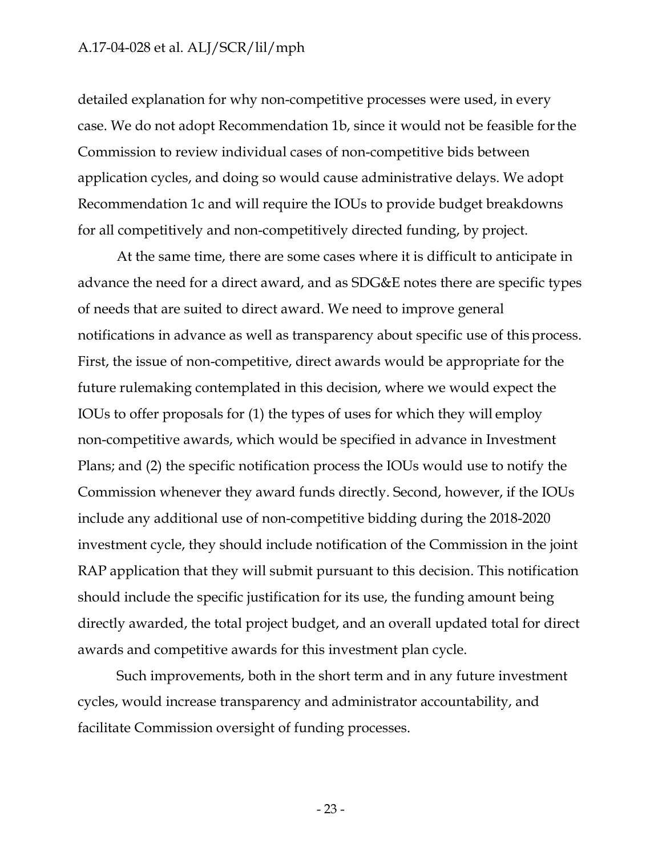detailed explanation for why non-competitive processes were used, in every case. We do not adopt Recommendation 1b, since it would not be feasible for the Commission to review individual cases of non-competitive bids between application cycles, and doing so would cause administrative delays. We adopt Recommendation 1c and will require the IOUs to provide budget breakdowns for all competitively and non-competitively directed funding, by project.

At the same time, there are some cases where it is difficult to anticipate in advance the need for a direct award, and as SDG&E notes there are specific types of needs that are suited to direct award. We need to improve general notifications in advance as well as transparency about specific use of this process. First, the issue of non-competitive, direct awards would be appropriate for the future rulemaking contemplated in this decision, where we would expect the IOUs to offer proposals for (1) the types of uses for which they will employ non-competitive awards, which would be specified in advance in Investment Plans; and (2) the specific notification process the IOUs would use to notify the Commission whenever they award funds directly. Second, however, if the IOUs include any additional use of non-competitive bidding during the 2018-2020 investment cycle, they should include notification of the Commission in the joint RAP application that they will submit pursuant to this decision. This notification should include the specific justification for its use, the funding amount being directly awarded, the total project budget, and an overall updated total for direct awards and competitive awards for this investment plan cycle.

Such improvements, both in the short term and in any future investment cycles, would increase transparency and administrator accountability, and facilitate Commission oversight of funding processes.

- 23 -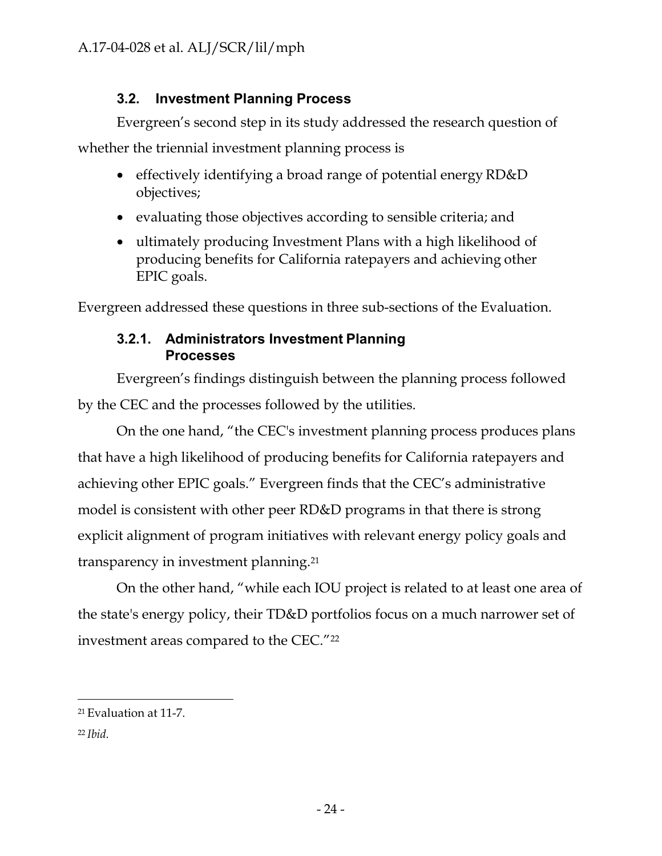# **3.2. Investment Planning Process**

<span id="page-26-0"></span>Evergreen's second step in its study addressed the research question of

whether the triennial investment planning process is

- effectively identifying a broad range of potential energy RD&D objectives;
- evaluating those objectives according to sensible criteria; and
- ultimately producing Investment Plans with a high likelihood of producing benefits for California ratepayers and achieving other EPIC goals.

<span id="page-26-1"></span>Evergreen addressed these questions in three sub-sections of the Evaluation.

# **3.2.1. Administrators Investment Planning Processes**

Evergreen's findings distinguish between the planning process followed by the CEC and the processes followed by the utilities.

On the one hand, "the CEC's investment planning process produces plans that have a high likelihood of producing benefits for California ratepayers and achieving other EPIC goals." Evergreen finds that the CEC's administrative model is consistent with other peer RD&D programs in that there is strong explicit alignment of program initiatives with relevant energy policy goals and transparency in investment planning.21

On the other hand, "while each IOU project is related to at least one area of the state's energy policy, their TD&D portfolios focus on a much narrower set of investment areas compared to the CEC."22

<sup>21</sup> Evaluation at 11-7.

<sup>22</sup> *Ibid.*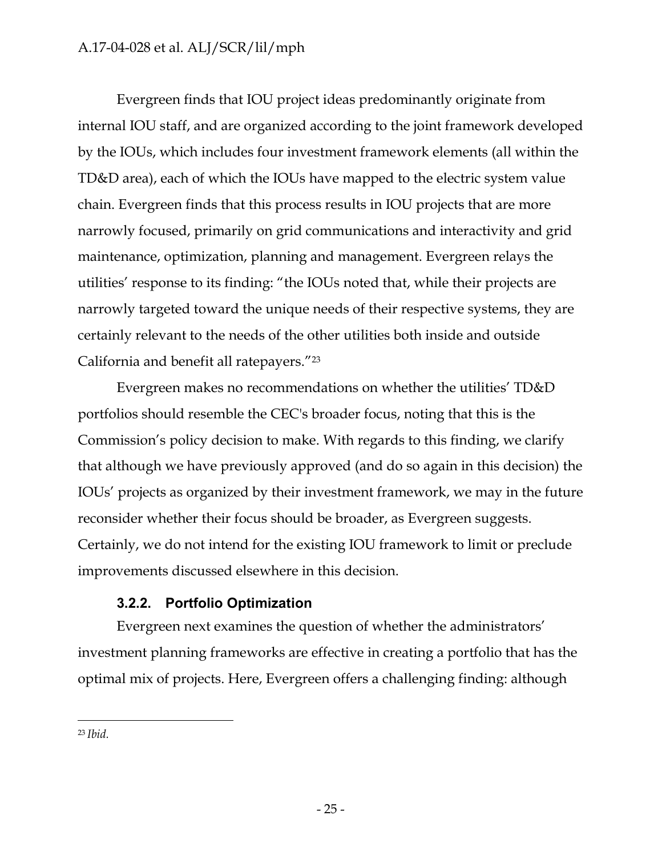Evergreen finds that IOU project ideas predominantly originate from internal IOU staff, and are organized according to the joint framework developed by the IOUs, which includes four investment framework elements (all within the TD&D area), each of which the IOUs have mapped to the electric system value chain. Evergreen finds that this process results in IOU projects that are more narrowly focused, primarily on grid communications and interactivity and grid maintenance, optimization, planning and management. Evergreen relays the utilities' response to its finding: "the IOUs noted that, while their projects are narrowly targeted toward the unique needs of their respective systems, they are certainly relevant to the needs of the other utilities both inside and outside California and benefit all ratepayers."23

Evergreen makes no recommendations on whether the utilities' TD&D portfolios should resemble the CEC's broader focus, noting that this is the Commission's policy decision to make. With regards to this finding, we clarify that although we have previously approved (and do so again in this decision) the IOUs' projects as organized by their investment framework, we may in the future reconsider whether their focus should be broader, as Evergreen suggests. Certainly, we do not intend for the existing IOU framework to limit or preclude improvements discussed elsewhere in this decision.

## **3.2.2. Portfolio Optimization**

<span id="page-27-0"></span>Evergreen next examines the question of whether the administrators' investment planning frameworks are effective in creating a portfolio that has the optimal mix of projects. Here, Evergreen offers a challenging finding: although

<sup>23</sup> *Ibid.*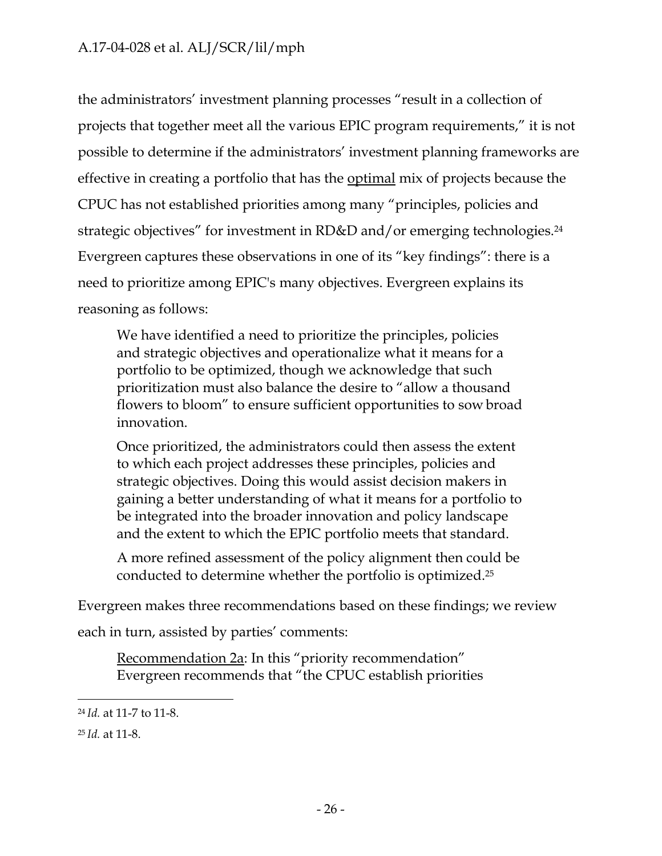the administrators' investment planning processes "result in a collection of projects that together meet all the various EPIC program requirements," it is not possible to determine if the administrators' investment planning frameworks are effective in creating a portfolio that has the optimal mix of projects because the CPUC has not established priorities among many "principles, policies and strategic objectives" for investment in RD&D and/or emerging technologies.<sup>24</sup> Evergreen captures these observations in one of its "key findings": there is a need to prioritize among EPIC's many objectives. Evergreen explains its reasoning as follows:

We have identified a need to prioritize the principles, policies and strategic objectives and operationalize what it means for a portfolio to be optimized, though we acknowledge that such prioritization must also balance the desire to "allow a thousand flowers to bloom" to ensure sufficient opportunities to sow broad innovation.

Once prioritized, the administrators could then assess the extent to which each project addresses these principles, policies and strategic objectives. Doing this would assist decision makers in gaining a better understanding of what it means for a portfolio to be integrated into the broader innovation and policy landscape and the extent to which the EPIC portfolio meets that standard.

A more refined assessment of the policy alignment then could be conducted to determine whether the portfolio is optimized.25

Evergreen makes three recommendations based on these findings; we review each in turn, assisted by parties' comments:

Recommendation 2a: In this "priority recommendation" Evergreen recommends that "the CPUC establish priorities

<sup>24</sup>*Id.* at 11-7 to 11-8.

<sup>25</sup> *Id.* at 11-8.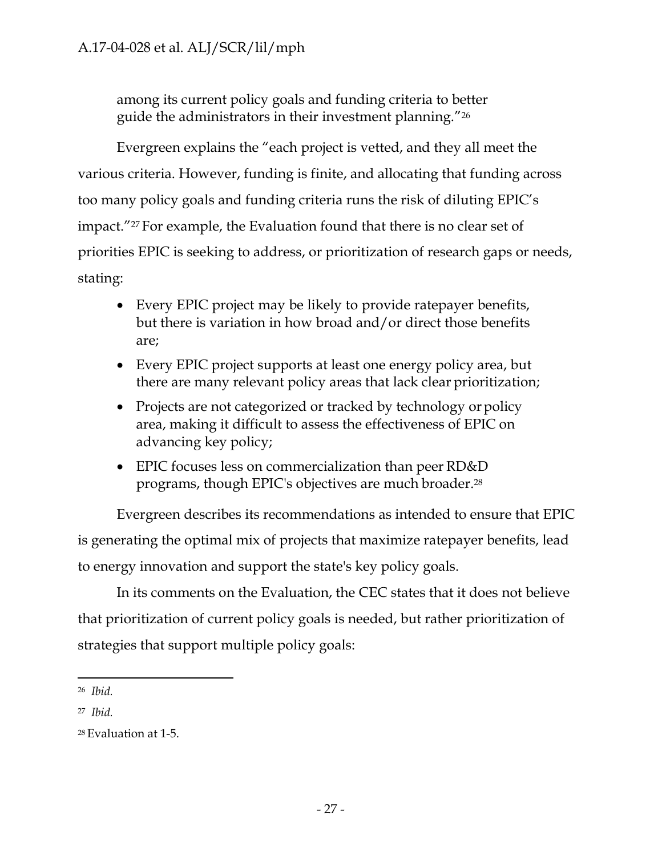among its current policy goals and funding criteria to better guide the administrators in their investment planning."26

Evergreen explains the "each project is vetted, and they all meet the various criteria. However, funding is finite, and allocating that funding across too many policy goals and funding criteria runs the risk of diluting EPIC's impact."27 For example, the Evaluation found that there is no clear set of priorities EPIC is seeking to address, or prioritization of research gaps or needs, stating:

- Every EPIC project may be likely to provide ratepayer benefits, but there is variation in how broad and/or direct those benefits are;
- Every EPIC project supports at least one energy policy area, but there are many relevant policy areas that lack clear prioritization;
- Projects are not categorized or tracked by technology or policy area, making it difficult to assess the effectiveness of EPIC on advancing key policy;
- EPIC focuses less on commercialization than peer RD&D programs, though EPIC's objectives are much broader.28

Evergreen describes its recommendations as intended to ensure that EPIC is generating the optimal mix of projects that maximize ratepayer benefits, lead to energy innovation and support the state's key policy goals.

In its comments on the Evaluation, the CEC states that it does not believe that prioritization of current policy goals is needed, but rather prioritization of strategies that support multiple policy goals:

<sup>26</sup>*Ibid.*

<sup>27</sup>*Ibid.*

<sup>28</sup> Evaluation at 1-5.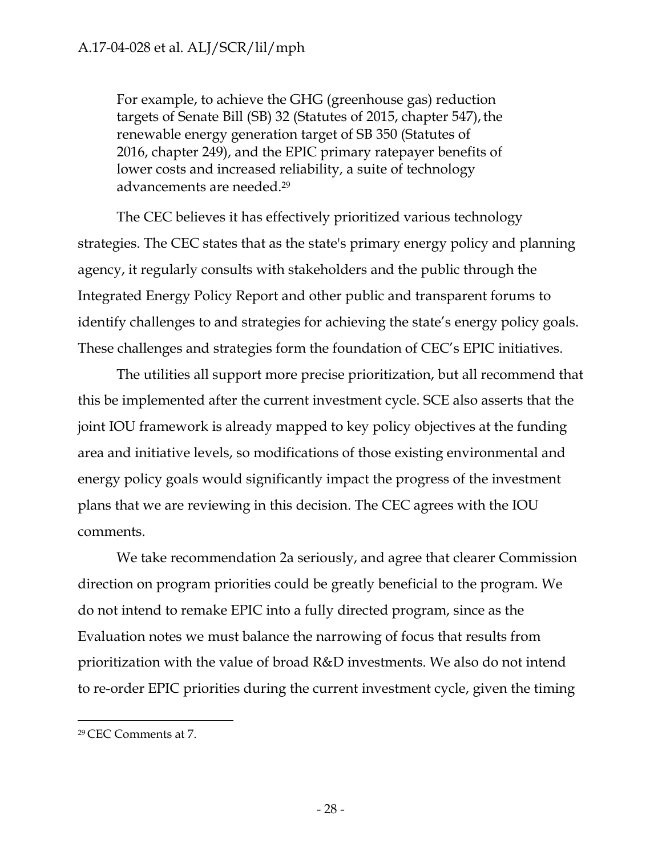For example, to achieve the GHG (greenhouse gas) reduction targets of Senate Bill (SB) 32 (Statutes of 2015, chapter 547), the renewable energy generation target of SB 350 (Statutes of 2016, chapter 249), and the EPIC primary ratepayer benefits of lower costs and increased reliability, a suite of technology advancements are needed.29

The CEC believes it has effectively prioritized various technology strategies. The CEC states that as the state's primary energy policy and planning agency, it regularly consults with stakeholders and the public through the Integrated Energy Policy Report and other public and transparent forums to identify challenges to and strategies for achieving the state's energy policy goals. These challenges and strategies form the foundation of CEC's EPIC initiatives.

The utilities all support more precise prioritization, but all recommend that this be implemented after the current investment cycle. SCE also asserts that the joint IOU framework is already mapped to key policy objectives at the funding area and initiative levels, so modifications of those existing environmental and energy policy goals would significantly impact the progress of the investment plans that we are reviewing in this decision. The CEC agrees with the IOU comments.

We take recommendation 2a seriously, and agree that clearer Commission direction on program priorities could be greatly beneficial to the program. We do not intend to remake EPIC into a fully directed program, since as the Evaluation notes we must balance the narrowing of focus that results from prioritization with the value of broad R&D investments. We also do not intend to re-order EPIC priorities during the current investment cycle, given the timing

<sup>29</sup> CEC Comments at 7.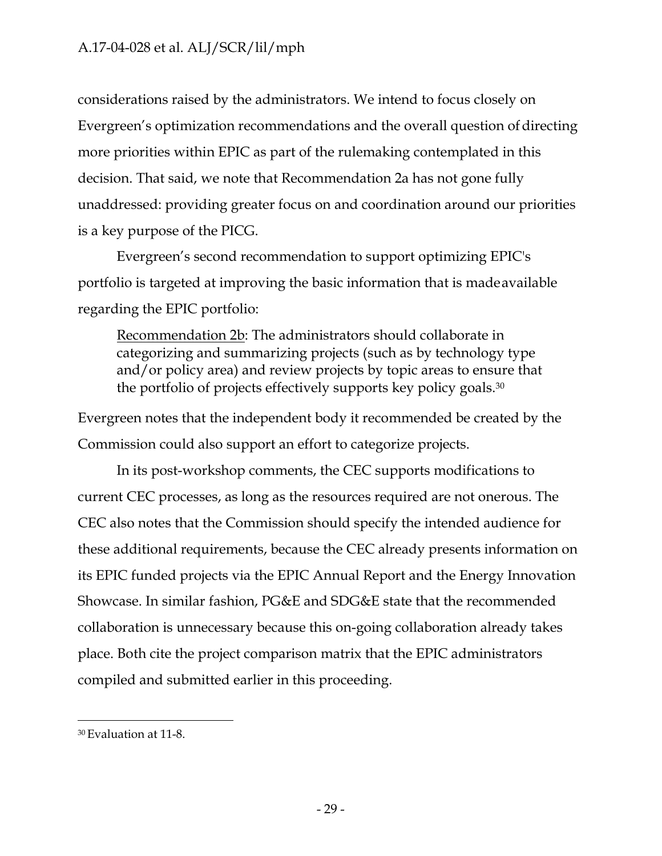considerations raised by the administrators. We intend to focus closely on Evergreen's optimization recommendations and the overall question of directing more priorities within EPIC as part of the rulemaking contemplated in this decision. That said, we note that Recommendation 2a has not gone fully unaddressed: providing greater focus on and coordination around our priorities is a key purpose of the PICG.

Evergreen's second recommendation to support optimizing EPIC's portfolio is targeted at improving the basic information that is made available regarding the EPIC portfolio:

Recommendation 2b: The administrators should collaborate in categorizing and summarizing projects (such as by technology type and/or policy area) and review projects by topic areas to ensure that the portfolio of projects effectively supports key policy goals.30

Evergreen notes that the independent body it recommended be created by the Commission could also support an effort to categorize projects.

In its post-workshop comments, the CEC supports modifications to current CEC processes, as long as the resources required are not onerous. The CEC also notes that the Commission should specify the intended audience for these additional requirements, because the CEC already presents information on its EPIC funded projects via the EPIC Annual Report and the Energy Innovation Showcase. In similar fashion, PG&E and SDG&E state that the recommended collaboration is unnecessary because this on-going collaboration already takes place. Both cite the project comparison matrix that the EPIC administrators compiled and submitted earlier in this proceeding.

<sup>30</sup> Evaluation at 11-8.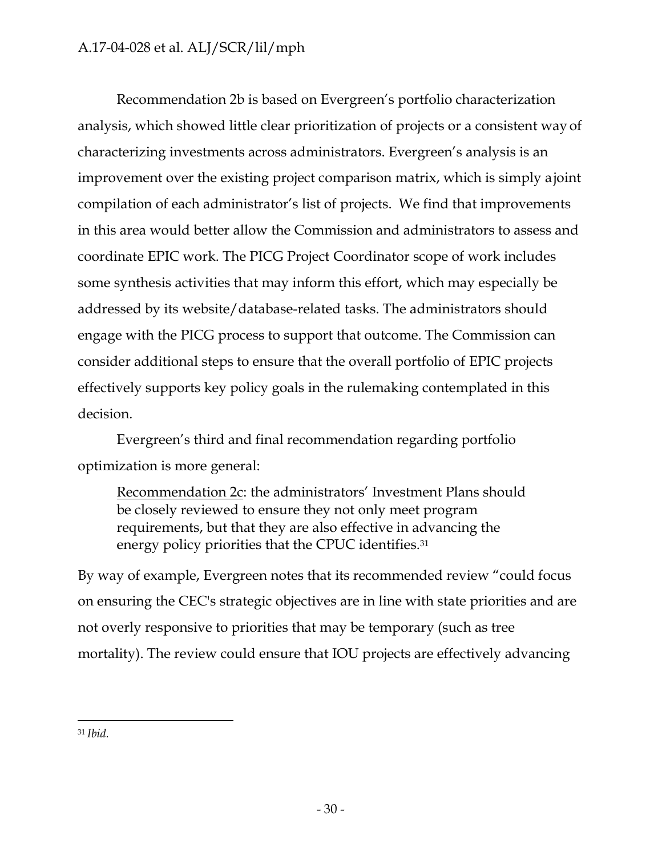Recommendation 2b is based on Evergreen's portfolio characterization analysis, which showed little clear prioritization of projects or a consistent way of characterizing investments across administrators. Evergreen's analysis is an improvement over the existing project comparison matrix, which is simply ajoint compilation of each administrator's list of projects. We find that improvements in this area would better allow the Commission and administrators to assess and coordinate EPIC work. The PICG Project Coordinator scope of work includes some synthesis activities that may inform this effort, which may especially be addressed by its website/database-related tasks. The administrators should engage with the PICG process to support that outcome. The Commission can consider additional steps to ensure that the overall portfolio of EPIC projects effectively supports key policy goals in the rulemaking contemplated in this decision.

Evergreen's third and final recommendation regarding portfolio optimization is more general:

Recommendation 2c: the administrators' Investment Plans should be closely reviewed to ensure they not only meet program requirements, but that they are also effective in advancing the energy policy priorities that the CPUC identifies.<sup>31</sup>

By way of example, Evergreen notes that its recommended review "could focus on ensuring the CEC's strategic objectives are in line with state priorities and are not overly responsive to priorities that may be temporary (such as tree mortality). The review could ensure that IOU projects are effectively advancing

<sup>31</sup> *Ibid.*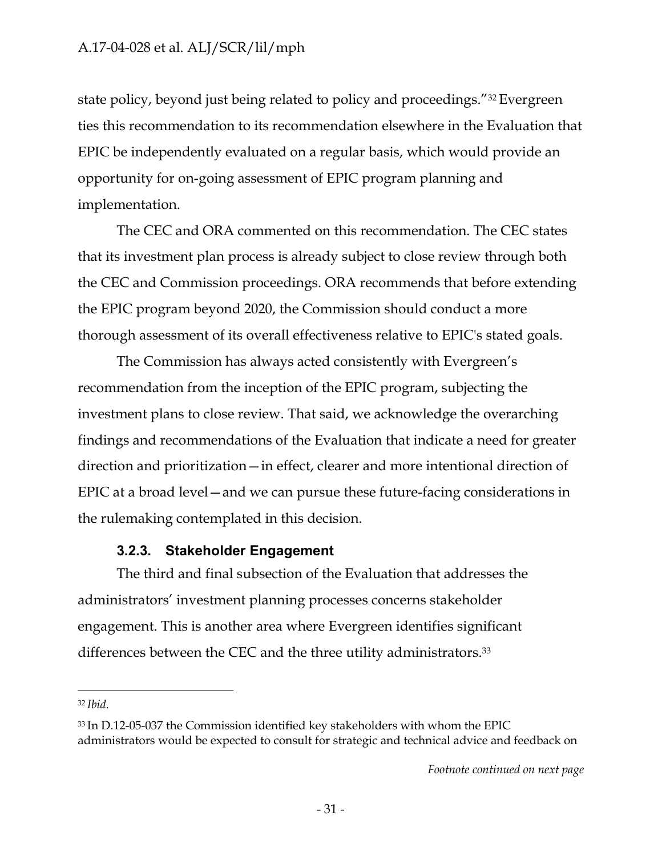state policy, beyond just being related to policy and proceedings."32 Evergreen ties this recommendation to its recommendation elsewhere in the Evaluation that EPIC be independently evaluated on a regular basis, which would provide an opportunity for on-going assessment of EPIC program planning and implementation.

The CEC and ORA commented on this recommendation. The CEC states that its investment plan process is already subject to close review through both the CEC and Commission proceedings. ORA recommends that before extending the EPIC program beyond 2020, the Commission should conduct a more thorough assessment of its overall effectiveness relative to EPIC's stated goals.

The Commission has always acted consistently with Evergreen's recommendation from the inception of the EPIC program, subjecting the investment plans to close review. That said, we acknowledge the overarching findings and recommendations of the Evaluation that indicate a need for greater direction and prioritization—in effect, clearer and more intentional direction of EPIC at a broad level—and we can pursue these future-facing considerations in the rulemaking contemplated in this decision.

## **3.2.3. Stakeholder Engagement**

<span id="page-33-0"></span>The third and final subsection of the Evaluation that addresses the administrators' investment planning processes concerns stakeholder engagement. This is another area where Evergreen identifies significant differences between the CEC and the three utility administrators.33

<sup>32</sup>*Ibid.*

<sup>33</sup> In D.12-05-037 the Commission identified key stakeholders with whom the EPIC administrators would be expected to consult for strategic and technical advice and feedback on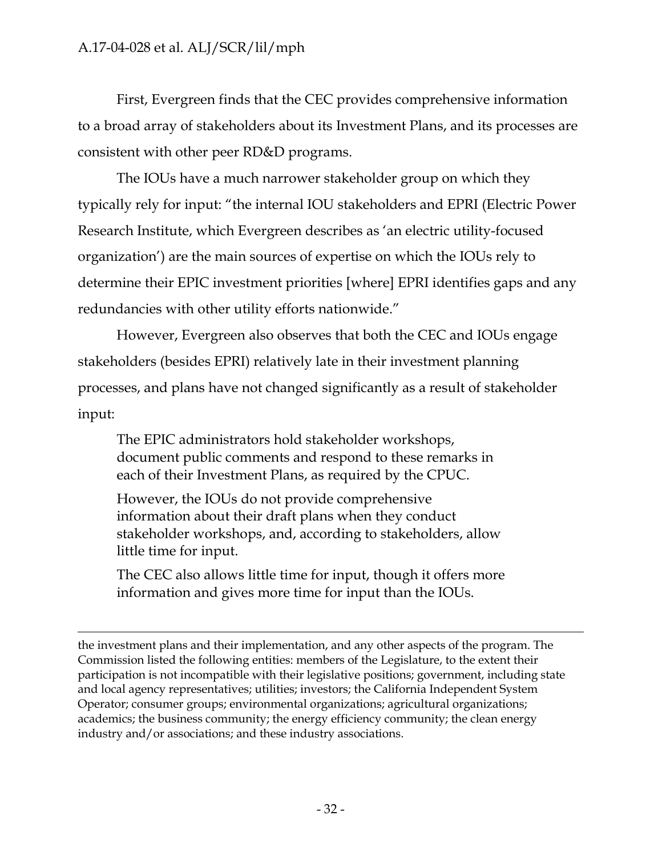First, Evergreen finds that the CEC provides comprehensive information to a broad array of stakeholders about its Investment Plans, and its processes are consistent with other peer RD&D programs.

The IOUs have a much narrower stakeholder group on which they typically rely for input: "the internal IOU stakeholders and EPRI (Electric Power Research Institute, which Evergreen describes as 'an electric utility-focused organization') are the main sources of expertise on which the IOUs rely to determine their EPIC investment priorities [where] EPRI identifies gaps and any redundancies with other utility efforts nationwide."

However, Evergreen also observes that both the CEC and IOUs engage stakeholders (besides EPRI) relatively late in their investment planning processes, and plans have not changed significantly as a result of stakeholder input:

The EPIC administrators hold stakeholder workshops, document public comments and respond to these remarks in each of their Investment Plans, as required by the CPUC.

However, the IOUs do not provide comprehensive information about their draft plans when they conduct stakeholder workshops, and, according to stakeholders, allow little time for input.

The CEC also allows little time for input, though it offers more information and gives more time for input than the IOUs.

the investment plans and their implementation, and any other aspects of the program. The Commission listed the following entities: members of the Legislature, to the extent their participation is not incompatible with their legislative positions; government, including state and local agency representatives; utilities; investors; the California Independent System Operator; consumer groups; environmental organizations; agricultural organizations; academics; the business community; the energy efficiency community; the clean energy industry and/or associations; and these industry associations.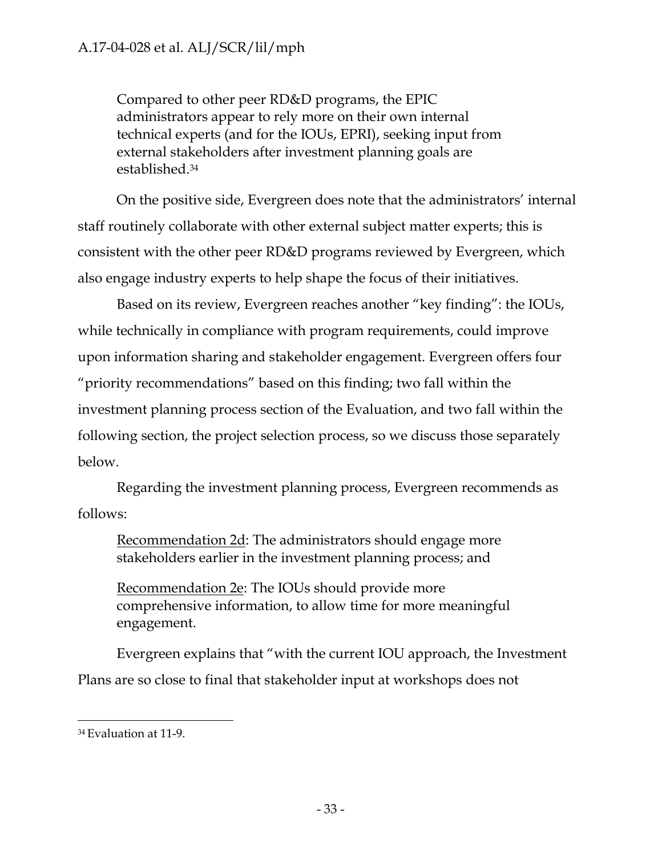Compared to other peer RD&D programs, the EPIC administrators appear to rely more on their own internal technical experts (and for the IOUs, EPRI), seeking input from external stakeholders after investment planning goals are established.34

On the positive side, Evergreen does note that the administrators' internal staff routinely collaborate with other external subject matter experts; this is consistent with the other peer RD&D programs reviewed by Evergreen, which also engage industry experts to help shape the focus of their initiatives.

Based on its review, Evergreen reaches another "key finding": the IOUs, while technically in compliance with program requirements, could improve upon information sharing and stakeholder engagement. Evergreen offers four "priority recommendations" based on this finding; two fall within the investment planning process section of the Evaluation, and two fall within the following section, the project selection process, so we discuss those separately below.

Regarding the investment planning process, Evergreen recommends as follows:

Recommendation 2d: The administrators should engage more stakeholders earlier in the investment planning process; and

Recommendation 2e: The IOUs should provide more comprehensive information, to allow time for more meaningful engagement.

Evergreen explains that "with the current IOU approach, the Investment Plans are so close to final that stakeholder input at workshops does not

<sup>34</sup> Evaluation at 11-9.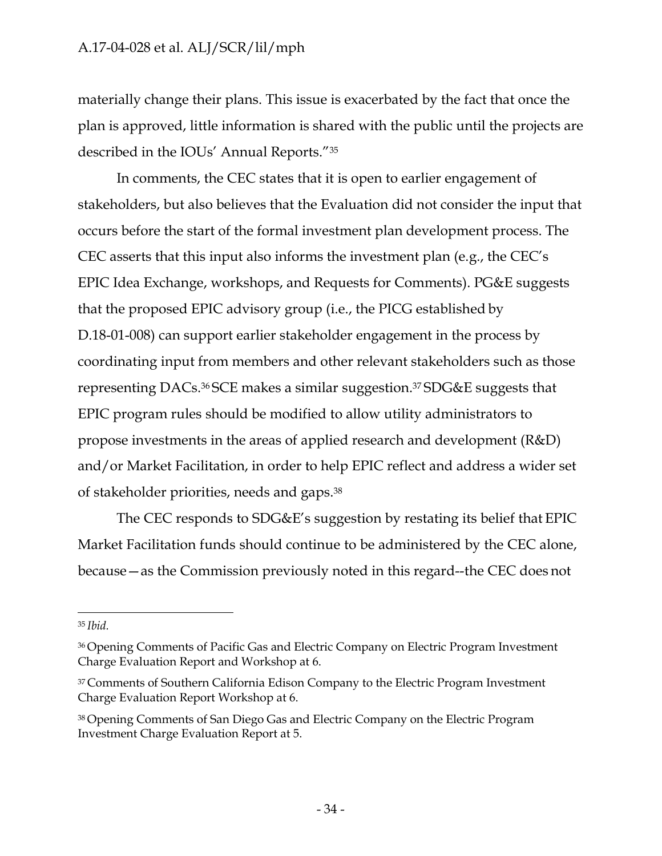materially change their plans. This issue is exacerbated by the fact that once the plan is approved, little information is shared with the public until the projects are described in the IOUs' Annual Reports."35

In comments, the CEC states that it is open to earlier engagement of stakeholders, but also believes that the Evaluation did not consider the input that occurs before the start of the formal investment plan development process. The CEC asserts that this input also informs the investment plan (e.g., the CEC's EPIC Idea Exchange, workshops, and Requests for Comments). PG&E suggests that the proposed EPIC advisory group (i.e., the PICG established by D.18-01-008) can support earlier stakeholder engagement in the process by coordinating input from members and other relevant stakeholders such as those representing DACs.36 SCE makes a similar suggestion.37 SDG&E suggests that EPIC program rules should be modified to allow utility administrators to propose investments in the areas of applied research and development (R&D) and/or Market Facilitation, in order to help EPIC reflect and address a wider set of stakeholder priorities, needs and gaps.38

The CEC responds to SDG&E's suggestion by restating its belief that EPIC Market Facilitation funds should continue to be administered by the CEC alone, because—as the Commission previously noted in this regard--the CEC does not

<sup>35</sup>*Ibid.*

<sup>36</sup> Opening Comments of Pacific Gas and Electric Company on Electric Program Investment Charge Evaluation Report and Workshop at 6.

<sup>&</sup>lt;sup>37</sup> Comments of Southern California Edison Company to the Electric Program Investment Charge Evaluation Report Workshop at 6.

<sup>38</sup> Opening Comments of San Diego Gas and Electric Company on the Electric Program Investment Charge Evaluation Report at 5.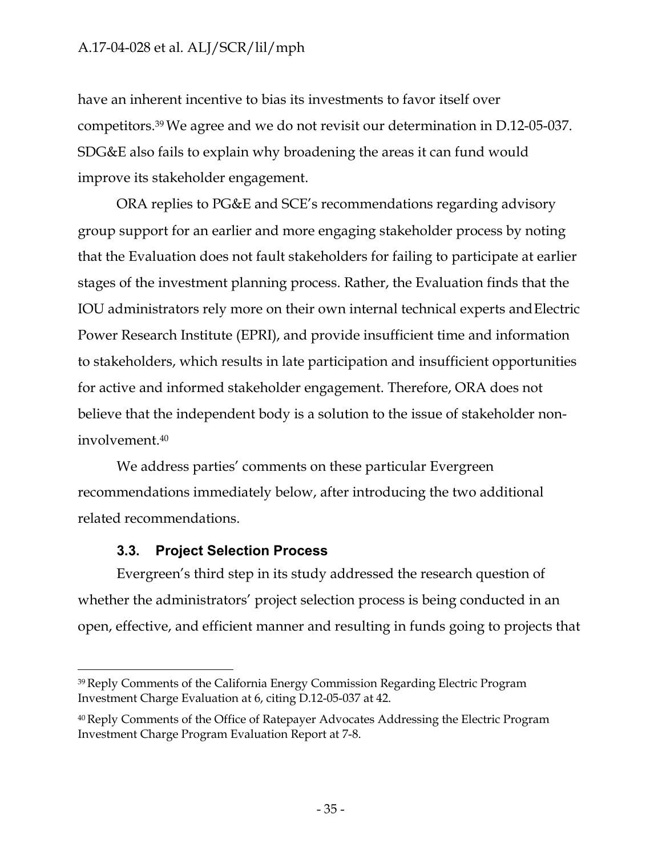have an inherent incentive to bias its investments to favor itself over competitors.39 We agree and we do not revisit our determination in D.12-05-037. SDG&E also fails to explain why broadening the areas it can fund would improve its stakeholder engagement.

ORA replies to PG&E and SCE's recommendations regarding advisory group support for an earlier and more engaging stakeholder process by noting that the Evaluation does not fault stakeholders for failing to participate at earlier stages of the investment planning process. Rather, the Evaluation finds that the IOU administrators rely more on their own internal technical experts andElectric Power Research Institute (EPRI), and provide insufficient time and information to stakeholders, which results in late participation and insufficient opportunities for active and informed stakeholder engagement. Therefore, ORA does not believe that the independent body is a solution to the issue of stakeholder noninvolvement.40

We address parties' comments on these particular Evergreen recommendations immediately below, after introducing the two additional related recommendations.

## **3.3. Project Selection Process**

Evergreen's third step in its study addressed the research question of whether the administrators' project selection process is being conducted in an open, effective, and efficient manner and resulting in funds going to projects that

<sup>39</sup> Reply Comments of the California Energy Commission Regarding Electric Program Investment Charge Evaluation at 6, citing D.12-05-037 at 42.

<sup>&</sup>lt;sup>40</sup> Reply Comments of the Office of Ratepayer Advocates Addressing the Electric Program Investment Charge Program Evaluation Report at 7-8.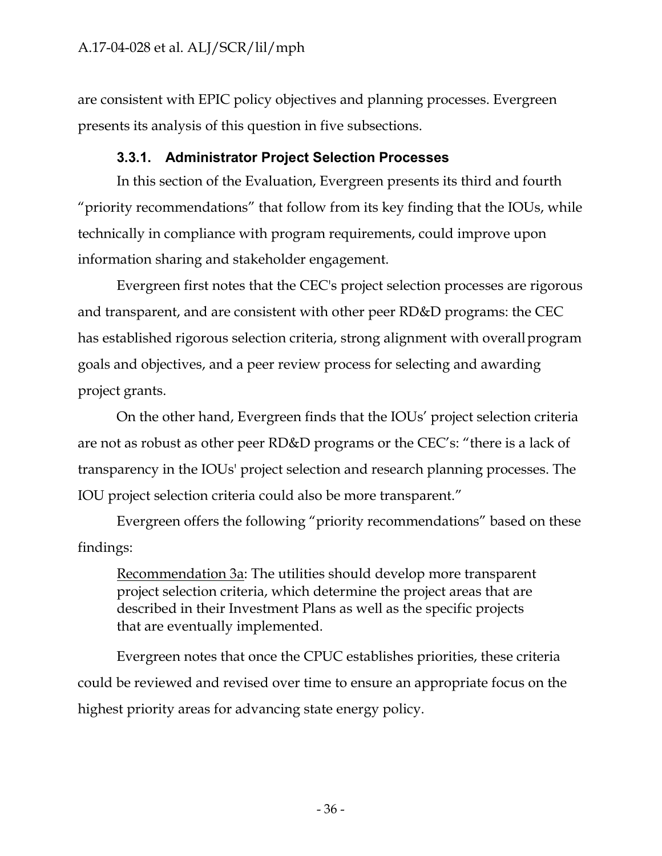are consistent with EPIC policy objectives and planning processes. Evergreen presents its analysis of this question in five subsections.

# **3.3.1. Administrator Project Selection Processes**

In this section of the Evaluation, Evergreen presents its third and fourth "priority recommendations" that follow from its key finding that the IOUs, while technically in compliance with program requirements, could improve upon information sharing and stakeholder engagement.

Evergreen first notes that the CEC's project selection processes are rigorous and transparent, and are consistent with other peer RD&D programs: the CEC has established rigorous selection criteria, strong alignment with overall program goals and objectives, and a peer review process for selecting and awarding project grants.

On the other hand, Evergreen finds that the IOUs' project selection criteria are not as robust as other peer RD&D programs or the CEC's: "there is a lack of transparency in the IOUs' project selection and research planning processes. The IOU project selection criteria could also be more transparent."

Evergreen offers the following "priority recommendations" based on these findings:

Recommendation 3a: The utilities should develop more transparent project selection criteria, which determine the project areas that are described in their Investment Plans as well as the specific projects that are eventually implemented.

Evergreen notes that once the CPUC establishes priorities, these criteria could be reviewed and revised over time to ensure an appropriate focus on the highest priority areas for advancing state energy policy.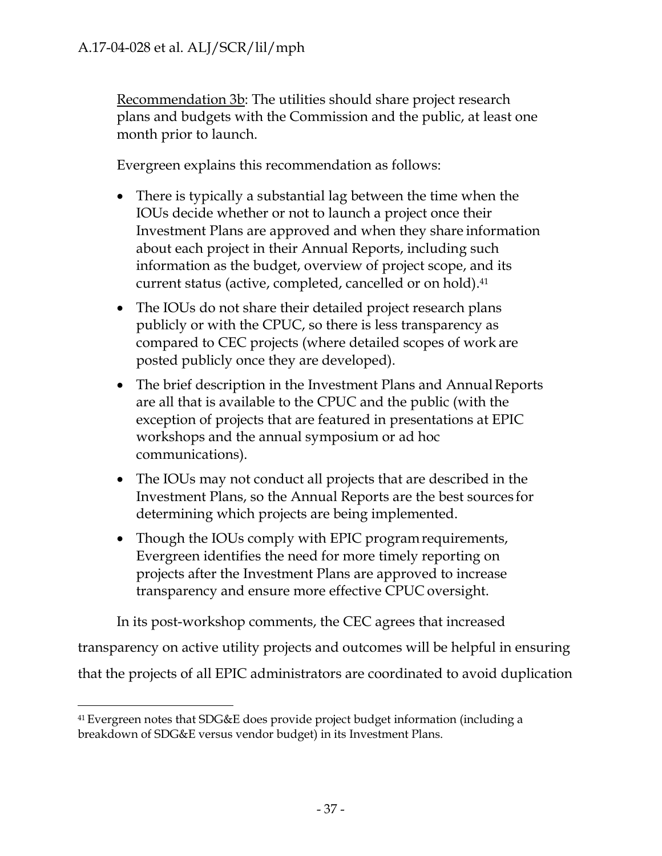Recommendation 3b: The utilities should share project research plans and budgets with the Commission and the public, at least one month prior to launch.

Evergreen explains this recommendation as follows:

- There is typically a substantial lag between the time when the IOUs decide whether or not to launch a project once their Investment Plans are approved and when they share information about each project in their Annual Reports, including such information as the budget, overview of project scope, and its current status (active, completed, cancelled or on hold).41
- The IOUs do not share their detailed project research plans publicly or with the CPUC, so there is less transparency as compared to CEC projects (where detailed scopes of work are posted publicly once they are developed).
- The brief description in the Investment Plans and Annual Reports are all that is available to the CPUC and the public (with the exception of projects that are featured in presentations at EPIC workshops and the annual symposium or ad hoc communications).
- The IOUs may not conduct all projects that are described in the Investment Plans, so the Annual Reports are the best sources for determining which projects are being implemented.
- Though the IOUs comply with EPIC program requirements, Evergreen identifies the need for more timely reporting on projects after the Investment Plans are approved to increase transparency and ensure more effective CPUC oversight.

In its post-workshop comments, the CEC agrees that increased transparency on active utility projects and outcomes will be helpful in ensuring that the projects of all EPIC administrators are coordinated to avoid duplication

<sup>41</sup> Evergreen notes that SDG&E does provide project budget information (including a breakdown of SDG&E versus vendor budget) in its Investment Plans.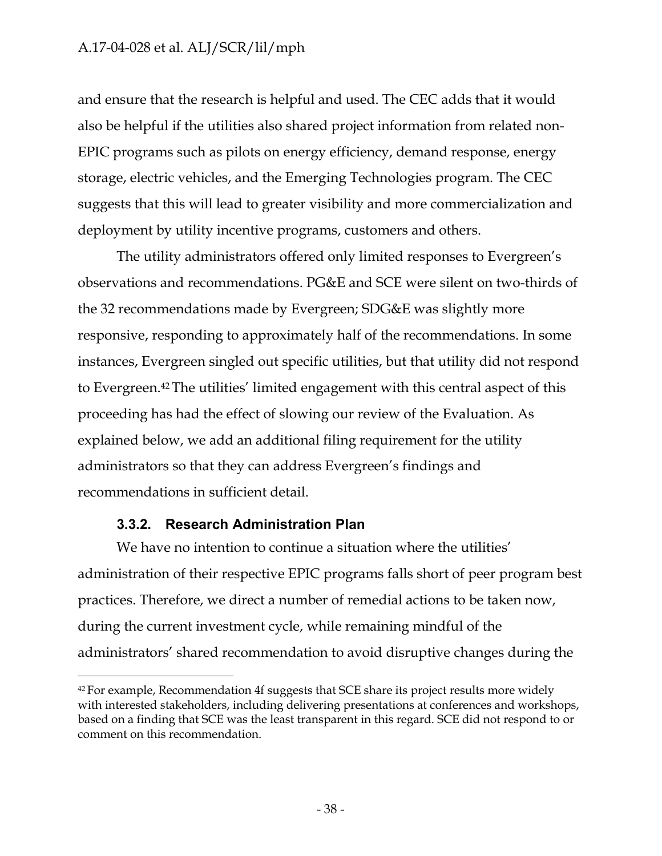and ensure that the research is helpful and used. The CEC adds that it would also be helpful if the utilities also shared project information from related non-EPIC programs such as pilots on energy efficiency, demand response, energy storage, electric vehicles, and the Emerging Technologies program. The CEC suggests that this will lead to greater visibility and more commercialization and deployment by utility incentive programs, customers and others.

The utility administrators offered only limited responses to Evergreen's observations and recommendations. PG&E and SCE were silent on two-thirds of the 32 recommendations made by Evergreen; SDG&E was slightly more responsive, responding to approximately half of the recommendations. In some instances, Evergreen singled out specific utilities, but that utility did not respond to Evergreen.42 The utilities' limited engagement with this central aspect of this proceeding has had the effect of slowing our review of the Evaluation. As explained below, we add an additional filing requirement for the utility administrators so that they can address Evergreen's findings and recommendations in sufficient detail.

### **3.3.2. Research Administration Plan**

We have no intention to continue a situation where the utilities' administration of their respective EPIC programs falls short of peer program best practices. Therefore, we direct a number of remedial actions to be taken now, during the current investment cycle, while remaining mindful of the administrators' shared recommendation to avoid disruptive changes during the

<sup>&</sup>lt;sup>42</sup> For example, Recommendation 4f suggests that SCE share its project results more widely with interested stakeholders, including delivering presentations at conferences and workshops, based on a finding that SCE was the least transparent in this regard. SCE did not respond to or comment on this recommendation.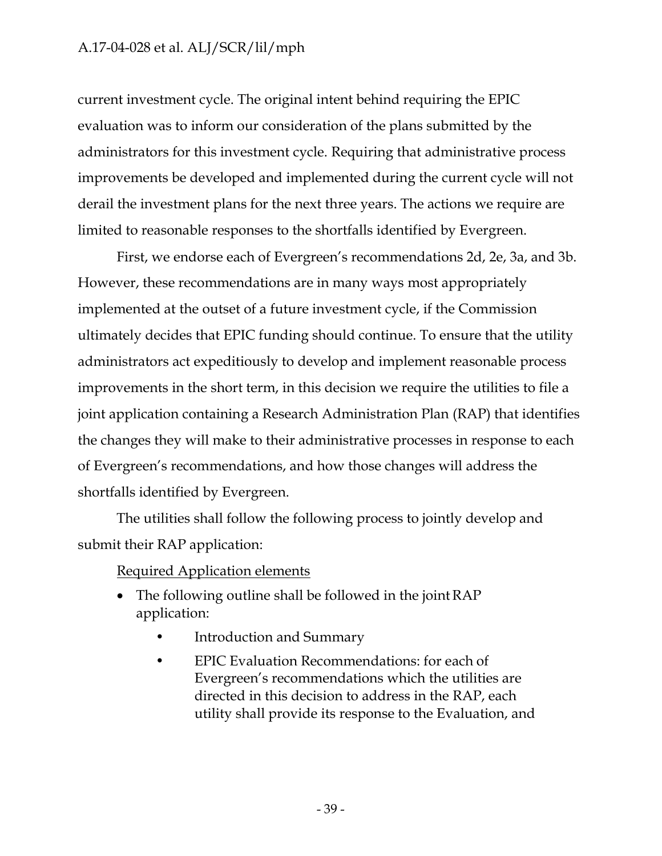current investment cycle. The original intent behind requiring the EPIC evaluation was to inform our consideration of the plans submitted by the administrators for this investment cycle. Requiring that administrative process improvements be developed and implemented during the current cycle will not derail the investment plans for the next three years. The actions we require are limited to reasonable responses to the shortfalls identified by Evergreen.

First, we endorse each of Evergreen's recommendations 2d, 2e, 3a, and 3b. However, these recommendations are in many ways most appropriately implemented at the outset of a future investment cycle, if the Commission ultimately decides that EPIC funding should continue. To ensure that the utility administrators act expeditiously to develop and implement reasonable process improvements in the short term, in this decision we require the utilities to file a joint application containing a Research Administration Plan (RAP) that identifies the changes they will make to their administrative processes in response to each of Evergreen's recommendations, and how those changes will address the shortfalls identified by Evergreen.

The utilities shall follow the following process to jointly develop and submit their RAP application:

## Required Application elements

- The following outline shall be followed in the joint RAP application:
	- Introduction and Summary
	- EPIC Evaluation Recommendations: for each of Evergreen's recommendations which the utilities are directed in this decision to address in the RAP, each utility shall provide its response to the Evaluation, and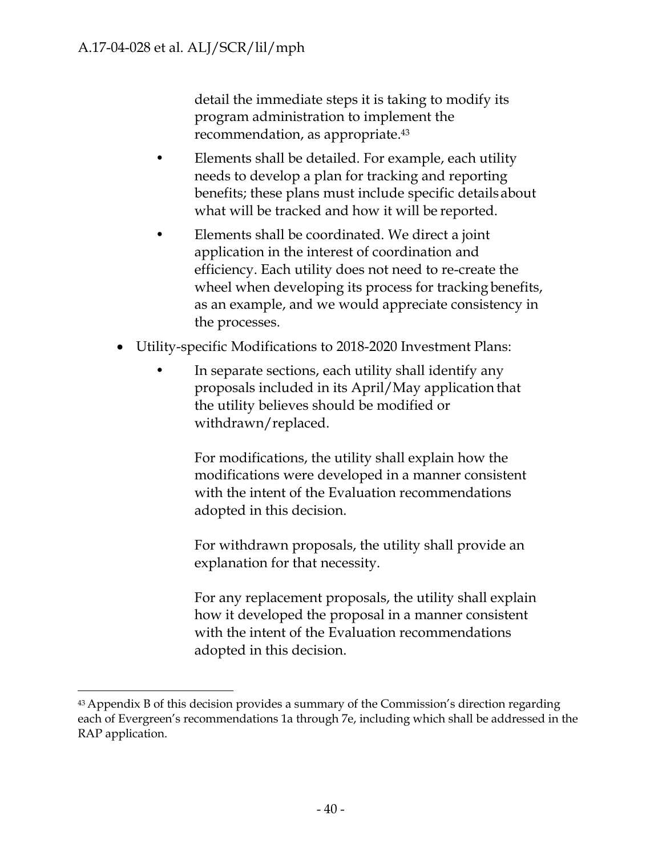detail the immediate steps it is taking to modify its program administration to implement the recommendation, as appropriate.43

- Elements shall be detailed. For example, each utility needs to develop a plan for tracking and reporting benefits; these plans must include specific details about what will be tracked and how it will be reported.
- Elements shall be coordinated. We direct a joint application in the interest of coordination and efficiency. Each utility does not need to re-create the wheel when developing its process for tracking benefits, as an example, and we would appreciate consistency in the processes.
- Utility-specific Modifications to 2018-2020 Investment Plans:
	- In separate sections, each utility shall identify any proposals included in its April/May application that the utility believes should be modified or withdrawn/replaced.

For modifications, the utility shall explain how the modifications were developed in a manner consistent with the intent of the Evaluation recommendations adopted in this decision.

For withdrawn proposals, the utility shall provide an explanation for that necessity.

For any replacement proposals, the utility shall explain how it developed the proposal in a manner consistent with the intent of the Evaluation recommendations adopted in this decision.

<sup>&</sup>lt;sup>43</sup> Appendix B of this decision provides a summary of the Commission's direction regarding each of Evergreen's recommendations 1a through 7e, including which shall be addressed in the RAP application.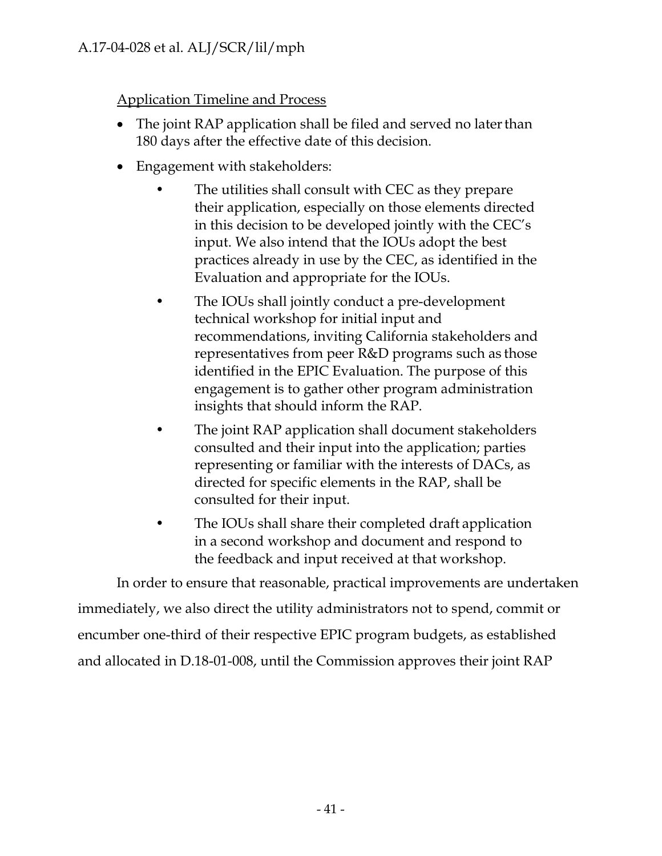Application Timeline and Process

- The joint RAP application shall be filed and served no later than 180 days after the effective date of this decision.
- Engagement with stakeholders:
	- The utilities shall consult with CEC as they prepare their application, especially on those elements directed in this decision to be developed jointly with the CEC's input. We also intend that the IOUs adopt the best practices already in use by the CEC, as identified in the Evaluation and appropriate for the IOUs.
	- The IOUs shall jointly conduct a pre-development technical workshop for initial input and recommendations, inviting California stakeholders and representatives from peer R&D programs such as those identified in the EPIC Evaluation. The purpose of this engagement is to gather other program administration insights that should inform the RAP.
	- The joint RAP application shall document stakeholders consulted and their input into the application; parties representing or familiar with the interests of DACs, as directed for specific elements in the RAP, shall be consulted for their input.
	- The IOUs shall share their completed draft application in a second workshop and document and respond to the feedback and input received at that workshop.

In order to ensure that reasonable, practical improvements are undertaken immediately, we also direct the utility administrators not to spend, commit or encumber one-third of their respective EPIC program budgets, as established and allocated in D.18-01-008, until the Commission approves their joint RAP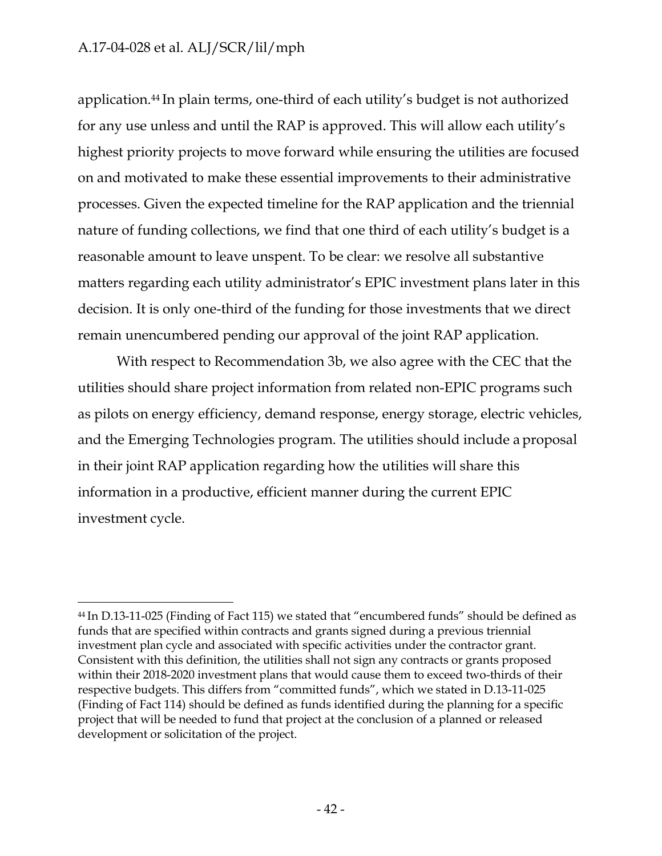application.44 In plain terms, one-third of each utility's budget is not authorized for any use unless and until the RAP is approved. This will allow each utility's highest priority projects to move forward while ensuring the utilities are focused on and motivated to make these essential improvements to their administrative processes. Given the expected timeline for the RAP application and the triennial nature of funding collections, we find that one third of each utility's budget is a reasonable amount to leave unspent. To be clear: we resolve all substantive matters regarding each utility administrator's EPIC investment plans later in this decision. It is only one-third of the funding for those investments that we direct remain unencumbered pending our approval of the joint RAP application.

With respect to Recommendation 3b, we also agree with the CEC that the utilities should share project information from related non-EPIC programs such as pilots on energy efficiency, demand response, energy storage, electric vehicles, and the Emerging Technologies program. The utilities should include a proposal in their joint RAP application regarding how the utilities will share this information in a productive, efficient manner during the current EPIC investment cycle.

<sup>44</sup> In D.13-11-025 (Finding of Fact 115) we stated that "encumbered funds" should be defined as funds that are specified within contracts and grants signed during a previous triennial investment plan cycle and associated with specific activities under the contractor grant. Consistent with this definition, the utilities shall not sign any contracts or grants proposed within their 2018-2020 investment plans that would cause them to exceed two-thirds of their respective budgets. This differs from "committed funds", which we stated in D.13-11-025 (Finding of Fact 114) should be defined as funds identified during the planning for a specific project that will be needed to fund that project at the conclusion of a planned or released development or solicitation of the project.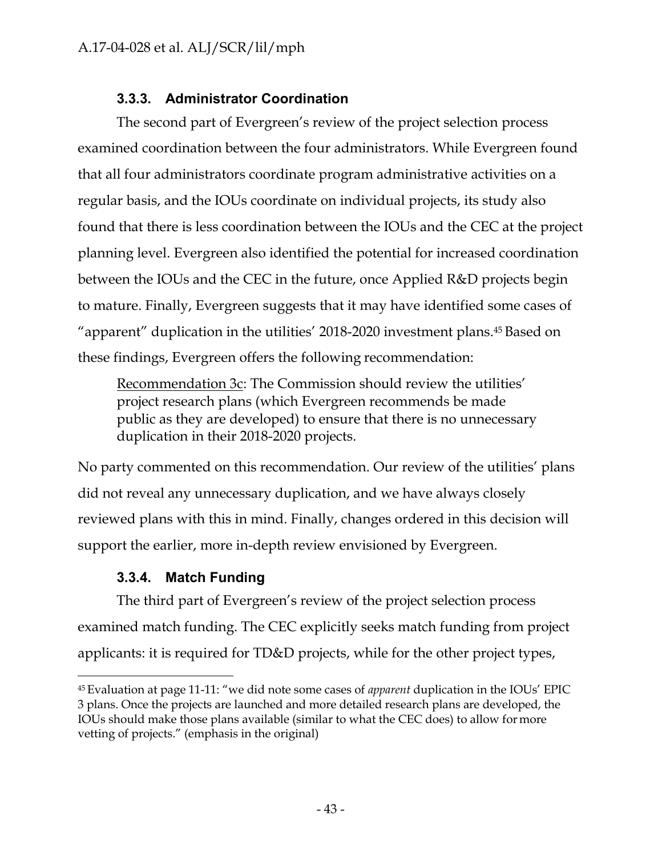# **3.3.3. Administrator Coordination**

The second part of Evergreen's review of the project selection process examined coordination between the four administrators. While Evergreen found that all four administrators coordinate program administrative activities on a regular basis, and the IOUs coordinate on individual projects, its study also found that there is less coordination between the IOUs and the CEC at the project planning level. Evergreen also identified the potential for increased coordination between the IOUs and the CEC in the future, once Applied R&D projects begin to mature. Finally, Evergreen suggests that it may have identified some cases of "apparent" duplication in the utilities' 2018-2020 investment plans.45 Based on these findings, Evergreen offers the following recommendation:

Recommendation 3c: The Commission should review the utilities' project research plans (which Evergreen recommends be made public as they are developed) to ensure that there is no unnecessary duplication in their 2018-2020 projects.

No party commented on this recommendation. Our review of the utilities' plans did not reveal any unnecessary duplication, and we have always closely reviewed plans with this in mind. Finally, changes ordered in this decision will support the earlier, more in-depth review envisioned by Evergreen.

# **3.3.4. Match Funding**

The third part of Evergreen's review of the project selection process examined match funding. The CEC explicitly seeks match funding from project applicants: it is required for TD&D projects, while for the other project types,

<sup>45</sup> Evaluation at page 11-11: "we did note some cases of *apparent* duplication in the IOUs' EPIC 3 plans. Once the projects are launched and more detailed research plans are developed, the IOUs should make those plans available (similar to what the CEC does) to allow for more vetting of projects." (emphasis in the original)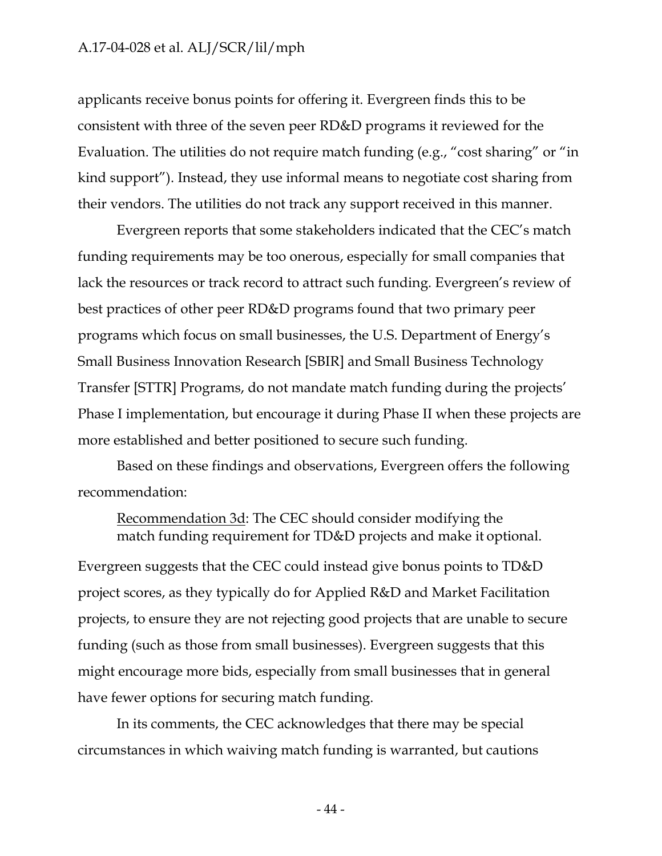applicants receive bonus points for offering it. Evergreen finds this to be consistent with three of the seven peer RD&D programs it reviewed for the Evaluation. The utilities do not require match funding (e.g., "cost sharing" or "in kind support"). Instead, they use informal means to negotiate cost sharing from their vendors. The utilities do not track any support received in this manner.

Evergreen reports that some stakeholders indicated that the CEC's match funding requirements may be too onerous, especially for small companies that lack the resources or track record to attract such funding. Evergreen's review of best practices of other peer RD&D programs found that two primary peer programs which focus on small businesses, the U.S. Department of Energy's Small Business Innovation Research [SBIR] and Small Business Technology Transfer [STTR] Programs, do not mandate match funding during the projects' Phase I implementation, but encourage it during Phase II when these projects are more established and better positioned to secure such funding.

Based on these findings and observations, Evergreen offers the following recommendation:

Recommendation 3d: The CEC should consider modifying the match funding requirement for TD&D projects and make it optional.

Evergreen suggests that the CEC could instead give bonus points to TD&D project scores, as they typically do for Applied R&D and Market Facilitation projects, to ensure they are not rejecting good projects that are unable to secure funding (such as those from small businesses). Evergreen suggests that this might encourage more bids, especially from small businesses that in general have fewer options for securing match funding.

In its comments, the CEC acknowledges that there may be special circumstances in which waiving match funding is warranted, but cautions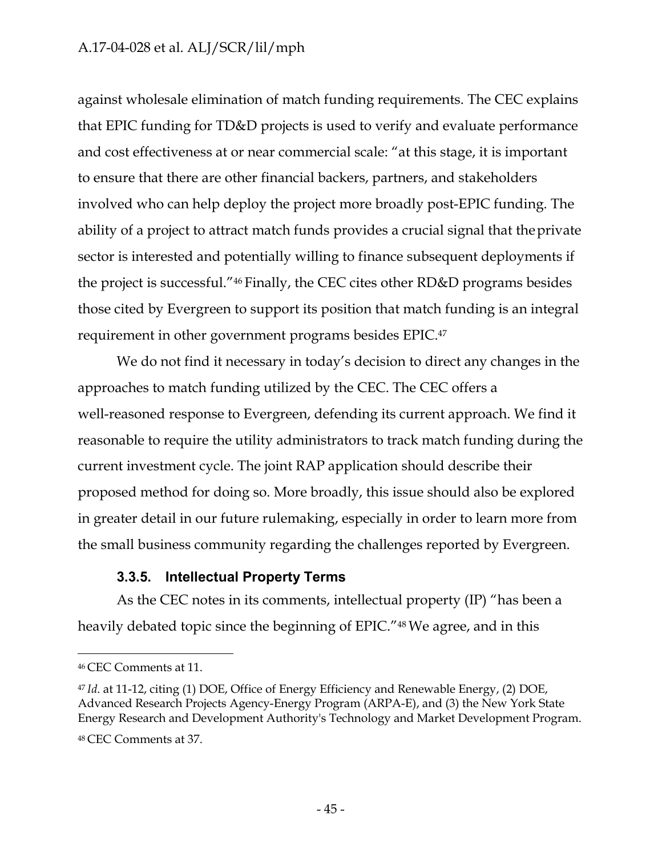against wholesale elimination of match funding requirements. The CEC explains that EPIC funding for TD&D projects is used to verify and evaluate performance and cost effectiveness at or near commercial scale: "at this stage, it is important to ensure that there are other financial backers, partners, and stakeholders involved who can help deploy the project more broadly post-EPIC funding. The ability of a project to attract match funds provides a crucial signal that the private sector is interested and potentially willing to finance subsequent deployments if the project is successful."46 Finally, the CEC cites other RD&D programs besides those cited by Evergreen to support its position that match funding is an integral requirement in other government programs besides EPIC.47

We do not find it necessary in today's decision to direct any changes in the approaches to match funding utilized by the CEC. The CEC offers a well-reasoned response to Evergreen, defending its current approach. We find it reasonable to require the utility administrators to track match funding during the current investment cycle. The joint RAP application should describe their proposed method for doing so. More broadly, this issue should also be explored in greater detail in our future rulemaking, especially in order to learn more from the small business community regarding the challenges reported by Evergreen.

#### **3.3.5. Intellectual Property Terms**

As the CEC notes in its comments, intellectual property (IP) "has been a heavily debated topic since the beginning of EPIC."48 We agree, and in this

<sup>46</sup> CEC Comments at 11.

<sup>47</sup>*Id*. at 11-12, citing (1) DOE, Office of Energy Efficiency and Renewable Energy, (2) DOE, Advanced Research Projects Agency-Energy Program (ARPA-E), and (3) the New York State Energy Research and Development Authority's Technology and Market Development Program.

<sup>48</sup> CEC Comments at 37.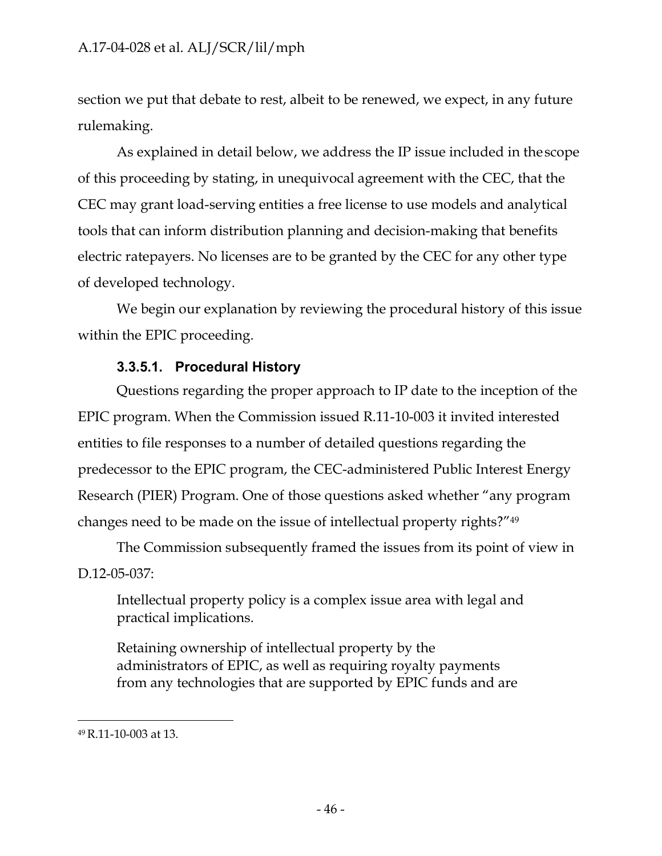section we put that debate to rest, albeit to be renewed, we expect, in any future rulemaking.

As explained in detail below, we address the IP issue included in the scope of this proceeding by stating, in unequivocal agreement with the CEC, that the CEC may grant load-serving entities a free license to use models and analytical tools that can inform distribution planning and decision-making that benefits electric ratepayers. No licenses are to be granted by the CEC for any other type of developed technology.

We begin our explanation by reviewing the procedural history of this issue within the EPIC proceeding.

### **3.3.5.1. Procedural History**

Questions regarding the proper approach to IP date to the inception of the EPIC program. When the Commission issued R.11-10-003 it invited interested entities to file responses to a number of detailed questions regarding the predecessor to the EPIC program, the CEC-administered Public Interest Energy Research (PIER) Program. One of those questions asked whether "any program changes need to be made on the issue of intellectual property rights?"49

The Commission subsequently framed the issues from its point of view in D.12-05-037:

Intellectual property policy is a complex issue area with legal and practical implications.

Retaining ownership of intellectual property by the administrators of EPIC, as well as requiring royalty payments from any technologies that are supported by EPIC funds and are

<sup>49</sup> R.11-10-003 at 13.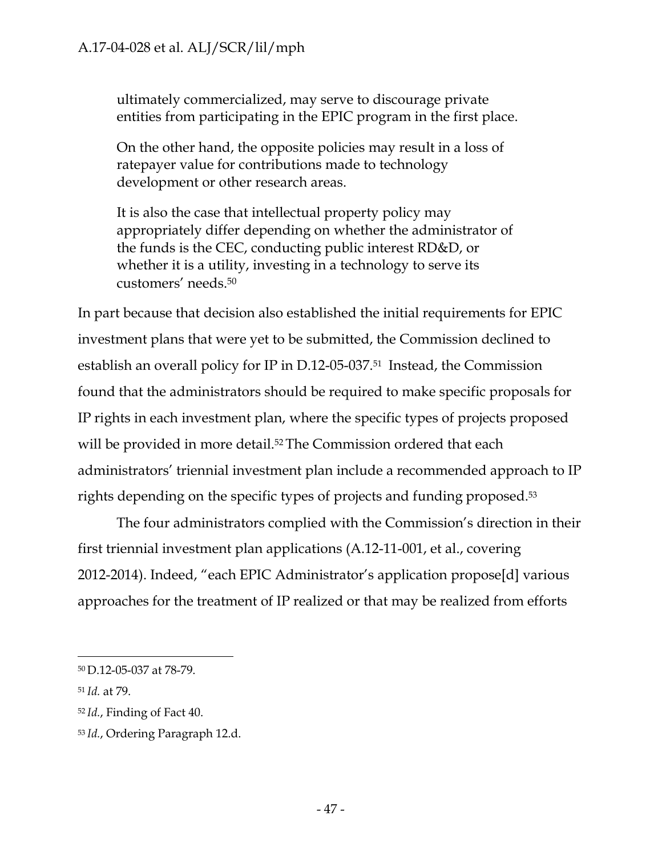ultimately commercialized, may serve to discourage private entities from participating in the EPIC program in the first place.

On the other hand, the opposite policies may result in a loss of ratepayer value for contributions made to technology development or other research areas.

It is also the case that intellectual property policy may appropriately differ depending on whether the administrator of the funds is the CEC, conducting public interest RD&D, or whether it is a utility, investing in a technology to serve its customers' needs.50

In part because that decision also established the initial requirements for EPIC investment plans that were yet to be submitted, the Commission declined to establish an overall policy for IP in D.12-05-037.51 Instead, the Commission found that the administrators should be required to make specific proposals for IP rights in each investment plan, where the specific types of projects proposed will be provided in more detail.<sup>52</sup> The Commission ordered that each administrators' triennial investment plan include a recommended approach to IP rights depending on the specific types of projects and funding proposed.53

The four administrators complied with the Commission's direction in their first triennial investment plan applications (A.12-11-001, et al., covering 2012-2014). Indeed, "each EPIC Administrator's application propose[d] various approaches for the treatment of IP realized or that may be realized from efforts

<sup>50</sup> D.12-05-037 at 78-79.

<sup>51</sup>*Id.* at 79.

<sup>52</sup>*Id.*, Finding of Fact 40.

<sup>53</sup> *Id.*, Ordering Paragraph 12.d.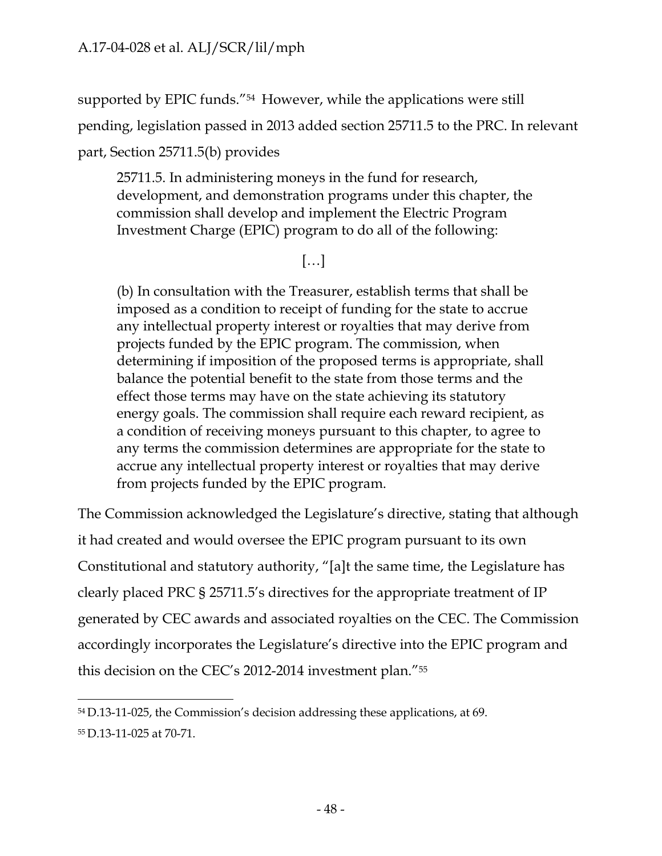supported by EPIC funds."54 However, while the applications were still

pending, legislation passed in 2013 added section 25711.5 to the PRC. In relevant

part, Section 25711.5(b) provides

25711.5. In administering moneys in the fund for research, development, and demonstration programs under this chapter, the commission shall develop and implement the Electric Program Investment Charge (EPIC) program to do all of the following:

[…]

(b) In consultation with the Treasurer, establish terms that shall be imposed as a condition to receipt of funding for the state to accrue any intellectual property interest or royalties that may derive from projects funded by the EPIC program. The commission, when determining if imposition of the proposed terms is appropriate, shall balance the potential benefit to the state from those terms and the effect those terms may have on the state achieving its statutory energy goals. The commission shall require each reward recipient, as a condition of receiving moneys pursuant to this chapter, to agree to any terms the commission determines are appropriate for the state to accrue any intellectual property interest or royalties that may derive from projects funded by the EPIC program.

The Commission acknowledged the Legislature's directive, stating that although it had created and would oversee the EPIC program pursuant to its own Constitutional and statutory authority, "[a]t the same time, the Legislature has clearly placed PRC § 25711.5's directives for the appropriate treatment of IP generated by CEC awards and associated royalties on the CEC. The Commission accordingly incorporates the Legislature's directive into the EPIC program and this decision on the CEC's 2012-2014 investment plan."55

<sup>54</sup> D.13-11-025, the Commission's decision addressing these applications, at 69. 55 D.13-11-025 at 70-71.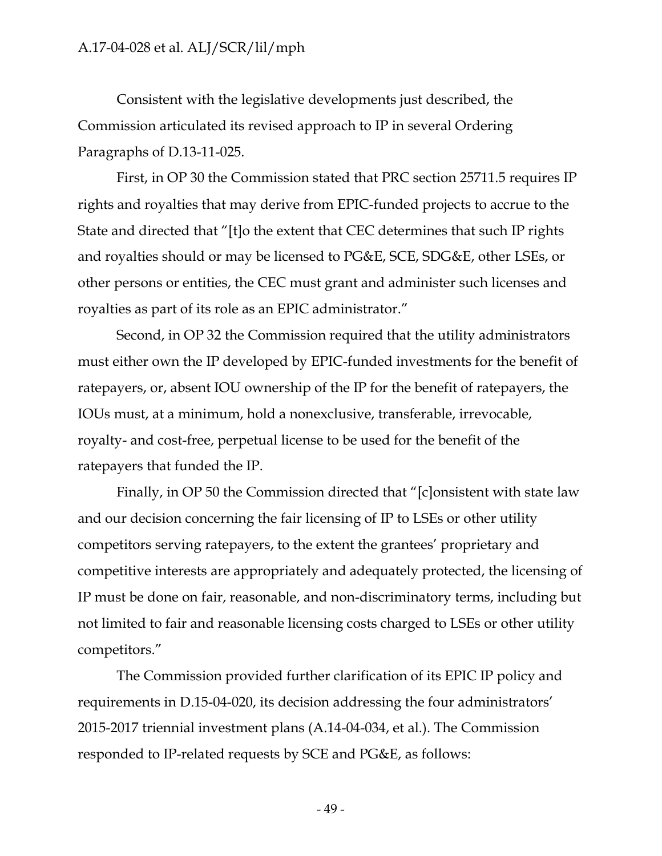Consistent with the legislative developments just described, the Commission articulated its revised approach to IP in several Ordering Paragraphs of D.13-11-025.

First, in OP 30 the Commission stated that PRC section 25711.5 requires IP rights and royalties that may derive from EPIC-funded projects to accrue to the State and directed that "[t]o the extent that CEC determines that such IP rights and royalties should or may be licensed to PG&E, SCE, SDG&E, other LSEs, or other persons or entities, the CEC must grant and administer such licenses and royalties as part of its role as an EPIC administrator."

Second, in OP 32 the Commission required that the utility administrators must either own the IP developed by EPIC-funded investments for the benefit of ratepayers, or, absent IOU ownership of the IP for the benefit of ratepayers, the IOUs must, at a minimum, hold a nonexclusive, transferable, irrevocable, royalty- and cost-free, perpetual license to be used for the benefit of the ratepayers that funded the IP.

Finally, in OP 50 the Commission directed that "[c]onsistent with state law and our decision concerning the fair licensing of IP to LSEs or other utility competitors serving ratepayers, to the extent the grantees' proprietary and competitive interests are appropriately and adequately protected, the licensing of IP must be done on fair, reasonable, and non-discriminatory terms, including but not limited to fair and reasonable licensing costs charged to LSEs or other utility competitors."

The Commission provided further clarification of its EPIC IP policy and requirements in D.15-04-020, its decision addressing the four administrators' 2015-2017 triennial investment plans (A.14-04-034, et al.). The Commission responded to IP-related requests by SCE and PG&E, as follows: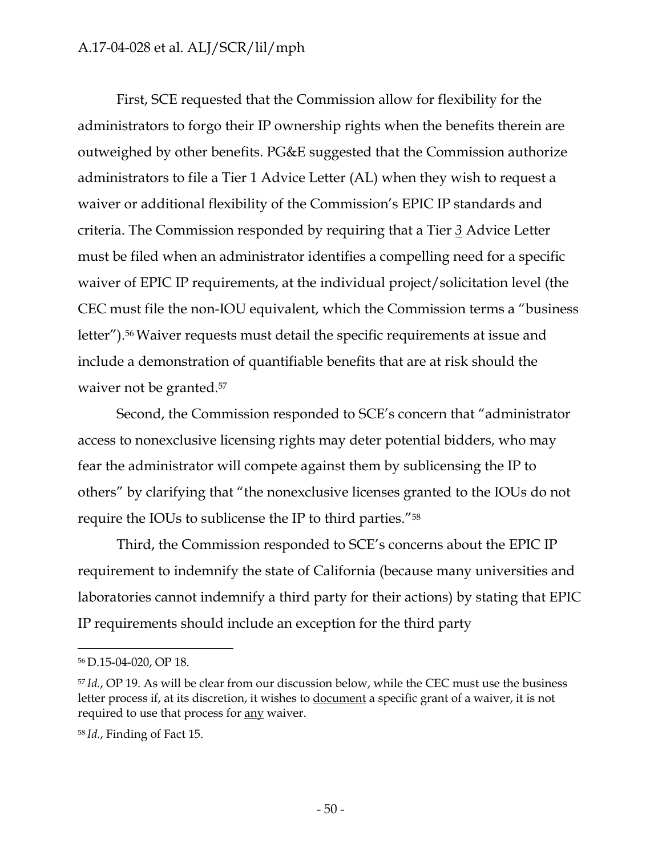First, SCE requested that the Commission allow for flexibility for the administrators to forgo their IP ownership rights when the benefits therein are outweighed by other benefits. PG&E suggested that the Commission authorize administrators to file a Tier 1 Advice Letter (AL) when they wish to request a waiver or additional flexibility of the Commission's EPIC IP standards and criteria. The Commission responded by requiring that a Tier *3* Advice Letter must be filed when an administrator identifies a compelling need for a specific waiver of EPIC IP requirements, at the individual project/solicitation level (the CEC must file the non-IOU equivalent, which the Commission terms a "business letter").56 Waiver requests must detail the specific requirements at issue and include a demonstration of quantifiable benefits that are at risk should the waiver not be granted.<sup>57</sup>

Second, the Commission responded to SCE's concern that "administrator access to nonexclusive licensing rights may deter potential bidders, who may fear the administrator will compete against them by sublicensing the IP to others" by clarifying that "the nonexclusive licenses granted to the IOUs do not require the IOUs to sublicense the IP to third parties."58

Third, the Commission responded to SCE's concerns about the EPIC IP requirement to indemnify the state of California (because many universities and laboratories cannot indemnify a third party for their actions) by stating that EPIC IP requirements should include an exception for the third party

<sup>56</sup> D.15-04-020, OP 18.

<sup>57</sup>*Id.*, OP 19. As will be clear from our discussion below, while the CEC must use the business letter process if, at its discretion, it wishes to document a specific grant of a waiver, it is not required to use that process for any waiver.

<sup>58</sup> *Id.*, Finding of Fact 15.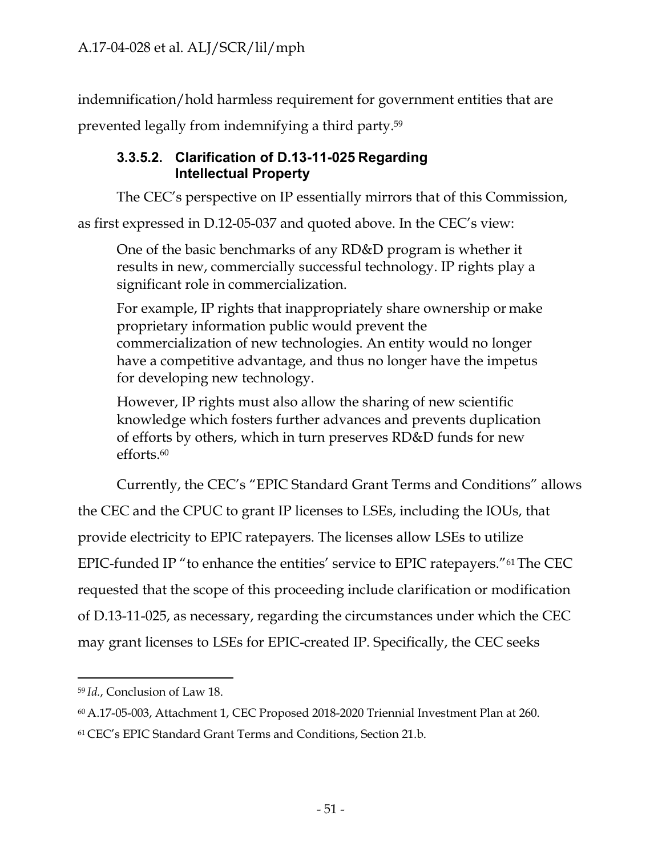indemnification/hold harmless requirement for government entities that are

prevented legally from indemnifying a third party.59

# **3.3.5.2. Clarification of D.13-11-025 Regarding Intellectual Property**

The CEC's perspective on IP essentially mirrors that of this Commission,

as first expressed in D.12-05-037 and quoted above. In the CEC's view:

One of the basic benchmarks of any RD&D program is whether it results in new, commercially successful technology. IP rights play a significant role in commercialization.

For example, IP rights that inappropriately share ownership or make proprietary information public would prevent the commercialization of new technologies. An entity would no longer have a competitive advantage, and thus no longer have the impetus for developing new technology.

However, IP rights must also allow the sharing of new scientific knowledge which fosters further advances and prevents duplication of efforts by others, which in turn preserves RD&D funds for new efforts.60

Currently, the CEC's "EPIC Standard Grant Terms and Conditions" allows

the CEC and the CPUC to grant IP licenses to LSEs, including the IOUs, that

provide electricity to EPIC ratepayers. The licenses allow LSEs to utilize

EPIC-funded IP "to enhance the entities' service to EPIC ratepayers."61 The CEC

requested that the scope of this proceeding include clarification or modification

of D.13-11-025, as necessary, regarding the circumstances under which the CEC

may grant licenses to LSEs for EPIC-created IP. Specifically, the CEC seeks

<sup>59</sup>*Id.*, Conclusion of Law 18.

<sup>60</sup> A.17-05-003, Attachment 1, CEC Proposed 2018-2020 Triennial Investment Plan at 260.

<sup>61</sup> CEC's EPIC Standard Grant Terms and Conditions, Section 21.b.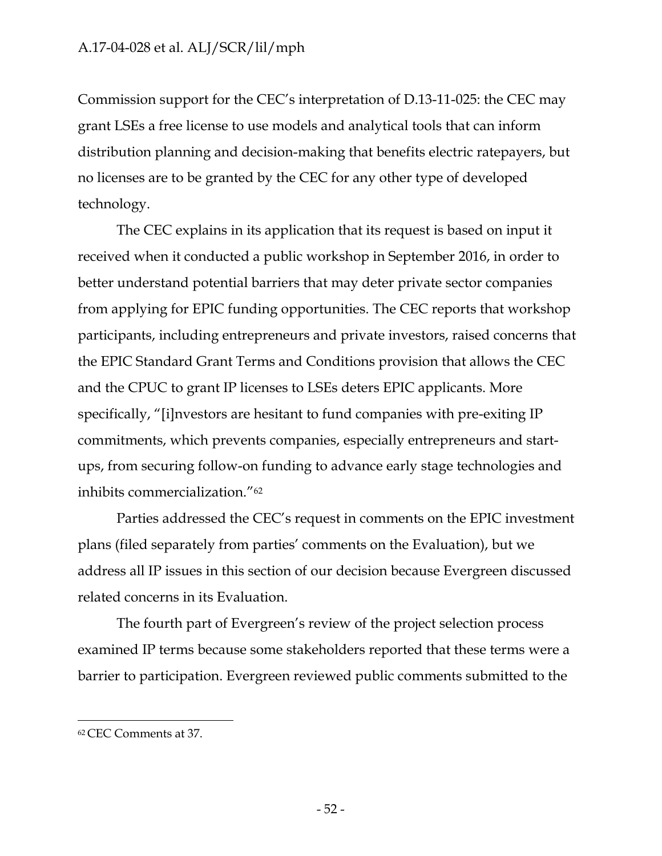Commission support for the CEC's interpretation of D.13-11-025: the CEC may grant LSEs a free license to use models and analytical tools that can inform distribution planning and decision-making that benefits electric ratepayers, but no licenses are to be granted by the CEC for any other type of developed technology.

The CEC explains in its application that its request is based on input it received when it conducted a public workshop in September 2016, in order to better understand potential barriers that may deter private sector companies from applying for EPIC funding opportunities. The CEC reports that workshop participants, including entrepreneurs and private investors, raised concerns that the EPIC Standard Grant Terms and Conditions provision that allows the CEC and the CPUC to grant IP licenses to LSEs deters EPIC applicants. More specifically, "[i]nvestors are hesitant to fund companies with pre-exiting IP commitments, which prevents companies, especially entrepreneurs and startups, from securing follow-on funding to advance early stage technologies and inhibits commercialization."62

Parties addressed the CEC's request in comments on the EPIC investment plans (filed separately from parties' comments on the Evaluation), but we address all IP issues in this section of our decision because Evergreen discussed related concerns in its Evaluation.

The fourth part of Evergreen's review of the project selection process examined IP terms because some stakeholders reported that these terms were a barrier to participation. Evergreen reviewed public comments submitted to the

<sup>62</sup> CEC Comments at 37.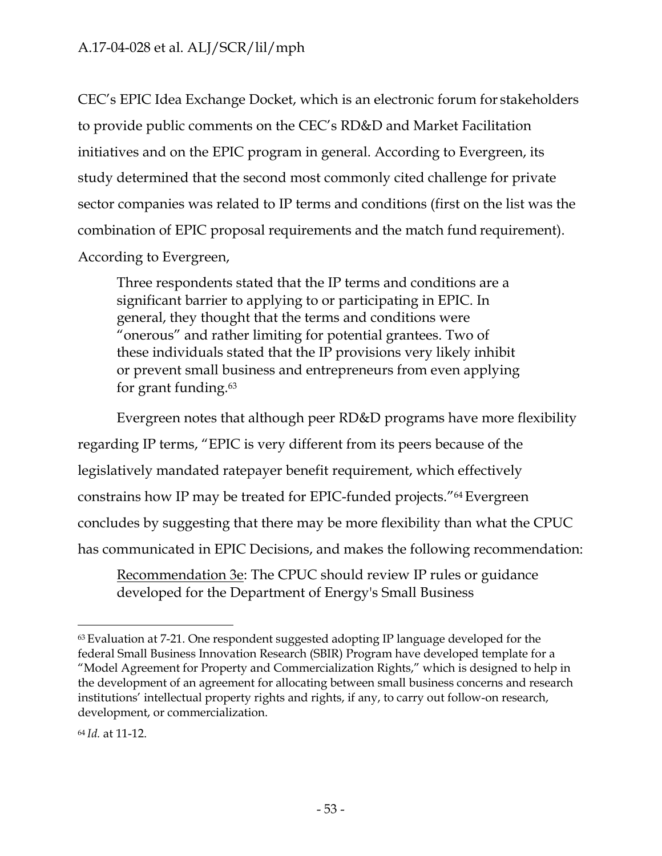CEC's EPIC Idea Exchange Docket, which is an electronic forum for stakeholders to provide public comments on the CEC's RD&D and Market Facilitation initiatives and on the EPIC program in general. According to Evergreen, its study determined that the second most commonly cited challenge for private sector companies was related to IP terms and conditions (first on the list was the combination of EPIC proposal requirements and the match fund requirement). According to Evergreen,

Three respondents stated that the IP terms and conditions are a significant barrier to applying to or participating in EPIC. In general, they thought that the terms and conditions were "onerous" and rather limiting for potential grantees. Two of these individuals stated that the IP provisions very likely inhibit or prevent small business and entrepreneurs from even applying for grant funding.63

Evergreen notes that although peer RD&D programs have more flexibility regarding IP terms, "EPIC is very different from its peers because of the legislatively mandated ratepayer benefit requirement, which effectively constrains how IP may be treated for EPIC-funded projects."64 Evergreen concludes by suggesting that there may be more flexibility than what the CPUC has communicated in EPIC Decisions, and makes the following recommendation:

Recommendation 3e: The CPUC should review IP rules or guidance developed for the Department of Energy's Small Business

 $63$  Evaluation at 7-21. One respondent suggested adopting IP language developed for the federal Small Business Innovation Research (SBIR) Program have developed template for a "Model Agreement for Property and Commercialization Rights," which is designed to help in the development of an agreement for allocating between small business concerns and research institutions' intellectual property rights and rights, if any, to carry out follow-on research, development, or commercialization.

<sup>64</sup> *Id.* at 11-12.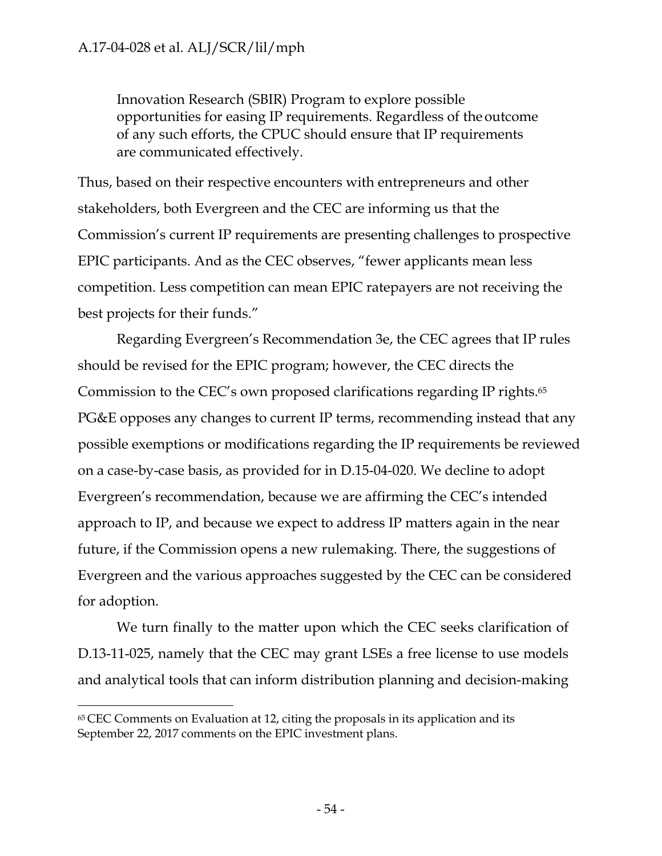Innovation Research (SBIR) Program to explore possible opportunities for easing IP requirements. Regardless of the outcome of any such efforts, the CPUC should ensure that IP requirements are communicated effectively.

Thus, based on their respective encounters with entrepreneurs and other stakeholders, both Evergreen and the CEC are informing us that the Commission's current IP requirements are presenting challenges to prospective EPIC participants. And as the CEC observes, "fewer applicants mean less competition. Less competition can mean EPIC ratepayers are not receiving the best projects for their funds."

Regarding Evergreen's Recommendation 3e, the CEC agrees that IP rules should be revised for the EPIC program; however, the CEC directs the Commission to the CEC's own proposed clarifications regarding IP rights.65 PG&E opposes any changes to current IP terms, recommending instead that any possible exemptions or modifications regarding the IP requirements be reviewed on a case-by-case basis, as provided for in D.15-04-020. We decline to adopt Evergreen's recommendation, because we are affirming the CEC's intended approach to IP, and because we expect to address IP matters again in the near future, if the Commission opens a new rulemaking. There, the suggestions of Evergreen and the various approaches suggested by the CEC can be considered for adoption.

We turn finally to the matter upon which the CEC seeks clarification of D.13-11-025, namely that the CEC may grant LSEs a free license to use models and analytical tools that can inform distribution planning and decision-making

 $65$  CEC Comments on Evaluation at 12, citing the proposals in its application and its September 22, 2017 comments on the EPIC investment plans.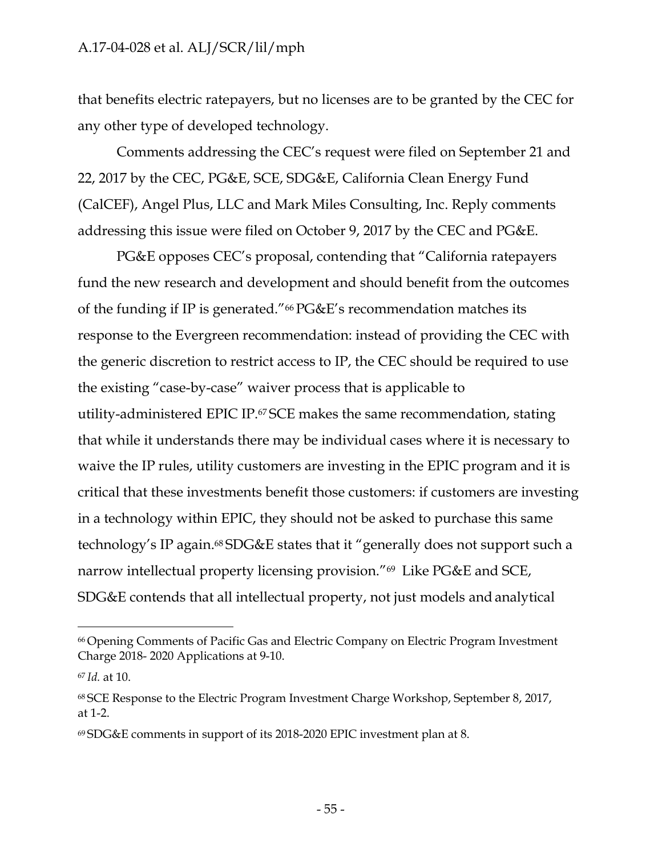that benefits electric ratepayers, but no licenses are to be granted by the CEC for any other type of developed technology.

Comments addressing the CEC's request were filed on September 21 and 22, 2017 by the CEC, PG&E, SCE, SDG&E, California Clean Energy Fund (CalCEF), Angel Plus, LLC and Mark Miles Consulting, Inc. Reply comments addressing this issue were filed on October 9, 2017 by the CEC and PG&E.

PG&E opposes CEC's proposal, contending that "California ratepayers fund the new research and development and should benefit from the outcomes of the funding if IP is generated."66 PG&E's recommendation matches its response to the Evergreen recommendation: instead of providing the CEC with the generic discretion to restrict access to IP, the CEC should be required to use the existing "case-by-case" waiver process that is applicable to utility-administered EPIC IP.67 SCE makes the same recommendation, stating that while it understands there may be individual cases where it is necessary to waive the IP rules, utility customers are investing in the EPIC program and it is critical that these investments benefit those customers: if customers are investing in a technology within EPIC, they should not be asked to purchase this same technology's IP again.68 SDG&E states that it "generally does not support such a narrow intellectual property licensing provision."69 Like PG&E and SCE, SDG&E contends that all intellectual property, not just models and analytical

<sup>66</sup> Opening Comments of Pacific Gas and Electric Company on Electric Program Investment Charge 2018- 2020 Applications at 9-10.

<sup>67</sup>*Id.* at 10.

<sup>68</sup> SCE Response to the Electric Program Investment Charge Workshop, September 8, 2017, at 1-2.

<sup>69</sup> SDG&E comments in support of its 2018-2020 EPIC investment plan at 8.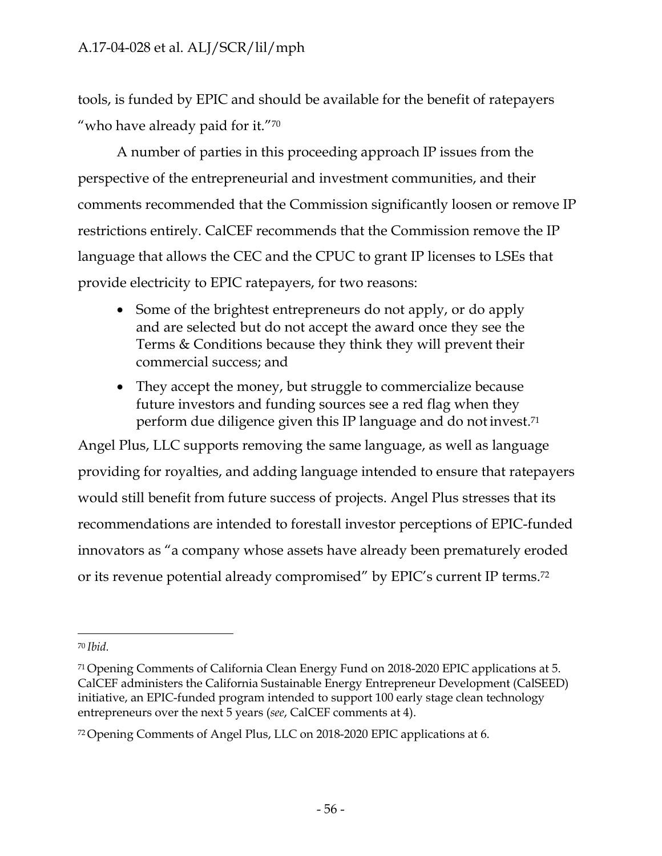tools, is funded by EPIC and should be available for the benefit of ratepayers "who have already paid for it."70

A number of parties in this proceeding approach IP issues from the perspective of the entrepreneurial and investment communities, and their comments recommended that the Commission significantly loosen or remove IP restrictions entirely. CalCEF recommends that the Commission remove the IP language that allows the CEC and the CPUC to grant IP licenses to LSEs that provide electricity to EPIC ratepayers, for two reasons:

- Some of the brightest entrepreneurs do not apply, or do apply and are selected but do not accept the award once they see the Terms & Conditions because they think they will prevent their commercial success; and
- They accept the money, but struggle to commercialize because future investors and funding sources see a red flag when they perform due diligence given this IP language and do not invest.71

Angel Plus, LLC supports removing the same language, as well as language providing for royalties, and adding language intended to ensure that ratepayers would still benefit from future success of projects. Angel Plus stresses that its recommendations are intended to forestall investor perceptions of EPIC-funded innovators as "a company whose assets have already been prematurely eroded or its revenue potential already compromised" by EPIC's current IP terms.72

<sup>70</sup>*Ibid.*

<sup>71</sup> Opening Comments of California Clean Energy Fund on 2018-2020 EPIC applications at 5. CalCEF administers the California Sustainable Energy Entrepreneur Development (CalSEED) initiative, an EPIC-funded program intended to support 100 early stage clean technology entrepreneurs over the next 5 years (*see*, CalCEF comments at 4).

<sup>72</sup> Opening Comments of Angel Plus, LLC on 2018-2020 EPIC applications at 6.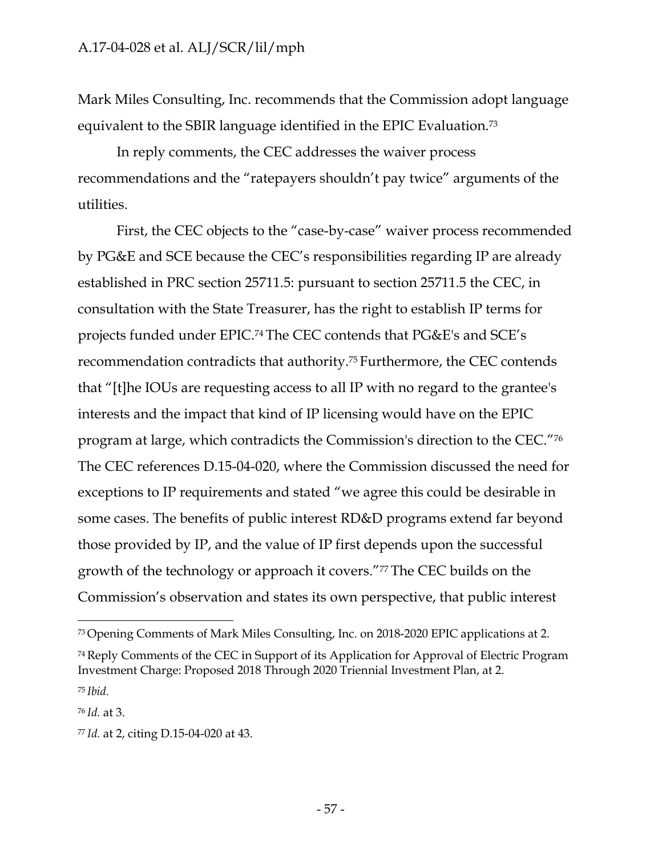Mark Miles Consulting, Inc. recommends that the Commission adopt language equivalent to the SBIR language identified in the EPIC Evaluation.73

In reply comments, the CEC addresses the waiver process recommendations and the "ratepayers shouldn't pay twice" arguments of the utilities.

First, the CEC objects to the "case-by-case" waiver process recommended by PG&E and SCE because the CEC's responsibilities regarding IP are already established in PRC section 25711.5: pursuant to section 25711.5 the CEC, in consultation with the State Treasurer, has the right to establish IP terms for projects funded under EPIC.74 The CEC contends that PG&E's and SCE's recommendation contradicts that authority.75 Furthermore, the CEC contends that "[t]he IOUs are requesting access to all IP with no regard to the grantee's interests and the impact that kind of IP licensing would have on the EPIC program at large, which contradicts the Commission's direction to the CEC."76 The CEC references D.15-04-020, where the Commission discussed the need for exceptions to IP requirements and stated "we agree this could be desirable in some cases. The benefits of public interest RD&D programs extend far beyond those provided by IP, and the value of IP first depends upon the successful growth of the technology or approach it covers."77 The CEC builds on the Commission's observation and states its own perspective, that public interest

<sup>73</sup> Opening Comments of Mark Miles Consulting, Inc. on 2018-2020 EPIC applications at 2.

<sup>74</sup> Reply Comments of the CEC in Support of its Application for Approval of Electric Program Investment Charge: Proposed 2018 Through 2020 Triennial Investment Plan, at 2. <sup>75</sup>*Ibid.*

<sup>76</sup>*Id.* at 3.

<sup>77</sup> *Id.* at 2, citing D.15-04-020 at 43.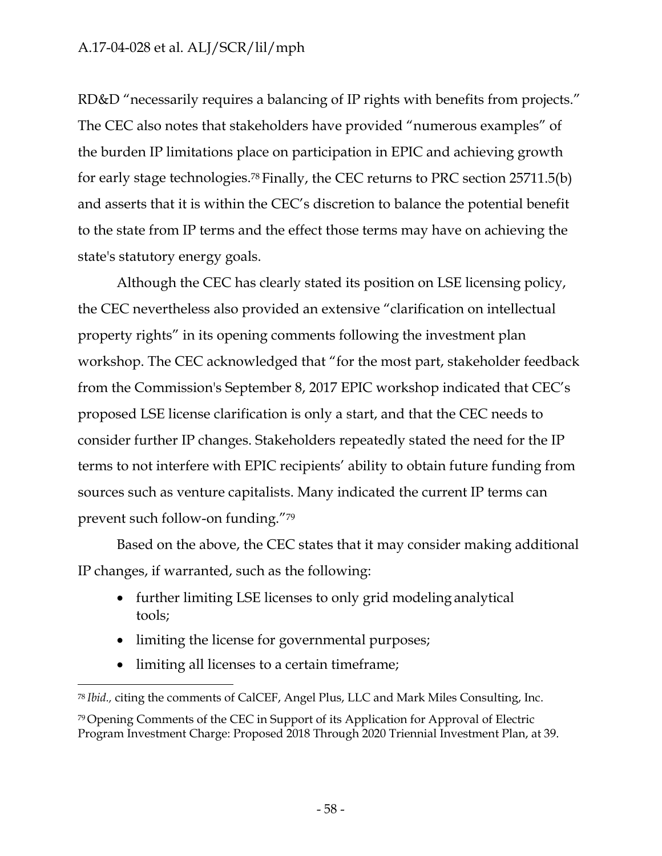RD&D "necessarily requires a balancing of IP rights with benefits from projects." The CEC also notes that stakeholders have provided "numerous examples" of the burden IP limitations place on participation in EPIC and achieving growth for early stage technologies.78 Finally, the CEC returns to PRC section 25711.5(b) and asserts that it is within the CEC's discretion to balance the potential benefit to the state from IP terms and the effect those terms may have on achieving the state's statutory energy goals.

Although the CEC has clearly stated its position on LSE licensing policy, the CEC nevertheless also provided an extensive "clarification on intellectual property rights" in its opening comments following the investment plan workshop. The CEC acknowledged that "for the most part, stakeholder feedback from the Commission's September 8, 2017 EPIC workshop indicated that CEC's proposed LSE license clarification is only a start, and that the CEC needs to consider further IP changes. Stakeholders repeatedly stated the need for the IP terms to not interfere with EPIC recipients' ability to obtain future funding from sources such as venture capitalists. Many indicated the current IP terms can prevent such follow-on funding."79

Based on the above, the CEC states that it may consider making additional IP changes, if warranted, such as the following:

- further limiting LSE licenses to only grid modeling analytical tools;
- limiting the license for governmental purposes;
- limiting all licenses to a certain timeframe;

<sup>78</sup>*Ibid.,* citing the comments of CalCEF, Angel Plus, LLC and Mark Miles Consulting, Inc.

<sup>79</sup> Opening Comments of the CEC in Support of its Application for Approval of Electric Program Investment Charge: Proposed 2018 Through 2020 Triennial Investment Plan, at 39.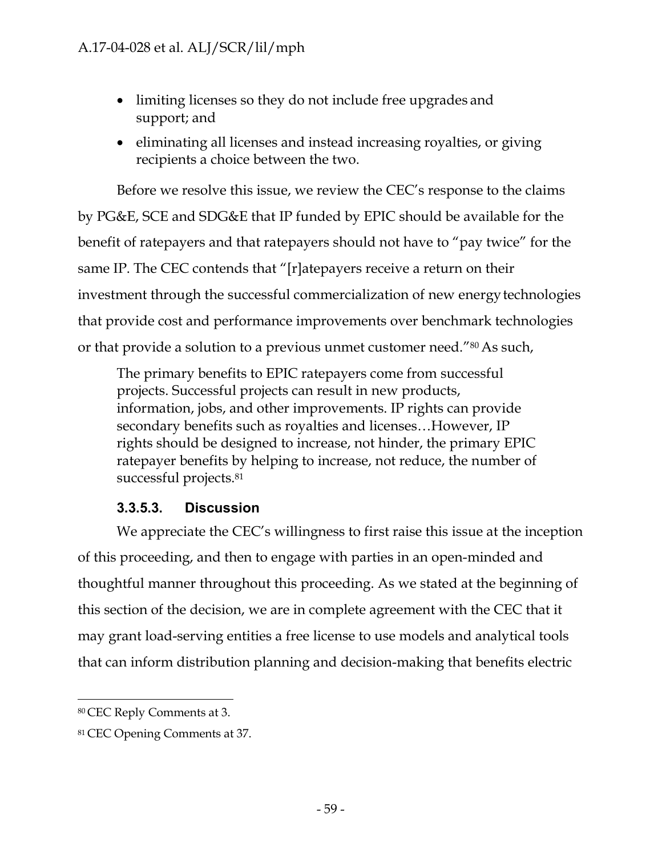- limiting licenses so they do not include free upgrades and support; and
- eliminating all licenses and instead increasing royalties, or giving recipients a choice between the two.

Before we resolve this issue, we review the CEC's response to the claims by PG&E, SCE and SDG&E that IP funded by EPIC should be available for the benefit of ratepayers and that ratepayers should not have to "pay twice" for the same IP. The CEC contends that "[r]atepayers receive a return on their investment through the successful commercialization of new energytechnologies that provide cost and performance improvements over benchmark technologies or that provide a solution to a previous unmet customer need."80 As such,

The primary benefits to EPIC ratepayers come from successful projects. Successful projects can result in new products, information, jobs, and other improvements. IP rights can provide secondary benefits such as royalties and licenses…However, IP rights should be designed to increase, not hinder, the primary EPIC ratepayer benefits by helping to increase, not reduce, the number of successful projects.<sup>81</sup>

## **3.3.5.3. Discussion**

We appreciate the CEC's willingness to first raise this issue at the inception of this proceeding, and then to engage with parties in an open-minded and thoughtful manner throughout this proceeding. As we stated at the beginning of this section of the decision, we are in complete agreement with the CEC that it may grant load-serving entities a free license to use models and analytical tools that can inform distribution planning and decision-making that benefits electric

<sup>80</sup> CEC Reply Comments at 3.

<sup>81</sup> CEC Opening Comments at 37.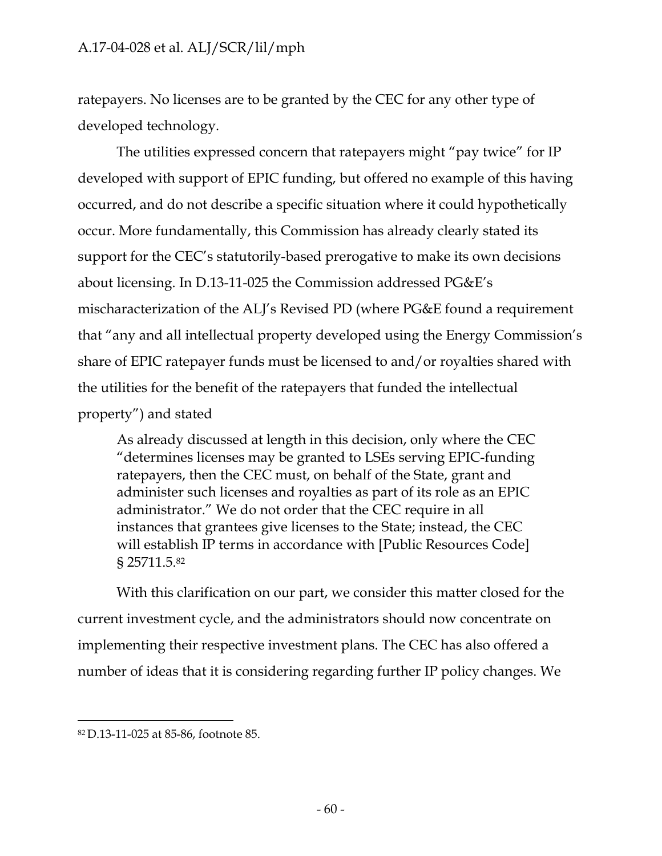ratepayers. No licenses are to be granted by the CEC for any other type of developed technology.

The utilities expressed concern that ratepayers might "pay twice" for IP developed with support of EPIC funding, but offered no example of this having occurred, and do not describe a specific situation where it could hypothetically occur. More fundamentally, this Commission has already clearly stated its support for the CEC's statutorily-based prerogative to make its own decisions about licensing. In D.13-11-025 the Commission addressed PG&E's mischaracterization of the ALJ's Revised PD (where PG&E found a requirement that "any and all intellectual property developed using the Energy Commission's share of EPIC ratepayer funds must be licensed to and/or royalties shared with the utilities for the benefit of the ratepayers that funded the intellectual property") and stated

As already discussed at length in this decision, only where the CEC "determines licenses may be granted to LSEs serving EPIC-funding ratepayers, then the CEC must, on behalf of the State, grant and administer such licenses and royalties as part of its role as an EPIC administrator." We do not order that the CEC require in all instances that grantees give licenses to the State; instead, the CEC will establish IP terms in accordance with [Public Resources Code] § 25711.5.82

With this clarification on our part, we consider this matter closed for the current investment cycle, and the administrators should now concentrate on implementing their respective investment plans. The CEC has also offered a number of ideas that it is considering regarding further IP policy changes. We

<sup>82</sup> D.13-11-025 at 85-86, footnote 85.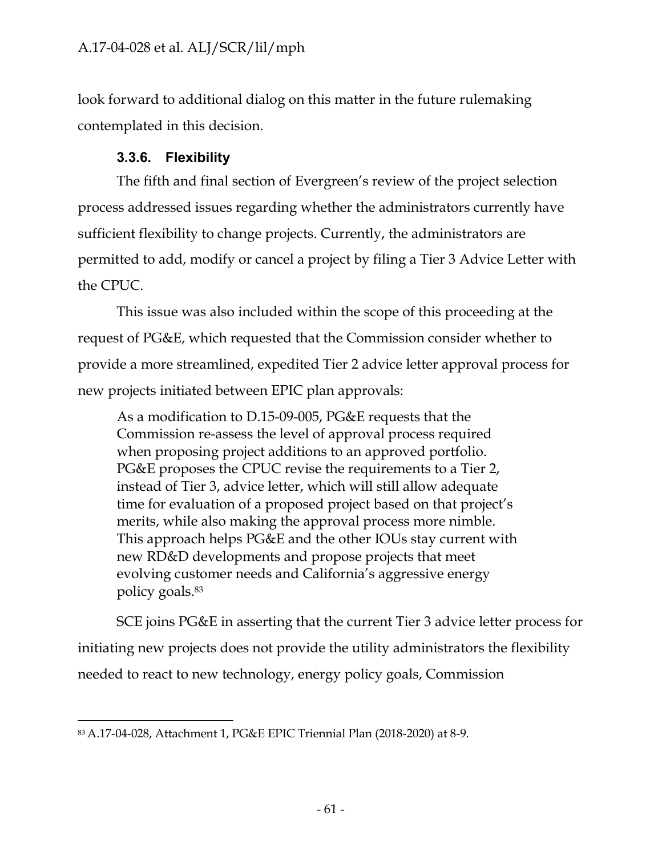look forward to additional dialog on this matter in the future rulemaking contemplated in this decision.

# **3.3.6. Flexibility**

The fifth and final section of Evergreen's review of the project selection process addressed issues regarding whether the administrators currently have sufficient flexibility to change projects. Currently, the administrators are permitted to add, modify or cancel a project by filing a Tier 3 Advice Letter with the CPUC.

This issue was also included within the scope of this proceeding at the request of PG&E, which requested that the Commission consider whether to provide a more streamlined, expedited Tier 2 advice letter approval process for new projects initiated between EPIC plan approvals:

As a modification to D.15-09-005, PG&E requests that the Commission re-assess the level of approval process required when proposing project additions to an approved portfolio. PG&E proposes the CPUC revise the requirements to a Tier 2, instead of Tier 3, advice letter, which will still allow adequate time for evaluation of a proposed project based on that project's merits, while also making the approval process more nimble. This approach helps PG&E and the other IOUs stay current with new RD&D developments and propose projects that meet evolving customer needs and California's aggressive energy policy goals.83

SCE joins PG&E in asserting that the current Tier 3 advice letter process for initiating new projects does not provide the utility administrators the flexibility needed to react to new technology, energy policy goals, Commission

<sup>83</sup> A.17-04-028, Attachment 1, PG&E EPIC Triennial Plan (2018-2020) at 8-9.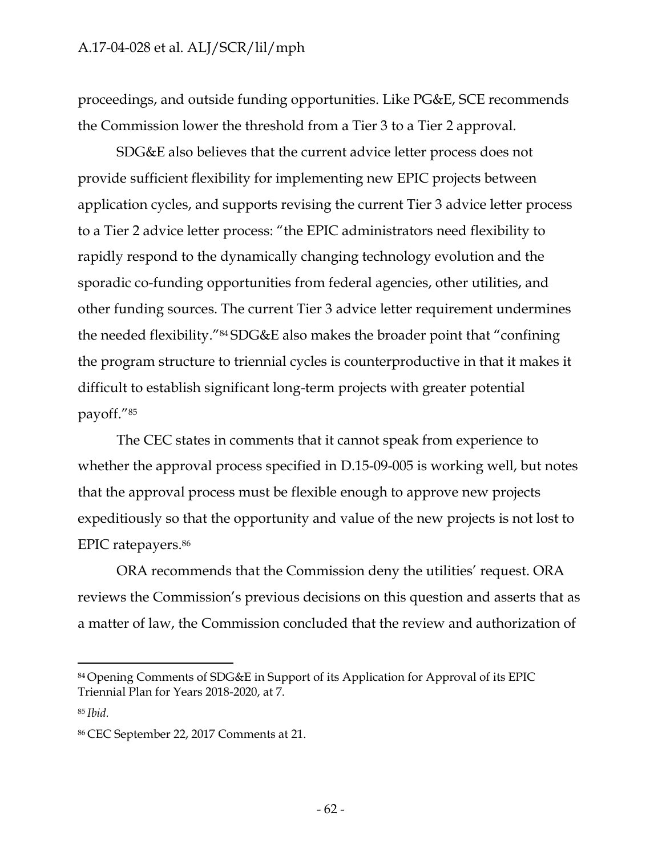proceedings, and outside funding opportunities. Like PG&E, SCE recommends the Commission lower the threshold from a Tier 3 to a Tier 2 approval.

SDG&E also believes that the current advice letter process does not provide sufficient flexibility for implementing new EPIC projects between application cycles, and supports revising the current Tier 3 advice letter process to a Tier 2 advice letter process: "the EPIC administrators need flexibility to rapidly respond to the dynamically changing technology evolution and the sporadic co-funding opportunities from federal agencies, other utilities, and other funding sources. The current Tier 3 advice letter requirement undermines the needed flexibility."84 SDG&E also makes the broader point that "confining the program structure to triennial cycles is counterproductive in that it makes it difficult to establish significant long-term projects with greater potential payoff."85

The CEC states in comments that it cannot speak from experience to whether the approval process specified in D.15-09-005 is working well, but notes that the approval process must be flexible enough to approve new projects expeditiously so that the opportunity and value of the new projects is not lost to EPIC ratepayers.86

ORA recommends that the Commission deny the utilities' request. ORA reviews the Commission's previous decisions on this question and asserts that as a matter of law, the Commission concluded that the review and authorization of

<sup>84</sup> Opening Comments of SDG&E in Support of its Application for Approval of its EPIC Triennial Plan for Years 2018-2020, at 7.

<sup>85</sup>*Ibid.*

<sup>86</sup> CEC September 22, 2017 Comments at 21.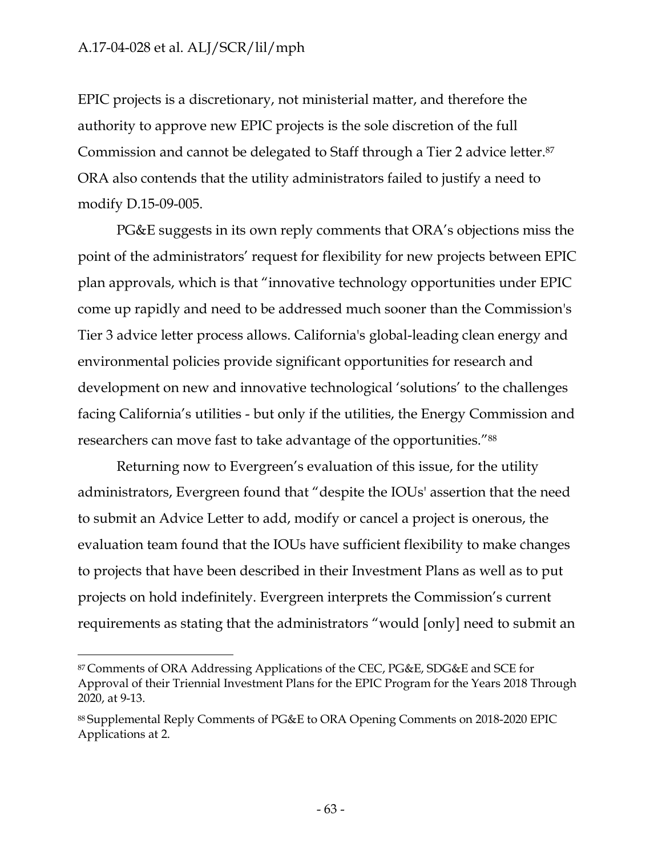EPIC projects is a discretionary, not ministerial matter, and therefore the authority to approve new EPIC projects is the sole discretion of the full Commission and cannot be delegated to Staff through a Tier 2 advice letter.87 ORA also contends that the utility administrators failed to justify a need to modify D.15-09-005.

PG&E suggests in its own reply comments that ORA's objections miss the point of the administrators' request for flexibility for new projects between EPIC plan approvals, which is that "innovative technology opportunities under EPIC come up rapidly and need to be addressed much sooner than the Commission's Tier 3 advice letter process allows. California's global-leading clean energy and environmental policies provide significant opportunities for research and development on new and innovative technological 'solutions' to the challenges facing California's utilities - but only if the utilities, the Energy Commission and researchers can move fast to take advantage of the opportunities."<sup>88</sup>

Returning now to Evergreen's evaluation of this issue, for the utility administrators, Evergreen found that "despite the IOUs' assertion that the need to submit an Advice Letter to add, modify or cancel a project is onerous, the evaluation team found that the IOUs have sufficient flexibility to make changes to projects that have been described in their Investment Plans as well as to put projects on hold indefinitely. Evergreen interprets the Commission's current requirements as stating that the administrators "would [only] need to submit an

<sup>87</sup> Comments of ORA Addressing Applications of the CEC, PG&E, SDG&E and SCE for Approval of their Triennial Investment Plans for the EPIC Program for the Years 2018 Through 2020, at 9-13.

<sup>88</sup> Supplemental Reply Comments of PG&E to ORA Opening Comments on 2018-2020 EPIC Applications at 2.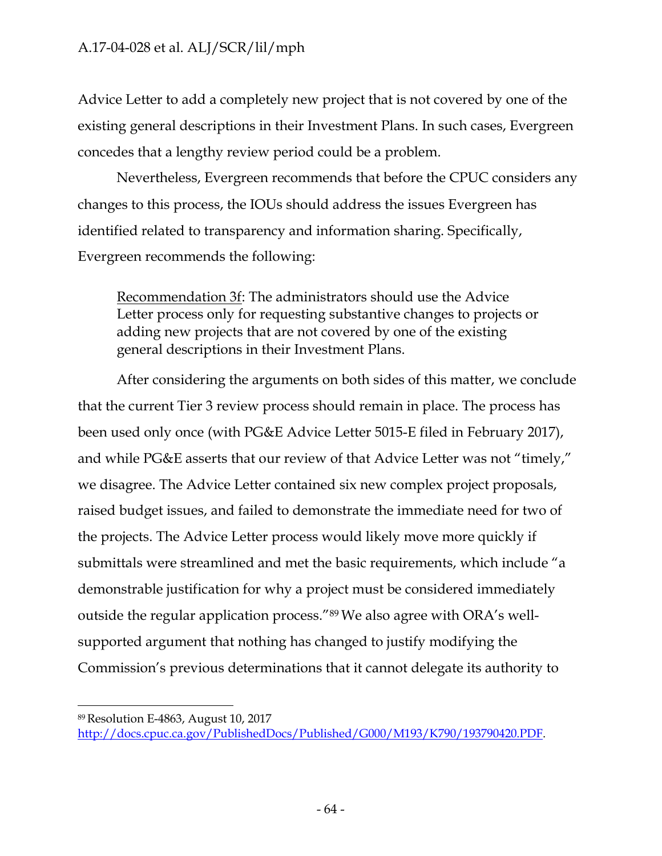Advice Letter to add a completely new project that is not covered by one of the existing general descriptions in their Investment Plans. In such cases, Evergreen concedes that a lengthy review period could be a problem.

Nevertheless, Evergreen recommends that before the CPUC considers any changes to this process, the IOUs should address the issues Evergreen has identified related to transparency and information sharing. Specifically, Evergreen recommends the following:

Recommendation 3f: The administrators should use the Advice Letter process only for requesting substantive changes to projects or adding new projects that are not covered by one of the existing general descriptions in their Investment Plans.

After considering the arguments on both sides of this matter, we conclude that the current Tier 3 review process should remain in place. The process has been used only once (with PG&E Advice Letter 5015-E filed in February 2017), and while PG&E asserts that our review of that Advice Letter was not "timely," we disagree. The Advice Letter contained six new complex project proposals, raised budget issues, and failed to demonstrate the immediate need for two of the projects. The Advice Letter process would likely move more quickly if submittals were streamlined and met the basic requirements, which include "a demonstrable justification for why a project must be considered immediately outside the regular application process."89 We also agree with ORA's wellsupported argument that nothing has changed to justify modifying the Commission's previous determinations that it cannot delegate its authority to

89 Resolution E-4863, August 10, 2017

[http://docs.cpuc.ca.gov/PublishedDocs/Published/G000/M193/K790/193790420.PDF.](http://docs.cpuc.ca.gov/PublishedDocs/Published/G000/M193/K790/193790420.PDF)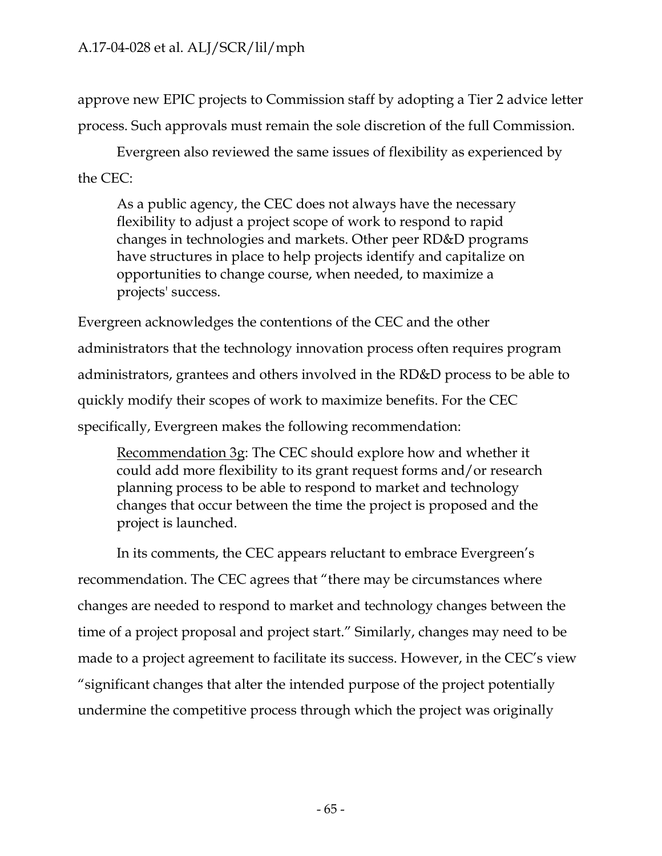approve new EPIC projects to Commission staff by adopting a Tier 2 advice letter process. Such approvals must remain the sole discretion of the full Commission.

Evergreen also reviewed the same issues of flexibility as experienced by the CEC:

As a public agency, the CEC does not always have the necessary flexibility to adjust a project scope of work to respond to rapid changes in technologies and markets. Other peer RD&D programs have structures in place to help projects identify and capitalize on opportunities to change course, when needed, to maximize a projects' success.

Evergreen acknowledges the contentions of the CEC and the other administrators that the technology innovation process often requires program administrators, grantees and others involved in the RD&D process to be able to quickly modify their scopes of work to maximize benefits. For the CEC specifically, Evergreen makes the following recommendation:

Recommendation 3g: The CEC should explore how and whether it could add more flexibility to its grant request forms and/or research planning process to be able to respond to market and technology changes that occur between the time the project is proposed and the project is launched.

In its comments, the CEC appears reluctant to embrace Evergreen's recommendation. The CEC agrees that "there may be circumstances where changes are needed to respond to market and technology changes between the time of a project proposal and project start." Similarly, changes may need to be made to a project agreement to facilitate its success. However, in the CEC's view "significant changes that alter the intended purpose of the project potentially undermine the competitive process through which the project was originally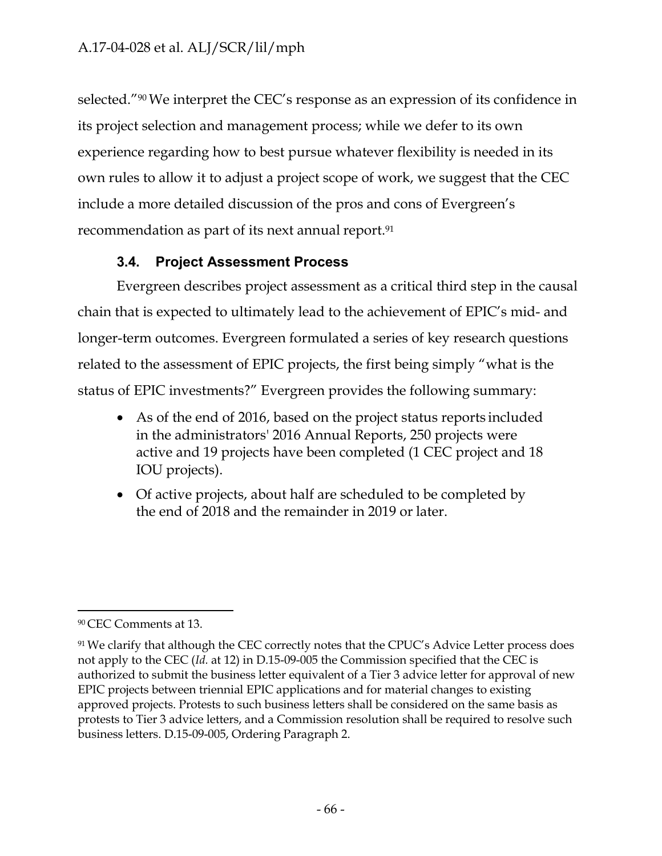selected."90 We interpret the CEC's response as an expression of its confidence in its project selection and management process; while we defer to its own experience regarding how to best pursue whatever flexibility is needed in its own rules to allow it to adjust a project scope of work, we suggest that the CEC include a more detailed discussion of the pros and cons of Evergreen's recommendation as part of its next annual report.<sup>91</sup>

# **3.4. Project Assessment Process**

Evergreen describes project assessment as a critical third step in the causal chain that is expected to ultimately lead to the achievement of EPIC's mid- and longer-term outcomes. Evergreen formulated a series of key research questions related to the assessment of EPIC projects, the first being simply "what is the status of EPIC investments?" Evergreen provides the following summary:

- As of the end of 2016, based on the project status reports included in the administrators' 2016 Annual Reports, 250 projects were active and 19 projects have been completed (1 CEC project and 18 IOU projects).
- Of active projects, about half are scheduled to be completed by the end of 2018 and the remainder in 2019 or later.

<sup>90</sup> CEC Comments at 13.

<sup>&</sup>lt;sup>91</sup> We clarify that although the CEC correctly notes that the CPUC's Advice Letter process does not apply to the CEC (*Id.* at 12) in D.15-09-005 the Commission specified that the CEC is authorized to submit the business letter equivalent of a Tier 3 advice letter for approval of new EPIC projects between triennial EPIC applications and for material changes to existing approved projects. Protests to such business letters shall be considered on the same basis as protests to Tier 3 advice letters, and a Commission resolution shall be required to resolve such business letters. D.15-09-005, Ordering Paragraph 2.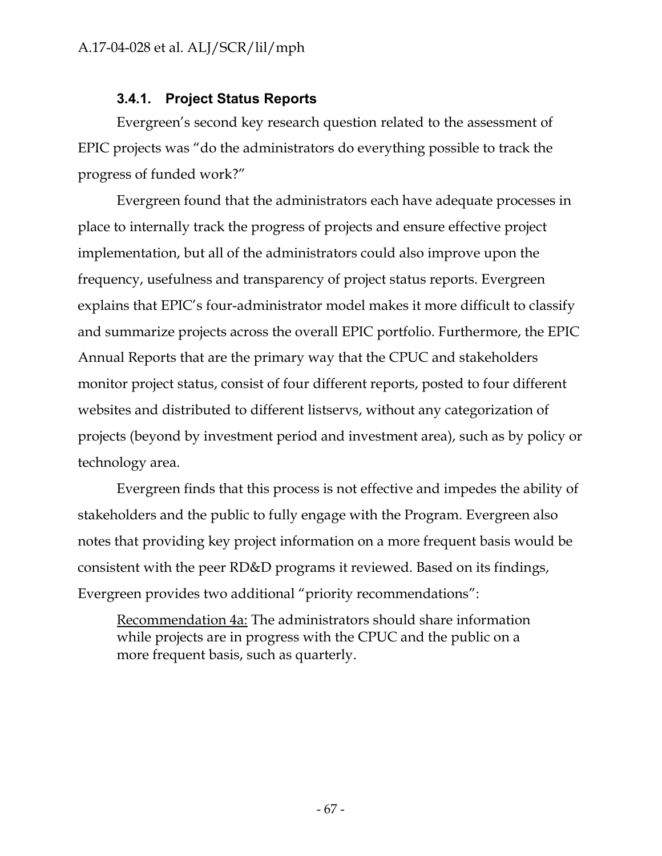## **3.4.1. Project Status Reports**

Evergreen's second key research question related to the assessment of EPIC projects was "do the administrators do everything possible to track the progress of funded work?"

Evergreen found that the administrators each have adequate processes in place to internally track the progress of projects and ensure effective project implementation, but all of the administrators could also improve upon the frequency, usefulness and transparency of project status reports. Evergreen explains that EPIC's four-administrator model makes it more difficult to classify and summarize projects across the overall EPIC portfolio. Furthermore, the EPIC Annual Reports that are the primary way that the CPUC and stakeholders monitor project status, consist of four different reports, posted to four different websites and distributed to different listservs, without any categorization of projects (beyond by investment period and investment area), such as by policy or technology area.

Evergreen finds that this process is not effective and impedes the ability of stakeholders and the public to fully engage with the Program. Evergreen also notes that providing key project information on a more frequent basis would be consistent with the peer RD&D programs it reviewed. Based on its findings, Evergreen provides two additional "priority recommendations":

Recommendation 4a: The administrators should share information while projects are in progress with the CPUC and the public on a more frequent basis, such as quarterly.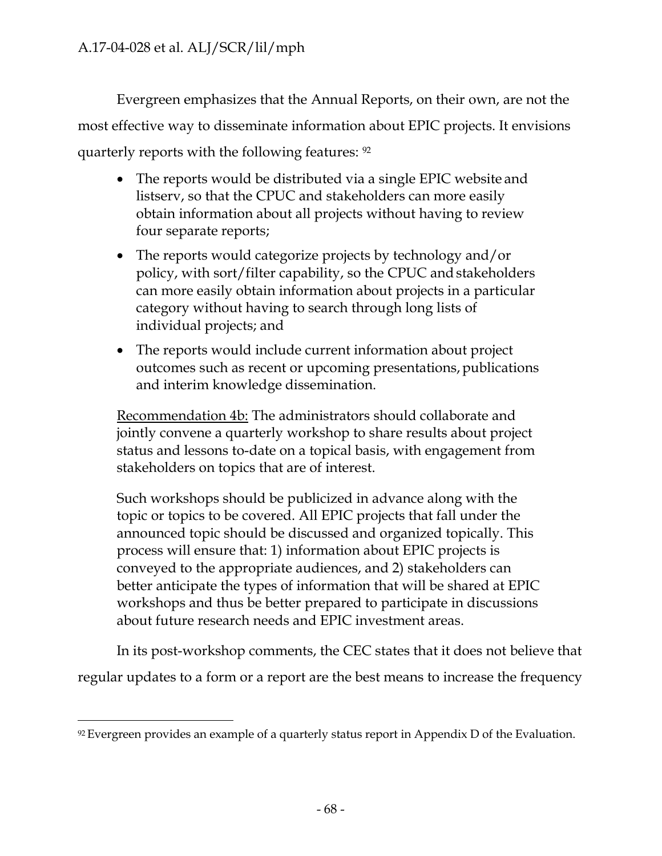Evergreen emphasizes that the Annual Reports, on their own, are not the most effective way to disseminate information about EPIC projects. It envisions quarterly reports with the following features: 92

- The reports would be distributed via a single EPIC website and listserv, so that the CPUC and stakeholders can more easily obtain information about all projects without having to review four separate reports;
- The reports would categorize projects by technology and/or policy, with sort/filter capability, so the CPUC and stakeholders can more easily obtain information about projects in a particular category without having to search through long lists of individual projects; and
- The reports would include current information about project outcomes such as recent or upcoming presentations, publications and interim knowledge dissemination.

Recommendation 4b: The administrators should collaborate and jointly convene a quarterly workshop to share results about project status and lessons to-date on a topical basis, with engagement from stakeholders on topics that are of interest.

Such workshops should be publicized in advance along with the topic or topics to be covered. All EPIC projects that fall under the announced topic should be discussed and organized topically. This process will ensure that: 1) information about EPIC projects is conveyed to the appropriate audiences, and 2) stakeholders can better anticipate the types of information that will be shared at EPIC workshops and thus be better prepared to participate in discussions about future research needs and EPIC investment areas.

In its post-workshop comments, the CEC states that it does not believe that regular updates to a form or a report are the best means to increase the frequency

 $92$  Evergreen provides an example of a quarterly status report in Appendix D of the Evaluation.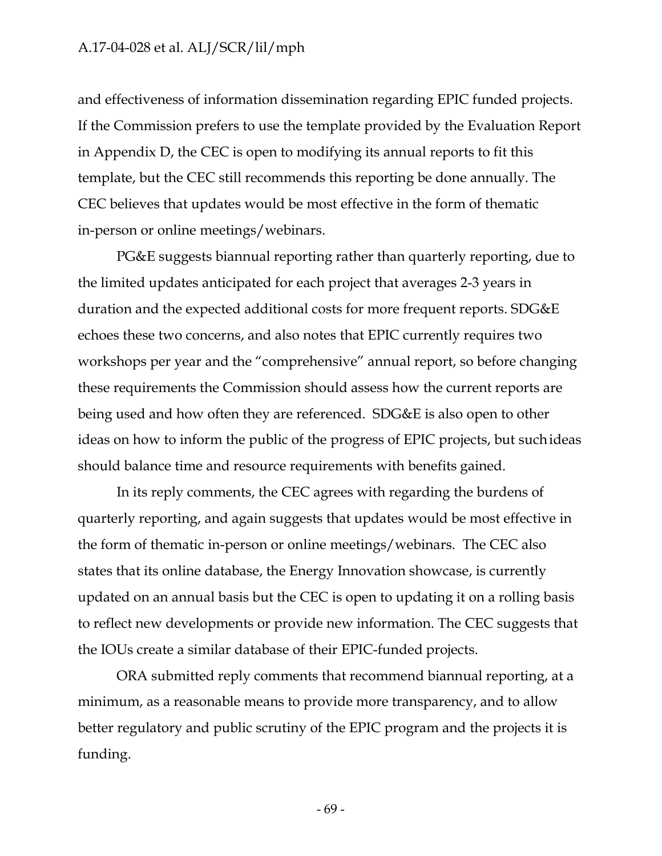and effectiveness of information dissemination regarding EPIC funded projects. If the Commission prefers to use the template provided by the Evaluation Report in Appendix D, the CEC is open to modifying its annual reports to fit this template, but the CEC still recommends this reporting be done annually. The CEC believes that updates would be most effective in the form of thematic in-person or online meetings/webinars.

PG&E suggests biannual reporting rather than quarterly reporting, due to the limited updates anticipated for each project that averages 2-3 years in duration and the expected additional costs for more frequent reports. SDG&E echoes these two concerns, and also notes that EPIC currently requires two workshops per year and the "comprehensive" annual report, so before changing these requirements the Commission should assess how the current reports are being used and how often they are referenced. SDG&E is also open to other ideas on how to inform the public of the progress of EPIC projects, but such ideas should balance time and resource requirements with benefits gained.

In its reply comments, the CEC agrees with regarding the burdens of quarterly reporting, and again suggests that updates would be most effective in the form of thematic in-person or online meetings/webinars. The CEC also states that its online database, the Energy Innovation showcase, is currently updated on an annual basis but the CEC is open to updating it on a rolling basis to reflect new developments or provide new information. The CEC suggests that the IOUs create a similar database of their EPIC-funded projects.

ORA submitted reply comments that recommend biannual reporting, at a minimum, as a reasonable means to provide more transparency, and to allow better regulatory and public scrutiny of the EPIC program and the projects it is funding.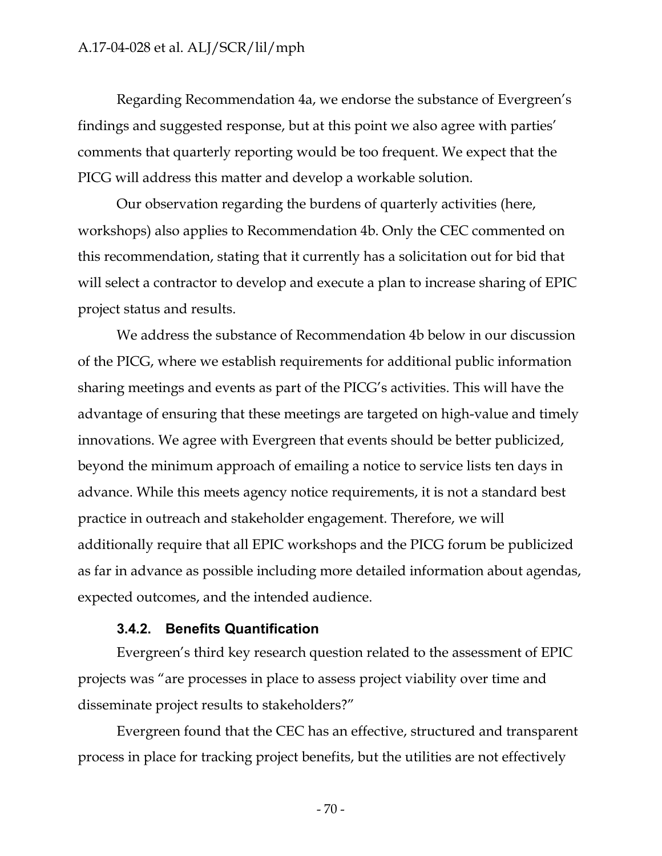Regarding Recommendation 4a, we endorse the substance of Evergreen's findings and suggested response, but at this point we also agree with parties' comments that quarterly reporting would be too frequent. We expect that the PICG will address this matter and develop a workable solution.

Our observation regarding the burdens of quarterly activities (here, workshops) also applies to Recommendation 4b. Only the CEC commented on this recommendation, stating that it currently has a solicitation out for bid that will select a contractor to develop and execute a plan to increase sharing of EPIC project status and results.

We address the substance of Recommendation 4b below in our discussion of the PICG, where we establish requirements for additional public information sharing meetings and events as part of the PICG's activities. This will have the advantage of ensuring that these meetings are targeted on high-value and timely innovations. We agree with Evergreen that events should be better publicized, beyond the minimum approach of emailing a notice to service lists ten days in advance. While this meets agency notice requirements, it is not a standard best practice in outreach and stakeholder engagement. Therefore, we will additionally require that all EPIC workshops and the PICG forum be publicized as far in advance as possible including more detailed information about agendas, expected outcomes, and the intended audience.

#### **3.4.2. Benefits Quantification**

Evergreen's third key research question related to the assessment of EPIC projects was "are processes in place to assess project viability over time and disseminate project results to stakeholders?"

Evergreen found that the CEC has an effective, structured and transparent process in place for tracking project benefits, but the utilities are not effectively

- 70 -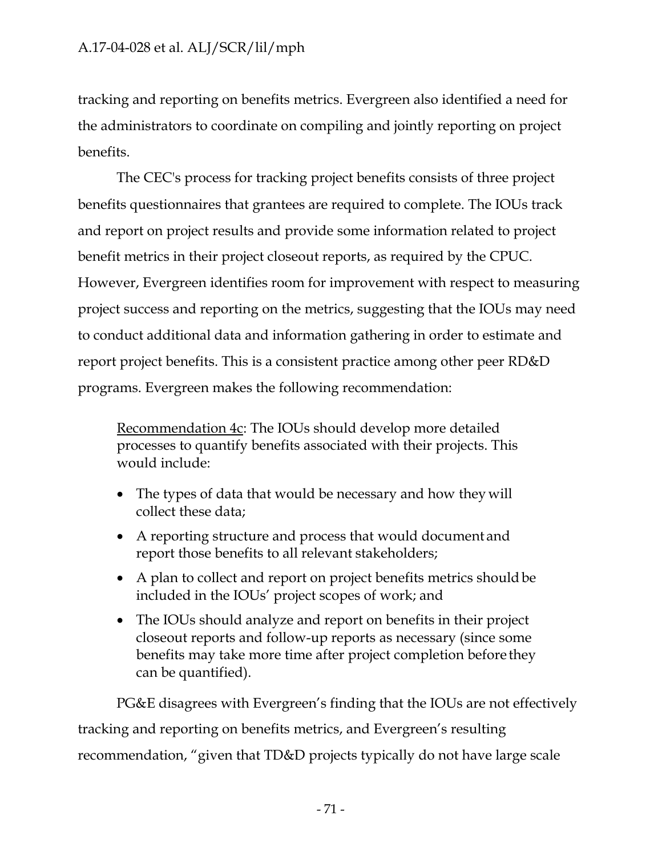tracking and reporting on benefits metrics. Evergreen also identified a need for the administrators to coordinate on compiling and jointly reporting on project benefits.

The CEC's process for tracking project benefits consists of three project benefits questionnaires that grantees are required to complete. The IOUs track and report on project results and provide some information related to project benefit metrics in their project closeout reports, as required by the CPUC. However, Evergreen identifies room for improvement with respect to measuring project success and reporting on the metrics, suggesting that the IOUs may need to conduct additional data and information gathering in order to estimate and report project benefits. This is a consistent practice among other peer RD&D programs. Evergreen makes the following recommendation:

Recommendation 4c: The IOUs should develop more detailed processes to quantify benefits associated with their projects. This would include:

- The types of data that would be necessary and how they will collect these data;
- A reporting structure and process that would document and report those benefits to all relevant stakeholders;
- A plan to collect and report on project benefits metrics should be included in the IOUs' project scopes of work; and
- The IOUs should analyze and report on benefits in their project closeout reports and follow-up reports as necessary (since some benefits may take more time after project completion before they can be quantified).

PG&E disagrees with Evergreen's finding that the IOUs are not effectively tracking and reporting on benefits metrics, and Evergreen's resulting recommendation, "given that TD&D projects typically do not have large scale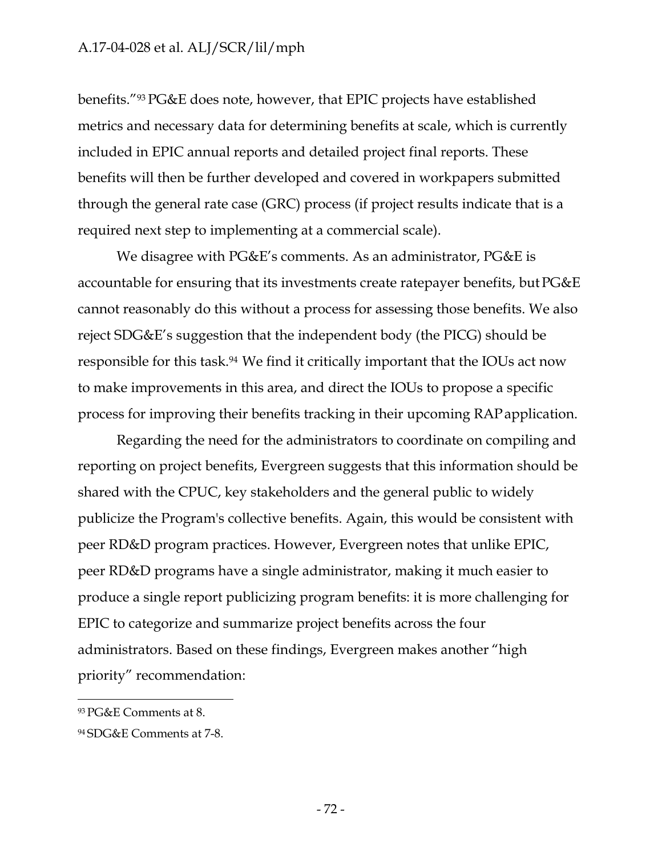benefits."93 PG&E does note, however, that EPIC projects have established metrics and necessary data for determining benefits at scale, which is currently included in EPIC annual reports and detailed project final reports. These benefits will then be further developed and covered in workpapers submitted through the general rate case (GRC) process (if project results indicate that is a required next step to implementing at a commercial scale).

We disagree with PG&E's comments. As an administrator, PG&E is accountable for ensuring that its investments create ratepayer benefits, but PG&E cannot reasonably do this without a process for assessing those benefits. We also reject SDG&E's suggestion that the independent body (the PICG) should be responsible for this task.94 We find it critically important that the IOUs act now to make improvements in this area, and direct the IOUs to propose a specific process for improving their benefits tracking in their upcoming RAPapplication.

Regarding the need for the administrators to coordinate on compiling and reporting on project benefits, Evergreen suggests that this information should be shared with the CPUC, key stakeholders and the general public to widely publicize the Program's collective benefits. Again, this would be consistent with peer RD&D program practices. However, Evergreen notes that unlike EPIC, peer RD&D programs have a single administrator, making it much easier to produce a single report publicizing program benefits: it is more challenging for EPIC to categorize and summarize project benefits across the four administrators. Based on these findings, Evergreen makes another "high priority" recommendation:

<sup>93</sup> PG&E Comments at 8.

<sup>94</sup> SDG&E Comments at 7-8.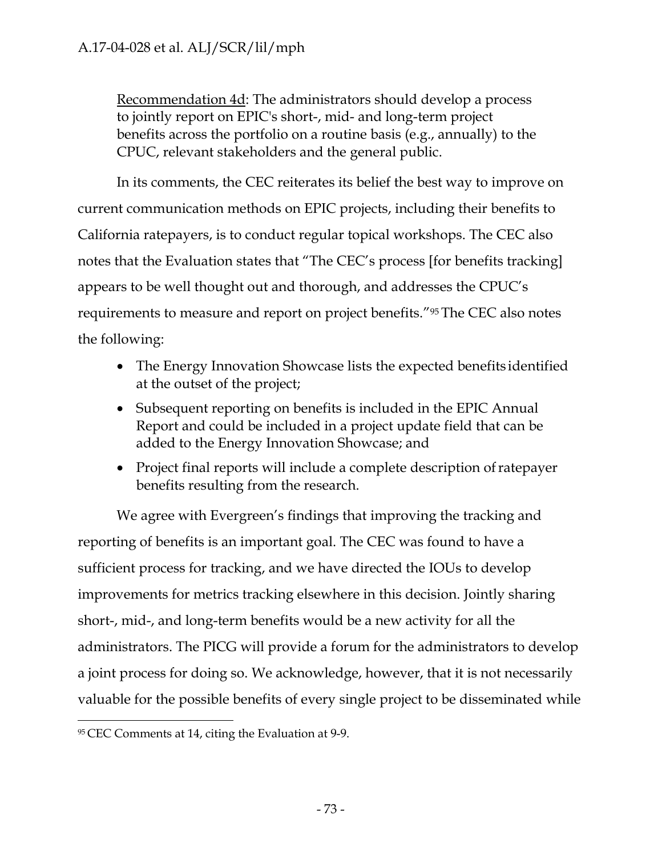Recommendation 4d: The administrators should develop a process to jointly report on EPIC's short-, mid- and long-term project benefits across the portfolio on a routine basis (e.g., annually) to the CPUC, relevant stakeholders and the general public.

In its comments, the CEC reiterates its belief the best way to improve on current communication methods on EPIC projects, including their benefits to California ratepayers, is to conduct regular topical workshops. The CEC also notes that the Evaluation states that "The CEC's process [for benefits tracking] appears to be well thought out and thorough, and addresses the CPUC's requirements to measure and report on project benefits."95 The CEC also notes the following:

- The Energy Innovation Showcase lists the expected benefits identified at the outset of the project;
- Subsequent reporting on benefits is included in the EPIC Annual Report and could be included in a project update field that can be added to the Energy Innovation Showcase; and
- Project final reports will include a complete description of ratepayer benefits resulting from the research.

We agree with Evergreen's findings that improving the tracking and reporting of benefits is an important goal. The CEC was found to have a sufficient process for tracking, and we have directed the IOUs to develop improvements for metrics tracking elsewhere in this decision. Jointly sharing short-, mid-, and long-term benefits would be a new activity for all the administrators. The PICG will provide a forum for the administrators to develop a joint process for doing so. We acknowledge, however, that it is not necessarily valuable for the possible benefits of every single project to be disseminated while

<sup>95</sup> CEC Comments at 14, citing the Evaluation at 9-9.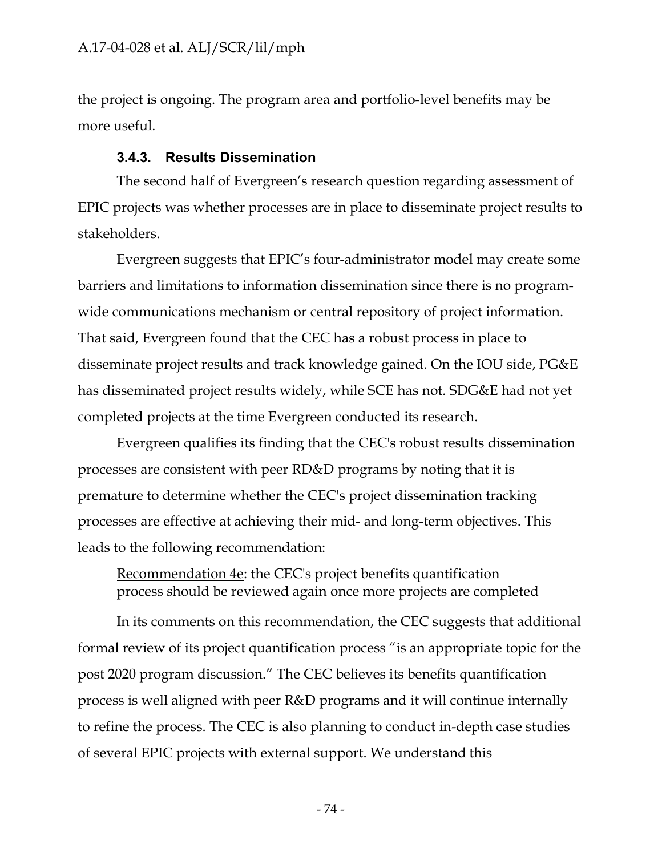the project is ongoing. The program area and portfolio-level benefits may be more useful.

#### **3.4.3. Results Dissemination**

The second half of Evergreen's research question regarding assessment of EPIC projects was whether processes are in place to disseminate project results to stakeholders.

Evergreen suggests that EPIC's four-administrator model may create some barriers and limitations to information dissemination since there is no programwide communications mechanism or central repository of project information. That said, Evergreen found that the CEC has a robust process in place to disseminate project results and track knowledge gained. On the IOU side, PG&E has disseminated project results widely, while SCE has not. SDG&E had not yet completed projects at the time Evergreen conducted its research.

Evergreen qualifies its finding that the CEC's robust results dissemination processes are consistent with peer RD&D programs by noting that it is premature to determine whether the CEC's project dissemination tracking processes are effective at achieving their mid- and long-term objectives. This leads to the following recommendation:

Recommendation 4e: the CEC's project benefits quantification process should be reviewed again once more projects are completed

In its comments on this recommendation, the CEC suggests that additional formal review of its project quantification process "is an appropriate topic for the post 2020 program discussion." The CEC believes its benefits quantification process is well aligned with peer R&D programs and it will continue internally to refine the process. The CEC is also planning to conduct in-depth case studies of several EPIC projects with external support. We understand this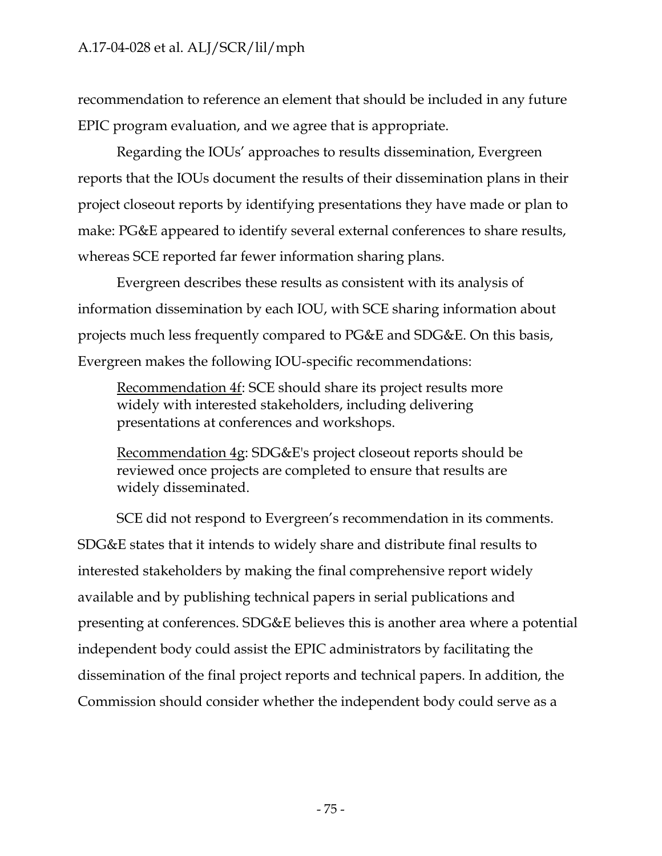recommendation to reference an element that should be included in any future EPIC program evaluation, and we agree that is appropriate.

Regarding the IOUs' approaches to results dissemination, Evergreen reports that the IOUs document the results of their dissemination plans in their project closeout reports by identifying presentations they have made or plan to make: PG&E appeared to identify several external conferences to share results, whereas SCE reported far fewer information sharing plans.

Evergreen describes these results as consistent with its analysis of information dissemination by each IOU, with SCE sharing information about projects much less frequently compared to PG&E and SDG&E. On this basis, Evergreen makes the following IOU-specific recommendations:

Recommendation 4f: SCE should share its project results more widely with interested stakeholders, including delivering presentations at conferences and workshops.

Recommendation 4g: SDG&E's project closeout reports should be reviewed once projects are completed to ensure that results are widely disseminated.

SCE did not respond to Evergreen's recommendation in its comments. SDG&E states that it intends to widely share and distribute final results to interested stakeholders by making the final comprehensive report widely available and by publishing technical papers in serial publications and presenting at conferences. SDG&E believes this is another area where a potential independent body could assist the EPIC administrators by facilitating the dissemination of the final project reports and technical papers. In addition, the Commission should consider whether the independent body could serve as a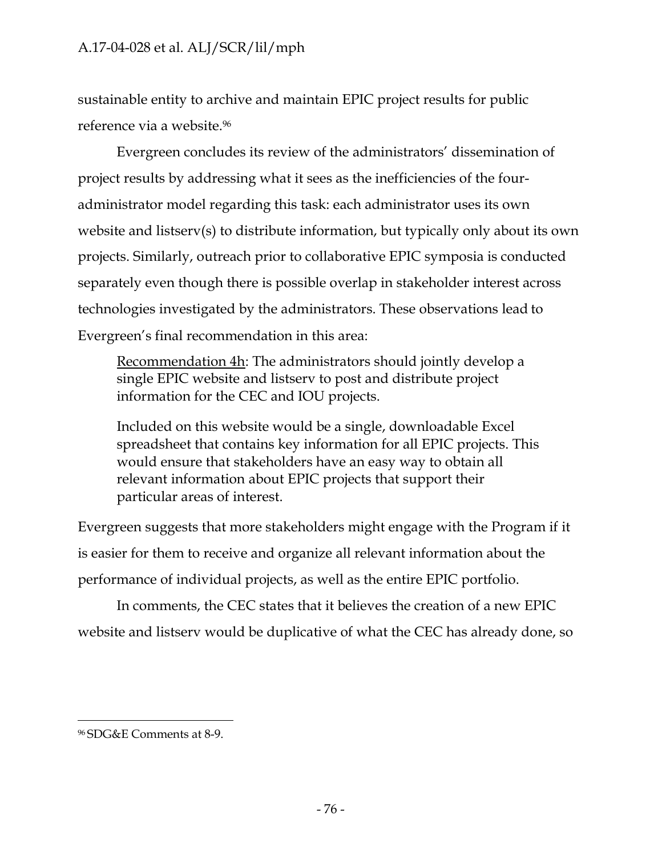sustainable entity to archive and maintain EPIC project results for public reference via a website.96

Evergreen concludes its review of the administrators' dissemination of project results by addressing what it sees as the inefficiencies of the fouradministrator model regarding this task: each administrator uses its own website and listserv(s) to distribute information, but typically only about its own projects. Similarly, outreach prior to collaborative EPIC symposia is conducted separately even though there is possible overlap in stakeholder interest across technologies investigated by the administrators. These observations lead to Evergreen's final recommendation in this area:

Recommendation 4h: The administrators should jointly develop a single EPIC website and listserv to post and distribute project information for the CEC and IOU projects.

Included on this website would be a single, downloadable Excel spreadsheet that contains key information for all EPIC projects. This would ensure that stakeholders have an easy way to obtain all relevant information about EPIC projects that support their particular areas of interest.

Evergreen suggests that more stakeholders might engage with the Program if it is easier for them to receive and organize all relevant information about the performance of individual projects, as well as the entire EPIC portfolio.

In comments, the CEC states that it believes the creation of a new EPIC website and listserv would be duplicative of what the CEC has already done, so

<sup>96</sup> SDG&E Comments at 8-9.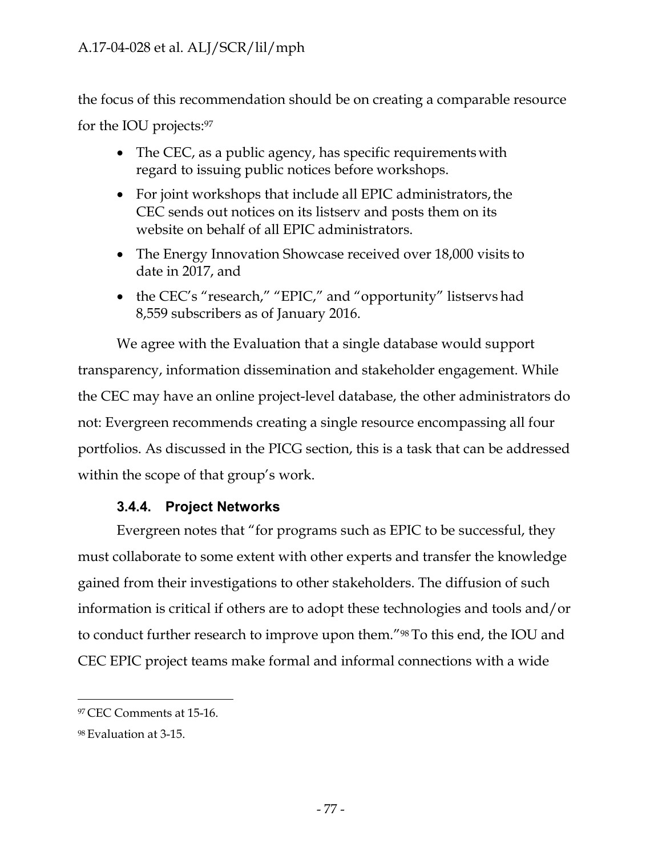the focus of this recommendation should be on creating a comparable resource for the IOU projects:97

- The CEC, as a public agency, has specific requirements with regard to issuing public notices before workshops.
- For joint workshops that include all EPIC administrators, the CEC sends out notices on its listserv and posts them on its website on behalf of all EPIC administrators.
- The Energy Innovation Showcase received over 18,000 visits to date in 2017, and
- the CEC's "research," "EPIC," and "opportunity" listservs had 8,559 subscribers as of January 2016.

We agree with the Evaluation that a single database would support transparency, information dissemination and stakeholder engagement. While the CEC may have an online project-level database, the other administrators do not: Evergreen recommends creating a single resource encompassing all four portfolios. As discussed in the PICG section, this is a task that can be addressed within the scope of that group's work.

# **3.4.4. Project Networks**

Evergreen notes that "for programs such as EPIC to be successful, they must collaborate to some extent with other experts and transfer the knowledge gained from their investigations to other stakeholders. The diffusion of such information is critical if others are to adopt these technologies and tools and/or to conduct further research to improve upon them."98 To this end, the IOU and CEC EPIC project teams make formal and informal connections with a wide

<sup>97</sup> CEC Comments at 15-16.

<sup>98</sup> Evaluation at 3-15.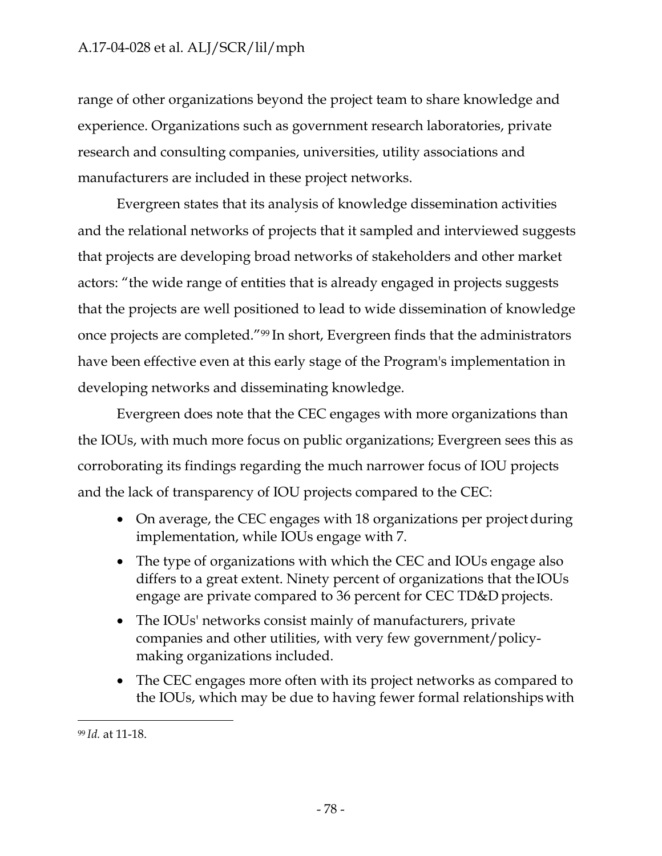range of other organizations beyond the project team to share knowledge and experience. Organizations such as government research laboratories, private research and consulting companies, universities, utility associations and manufacturers are included in these project networks.

Evergreen states that its analysis of knowledge dissemination activities and the relational networks of projects that it sampled and interviewed suggests that projects are developing broad networks of stakeholders and other market actors: "the wide range of entities that is already engaged in projects suggests that the projects are well positioned to lead to wide dissemination of knowledge once projects are completed."99 In short, Evergreen finds that the administrators have been effective even at this early stage of the Program's implementation in developing networks and disseminating knowledge.

Evergreen does note that the CEC engages with more organizations than the IOUs, with much more focus on public organizations; Evergreen sees this as corroborating its findings regarding the much narrower focus of IOU projects and the lack of transparency of IOU projects compared to the CEC:

- On average, the CEC engages with 18 organizations per project during implementation, while IOUs engage with 7.
- The type of organizations with which the CEC and IOUs engage also differs to a great extent. Ninety percent of organizations that the IOUs engage are private compared to 36 percent for CEC TD&D projects.
- The IOUs' networks consist mainly of manufacturers, private companies and other utilities, with very few government/policymaking organizations included.
- The CEC engages more often with its project networks as compared to the IOUs, which may be due to having fewer formal relationships with

<sup>99</sup> *Id.* at 11-18.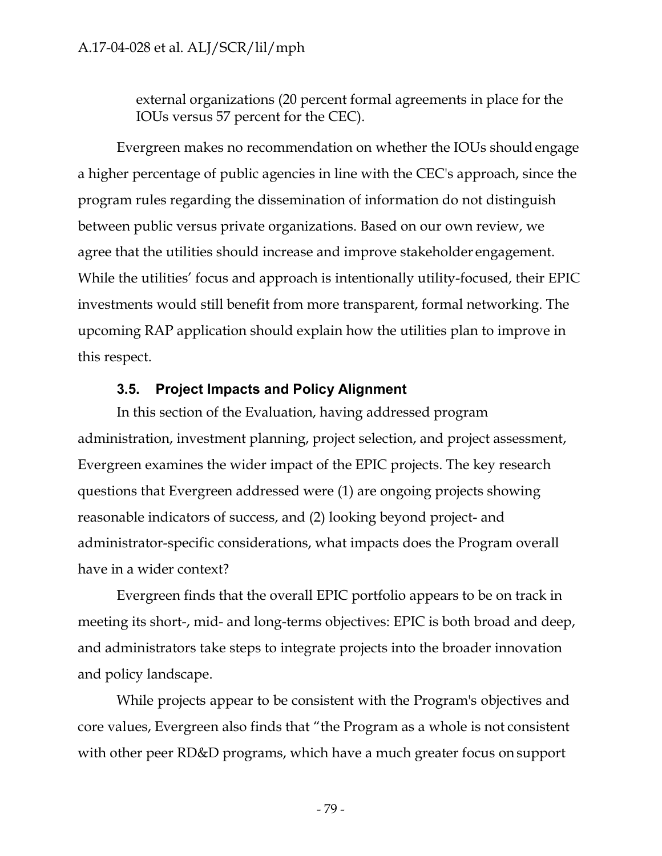external organizations (20 percent formal agreements in place for the IOUs versus 57 percent for the CEC).

Evergreen makes no recommendation on whether the IOUs shouldengage a higher percentage of public agencies in line with the CEC's approach, since the program rules regarding the dissemination of information do not distinguish between public versus private organizations. Based on our own review, we agree that the utilities should increase and improve stakeholder engagement. While the utilities' focus and approach is intentionally utility-focused, their EPIC investments would still benefit from more transparent, formal networking. The upcoming RAP application should explain how the utilities plan to improve in this respect.

#### **3.5. Project Impacts and Policy Alignment**

In this section of the Evaluation, having addressed program administration, investment planning, project selection, and project assessment, Evergreen examines the wider impact of the EPIC projects. The key research questions that Evergreen addressed were (1) are ongoing projects showing reasonable indicators of success, and (2) looking beyond project- and administrator-specific considerations, what impacts does the Program overall have in a wider context?

Evergreen finds that the overall EPIC portfolio appears to be on track in meeting its short-, mid- and long-terms objectives: EPIC is both broad and deep, and administrators take steps to integrate projects into the broader innovation and policy landscape.

While projects appear to be consistent with the Program's objectives and core values, Evergreen also finds that "the Program as a whole is not consistent with other peer RD&D programs, which have a much greater focus on support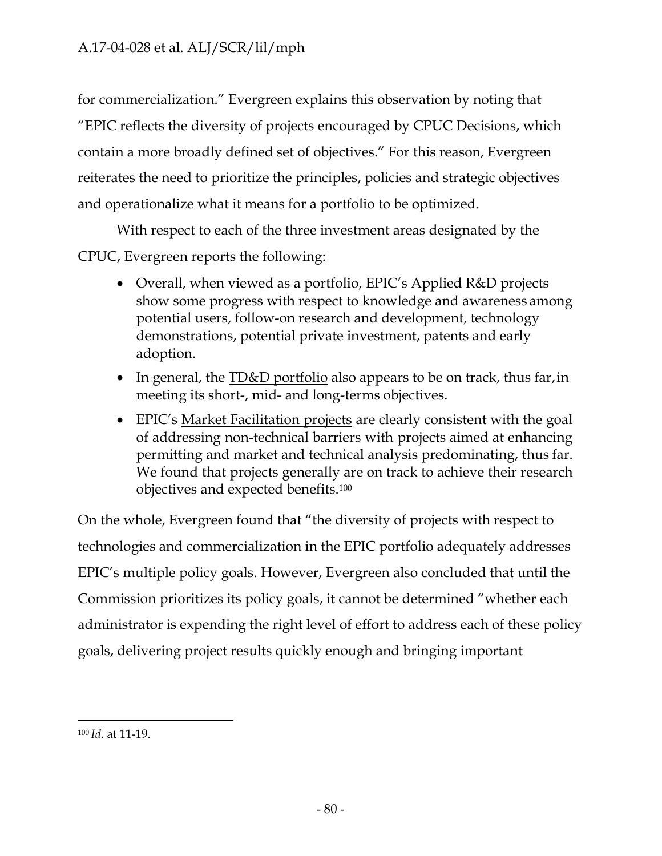for commercialization." Evergreen explains this observation by noting that "EPIC reflects the diversity of projects encouraged by CPUC Decisions, which contain a more broadly defined set of objectives." For this reason, Evergreen reiterates the need to prioritize the principles, policies and strategic objectives and operationalize what it means for a portfolio to be optimized.

With respect to each of the three investment areas designated by the CPUC, Evergreen reports the following:

- Overall, when viewed as a portfolio, EPIC's Applied R&D projects show some progress with respect to knowledge and awareness among potential users, follow-on research and development, technology demonstrations, potential private investment, patents and early adoption.
- In general, the **TD&D** portfolio also appears to be on track, thus far, in meeting its short-, mid- and long-terms objectives.
- EPIC's <u>Market Facilitation projects</u> are clearly consistent with the goal of addressing non-technical barriers with projects aimed at enhancing permitting and market and technical analysis predominating, thus far. We found that projects generally are on track to achieve their research objectives and expected benefits.100

On the whole, Evergreen found that "the diversity of projects with respect to technologies and commercialization in the EPIC portfolio adequately addresses EPIC's multiple policy goals. However, Evergreen also concluded that until the Commission prioritizes its policy goals, it cannot be determined "whether each administrator is expending the right level of effort to address each of these policy goals, delivering project results quickly enough and bringing important

<sup>100</sup> *Id.* at 11-19.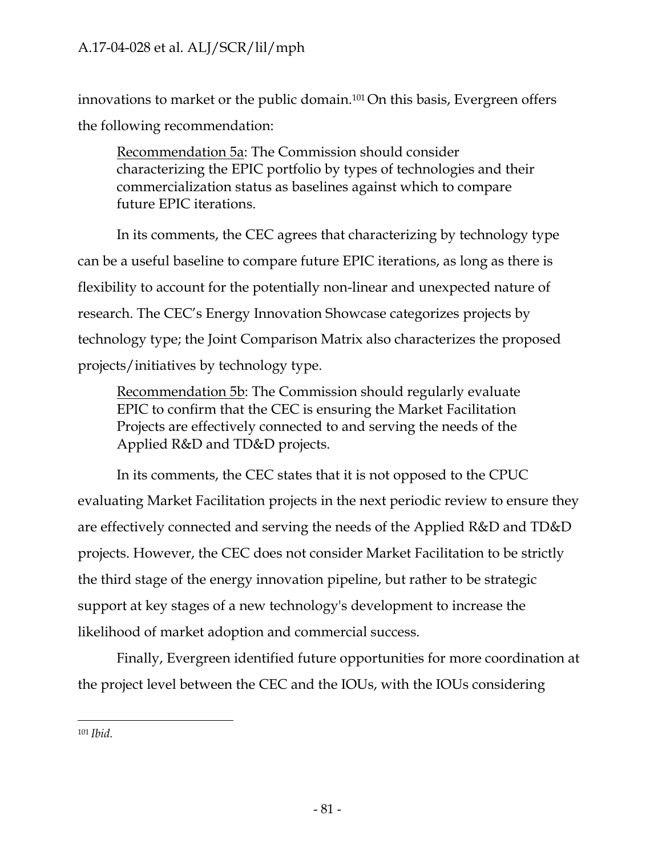innovations to market or the public domain.101 On this basis, Evergreen offers the following recommendation:

Recommendation 5a: The Commission should consider characterizing the EPIC portfolio by types of technologies and their commercialization status as baselines against which to compare future EPIC iterations.

In its comments, the CEC agrees that characterizing by technology type can be a useful baseline to compare future EPIC iterations, as long as there is flexibility to account for the potentially non-linear and unexpected nature of research. The CEC's Energy Innovation Showcase categorizes projects by technology type; the Joint Comparison Matrix also characterizes the proposed projects/initiatives by technology type.

Recommendation 5b: The Commission should regularly evaluate EPIC to confirm that the CEC is ensuring the Market Facilitation Projects are effectively connected to and serving the needs of the Applied R&D and TD&D projects.

In its comments, the CEC states that it is not opposed to the CPUC evaluating Market Facilitation projects in the next periodic review to ensure they are effectively connected and serving the needs of the Applied R&D and TD&D projects. However, the CEC does not consider Market Facilitation to be strictly the third stage of the energy innovation pipeline, but rather to be strategic support at key stages of a new technology's development to increase the likelihood of market adoption and commercial success.

Finally, Evergreen identified future opportunities for more coordination at the project level between the CEC and the IOUs, with the IOUs considering

<sup>101</sup> *Ibid.*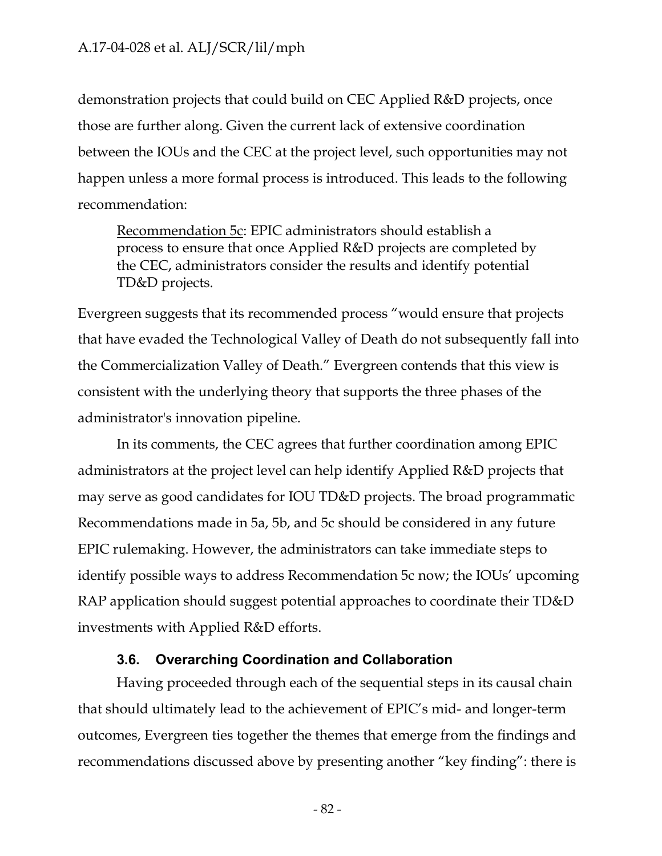demonstration projects that could build on CEC Applied R&D projects, once those are further along. Given the current lack of extensive coordination between the IOUs and the CEC at the project level, such opportunities may not happen unless a more formal process is introduced. This leads to the following recommendation:

Recommendation 5c: EPIC administrators should establish a process to ensure that once Applied R&D projects are completed by the CEC, administrators consider the results and identify potential TD&D projects.

Evergreen suggests that its recommended process "would ensure that projects that have evaded the Technological Valley of Death do not subsequently fall into the Commercialization Valley of Death." Evergreen contends that this view is consistent with the underlying theory that supports the three phases of the administrator's innovation pipeline.

In its comments, the CEC agrees that further coordination among EPIC administrators at the project level can help identify Applied R&D projects that may serve as good candidates for IOU TD&D projects. The broad programmatic Recommendations made in 5a, 5b, and 5c should be considered in any future EPIC rulemaking. However, the administrators can take immediate steps to identify possible ways to address Recommendation 5c now; the IOUs' upcoming RAP application should suggest potential approaches to coordinate their TD&D investments with Applied R&D efforts.

#### **3.6. Overarching Coordination and Collaboration**

Having proceeded through each of the sequential steps in its causal chain that should ultimately lead to the achievement of EPIC's mid- and longer-term outcomes, Evergreen ties together the themes that emerge from the findings and recommendations discussed above by presenting another "key finding": there is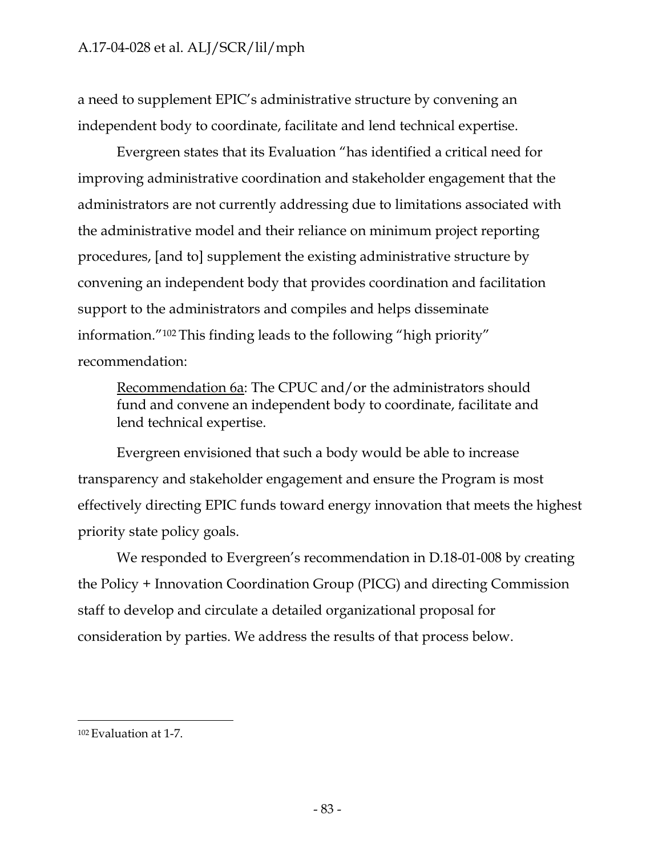a need to supplement EPIC's administrative structure by convening an independent body to coordinate, facilitate and lend technical expertise.

Evergreen states that its Evaluation "has identified a critical need for improving administrative coordination and stakeholder engagement that the administrators are not currently addressing due to limitations associated with the administrative model and their reliance on minimum project reporting procedures, [and to] supplement the existing administrative structure by convening an independent body that provides coordination and facilitation support to the administrators and compiles and helps disseminate information."102 This finding leads to the following "high priority" recommendation:

Recommendation 6a: The CPUC and/or the administrators should fund and convene an independent body to coordinate, facilitate and lend technical expertise.

Evergreen envisioned that such a body would be able to increase transparency and stakeholder engagement and ensure the Program is most effectively directing EPIC funds toward energy innovation that meets the highest priority state policy goals.

We responded to Evergreen's recommendation in D.18-01-008 by creating the Policy + Innovation Coordination Group (PICG) and directing Commission staff to develop and circulate a detailed organizational proposal for consideration by parties. We address the results of that process below.

<sup>102</sup> Evaluation at 1-7.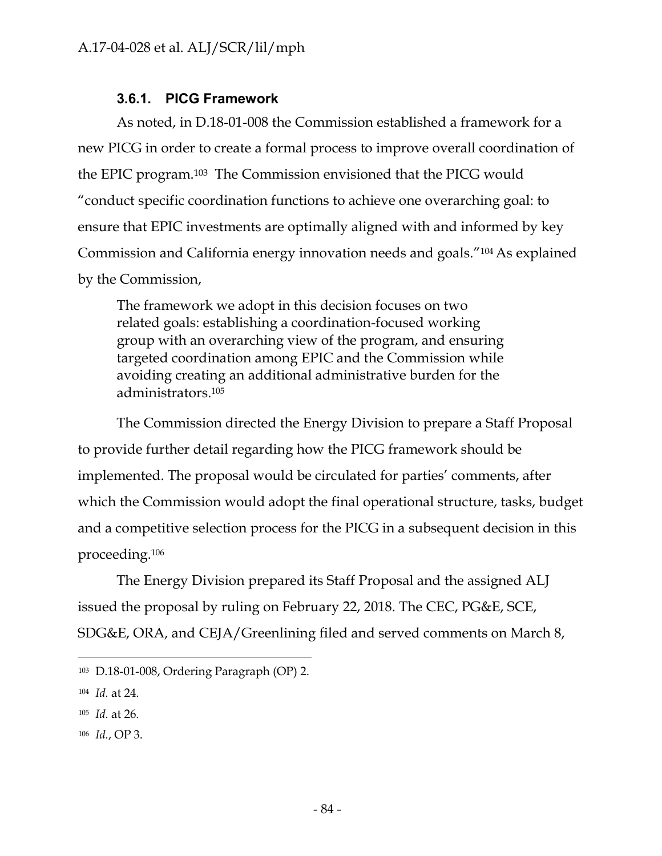## **3.6.1. PICG Framework**

As noted, in D.18-01-008 the Commission established a framework for a new PICG in order to create a formal process to improve overall coordination of the EPIC program.103 The Commission envisioned that the PICG would "conduct specific coordination functions to achieve one overarching goal: to ensure that EPIC investments are optimally aligned with and informed by key Commission and California energy innovation needs and goals."104 As explained by the Commission,

The framework we adopt in this decision focuses on two related goals: establishing a coordination-focused working group with an overarching view of the program, and ensuring targeted coordination among EPIC and the Commission while avoiding creating an additional administrative burden for the administrators.105

The Commission directed the Energy Division to prepare a Staff Proposal to provide further detail regarding how the PICG framework should be implemented. The proposal would be circulated for parties' comments, after which the Commission would adopt the final operational structure, tasks, budget and a competitive selection process for the PICG in a subsequent decision in this proceeding.106

The Energy Division prepared its Staff Proposal and the assigned ALJ issued the proposal by ruling on February 22, 2018. The CEC, PG&E, SCE, SDG&E, ORA, and CEJA/Greenlining filed and served comments on March 8,

- <sup>105</sup> *Id.* at 26.
- <sup>106</sup> *Id.*, OP 3.

<sup>103</sup> D.18-01-008, Ordering Paragraph (OP) 2.

<sup>104</sup> *Id.* at 24.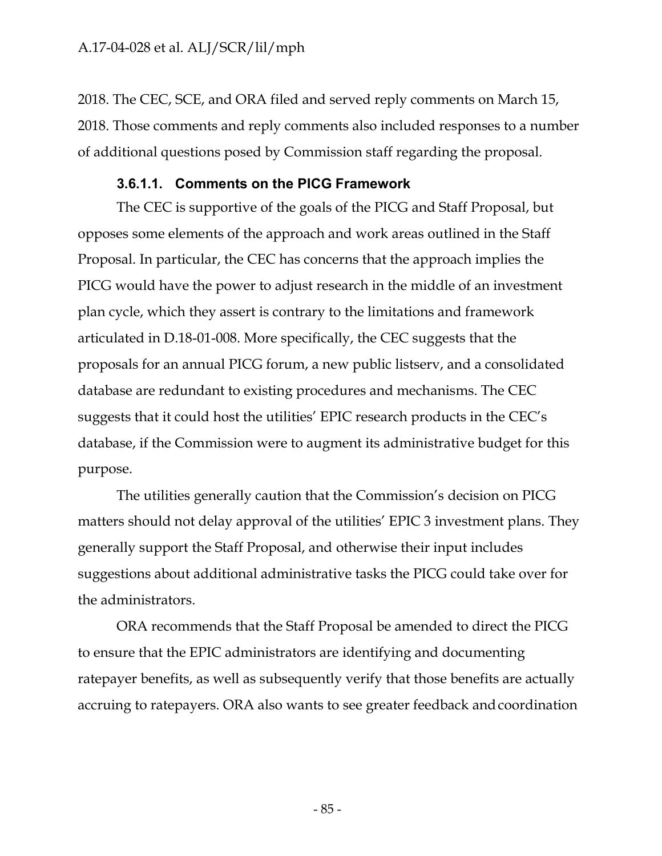2018. The CEC, SCE, and ORA filed and served reply comments on March 15, 2018. Those comments and reply comments also included responses to a number of additional questions posed by Commission staff regarding the proposal.

#### **3.6.1.1. Comments on the PICG Framework**

The CEC is supportive of the goals of the PICG and Staff Proposal, but opposes some elements of the approach and work areas outlined in the Staff Proposal. In particular, the CEC has concerns that the approach implies the PICG would have the power to adjust research in the middle of an investment plan cycle, which they assert is contrary to the limitations and framework articulated in D.18-01-008. More specifically, the CEC suggests that the proposals for an annual PICG forum, a new public listserv, and a consolidated database are redundant to existing procedures and mechanisms. The CEC suggests that it could host the utilities' EPIC research products in the CEC's database, if the Commission were to augment its administrative budget for this purpose.

The utilities generally caution that the Commission's decision on PICG matters should not delay approval of the utilities' EPIC 3 investment plans. They generally support the Staff Proposal, and otherwise their input includes suggestions about additional administrative tasks the PICG could take over for the administrators.

ORA recommends that the Staff Proposal be amended to direct the PICG to ensure that the EPIC administrators are identifying and documenting ratepayer benefits, as well as subsequently verify that those benefits are actually accruing to ratepayers. ORA also wants to see greater feedback and coordination

- 85 -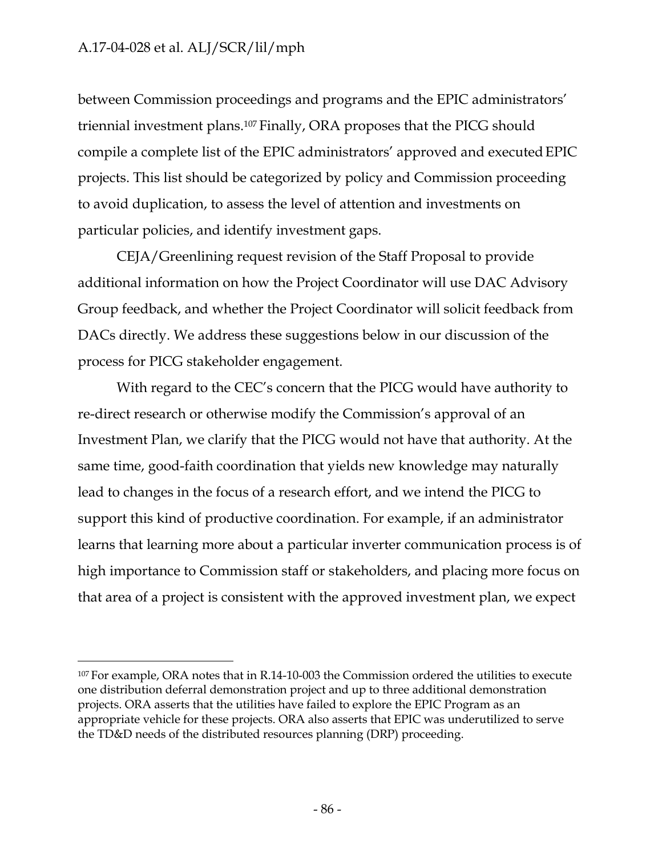between Commission proceedings and programs and the EPIC administrators' triennial investment plans.107 Finally, ORA proposes that the PICG should compile a complete list of the EPIC administrators' approved and executed EPIC projects. This list should be categorized by policy and Commission proceeding to avoid duplication, to assess the level of attention and investments on particular policies, and identify investment gaps.

CEJA/Greenlining request revision of the Staff Proposal to provide additional information on how the Project Coordinator will use DAC Advisory Group feedback, and whether the Project Coordinator will solicit feedback from DACs directly. We address these suggestions below in our discussion of the process for PICG stakeholder engagement.

With regard to the CEC's concern that the PICG would have authority to re-direct research or otherwise modify the Commission's approval of an Investment Plan, we clarify that the PICG would not have that authority. At the same time, good-faith coordination that yields new knowledge may naturally lead to changes in the focus of a research effort, and we intend the PICG to support this kind of productive coordination. For example, if an administrator learns that learning more about a particular inverter communication process is of high importance to Commission staff or stakeholders, and placing more focus on that area of a project is consistent with the approved investment plan, we expect

<sup>107</sup> For example, ORA notes that in R.14-10-003 the Commission ordered the utilities to execute one distribution deferral demonstration project and up to three additional demonstration projects. ORA asserts that the utilities have failed to explore the EPIC Program as an appropriate vehicle for these projects. ORA also asserts that EPIC was underutilized to serve the TD&D needs of the distributed resources planning (DRP) proceeding.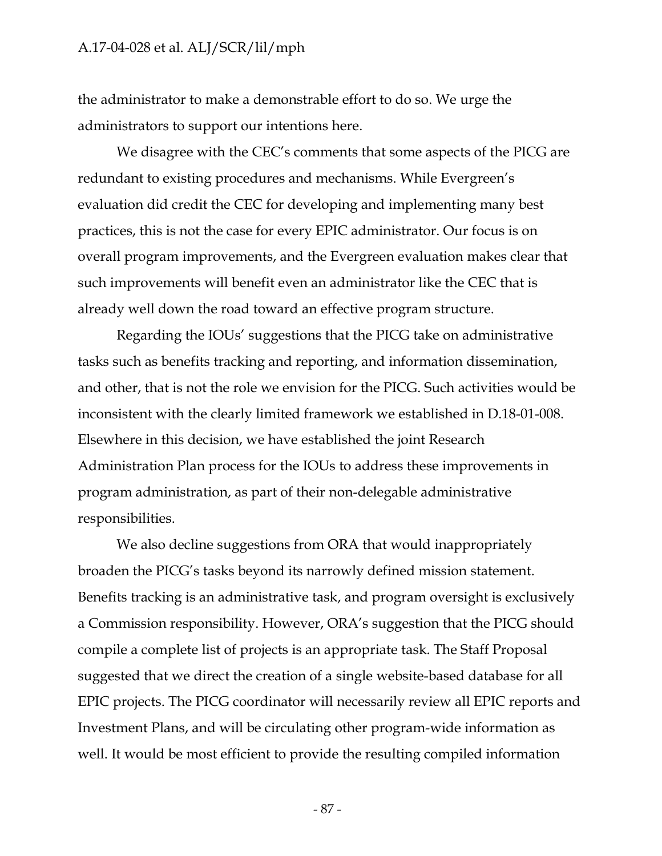the administrator to make a demonstrable effort to do so. We urge the administrators to support our intentions here.

We disagree with the CEC's comments that some aspects of the PICG are redundant to existing procedures and mechanisms. While Evergreen's evaluation did credit the CEC for developing and implementing many best practices, this is not the case for every EPIC administrator. Our focus is on overall program improvements, and the Evergreen evaluation makes clear that such improvements will benefit even an administrator like the CEC that is already well down the road toward an effective program structure.

Regarding the IOUs' suggestions that the PICG take on administrative tasks such as benefits tracking and reporting, and information dissemination, and other, that is not the role we envision for the PICG. Such activities would be inconsistent with the clearly limited framework we established in D.18-01-008. Elsewhere in this decision, we have established the joint Research Administration Plan process for the IOUs to address these improvements in program administration, as part of their non-delegable administrative responsibilities.

We also decline suggestions from ORA that would inappropriately broaden the PICG's tasks beyond its narrowly defined mission statement. Benefits tracking is an administrative task, and program oversight is exclusively a Commission responsibility. However, ORA's suggestion that the PICG should compile a complete list of projects is an appropriate task. The Staff Proposal suggested that we direct the creation of a single website-based database for all EPIC projects. The PICG coordinator will necessarily review all EPIC reports and Investment Plans, and will be circulating other program-wide information as well. It would be most efficient to provide the resulting compiled information

- 87 -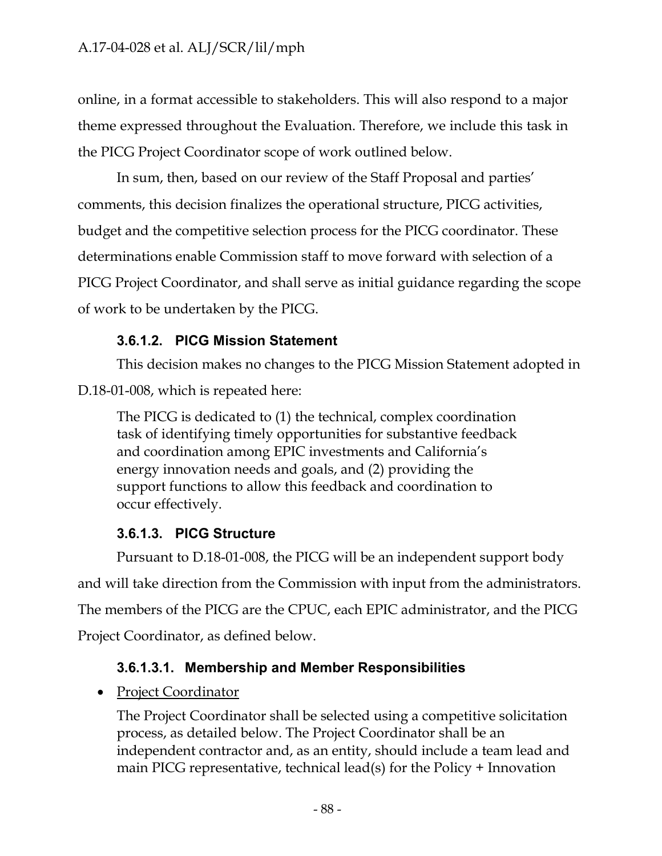online, in a format accessible to stakeholders. This will also respond to a major theme expressed throughout the Evaluation. Therefore, we include this task in the PICG Project Coordinator scope of work outlined below.

In sum, then, based on our review of the Staff Proposal and parties' comments, this decision finalizes the operational structure, PICG activities, budget and the competitive selection process for the PICG coordinator. These determinations enable Commission staff to move forward with selection of a PICG Project Coordinator, and shall serve as initial guidance regarding the scope of work to be undertaken by the PICG.

# **3.6.1.2. PICG Mission Statement**

This decision makes no changes to the PICG Mission Statement adopted in

D.18-01-008, which is repeated here:

The PICG is dedicated to (1) the technical, complex coordination task of identifying timely opportunities for substantive feedback and coordination among EPIC investments and California's energy innovation needs and goals, and (2) providing the support functions to allow this feedback and coordination to occur effectively.

# **3.6.1.3. PICG Structure**

Pursuant to D.18-01-008, the PICG will be an independent support body and will take direction from the Commission with input from the administrators. The members of the PICG are the CPUC, each EPIC administrator, and the PICG Project Coordinator, as defined below.

# **3.6.1.3.1. Membership and Member Responsibilities**

• Project Coordinator

The Project Coordinator shall be selected using a competitive solicitation process, as detailed below. The Project Coordinator shall be an independent contractor and, as an entity, should include a team lead and main PICG representative, technical lead(s) for the Policy + Innovation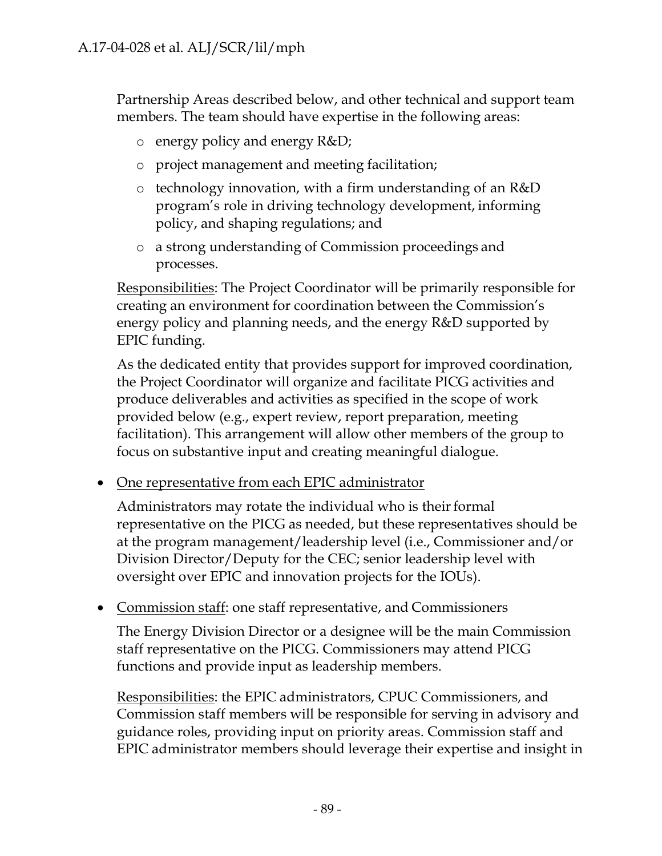Partnership Areas described below, and other technical and support team members. The team should have expertise in the following areas:

- o energy policy and energy R&D;
- o project management and meeting facilitation;
- o technology innovation, with a firm understanding of an R&D program's role in driving technology development, informing policy, and shaping regulations; and
- o a strong understanding of Commission proceedings and processes.

Responsibilities: The Project Coordinator will be primarily responsible for creating an environment for coordination between the Commission's energy policy and planning needs, and the energy R&D supported by EPIC funding.

As the dedicated entity that provides support for improved coordination, the Project Coordinator will organize and facilitate PICG activities and produce deliverables and activities as specified in the scope of work provided below (e.g., expert review, report preparation, meeting facilitation). This arrangement will allow other members of the group to focus on substantive input and creating meaningful dialogue.

• One representative from each EPIC administrator

Administrators may rotate the individual who is their formal representative on the PICG as needed, but these representatives should be at the program management/leadership level (i.e., Commissioner and/or Division Director/Deputy for the CEC; senior leadership level with oversight over EPIC and innovation projects for the IOUs).

• Commission staff: one staff representative, and Commissioners

The Energy Division Director or a designee will be the main Commission staff representative on the PICG. Commissioners may attend PICG functions and provide input as leadership members.

Responsibilities: the EPIC administrators, CPUC Commissioners, and Commission staff members will be responsible for serving in advisory and guidance roles, providing input on priority areas. Commission staff and EPIC administrator members should leverage their expertise and insight in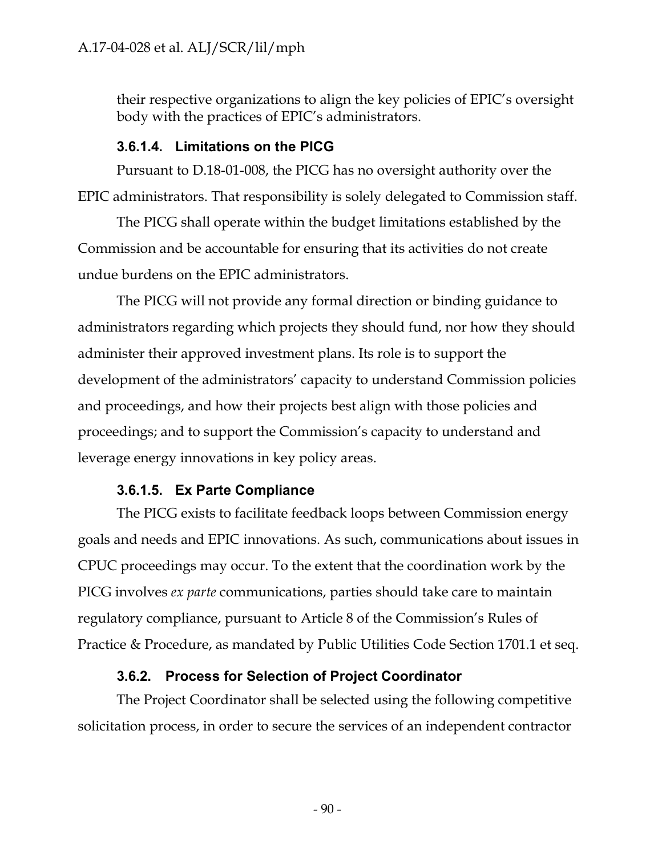their respective organizations to align the key policies of EPIC's oversight body with the practices of EPIC's administrators.

#### **3.6.1.4. Limitations on the PICG**

Pursuant to D.18-01-008, the PICG has no oversight authority over the EPIC administrators. That responsibility is solely delegated to Commission staff.

The PICG shall operate within the budget limitations established by the Commission and be accountable for ensuring that its activities do not create undue burdens on the EPIC administrators.

The PICG will not provide any formal direction or binding guidance to administrators regarding which projects they should fund, nor how they should administer their approved investment plans. Its role is to support the development of the administrators' capacity to understand Commission policies and proceedings, and how their projects best align with those policies and proceedings; and to support the Commission's capacity to understand and leverage energy innovations in key policy areas.

## **3.6.1.5. Ex Parte Compliance**

The PICG exists to facilitate feedback loops between Commission energy goals and needs and EPIC innovations. As such, communications about issues in CPUC proceedings may occur. To the extent that the coordination work by the PICG involves *ex parte* communications, parties should take care to maintain regulatory compliance, pursuant to Article 8 of the Commission's Rules of Practice & Procedure, as mandated by Public Utilities Code Section 1701.1 et seq.

## **3.6.2. Process for Selection of Project Coordinator**

The Project Coordinator shall be selected using the following competitive solicitation process, in order to secure the services of an independent contractor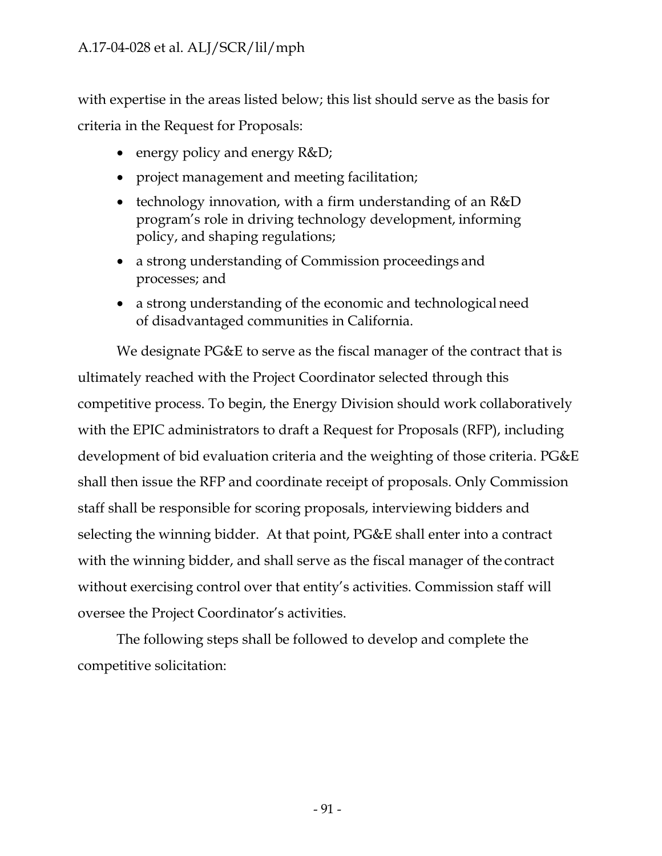with expertise in the areas listed below; this list should serve as the basis for criteria in the Request for Proposals:

- energy policy and energy R&D;
- project management and meeting facilitation;
- technology innovation, with a firm understanding of an R&D program's role in driving technology development, informing policy, and shaping regulations;
- a strong understanding of Commission proceedings and processes; and
- a strong understanding of the economic and technological need of disadvantaged communities in California.

We designate PG&E to serve as the fiscal manager of the contract that is ultimately reached with the Project Coordinator selected through this competitive process. To begin, the Energy Division should work collaboratively with the EPIC administrators to draft a Request for Proposals (RFP), including development of bid evaluation criteria and the weighting of those criteria. PG&E shall then issue the RFP and coordinate receipt of proposals. Only Commission staff shall be responsible for scoring proposals, interviewing bidders and selecting the winning bidder. At that point, PG&E shall enter into a contract with the winning bidder, and shall serve as the fiscal manager of the contract without exercising control over that entity's activities. Commission staff will oversee the Project Coordinator's activities.

The following steps shall be followed to develop and complete the competitive solicitation: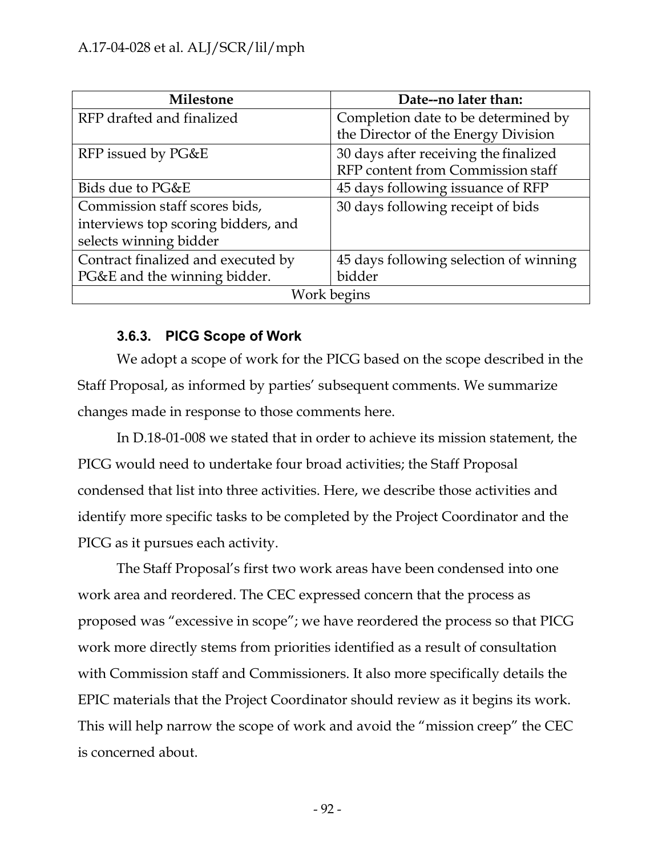| <b>Milestone</b>                    | Date--no later than:                   |
|-------------------------------------|----------------------------------------|
| RFP drafted and finalized           | Completion date to be determined by    |
|                                     | the Director of the Energy Division    |
| RFP issued by PG&E                  | 30 days after receiving the finalized  |
|                                     | RFP content from Commission staff      |
| Bids due to PG&E                    | 45 days following issuance of RFP      |
| Commission staff scores bids,       | 30 days following receipt of bids      |
| interviews top scoring bidders, and |                                        |
| selects winning bidder              |                                        |
| Contract finalized and executed by  | 45 days following selection of winning |
| PG&E and the winning bidder.        | bidder                                 |
| Work begins                         |                                        |

# **3.6.3. PICG Scope of Work**

We adopt a scope of work for the PICG based on the scope described in the Staff Proposal, as informed by parties' subsequent comments. We summarize changes made in response to those comments here.

In D.18-01-008 we stated that in order to achieve its mission statement, the PICG would need to undertake four broad activities; the Staff Proposal condensed that list into three activities. Here, we describe those activities and identify more specific tasks to be completed by the Project Coordinator and the PICG as it pursues each activity.

The Staff Proposal's first two work areas have been condensed into one work area and reordered. The CEC expressed concern that the process as proposed was "excessive in scope"; we have reordered the process so that PICG work more directly stems from priorities identified as a result of consultation with Commission staff and Commissioners. It also more specifically details the EPIC materials that the Project Coordinator should review as it begins its work. This will help narrow the scope of work and avoid the "mission creep" the CEC is concerned about.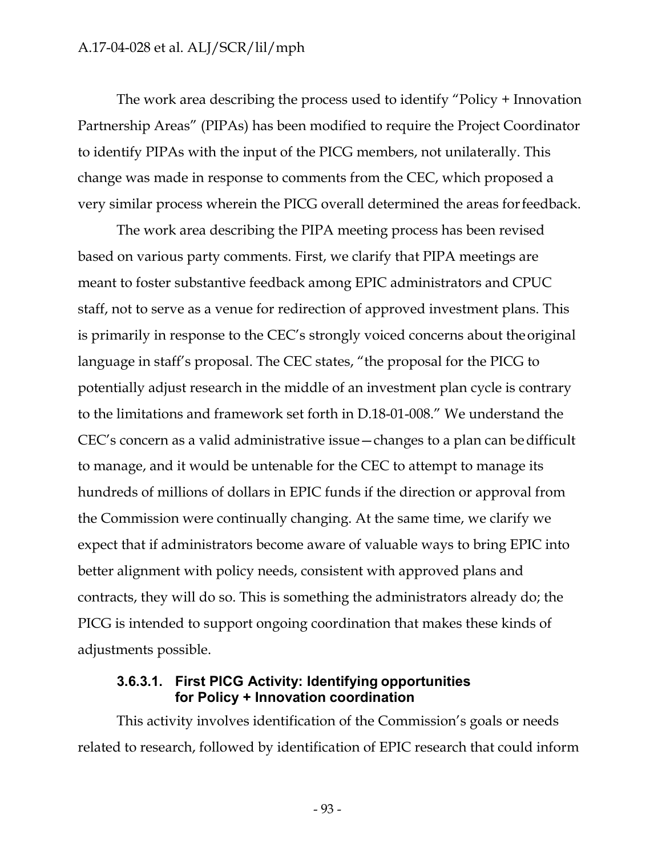The work area describing the process used to identify "Policy + Innovation Partnership Areas" (PIPAs) has been modified to require the Project Coordinator to identify PIPAs with the input of the PICG members, not unilaterally. This change was made in response to comments from the CEC, which proposed a very similar process wherein the PICG overall determined the areas for feedback.

The work area describing the PIPA meeting process has been revised based on various party comments. First, we clarify that PIPA meetings are meant to foster substantive feedback among EPIC administrators and CPUC staff, not to serve as a venue for redirection of approved investment plans. This is primarily in response to the CEC's strongly voiced concerns about theoriginal language in staff's proposal. The CEC states, "the proposal for the PICG to potentially adjust research in the middle of an investment plan cycle is contrary to the limitations and framework set forth in D.18-01-008." We understand the CEC's concern as a valid administrative issue—changes to a plan can bedifficult to manage, and it would be untenable for the CEC to attempt to manage its hundreds of millions of dollars in EPIC funds if the direction or approval from the Commission were continually changing. At the same time, we clarify we expect that if administrators become aware of valuable ways to bring EPIC into better alignment with policy needs, consistent with approved plans and contracts, they will do so. This is something the administrators already do; the PICG is intended to support ongoing coordination that makes these kinds of adjustments possible.

#### **3.6.3.1. First PICG Activity: Identifying opportunities for Policy + Innovation coordination**

This activity involves identification of the Commission's goals or needs related to research, followed by identification of EPIC research that could inform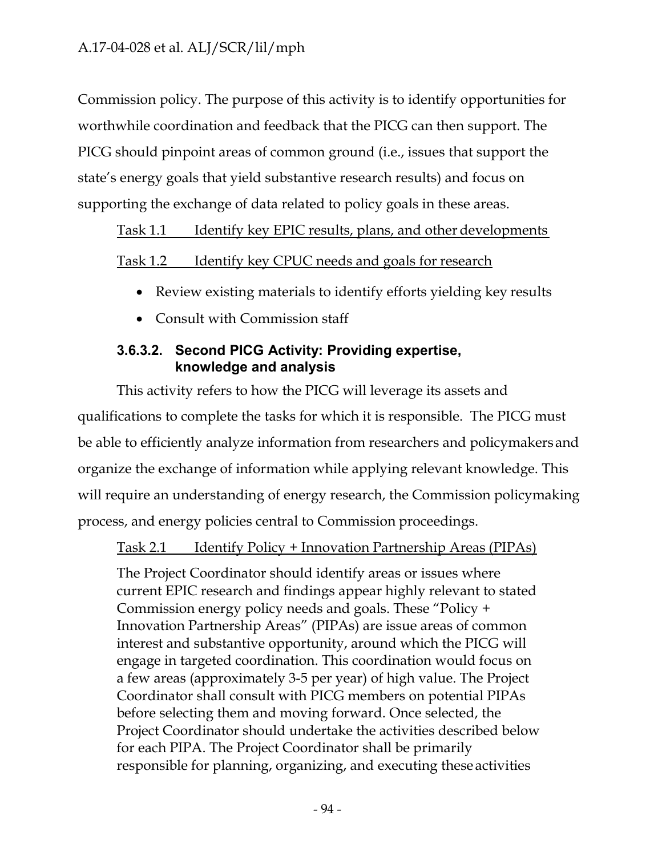Commission policy. The purpose of this activity is to identify opportunities for worthwhile coordination and feedback that the PICG can then support. The PICG should pinpoint areas of common ground (i.e., issues that support the state's energy goals that yield substantive research results) and focus on supporting the exchange of data related to policy goals in these areas.

## Task 1.1 Identify key EPIC results, plans, and other developments

## Task 1.2 Identify key CPUC needs and goals for research

- Review existing materials to identify efforts yielding key results
- Consult with Commission staff

## **3.6.3.2. Second PICG Activity: Providing expertise, knowledge and analysis**

This activity refers to how the PICG will leverage its assets and qualifications to complete the tasks for which it is responsible. The PICG must be able to efficiently analyze information from researchers and policymakers and organize the exchange of information while applying relevant knowledge. This will require an understanding of energy research, the Commission policymaking process, and energy policies central to Commission proceedings.

## Task 2.1 Identify Policy + Innovation Partnership Areas (PIPAs)

The Project Coordinator should identify areas or issues where current EPIC research and findings appear highly relevant to stated Commission energy policy needs and goals. These "Policy + Innovation Partnership Areas" (PIPAs) are issue areas of common interest and substantive opportunity, around which the PICG will engage in targeted coordination. This coordination would focus on a few areas (approximately 3-5 per year) of high value. The Project Coordinator shall consult with PICG members on potential PIPAs before selecting them and moving forward. Once selected, the Project Coordinator should undertake the activities described below for each PIPA. The Project Coordinator shall be primarily responsible for planning, organizing, and executing these activities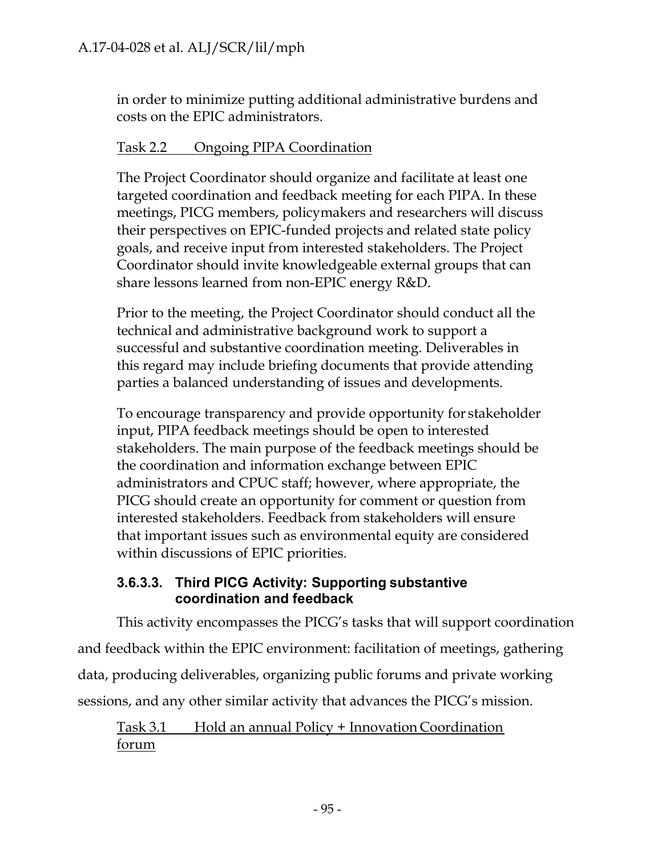in order to minimize putting additional administrative burdens and costs on the EPIC administrators.

# Task 2.2 Ongoing PIPA Coordination

The Project Coordinator should organize and facilitate at least one targeted coordination and feedback meeting for each PIPA. In these meetings, PICG members, policymakers and researchers will discuss their perspectives on EPIC-funded projects and related state policy goals, and receive input from interested stakeholders. The Project Coordinator should invite knowledgeable external groups that can share lessons learned from non-EPIC energy R&D.

Prior to the meeting, the Project Coordinator should conduct all the technical and administrative background work to support a successful and substantive coordination meeting. Deliverables in this regard may include briefing documents that provide attending parties a balanced understanding of issues and developments.

To encourage transparency and provide opportunity for stakeholder input, PIPA feedback meetings should be open to interested stakeholders. The main purpose of the feedback meetings should be the coordination and information exchange between EPIC administrators and CPUC staff; however, where appropriate, the PICG should create an opportunity for comment or question from interested stakeholders. Feedback from stakeholders will ensure that important issues such as environmental equity are considered within discussions of EPIC priorities.

## **3.6.3.3. Third PICG Activity: Supporting substantive coordination and feedback**

This activity encompasses the PICG's tasks that will support coordination and feedback within the EPIC environment: facilitation of meetings, gathering data, producing deliverables, organizing public forums and private working sessions, and any other similar activity that advances the PICG's mission.

# Task 3.1 Hold an annual Policy + Innovation Coordination forum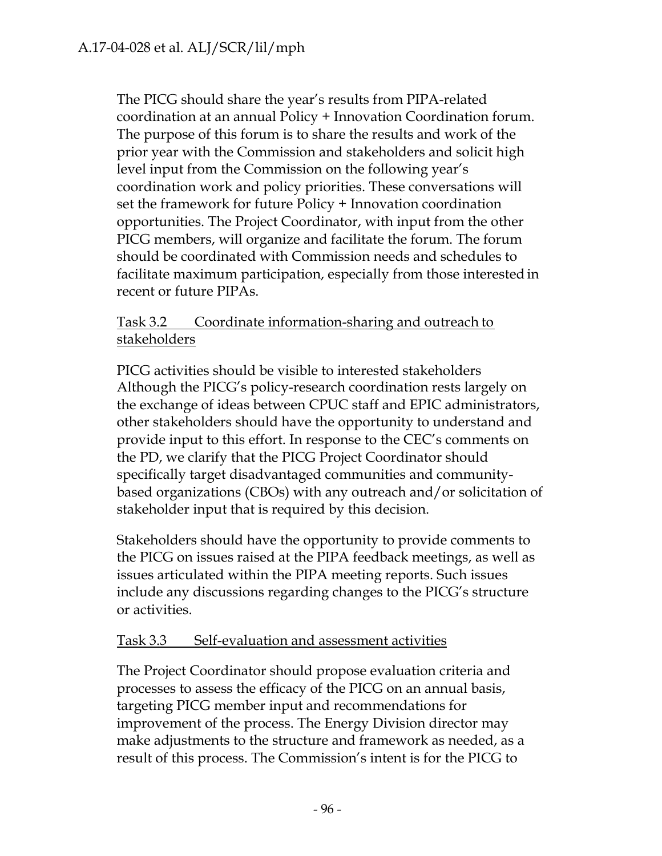The PICG should share the year's results from PIPA-related coordination at an annual Policy + Innovation Coordination forum. The purpose of this forum is to share the results and work of the prior year with the Commission and stakeholders and solicit high level input from the Commission on the following year's coordination work and policy priorities. These conversations will set the framework for future Policy + Innovation coordination opportunities. The Project Coordinator, with input from the other PICG members, will organize and facilitate the forum. The forum should be coordinated with Commission needs and schedules to facilitate maximum participation, especially from those interested in recent or future PIPAs.

## Task 3.2 Coordinate information-sharing and outreach to stakeholders

PICG activities should be visible to interested stakeholders Although the PICG's policy-research coordination rests largely on the exchange of ideas between CPUC staff and EPIC administrators, other stakeholders should have the opportunity to understand and provide input to this effort. In response to the CEC's comments on the PD, we clarify that the PICG Project Coordinator should specifically target disadvantaged communities and communitybased organizations (CBOs) with any outreach and/or solicitation of stakeholder input that is required by this decision.

Stakeholders should have the opportunity to provide comments to the PICG on issues raised at the PIPA feedback meetings, as well as issues articulated within the PIPA meeting reports. Such issues include any discussions regarding changes to the PICG's structure or activities.

# Task 3.3 Self-evaluation and assessment activities

The Project Coordinator should propose evaluation criteria and processes to assess the efficacy of the PICG on an annual basis, targeting PICG member input and recommendations for improvement of the process. The Energy Division director may make adjustments to the structure and framework as needed, as a result of this process. The Commission's intent is for the PICG to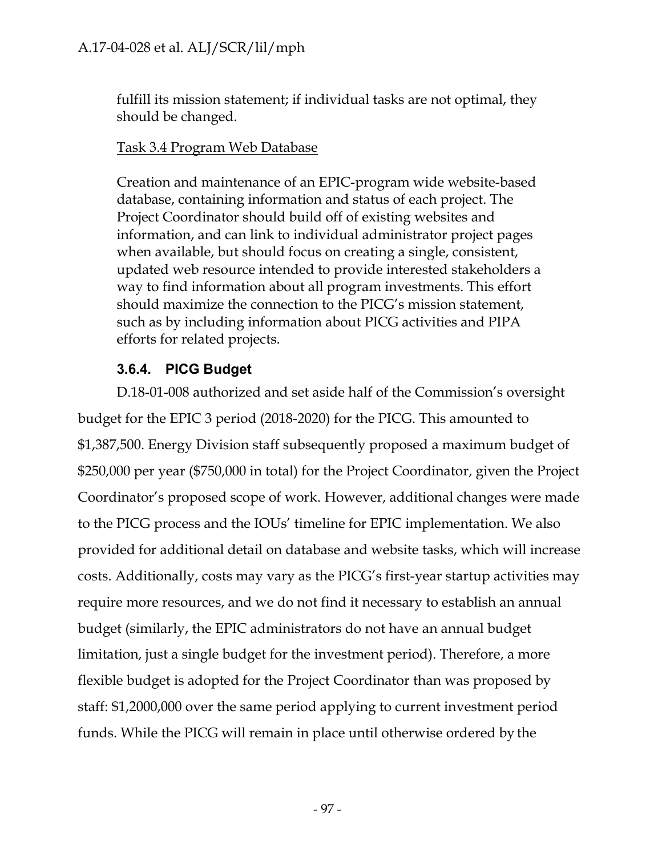fulfill its mission statement; if individual tasks are not optimal, they should be changed.

## Task 3.4 Program Web Database

Creation and maintenance of an EPIC-program wide website-based database, containing information and status of each project. The Project Coordinator should build off of existing websites and information, and can link to individual administrator project pages when available, but should focus on creating a single, consistent, updated web resource intended to provide interested stakeholders a way to find information about all program investments. This effort should maximize the connection to the PICG's mission statement, such as by including information about PICG activities and PIPA efforts for related projects.

# **3.6.4. PICG Budget**

D.18-01-008 authorized and set aside half of the Commission's oversight budget for the EPIC 3 period (2018-2020) for the PICG. This amounted to \$1,387,500. Energy Division staff subsequently proposed a maximum budget of \$250,000 per year (\$750,000 in total) for the Project Coordinator, given the Project Coordinator's proposed scope of work. However, additional changes were made to the PICG process and the IOUs' timeline for EPIC implementation. We also provided for additional detail on database and website tasks, which will increase costs. Additionally, costs may vary as the PICG's first-year startup activities may require more resources, and we do not find it necessary to establish an annual budget (similarly, the EPIC administrators do not have an annual budget limitation, just a single budget for the investment period). Therefore, a more flexible budget is adopted for the Project Coordinator than was proposed by staff: \$1,2000,000 over the same period applying to current investment period funds. While the PICG will remain in place until otherwise ordered by the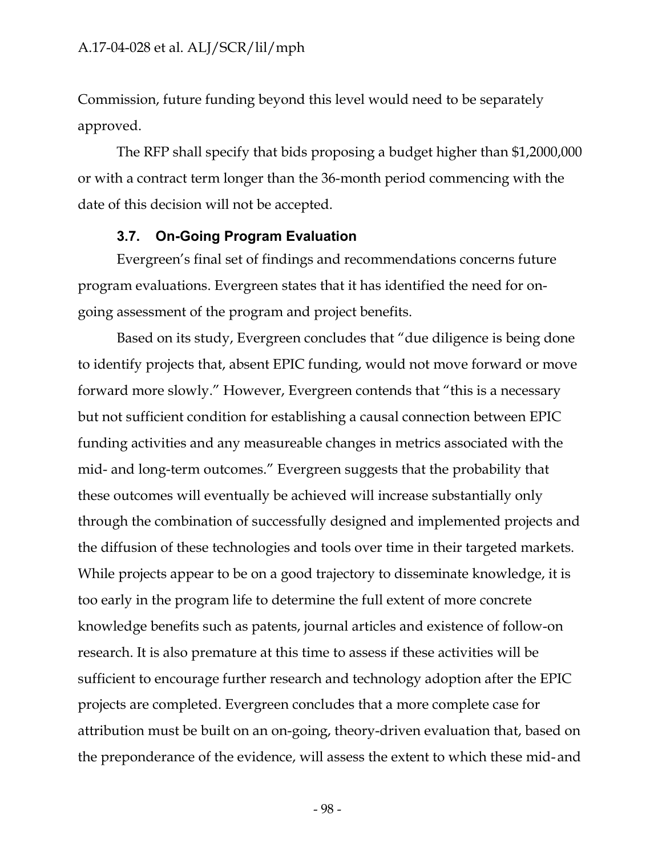Commission, future funding beyond this level would need to be separately approved.

The RFP shall specify that bids proposing a budget higher than \$1,2000,000 or with a contract term longer than the 36-month period commencing with the date of this decision will not be accepted.

#### **3.7. On-Going Program Evaluation**

Evergreen's final set of findings and recommendations concerns future program evaluations. Evergreen states that it has identified the need for ongoing assessment of the program and project benefits.

Based on its study, Evergreen concludes that "due diligence is being done to identify projects that, absent EPIC funding, would not move forward or move forward more slowly." However, Evergreen contends that "this is a necessary but not sufficient condition for establishing a causal connection between EPIC funding activities and any measureable changes in metrics associated with the mid- and long-term outcomes." Evergreen suggests that the probability that these outcomes will eventually be achieved will increase substantially only through the combination of successfully designed and implemented projects and the diffusion of these technologies and tools over time in their targeted markets. While projects appear to be on a good trajectory to disseminate knowledge, it is too early in the program life to determine the full extent of more concrete knowledge benefits such as patents, journal articles and existence of follow-on research. It is also premature at this time to assess if these activities will be sufficient to encourage further research and technology adoption after the EPIC projects are completed. Evergreen concludes that a more complete case for attribution must be built on an on-going, theory-driven evaluation that, based on the preponderance of the evidence, will assess the extent to which these mid- and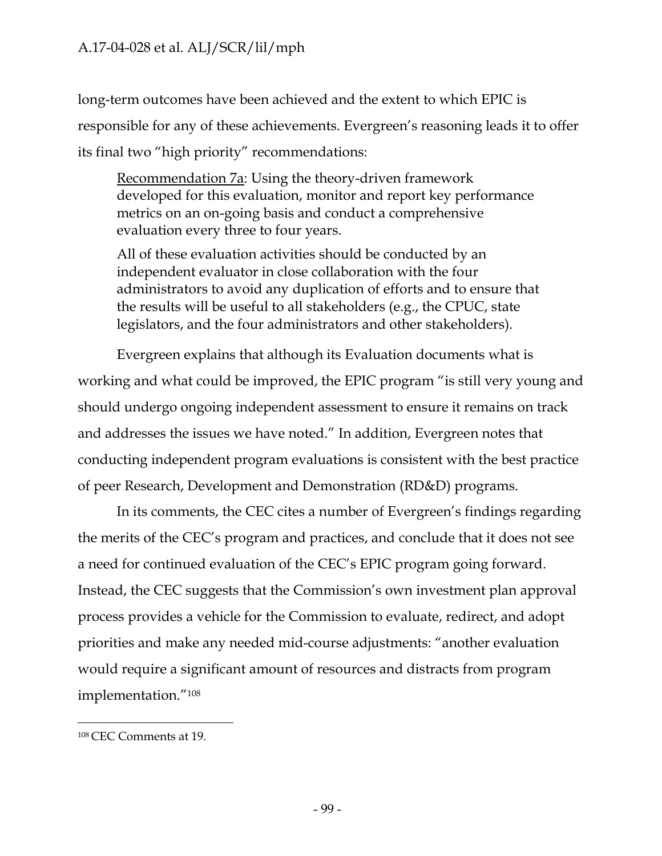long-term outcomes have been achieved and the extent to which EPIC is responsible for any of these achievements. Evergreen's reasoning leads it to offer its final two "high priority" recommendations:

Recommendation 7a: Using the theory-driven framework developed for this evaluation, monitor and report key performance metrics on an on-going basis and conduct a comprehensive evaluation every three to four years.

All of these evaluation activities should be conducted by an independent evaluator in close collaboration with the four administrators to avoid any duplication of efforts and to ensure that the results will be useful to all stakeholders (e.g., the CPUC, state legislators, and the four administrators and other stakeholders).

Evergreen explains that although its Evaluation documents what is working and what could be improved, the EPIC program "is still very young and should undergo ongoing independent assessment to ensure it remains on track and addresses the issues we have noted." In addition, Evergreen notes that conducting independent program evaluations is consistent with the best practice of peer Research, Development and Demonstration (RD&D) programs.

In its comments, the CEC cites a number of Evergreen's findings regarding the merits of the CEC's program and practices, and conclude that it does not see a need for continued evaluation of the CEC's EPIC program going forward. Instead, the CEC suggests that the Commission's own investment plan approval process provides a vehicle for the Commission to evaluate, redirect, and adopt priorities and make any needed mid-course adjustments: "another evaluation would require a significant amount of resources and distracts from program implementation."108

<sup>108</sup> CEC Comments at 19.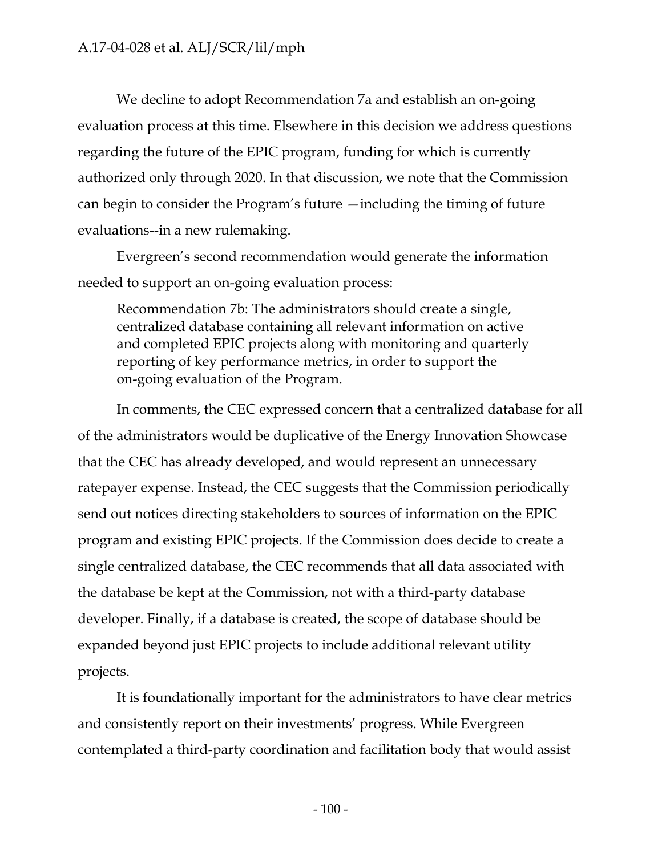We decline to adopt Recommendation 7a and establish an on-going evaluation process at this time. Elsewhere in this decision we address questions regarding the future of the EPIC program, funding for which is currently authorized only through 2020. In that discussion, we note that the Commission can begin to consider the Program's future —including the timing of future evaluations--in a new rulemaking.

Evergreen's second recommendation would generate the information needed to support an on-going evaluation process:

Recommendation 7b: The administrators should create a single, centralized database containing all relevant information on active and completed EPIC projects along with monitoring and quarterly reporting of key performance metrics, in order to support the on-going evaluation of the Program.

In comments, the CEC expressed concern that a centralized database for all of the administrators would be duplicative of the Energy Innovation Showcase that the CEC has already developed, and would represent an unnecessary ratepayer expense. Instead, the CEC suggests that the Commission periodically send out notices directing stakeholders to sources of information on the EPIC program and existing EPIC projects. If the Commission does decide to create a single centralized database, the CEC recommends that all data associated with the database be kept at the Commission, not with a third-party database developer. Finally, if a database is created, the scope of database should be expanded beyond just EPIC projects to include additional relevant utility projects.

It is foundationally important for the administrators to have clear metrics and consistently report on their investments' progress. While Evergreen contemplated a third-party coordination and facilitation body that would assist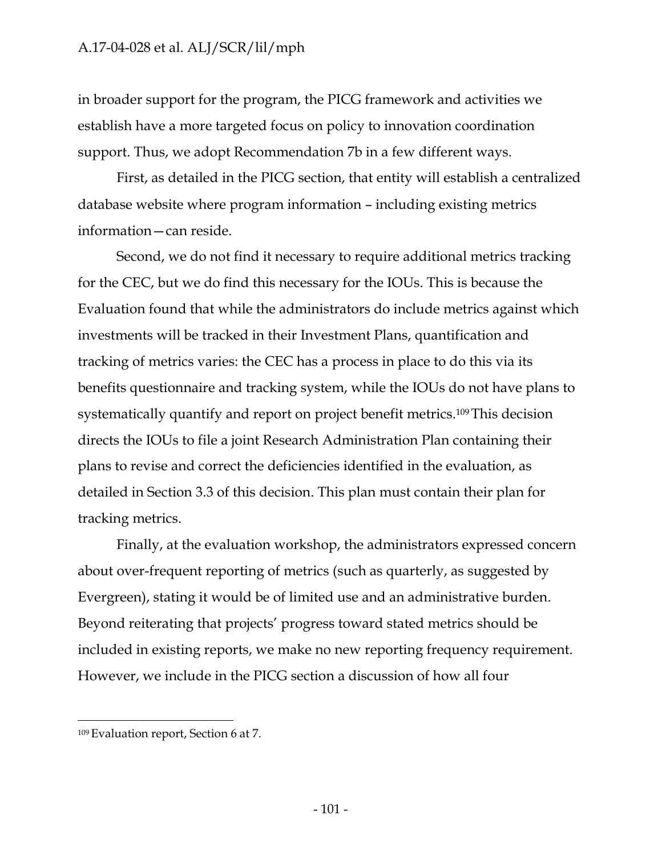in broader support for the program, the PICG framework and activities we establish have a more targeted focus on policy to innovation coordination support. Thus, we adopt Recommendation 7b in a few different ways.

First, as detailed in the PICG section, that entity will establish a centralized database website where program information – including existing metrics information—can reside.

Second, we do not find it necessary to require additional metrics tracking for the CEC, but we do find this necessary for the IOUs. This is because the Evaluation found that while the administrators do include metrics against which investments will be tracked in their Investment Plans, quantification and tracking of metrics varies: the CEC has a process in place to do this via its benefits questionnaire and tracking system, while the IOUs do not have plans to systematically quantify and report on project benefit metrics.109 This decision directs the IOUs to file a joint Research Administration Plan containing their plans to revise and correct the deficiencies identified in the evaluation, as detailed in Section 3.3 of this decision. This plan must contain their plan for tracking metrics.

Finally, at the evaluation workshop, the administrators expressed concern about over-frequent reporting of metrics (such as quarterly, as suggested by Evergreen), stating it would be of limited use and an administrative burden. Beyond reiterating that projects' progress toward stated metrics should be included in existing reports, we make no new reporting frequency requirement. However, we include in the PICG section a discussion of how all four

<sup>109</sup> Evaluation report, Section 6 at 7.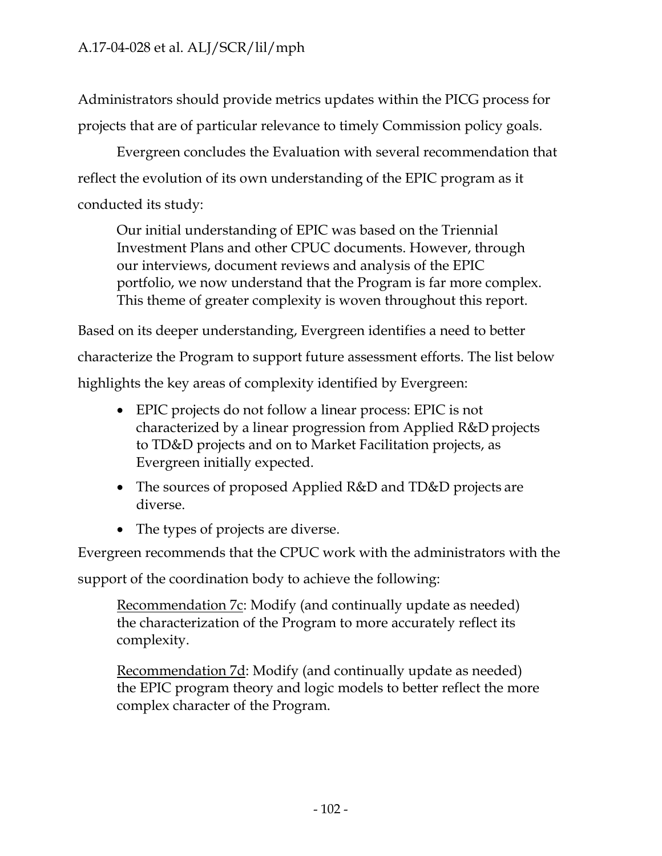Administrators should provide metrics updates within the PICG process for projects that are of particular relevance to timely Commission policy goals.

Evergreen concludes the Evaluation with several recommendation that reflect the evolution of its own understanding of the EPIC program as it conducted its study:

Our initial understanding of EPIC was based on the Triennial Investment Plans and other CPUC documents. However, through our interviews, document reviews and analysis of the EPIC portfolio, we now understand that the Program is far more complex. This theme of greater complexity is woven throughout this report.

Based on its deeper understanding, Evergreen identifies a need to better characterize the Program to support future assessment efforts. The list below highlights the key areas of complexity identified by Evergreen:

- EPIC projects do not follow a linear process: EPIC is not characterized by a linear progression from Applied R&D projects to TD&D projects and on to Market Facilitation projects, as Evergreen initially expected.
- The sources of proposed Applied R&D and TD&D projects are diverse.
- The types of projects are diverse.

Evergreen recommends that the CPUC work with the administrators with the

support of the coordination body to achieve the following:

Recommendation 7c: Modify (and continually update as needed) the characterization of the Program to more accurately reflect its complexity.

Recommendation 7d: Modify (and continually update as needed) the EPIC program theory and logic models to better reflect the more complex character of the Program.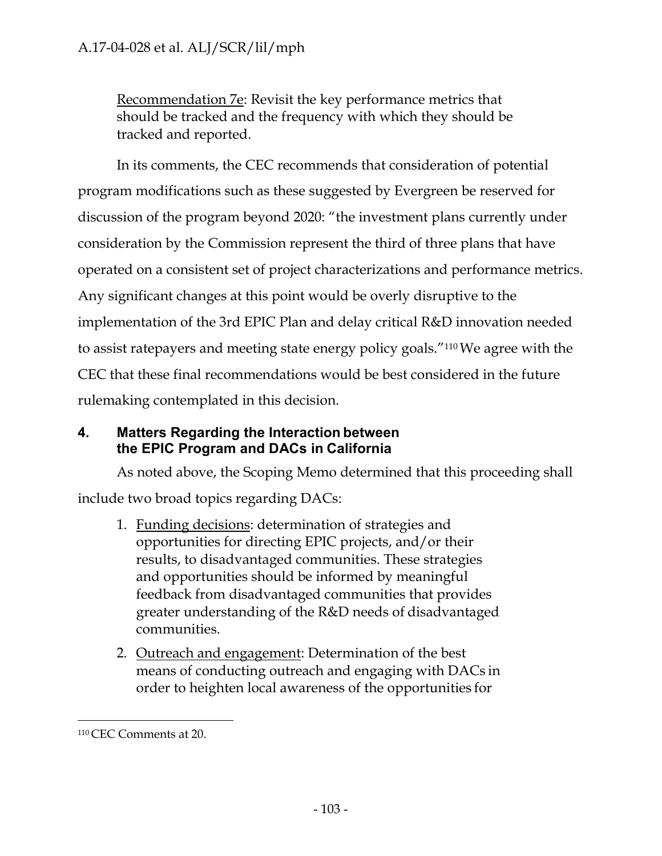Recommendation 7e: Revisit the key performance metrics that should be tracked and the frequency with which they should be tracked and reported.

In its comments, the CEC recommends that consideration of potential program modifications such as these suggested by Evergreen be reserved for discussion of the program beyond 2020: "the investment plans currently under consideration by the Commission represent the third of three plans that have operated on a consistent set of project characterizations and performance metrics. Any significant changes at this point would be overly disruptive to the implementation of the 3rd EPIC Plan and delay critical R&D innovation needed to assist ratepayers and meeting state energy policy goals."110 We agree with the CEC that these final recommendations would be best considered in the future rulemaking contemplated in this decision.

## **4. Matters Regarding the Interaction between the EPIC Program and DACs in California**

As noted above, the Scoping Memo determined that this proceeding shall include two broad topics regarding DACs:

- 1. Funding decisions: determination of strategies and opportunities for directing EPIC projects, and/or their results, to disadvantaged communities. These strategies and opportunities should be informed by meaningful feedback from disadvantaged communities that provides greater understanding of the R&D needs of disadvantaged communities.
- 2. Outreach and engagement: Determination of the best means of conducting outreach and engaging with DACs in order to heighten local awareness of the opportunities for

<sup>110</sup> CEC Comments at 20.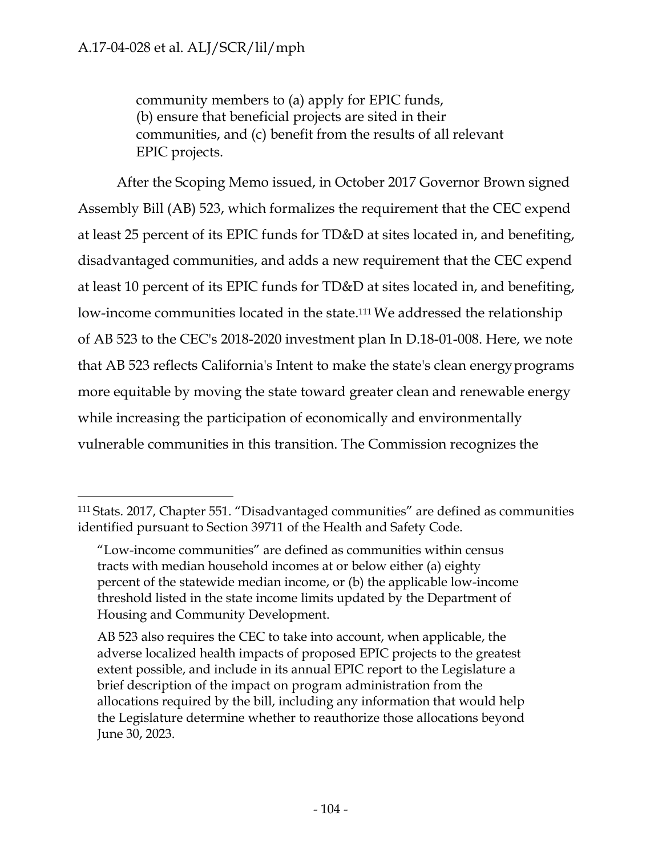community members to (a) apply for EPIC funds, (b) ensure that beneficial projects are sited in their communities, and (c) benefit from the results of all relevant EPIC projects.

After the Scoping Memo issued, in October 2017 Governor Brown signed Assembly Bill (AB) 523, which formalizes the requirement that the CEC expend at least 25 percent of its EPIC funds for TD&D at sites located in, and benefiting, disadvantaged communities, and adds a new requirement that the CEC expend at least 10 percent of its EPIC funds for TD&D at sites located in, and benefiting, low-income communities located in the state.111 We addressed the relationship of AB 523 to the CEC's 2018-2020 investment plan In D.18-01-008. Here, we note that AB 523 reflects California's Intent to make the state's clean energy programs more equitable by moving the state toward greater clean and renewable energy while increasing the participation of economically and environmentally vulnerable communities in this transition. The Commission recognizes the

<sup>111</sup> Stats. 2017, Chapter 551. "Disadvantaged communities" are defined as communities identified pursuant to Section 39711 of the Health and Safety Code.

<sup>&</sup>quot;Low-income communities" are defined as communities within census tracts with median household incomes at or below either (a) eighty percent of the statewide median income, or (b) the applicable low-income threshold listed in the state income limits updated by the Department of Housing and Community Development.

AB 523 also requires the CEC to take into account, when applicable, the adverse localized health impacts of proposed EPIC projects to the greatest extent possible, and include in its annual EPIC report to the Legislature a brief description of the impact on program administration from the allocations required by the bill, including any information that would help the Legislature determine whether to reauthorize those allocations beyond June 30, 2023.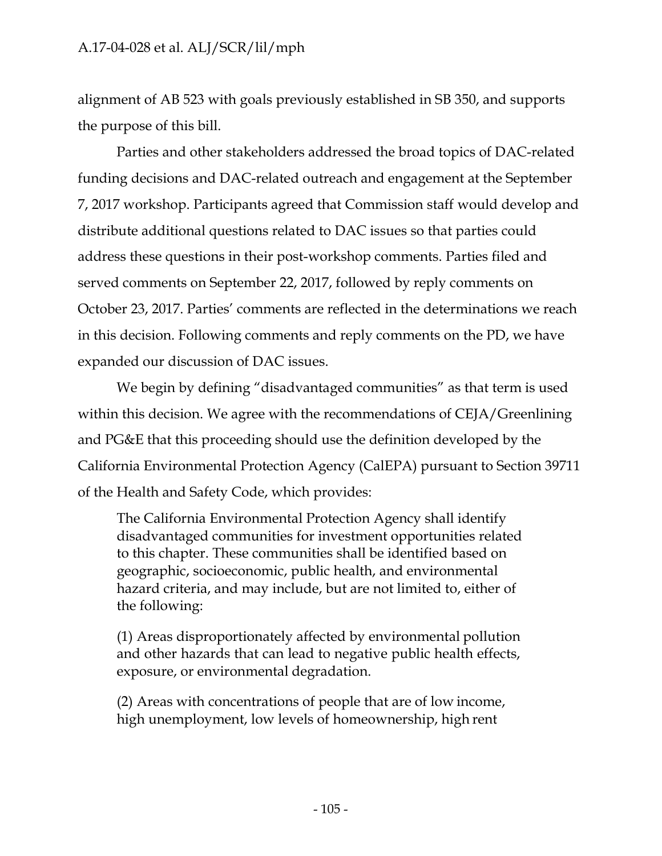alignment of AB 523 with goals previously established in SB 350, and supports the purpose of this bill.

Parties and other stakeholders addressed the broad topics of DAC-related funding decisions and DAC-related outreach and engagement at the September 7, 2017 workshop. Participants agreed that Commission staff would develop and distribute additional questions related to DAC issues so that parties could address these questions in their post-workshop comments. Parties filed and served comments on September 22, 2017, followed by reply comments on October 23, 2017. Parties' comments are reflected in the determinations we reach in this decision. Following comments and reply comments on the PD, we have expanded our discussion of DAC issues.

We begin by defining "disadvantaged communities" as that term is used within this decision. We agree with the recommendations of CEJA/Greenlining and PG&E that this proceeding should use the definition developed by the California Environmental Protection Agency (CalEPA) pursuant to Section 39711 of the Health and Safety Code, which provides:

The California Environmental Protection Agency shall identify disadvantaged communities for investment opportunities related to this chapter. These communities shall be identified based on geographic, socioeconomic, public health, and environmental hazard criteria, and may include, but are not limited to, either of the following:

(1) Areas disproportionately affected by environmental pollution and other hazards that can lead to negative public health effects, exposure, or environmental degradation.

(2) Areas with concentrations of people that are of low income, high unemployment, low levels of homeownership, high rent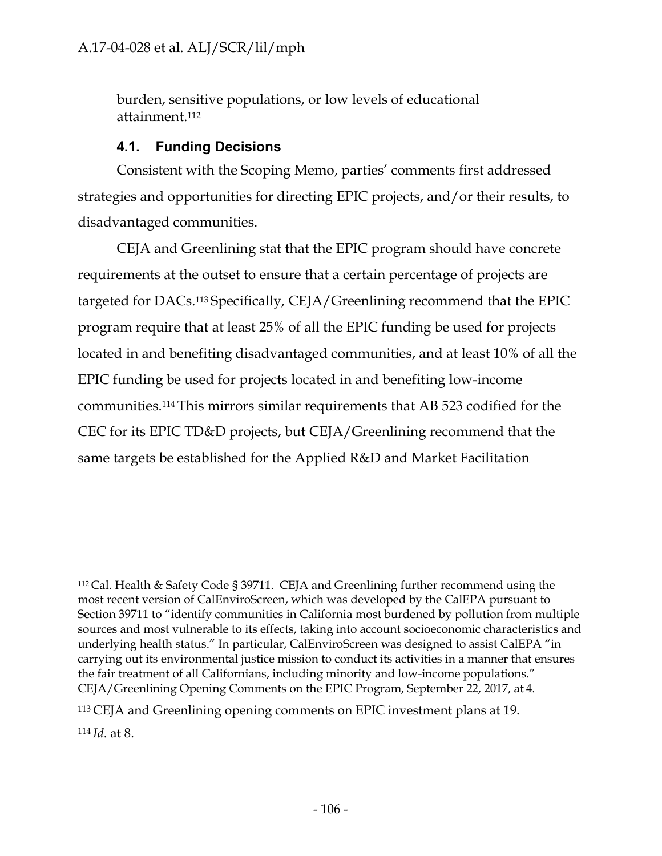burden, sensitive populations, or low levels of educational attainment.112

## **4.1. Funding Decisions**

Consistent with the Scoping Memo, parties' comments first addressed strategies and opportunities for directing EPIC projects, and/or their results, to disadvantaged communities.

CEJA and Greenlining stat that the EPIC program should have concrete requirements at the outset to ensure that a certain percentage of projects are targeted for DACs.113 Specifically, CEJA/Greenlining recommend that the EPIC program require that at least 25% of all the EPIC funding be used for projects located in and benefiting disadvantaged communities, and at least 10% of all the EPIC funding be used for projects located in and benefiting low-income communities.114 This mirrors similar requirements that AB 523 codified for the CEC for its EPIC TD&D projects, but CEJA/Greenlining recommend that the same targets be established for the Applied R&D and Market Facilitation

<sup>112</sup> Cal. Health & Safety Code § 39711. CEJA and Greenlining further recommend using the most recent version of CalEnviroScreen, which was developed by the CalEPA pursuant to Section 39711 to "identify communities in California most burdened by pollution from multiple sources and most vulnerable to its effects, taking into account socioeconomic characteristics and underlying health status." In particular, CalEnviroScreen was designed to assist CalEPA "in carrying out its environmental justice mission to conduct its activities in a manner that ensures the fair treatment of all Californians, including minority and low-income populations." CEJA/Greenlining Opening Comments on the EPIC Program, September 22, 2017, at 4.

<sup>113</sup> CEJA and Greenlining opening comments on EPIC investment plans at 19.

<sup>114</sup> *Id.* at 8.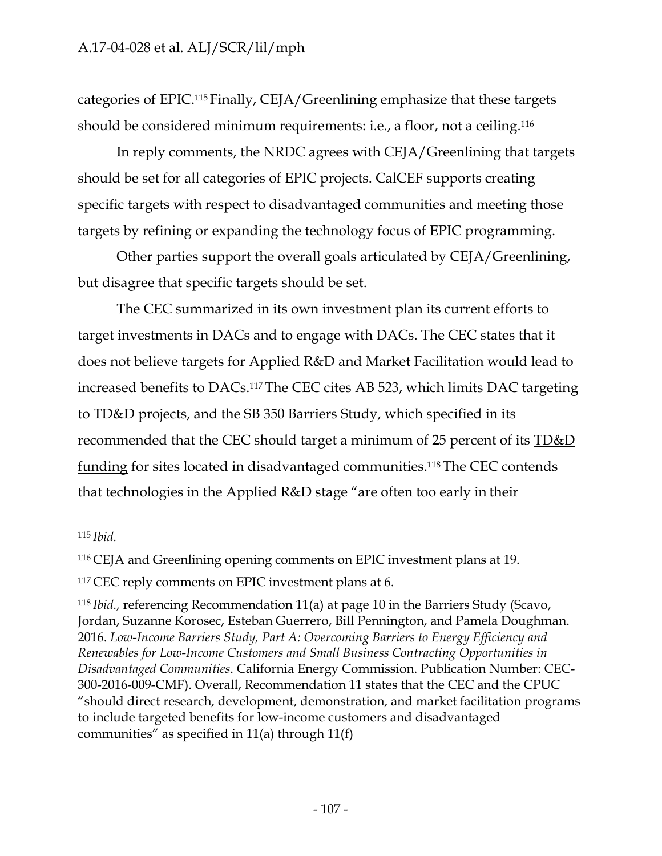categories of EPIC.115 Finally, CEJA/Greenlining emphasize that these targets should be considered minimum requirements: i.e., a floor, not a ceiling.116

In reply comments, the NRDC agrees with CEJA/Greenlining that targets should be set for all categories of EPIC projects. CalCEF supports creating specific targets with respect to disadvantaged communities and meeting those targets by refining or expanding the technology focus of EPIC programming.

Other parties support the overall goals articulated by CEJA/Greenlining, but disagree that specific targets should be set.

The CEC summarized in its own investment plan its current efforts to target investments in DACs and to engage with DACs. The CEC states that it does not believe targets for Applied R&D and Market Facilitation would lead to increased benefits to DACs.117 The CEC cites AB 523, which limits DAC targeting to TD&D projects, and the SB 350 Barriers Study, which specified in its recommended that the CEC should target a minimum of 25 percent of its TD&D funding for sites located in disadvantaged communities.118 The CEC contends that technologies in the Applied R&D stage "are often too early in their

<sup>115</sup>*Ibid.*

<sup>116</sup> CEJA and Greenlining opening comments on EPIC investment plans at 19.

<sup>&</sup>lt;sup>117</sup> CEC reply comments on EPIC investment plans at 6.

<sup>118</sup>*Ibid.,* referencing Recommendation 11(a) at page 10 in the Barriers Study (Scavo, Jordan, Suzanne Korosec, Esteban Guerrero, Bill Pennington, and Pamela Doughman. 2016. *Low-Income Barriers Study, Part A: Overcoming Barriers to Energy Efficiency and Renewables for Low-Income Customers and Small Business Contracting Opportunities in Disadvantaged Communities*. California Energy Commission. Publication Number: CEC-300-2016-009-CMF). Overall, Recommendation 11 states that the CEC and the CPUC "should direct research, development, demonstration, and market facilitation programs to include targeted benefits for low-income customers and disadvantaged communities" as specified in 11(a) through 11(f)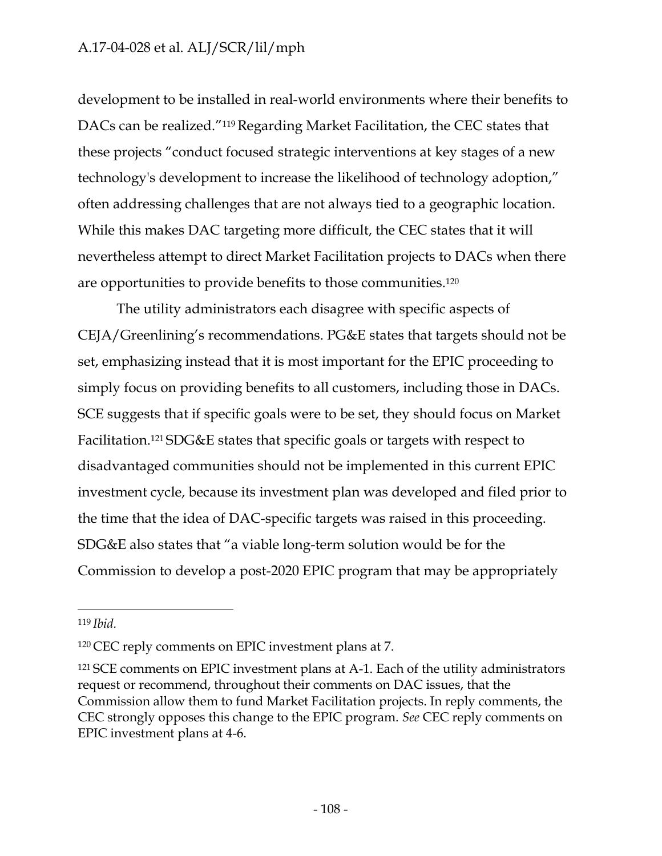development to be installed in real-world environments where their benefits to DACs can be realized."119 Regarding Market Facilitation, the CEC states that these projects "conduct focused strategic interventions at key stages of a new technology's development to increase the likelihood of technology adoption," often addressing challenges that are not always tied to a geographic location. While this makes DAC targeting more difficult, the CEC states that it will nevertheless attempt to direct Market Facilitation projects to DACs when there are opportunities to provide benefits to those communities.120

The utility administrators each disagree with specific aspects of CEJA/Greenlining's recommendations. PG&E states that targets should not be set, emphasizing instead that it is most important for the EPIC proceeding to simply focus on providing benefits to all customers, including those in DACs. SCE suggests that if specific goals were to be set, they should focus on Market Facilitation.121 SDG&E states that specific goals or targets with respect to disadvantaged communities should not be implemented in this current EPIC investment cycle, because its investment plan was developed and filed prior to the time that the idea of DAC-specific targets was raised in this proceeding. SDG&E also states that "a viable long-term solution would be for the Commission to develop a post-2020 EPIC program that may be appropriately

<sup>119</sup>*Ibid.*

<sup>120</sup> CEC reply comments on EPIC investment plans at 7.

<sup>121</sup> SCE comments on EPIC investment plans at A-1. Each of the utility administrators request or recommend, throughout their comments on DAC issues, that the Commission allow them to fund Market Facilitation projects. In reply comments, the CEC strongly opposes this change to the EPIC program. *See* CEC reply comments on EPIC investment plans at 4-6.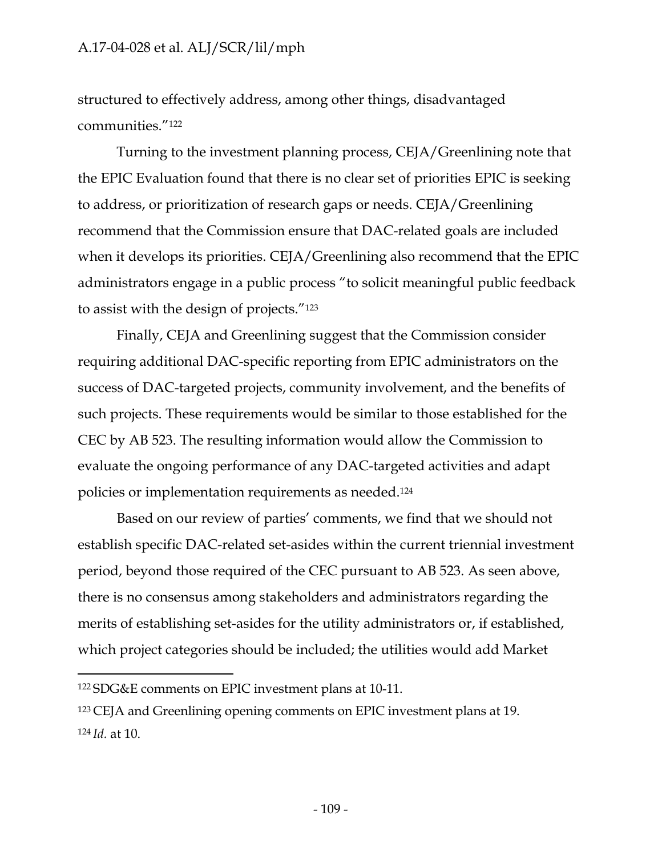structured to effectively address, among other things, disadvantaged communities."122

Turning to the investment planning process, CEJA/Greenlining note that the EPIC Evaluation found that there is no clear set of priorities EPIC is seeking to address, or prioritization of research gaps or needs. CEJA/Greenlining recommend that the Commission ensure that DAC-related goals are included when it develops its priorities. CEJA/Greenlining also recommend that the EPIC administrators engage in a public process "to solicit meaningful public feedback to assist with the design of projects."123

Finally, CEJA and Greenlining suggest that the Commission consider requiring additional DAC-specific reporting from EPIC administrators on the success of DAC-targeted projects, community involvement, and the benefits of such projects. These requirements would be similar to those established for the CEC by AB 523. The resulting information would allow the Commission to evaluate the ongoing performance of any DAC-targeted activities and adapt policies or implementation requirements as needed.124

Based on our review of parties' comments, we find that we should not establish specific DAC-related set-asides within the current triennial investment period, beyond those required of the CEC pursuant to AB 523. As seen above, there is no consensus among stakeholders and administrators regarding the merits of establishing set-asides for the utility administrators or, if established, which project categories should be included; the utilities would add Market

<sup>122</sup> SDG&E comments on EPIC investment plans at 10-11.

<sup>123</sup> CEJA and Greenlining opening comments on EPIC investment plans at 19. 124 *Id.* at 10.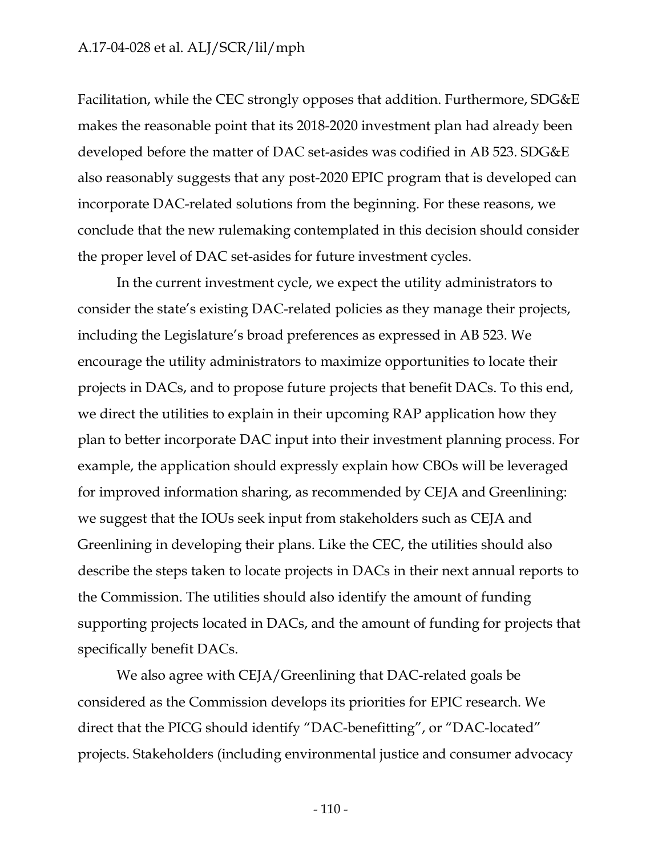Facilitation, while the CEC strongly opposes that addition. Furthermore, SDG&E makes the reasonable point that its 2018-2020 investment plan had already been developed before the matter of DAC set-asides was codified in AB 523. SDG&E also reasonably suggests that any post-2020 EPIC program that is developed can incorporate DAC-related solutions from the beginning. For these reasons, we conclude that the new rulemaking contemplated in this decision should consider the proper level of DAC set-asides for future investment cycles.

In the current investment cycle, we expect the utility administrators to consider the state's existing DAC-related policies as they manage their projects, including the Legislature's broad preferences as expressed in AB 523. We encourage the utility administrators to maximize opportunities to locate their projects in DACs, and to propose future projects that benefit DACs. To this end, we direct the utilities to explain in their upcoming RAP application how they plan to better incorporate DAC input into their investment planning process. For example, the application should expressly explain how CBOs will be leveraged for improved information sharing, as recommended by CEJA and Greenlining: we suggest that the IOUs seek input from stakeholders such as CEJA and Greenlining in developing their plans. Like the CEC, the utilities should also describe the steps taken to locate projects in DACs in their next annual reports to the Commission. The utilities should also identify the amount of funding supporting projects located in DACs, and the amount of funding for projects that specifically benefit DACs.

We also agree with CEJA/Greenlining that DAC-related goals be considered as the Commission develops its priorities for EPIC research. We direct that the PICG should identify "DAC-benefitting", or "DAC-located" projects. Stakeholders (including environmental justice and consumer advocacy

- 110 -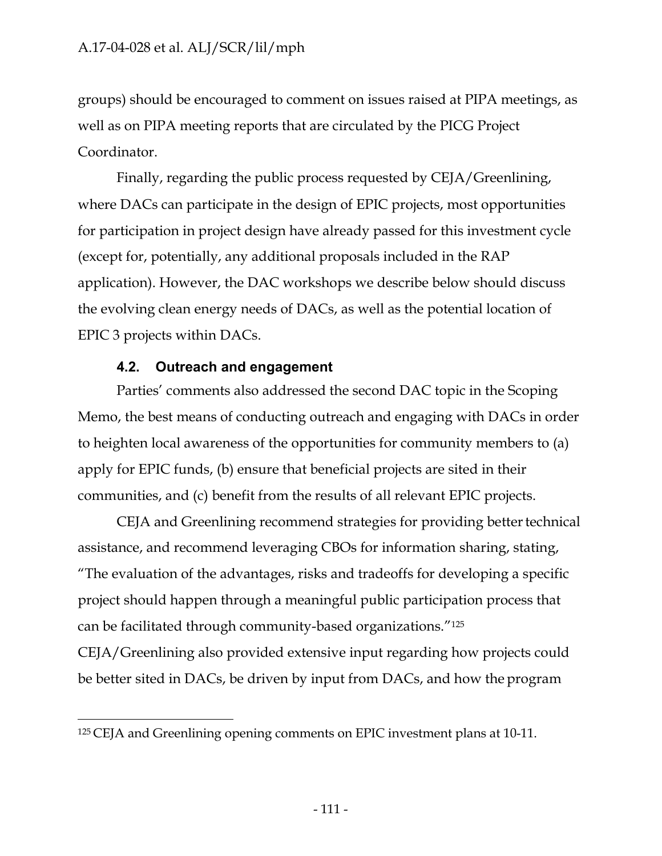groups) should be encouraged to comment on issues raised at PIPA meetings, as well as on PIPA meeting reports that are circulated by the PICG Project Coordinator.

Finally, regarding the public process requested by CEJA/Greenlining, where DACs can participate in the design of EPIC projects, most opportunities for participation in project design have already passed for this investment cycle (except for, potentially, any additional proposals included in the RAP application). However, the DAC workshops we describe below should discuss the evolving clean energy needs of DACs, as well as the potential location of EPIC 3 projects within DACs.

#### **4.2. Outreach and engagement**

Parties' comments also addressed the second DAC topic in the Scoping Memo, the best means of conducting outreach and engaging with DACs in order to heighten local awareness of the opportunities for community members to (a) apply for EPIC funds, (b) ensure that beneficial projects are sited in their communities, and (c) benefit from the results of all relevant EPIC projects.

CEJA and Greenlining recommend strategies for providing better technical assistance, and recommend leveraging CBOs for information sharing, stating, "The evaluation of the advantages, risks and tradeoffs for developing a specific project should happen through a meaningful public participation process that can be facilitated through community-based organizations."125

CEJA/Greenlining also provided extensive input regarding how projects could be better sited in DACs, be driven by input from DACs, and how the program

<sup>125</sup> CEJA and Greenlining opening comments on EPIC investment plans at 10-11.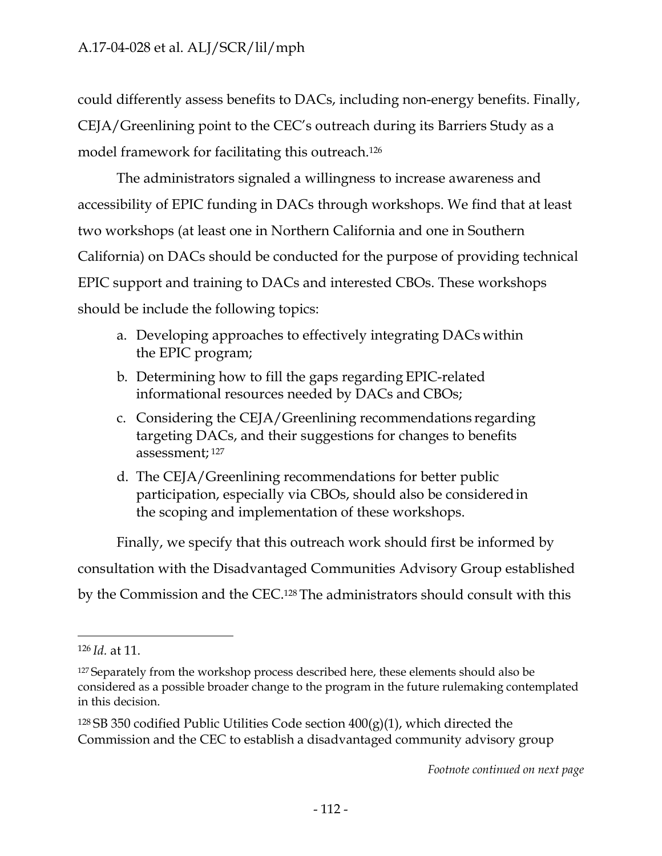could differently assess benefits to DACs, including non-energy benefits. Finally, CEJA/Greenlining point to the CEC's outreach during its Barriers Study as a model framework for facilitating this outreach.126

The administrators signaled a willingness to increase awareness and accessibility of EPIC funding in DACs through workshops. We find that at least two workshops (at least one in Northern California and one in Southern California) on DACs should be conducted for the purpose of providing technical EPIC support and training to DACs and interested CBOs. These workshops should be include the following topics:

- a. Developing approaches to effectively integrating DACs within the EPIC program;
- b. Determining how to fill the gaps regarding EPIC-related informational resources needed by DACs and CBOs;
- c. Considering the CEJA/Greenlining recommendations regarding targeting DACs, and their suggestions for changes to benefits assessment; <sup>127</sup>
- d. The CEJA/Greenlining recommendations for better public participation, especially via CBOs, should also be considered in the scoping and implementation of these workshops.

Finally, we specify that this outreach work should first be informed by consultation with the Disadvantaged Communities Advisory Group established by the Commission and the CEC.128 The administrators should consult with this

<sup>126</sup>*Id.* at 11.

<sup>&</sup>lt;sup>127</sup> Separately from the workshop process described here, these elements should also be considered as a possible broader change to the program in the future rulemaking contemplated in this decision.

<sup>&</sup>lt;sup>128</sup> SB 350 codified Public Utilities Code section  $400(g)(1)$ , which directed the Commission and the CEC to establish a disadvantaged community advisory group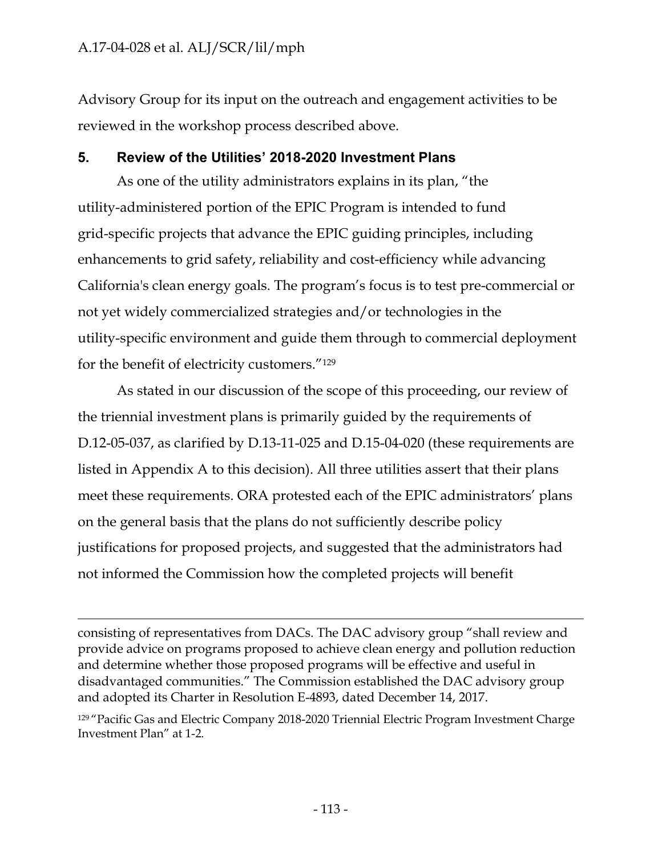Advisory Group for its input on the outreach and engagement activities to be reviewed in the workshop process described above.

#### **5. Review of the Utilities' 2018-2020 Investment Plans**

As one of the utility administrators explains in its plan, "the utility-administered portion of the EPIC Program is intended to fund grid-specific projects that advance the EPIC guiding principles, including enhancements to grid safety, reliability and cost-efficiency while advancing California's clean energy goals. The program's focus is to test pre-commercial or not yet widely commercialized strategies and/or technologies in the utility-specific environment and guide them through to commercial deployment for the benefit of electricity customers."129

As stated in our discussion of the scope of this proceeding, our review of the triennial investment plans is primarily guided by the requirements of D.12-05-037, as clarified by D.13-11-025 and D.15-04-020 (these requirements are listed in Appendix A to this decision). All three utilities assert that their plans meet these requirements. ORA protested each of the EPIC administrators' plans on the general basis that the plans do not sufficiently describe policy justifications for proposed projects, and suggested that the administrators had not informed the Commission how the completed projects will benefit

consisting of representatives from DACs. The DAC advisory group "shall review and provide advice on programs proposed to achieve clean energy and pollution reduction and determine whether those proposed programs will be effective and useful in disadvantaged communities." The Commission established the DAC advisory group and adopted its Charter in Resolution E-4893, dated December 14, 2017.

<sup>129</sup> "Pacific Gas and Electric Company 2018-2020 Triennial Electric Program Investment Charge Investment Plan" at 1-2.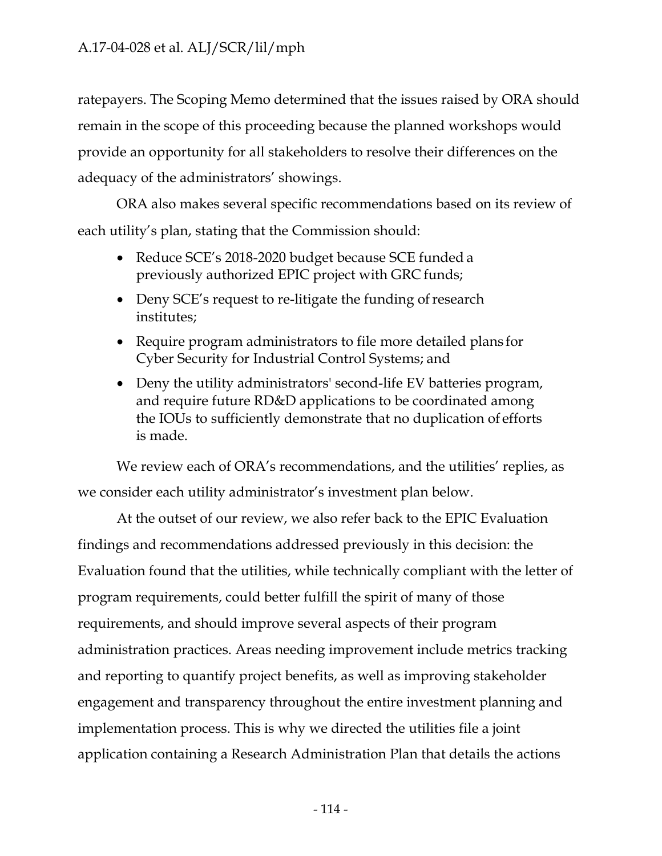ratepayers. The Scoping Memo determined that the issues raised by ORA should remain in the scope of this proceeding because the planned workshops would provide an opportunity for all stakeholders to resolve their differences on the adequacy of the administrators' showings.

ORA also makes several specific recommendations based on its review of each utility's plan, stating that the Commission should:

- Reduce SCE's 2018-2020 budget because SCE funded a previously authorized EPIC project with GRC funds;
- Deny SCE's request to re-litigate the funding of research institutes;
- Require program administrators to file more detailed plans for Cyber Security for Industrial Control Systems; and
- Deny the utility administrators' second-life EV batteries program, and require future RD&D applications to be coordinated among the IOUs to sufficiently demonstrate that no duplication of efforts is made.

We review each of ORA's recommendations, and the utilities' replies, as we consider each utility administrator's investment plan below.

At the outset of our review, we also refer back to the EPIC Evaluation findings and recommendations addressed previously in this decision: the Evaluation found that the utilities, while technically compliant with the letter of program requirements, could better fulfill the spirit of many of those requirements, and should improve several aspects of their program administration practices. Areas needing improvement include metrics tracking and reporting to quantify project benefits, as well as improving stakeholder engagement and transparency throughout the entire investment planning and implementation process. This is why we directed the utilities file a joint application containing a Research Administration Plan that details the actions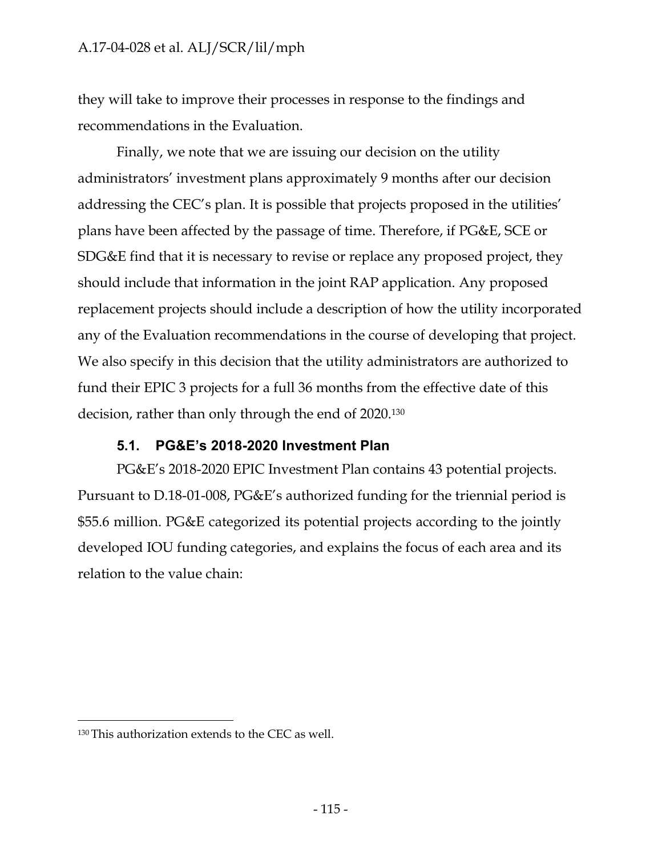they will take to improve their processes in response to the findings and recommendations in the Evaluation.

Finally, we note that we are issuing our decision on the utility administrators' investment plans approximately 9 months after our decision addressing the CEC's plan. It is possible that projects proposed in the utilities' plans have been affected by the passage of time. Therefore, if PG&E, SCE or SDG&E find that it is necessary to revise or replace any proposed project, they should include that information in the joint RAP application. Any proposed replacement projects should include a description of how the utility incorporated any of the Evaluation recommendations in the course of developing that project. We also specify in this decision that the utility administrators are authorized to fund their EPIC 3 projects for a full 36 months from the effective date of this decision, rather than only through the end of 2020.130

#### **5.1. PG&E's 2018-2020 Investment Plan**

PG&E's 2018-2020 EPIC Investment Plan contains 43 potential projects. Pursuant to D.18-01-008, PG&E's authorized funding for the triennial period is \$55.6 million. PG&E categorized its potential projects according to the jointly developed IOU funding categories, and explains the focus of each area and its relation to the value chain:

<sup>130</sup> This authorization extends to the CEC as well.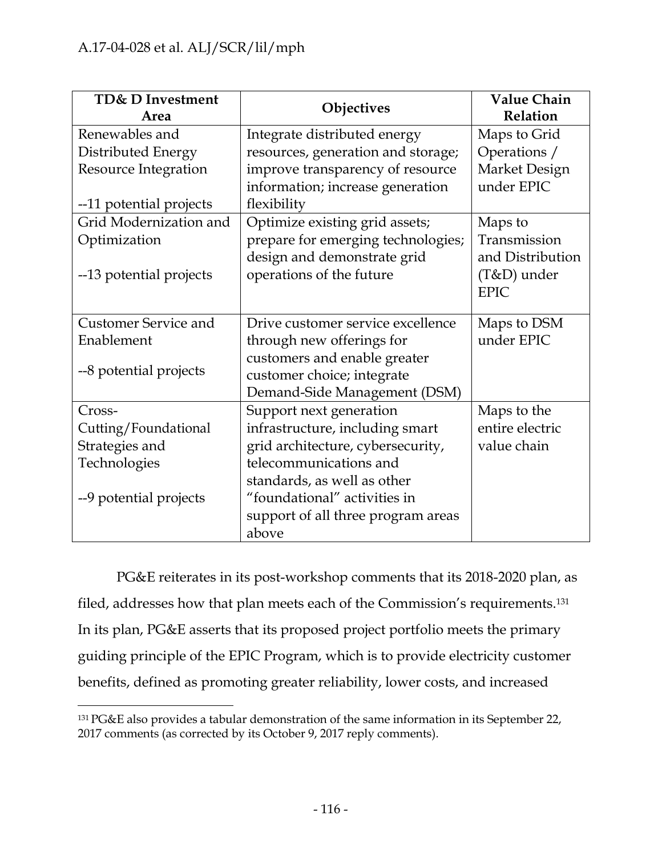| TD& D Investment<br>Area    | Objectives                         | <b>Value Chain</b><br>Relation |
|-----------------------------|------------------------------------|--------------------------------|
| Renewables and              | Integrate distributed energy       | Maps to Grid                   |
| Distributed Energy          | resources, generation and storage; | Operations /                   |
| <b>Resource Integration</b> | improve transparency of resource   | Market Design                  |
|                             | information; increase generation   | under EPIC                     |
| --11 potential projects     | flexibility                        |                                |
| Grid Modernization and      | Optimize existing grid assets;     | Maps to                        |
| Optimization                | prepare for emerging technologies; | Transmission                   |
|                             | design and demonstrate grid        | and Distribution               |
| --13 potential projects     | operations of the future           | $(T&D)$ under                  |
|                             |                                    | <b>EPIC</b>                    |
| <b>Customer Service and</b> | Drive customer service excellence  | Maps to DSM                    |
| Enablement                  | through new offerings for          | under EPIC                     |
|                             | customers and enable greater       |                                |
| --8 potential projects      | customer choice; integrate         |                                |
|                             | Demand-Side Management (DSM)       |                                |
| Cross-                      | Support next generation            | Maps to the                    |
| Cutting/Foundational        | infrastructure, including smart    | entire electric                |
| Strategies and              | grid architecture, cybersecurity,  | value chain                    |
| Technologies                | telecommunications and             |                                |
|                             | standards, as well as other        |                                |
| --9 potential projects      | "foundational" activities in       |                                |
|                             | support of all three program areas |                                |
|                             | above                              |                                |

PG&E reiterates in its post-workshop comments that its 2018-2020 plan, as filed, addresses how that plan meets each of the Commission's requirements.131 In its plan, PG&E asserts that its proposed project portfolio meets the primary guiding principle of the EPIC Program, which is to provide electricity customer benefits, defined as promoting greater reliability, lower costs, and increased

<sup>131</sup> PG&E also provides a tabular demonstration of the same information in its September 22, 2017 comments (as corrected by its October 9, 2017 reply comments).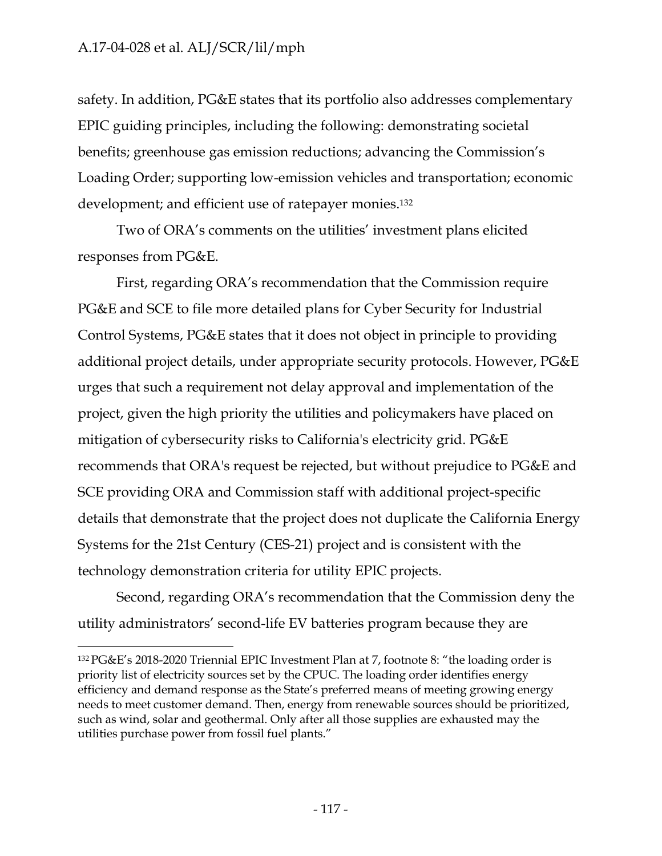safety. In addition, PG&E states that its portfolio also addresses complementary EPIC guiding principles, including the following: demonstrating societal benefits; greenhouse gas emission reductions; advancing the Commission's Loading Order; supporting low-emission vehicles and transportation; economic development; and efficient use of ratepayer monies.132

Two of ORA's comments on the utilities' investment plans elicited responses from PG&E.

First, regarding ORA's recommendation that the Commission require PG&E and SCE to file more detailed plans for Cyber Security for Industrial Control Systems, PG&E states that it does not object in principle to providing additional project details, under appropriate security protocols. However, PG&E urges that such a requirement not delay approval and implementation of the project, given the high priority the utilities and policymakers have placed on mitigation of cybersecurity risks to California's electricity grid. PG&E recommends that ORA's request be rejected, but without prejudice to PG&E and SCE providing ORA and Commission staff with additional project-specific details that demonstrate that the project does not duplicate the California Energy Systems for the 21st Century (CES-21) project and is consistent with the technology demonstration criteria for utility EPIC projects.

Second, regarding ORA's recommendation that the Commission deny the utility administrators' second-life EV batteries program because they are

<sup>132</sup> PG&E's 2018-2020 Triennial EPIC Investment Plan at 7, footnote 8: "the loading order is priority list of electricity sources set by the CPUC. The loading order identifies energy efficiency and demand response as the State's preferred means of meeting growing energy needs to meet customer demand. Then, energy from renewable sources should be prioritized, such as wind, solar and geothermal. Only after all those supplies are exhausted may the utilities purchase power from fossil fuel plants."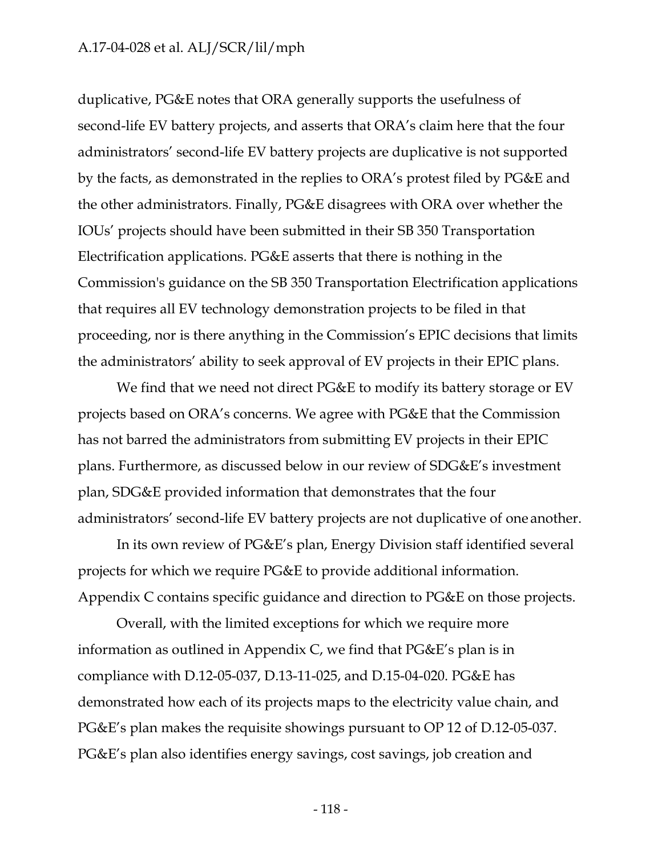duplicative, PG&E notes that ORA generally supports the usefulness of second-life EV battery projects, and asserts that ORA's claim here that the four administrators' second-life EV battery projects are duplicative is not supported by the facts, as demonstrated in the replies to ORA's protest filed by PG&E and the other administrators. Finally, PG&E disagrees with ORA over whether the IOUs' projects should have been submitted in their SB 350 Transportation Electrification applications. PG&E asserts that there is nothing in the Commission's guidance on the SB 350 Transportation Electrification applications that requires all EV technology demonstration projects to be filed in that proceeding, nor is there anything in the Commission's EPIC decisions that limits the administrators' ability to seek approval of EV projects in their EPIC plans.

We find that we need not direct PG&E to modify its battery storage or EV projects based on ORA's concerns. We agree with PG&E that the Commission has not barred the administrators from submitting EV projects in their EPIC plans. Furthermore, as discussed below in our review of SDG&E's investment plan, SDG&E provided information that demonstrates that the four administrators' second-life EV battery projects are not duplicative of one another.

In its own review of PG&E's plan, Energy Division staff identified several projects for which we require PG&E to provide additional information. Appendix C contains specific guidance and direction to PG&E on those projects.

Overall, with the limited exceptions for which we require more information as outlined in Appendix C, we find that PG&E's plan is in compliance with D.12-05-037, D.13-11-025, and D.15-04-020. PG&E has demonstrated how each of its projects maps to the electricity value chain, and PG&E's plan makes the requisite showings pursuant to OP 12 of D.12-05-037. PG&E's plan also identifies energy savings, cost savings, job creation and

- 118 -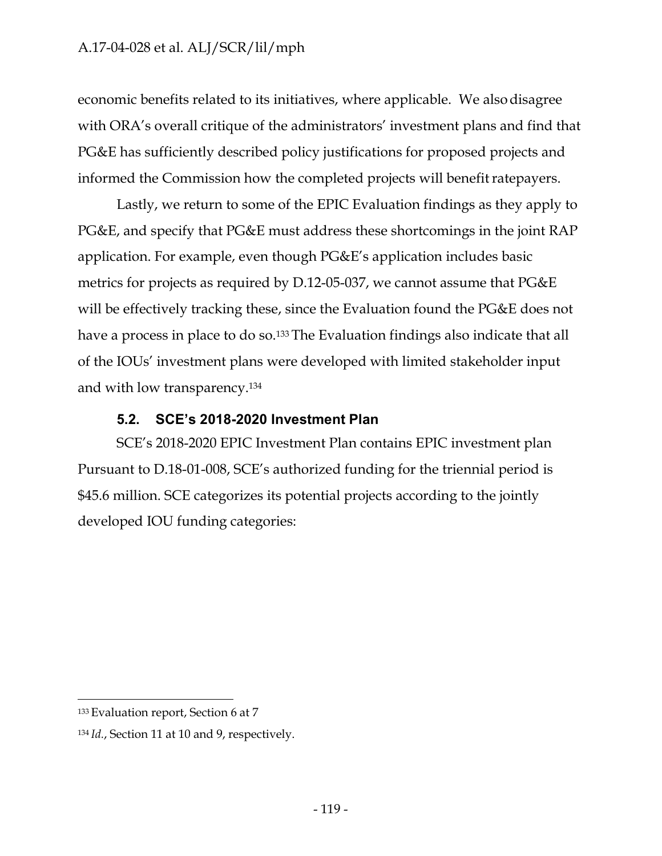economic benefits related to its initiatives, where applicable. We also disagree with ORA's overall critique of the administrators' investment plans and find that PG&E has sufficiently described policy justifications for proposed projects and informed the Commission how the completed projects will benefit ratepayers.

Lastly, we return to some of the EPIC Evaluation findings as they apply to PG&E, and specify that PG&E must address these shortcomings in the joint RAP application. For example, even though PG&E's application includes basic metrics for projects as required by D.12-05-037, we cannot assume that PG&E will be effectively tracking these, since the Evaluation found the PG&E does not have a process in place to do so.<sup>133</sup> The Evaluation findings also indicate that all of the IOUs' investment plans were developed with limited stakeholder input and with low transparency.134

#### **5.2. SCE's 2018-2020 Investment Plan**

SCE's 2018-2020 EPIC Investment Plan contains EPIC investment plan Pursuant to D.18-01-008, SCE's authorized funding for the triennial period is \$45.6 million. SCE categorizes its potential projects according to the jointly developed IOU funding categories:

<sup>133</sup> Evaluation report, Section 6 at 7

<sup>134</sup> *Id.*, Section 11 at 10 and 9, respectively.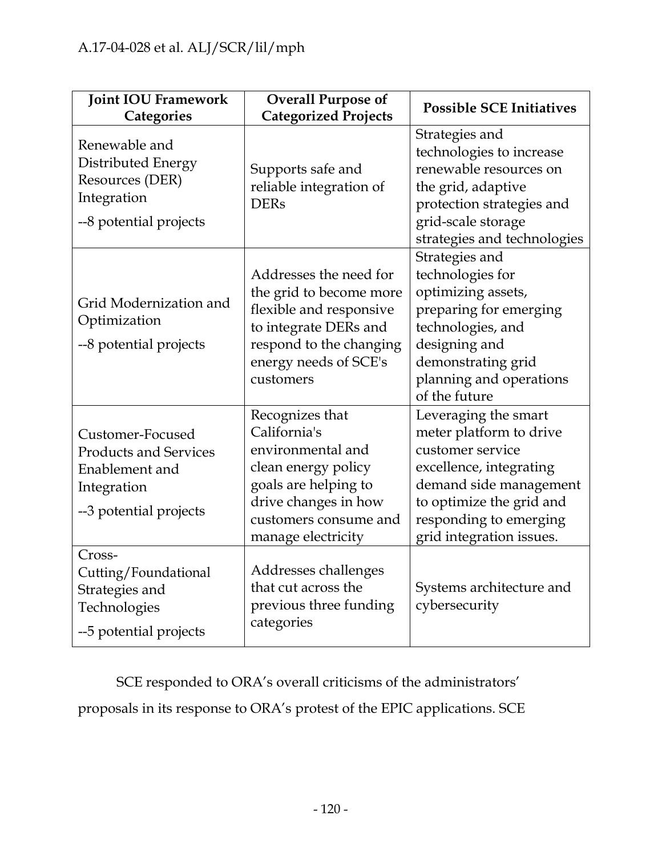| <b>Joint IOU Framework</b><br>Categories                                                                    | <b>Overall Purpose of</b><br><b>Categorized Projects</b>                                                                                                                   | <b>Possible SCE Initiatives</b>                                                                                                                                                                            |
|-------------------------------------------------------------------------------------------------------------|----------------------------------------------------------------------------------------------------------------------------------------------------------------------------|------------------------------------------------------------------------------------------------------------------------------------------------------------------------------------------------------------|
| Renewable and<br>Distributed Energy<br>Resources (DER)<br>Integration<br>--8 potential projects             | Supports safe and<br>reliable integration of<br><b>DERs</b>                                                                                                                | Strategies and<br>technologies to increase<br>renewable resources on<br>the grid, adaptive<br>protection strategies and<br>grid-scale storage<br>strategies and technologies                               |
| Grid Modernization and<br>Optimization<br>--8 potential projects                                            | Addresses the need for<br>the grid to become more<br>flexible and responsive<br>to integrate DERs and<br>respond to the changing<br>energy needs of SCE's<br>customers     | Strategies and<br>technologies for<br>optimizing assets,<br>preparing for emerging<br>technologies, and<br>designing and<br>demonstrating grid<br>planning and operations<br>of the future                 |
| Customer-Focused<br><b>Products and Services</b><br>Enablement and<br>Integration<br>--3 potential projects | Recognizes that<br>California's<br>environmental and<br>clean energy policy<br>goals are helping to<br>drive changes in how<br>customers consume and<br>manage electricity | Leveraging the smart<br>meter platform to drive<br>customer service<br>excellence, integrating<br>demand side management<br>to optimize the grid and<br>responding to emerging<br>grid integration issues. |
| Cross-<br>Cutting/Foundational<br>Strategies and<br>Technologies<br>--5 potential projects                  | Addresses challenges<br>that cut across the<br>previous three funding<br>categories                                                                                        | Systems architecture and<br>cybersecurity                                                                                                                                                                  |

SCE responded to ORA's overall criticisms of the administrators' proposals in its response to ORA's protest of the EPIC applications. SCE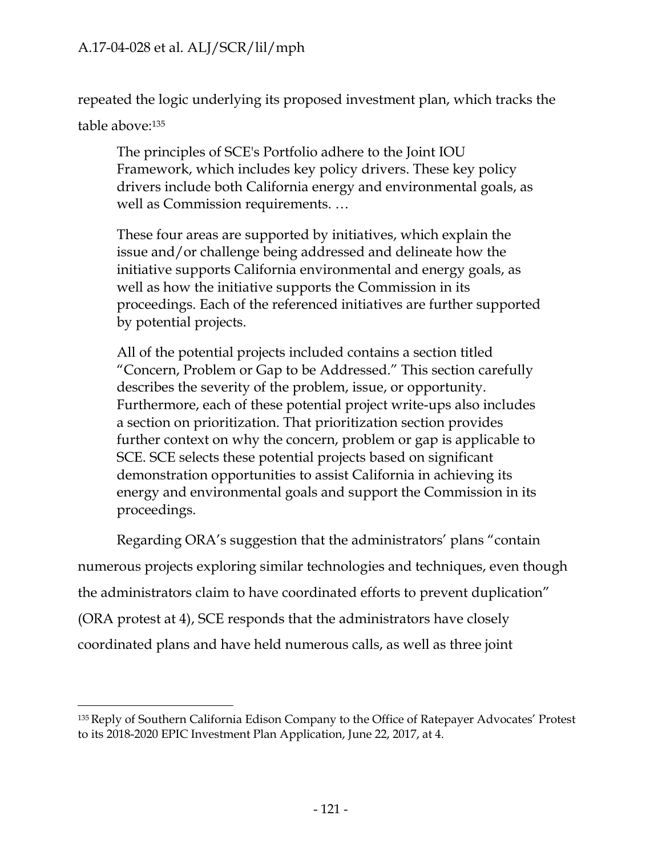repeated the logic underlying its proposed investment plan, which tracks the

table above:135

The principles of SCE's Portfolio adhere to the Joint IOU Framework, which includes key policy drivers. These key policy drivers include both California energy and environmental goals, as well as Commission requirements. …

These four areas are supported by initiatives, which explain the issue and/or challenge being addressed and delineate how the initiative supports California environmental and energy goals, as well as how the initiative supports the Commission in its proceedings. Each of the referenced initiatives are further supported by potential projects.

All of the potential projects included contains a section titled "Concern, Problem or Gap to be Addressed." This section carefully describes the severity of the problem, issue, or opportunity. Furthermore, each of these potential project write-ups also includes a section on prioritization. That prioritization section provides further context on why the concern, problem or gap is applicable to SCE. SCE selects these potential projects based on significant demonstration opportunities to assist California in achieving its energy and environmental goals and support the Commission in its proceedings.

Regarding ORA's suggestion that the administrators' plans "contain numerous projects exploring similar technologies and techniques, even though the administrators claim to have coordinated efforts to prevent duplication" (ORA protest at 4), SCE responds that the administrators have closely coordinated plans and have held numerous calls, as well as three joint

<sup>135</sup> Reply of Southern California Edison Company to the Office of Ratepayer Advocates' Protest to its 2018-2020 EPIC Investment Plan Application, June 22, 2017, at 4.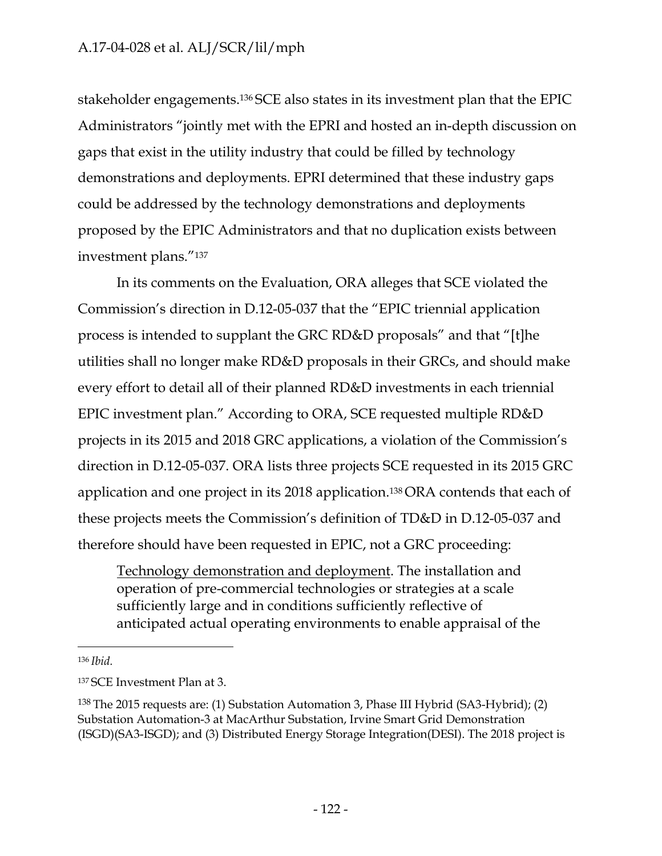stakeholder engagements.136 SCE also states in its investment plan that the EPIC Administrators "jointly met with the EPRI and hosted an in-depth discussion on gaps that exist in the utility industry that could be filled by technology demonstrations and deployments. EPRI determined that these industry gaps could be addressed by the technology demonstrations and deployments proposed by the EPIC Administrators and that no duplication exists between investment plans."137

In its comments on the Evaluation, ORA alleges that SCE violated the Commission's direction in D.12-05-037 that the "EPIC triennial application process is intended to supplant the GRC RD&D proposals" and that "[t]he utilities shall no longer make RD&D proposals in their GRCs, and should make every effort to detail all of their planned RD&D investments in each triennial EPIC investment plan." According to ORA, SCE requested multiple RD&D projects in its 2015 and 2018 GRC applications, a violation of the Commission's direction in D.12-05-037. ORA lists three projects SCE requested in its 2015 GRC application and one project in its 2018 application.138 ORA contends that each of these projects meets the Commission's definition of TD&D in D.12-05-037 and therefore should have been requested in EPIC, not a GRC proceeding:

Technology demonstration and deployment. The installation and operation of pre-commercial technologies or strategies at a scale sufficiently large and in conditions sufficiently reflective of anticipated actual operating environments to enable appraisal of the

<sup>136</sup>*Ibid.*

<sup>137</sup> SCE Investment Plan at 3.

<sup>138</sup> The 2015 requests are: (1) Substation Automation 3, Phase III Hybrid (SA3-Hybrid); (2) Substation Automation-3 at MacArthur Substation, Irvine Smart Grid Demonstration (ISGD)(SA3-ISGD); and (3) Distributed Energy Storage Integration(DESI). The 2018 project is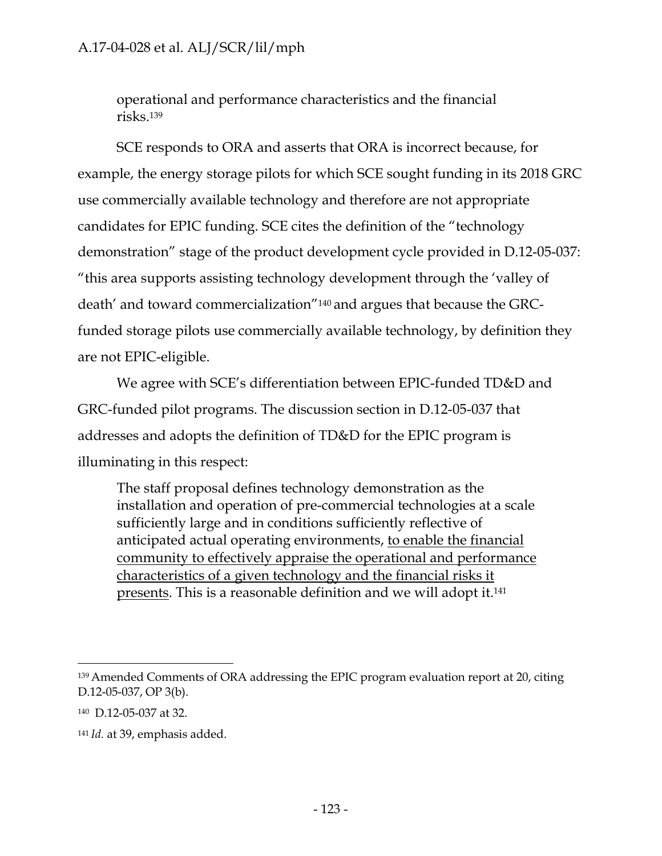operational and performance characteristics and the financial risks.139

SCE responds to ORA and asserts that ORA is incorrect because, for example, the energy storage pilots for which SCE sought funding in its 2018 GRC use commercially available technology and therefore are not appropriate candidates for EPIC funding. SCE cites the definition of the "technology demonstration" stage of the product development cycle provided in D.12-05-037: "this area supports assisting technology development through the 'valley of death' and toward commercialization"140 and argues that because the GRCfunded storage pilots use commercially available technology, by definition they are not EPIC-eligible.

We agree with SCE's differentiation between EPIC-funded TD&D and GRC-funded pilot programs. The discussion section in D.12-05-037 that addresses and adopts the definition of TD&D for the EPIC program is illuminating in this respect:

The staff proposal defines technology demonstration as the installation and operation of pre-commercial technologies at a scale sufficiently large and in conditions sufficiently reflective of anticipated actual operating environments, to enable the financial community to effectively appraise the operational and performance characteristics of a given technology and the financial risks it presents. This is a reasonable definition and we will adopt it.<sup>141</sup>

<sup>139</sup> Amended Comments of ORA addressing the EPIC program evaluation report at 20, citing D.12-05-037, OP 3(b).

<sup>140</sup> D.12-05-037 at 32.

<sup>141</sup> *Id.* at 39, emphasis added.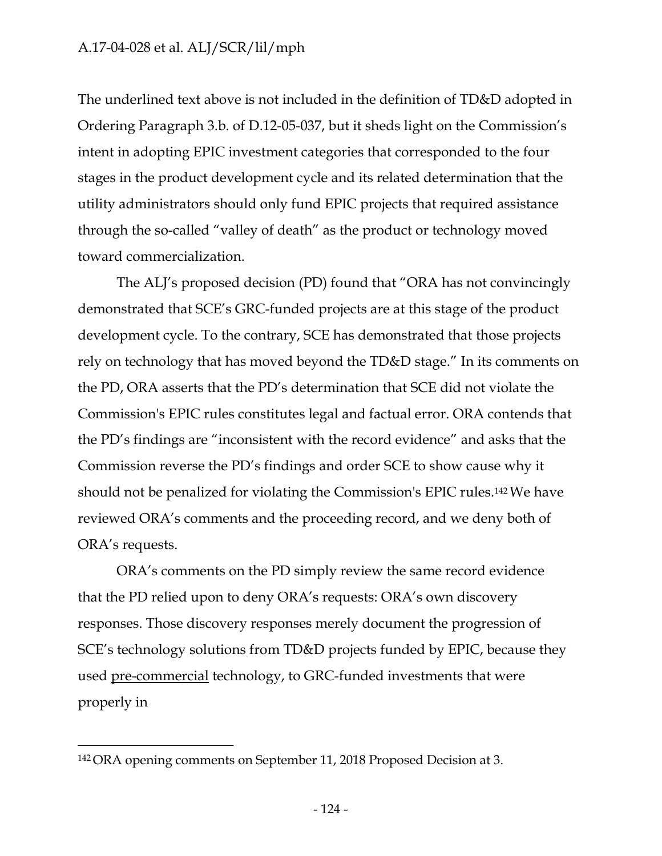The underlined text above is not included in the definition of TD&D adopted in Ordering Paragraph 3.b. of D.12-05-037, but it sheds light on the Commission's intent in adopting EPIC investment categories that corresponded to the four stages in the product development cycle and its related determination that the utility administrators should only fund EPIC projects that required assistance through the so-called "valley of death" as the product or technology moved toward commercialization.

The ALJ's proposed decision (PD) found that "ORA has not convincingly demonstrated that SCE's GRC-funded projects are at this stage of the product development cycle. To the contrary, SCE has demonstrated that those projects rely on technology that has moved beyond the TD&D stage." In its comments on the PD, ORA asserts that the PD's determination that SCE did not violate the Commission's EPIC rules constitutes legal and factual error. ORA contends that the PD's findings are "inconsistent with the record evidence" and asks that the Commission reverse the PD's findings and order SCE to show cause why it should not be penalized for violating the Commission's EPIC rules.142 We have reviewed ORA's comments and the proceeding record, and we deny both of ORA's requests.

ORA's comments on the PD simply review the same record evidence that the PD relied upon to deny ORA's requests: ORA's own discovery responses. Those discovery responses merely document the progression of SCE's technology solutions from TD&D projects funded by EPIC, because they used pre-commercial technology, to GRC-funded investments that were properly in

<sup>142</sup> ORA opening comments on September 11, 2018 Proposed Decision at 3.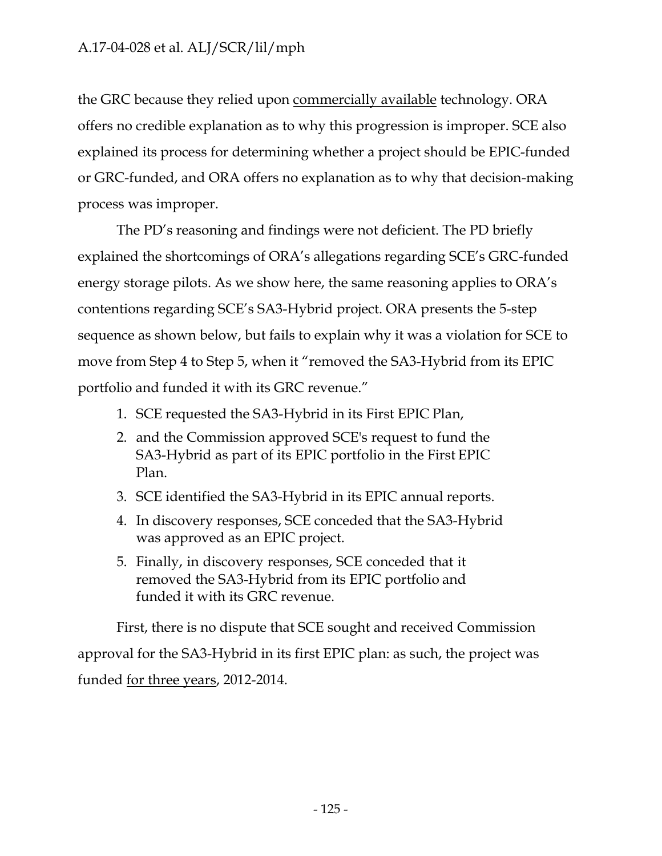the GRC because they relied upon commercially available technology. ORA offers no credible explanation as to why this progression is improper. SCE also explained its process for determining whether a project should be EPIC-funded or GRC-funded, and ORA offers no explanation as to why that decision-making process was improper.

The PD's reasoning and findings were not deficient. The PD briefly explained the shortcomings of ORA's allegations regarding SCE's GRC-funded energy storage pilots. As we show here, the same reasoning applies to ORA's contentions regarding SCE's SA3-Hybrid project. ORA presents the 5-step sequence as shown below, but fails to explain why it was a violation for SCE to move from Step 4 to Step 5, when it "removed the SA3-Hybrid from its EPIC portfolio and funded it with its GRC revenue."

- 1. SCE requested the SA3-Hybrid in its First EPIC Plan,
- 2. and the Commission approved SCE's request to fund the SA3-Hybrid as part of its EPIC portfolio in the First EPIC Plan.
- 3. SCE identified the SA3-Hybrid in its EPIC annual reports.
- 4. In discovery responses, SCE conceded that the SA3-Hybrid was approved as an EPIC project.
- 5. Finally, in discovery responses, SCE conceded that it removed the SA3-Hybrid from its EPIC portfolio and funded it with its GRC revenue.

First, there is no dispute that SCE sought and received Commission approval for the SA3-Hybrid in its first EPIC plan: as such, the project was funded for three years, 2012-2014.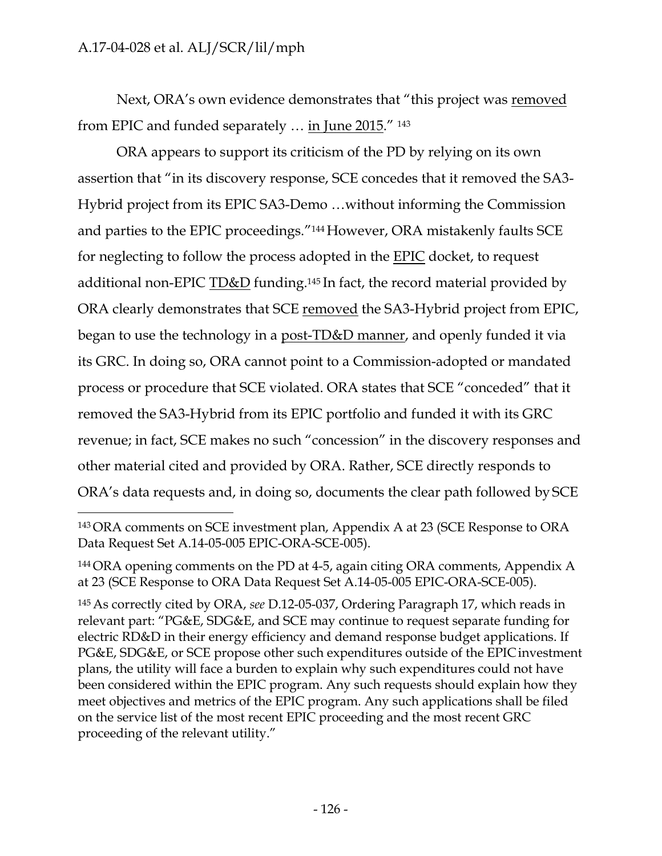Next, ORA's own evidence demonstrates that "this project was removed from EPIC and funded separately … in June 2015." 143

ORA appears to support its criticism of the PD by relying on its own assertion that "in its discovery response, SCE concedes that it removed the SA3- Hybrid project from its EPIC SA3-Demo …without informing the Commission and parties to the EPIC proceedings."144 However, ORA mistakenly faults SCE for neglecting to follow the process adopted in the EPIC docket, to request additional non-EPIC TD&D funding.<sup>145</sup> In fact, the record material provided by ORA clearly demonstrates that SCE removed the SA3-Hybrid project from EPIC, began to use the technology in a post-TD&D manner, and openly funded it via its GRC. In doing so, ORA cannot point to a Commission-adopted or mandated process or procedure that SCE violated. ORA states that SCE "conceded" that it removed the SA3-Hybrid from its EPIC portfolio and funded it with its GRC revenue; in fact, SCE makes no such "concession" in the discovery responses and other material cited and provided by ORA. Rather, SCE directly responds to ORA's data requests and, in doing so, documents the clear path followed by SCE

145 As correctly cited by ORA, *see* D.12-05-037, Ordering Paragraph 17, which reads in relevant part: "PG&E, SDG&E, and SCE may continue to request separate funding for electric RD&D in their energy efficiency and demand response budget applications. If PG&E, SDG&E, or SCE propose other such expenditures outside of the EPICinvestment plans, the utility will face a burden to explain why such expenditures could not have been considered within the EPIC program. Any such requests should explain how they meet objectives and metrics of the EPIC program. Any such applications shall be filed on the service list of the most recent EPIC proceeding and the most recent GRC proceeding of the relevant utility."

<sup>143</sup> ORA comments on SCE investment plan, Appendix A at 23 (SCE Response to ORA Data Request Set A.14-05-005 EPIC-ORA-SCE-005).

<sup>144</sup> ORA opening comments on the PD at 4-5, again citing ORA comments, Appendix A at 23 (SCE Response to ORA Data Request Set A.14-05-005 EPIC-ORA-SCE-005).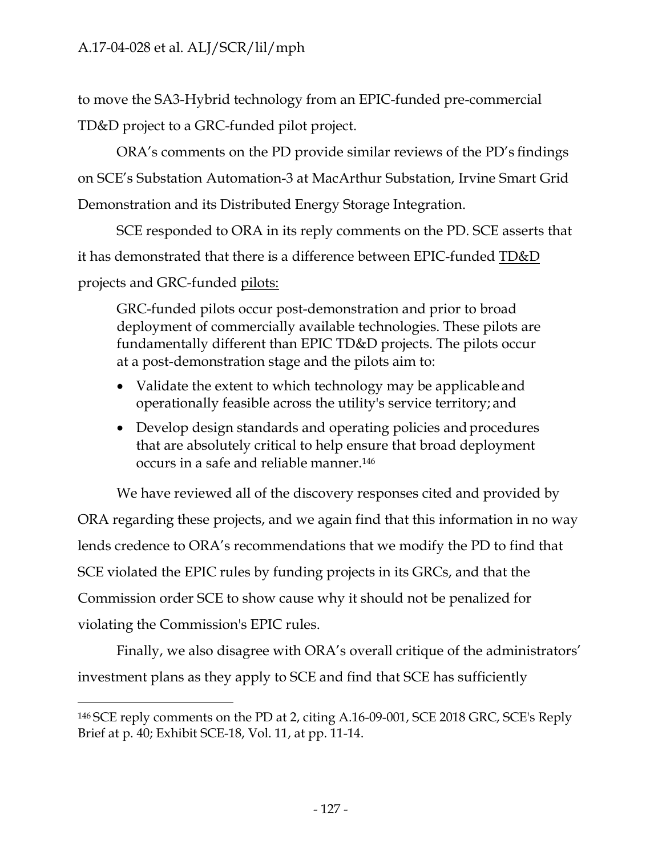to move the SA3-Hybrid technology from an EPIC-funded pre-commercial TD&D project to a GRC-funded pilot project.

ORA's comments on the PD provide similar reviews of the PD's findings on SCE's Substation Automation-3 at MacArthur Substation, Irvine Smart Grid Demonstration and its Distributed Energy Storage Integration.

SCE responded to ORA in its reply comments on the PD. SCE asserts that it has demonstrated that there is a difference between EPIC-funded TD&D projects and GRC-funded pilots:

GRC-funded pilots occur post-demonstration and prior to broad deployment of commercially available technologies. These pilots are fundamentally different than EPIC TD&D projects. The pilots occur at a post-demonstration stage and the pilots aim to:

- Validate the extent to which technology may be applicable and operationally feasible across the utility's service territory; and
- Develop design standards and operating policies and procedures that are absolutely critical to help ensure that broad deployment occurs in a safe and reliable manner.146

We have reviewed all of the discovery responses cited and provided by

ORA regarding these projects, and we again find that this information in no way lends credence to ORA's recommendations that we modify the PD to find that SCE violated the EPIC rules by funding projects in its GRCs, and that the Commission order SCE to show cause why it should not be penalized for violating the Commission's EPIC rules.

Finally, we also disagree with ORA's overall critique of the administrators' investment plans as they apply to SCE and find that SCE has sufficiently

<sup>146</sup> SCE reply comments on the PD at 2, citing A.16-09-001, SCE 2018 GRC, SCE's Reply Brief at p. 40; Exhibit SCE-18, Vol. 11, at pp. 11-14.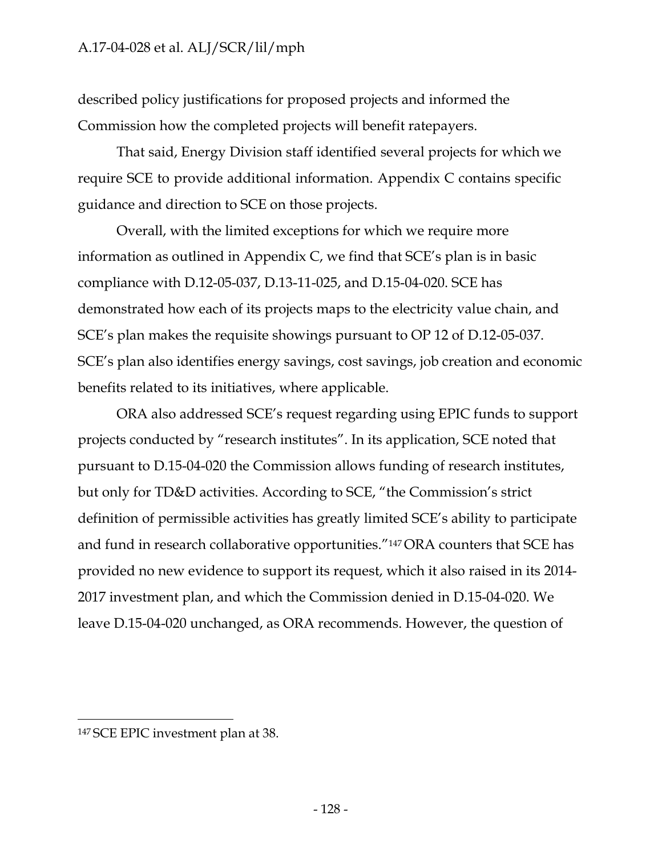described policy justifications for proposed projects and informed the Commission how the completed projects will benefit ratepayers.

That said, Energy Division staff identified several projects for which we require SCE to provide additional information. Appendix C contains specific guidance and direction to SCE on those projects.

Overall, with the limited exceptions for which we require more information as outlined in Appendix C, we find that SCE's plan is in basic compliance with D.12-05-037, D.13-11-025, and D.15-04-020. SCE has demonstrated how each of its projects maps to the electricity value chain, and SCE's plan makes the requisite showings pursuant to OP 12 of D.12-05-037. SCE's plan also identifies energy savings, cost savings, job creation and economic benefits related to its initiatives, where applicable.

ORA also addressed SCE's request regarding using EPIC funds to support projects conducted by "research institutes". In its application, SCE noted that pursuant to D.15-04-020 the Commission allows funding of research institutes, but only for TD&D activities. According to SCE, "the Commission's strict definition of permissible activities has greatly limited SCE's ability to participate and fund in research collaborative opportunities."147 ORA counters that SCE has provided no new evidence to support its request, which it also raised in its 2014- 2017 investment plan, and which the Commission denied in D.15-04-020. We leave D.15-04-020 unchanged, as ORA recommends. However, the question of

<sup>147</sup> SCE EPIC investment plan at 38.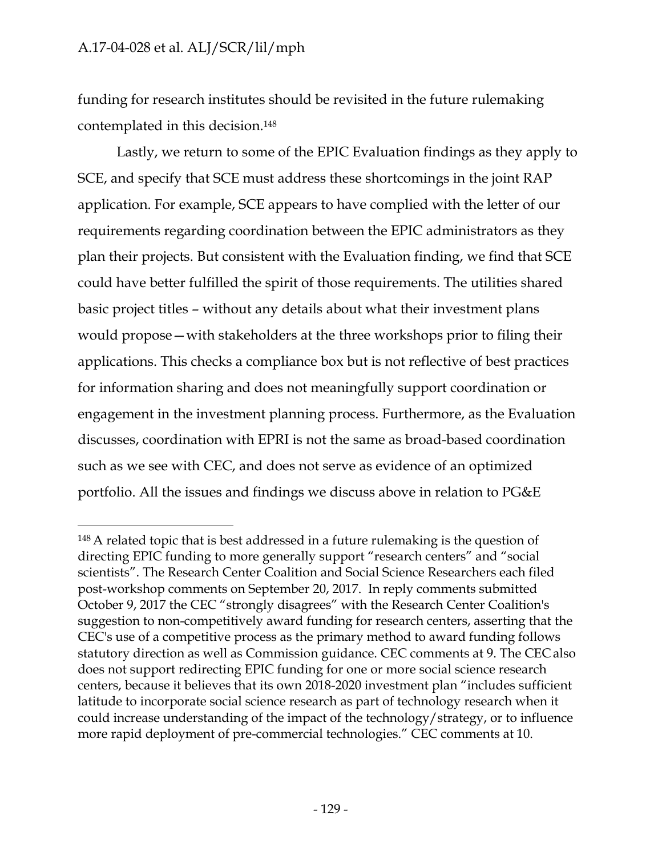funding for research institutes should be revisited in the future rulemaking contemplated in this decision.148

Lastly, we return to some of the EPIC Evaluation findings as they apply to SCE, and specify that SCE must address these shortcomings in the joint RAP application. For example, SCE appears to have complied with the letter of our requirements regarding coordination between the EPIC administrators as they plan their projects. But consistent with the Evaluation finding, we find that SCE could have better fulfilled the spirit of those requirements. The utilities shared basic project titles – without any details about what their investment plans would propose—with stakeholders at the three workshops prior to filing their applications. This checks a compliance box but is not reflective of best practices for information sharing and does not meaningfully support coordination or engagement in the investment planning process. Furthermore, as the Evaluation discusses, coordination with EPRI is not the same as broad-based coordination such as we see with CEC, and does not serve as evidence of an optimized portfolio. All the issues and findings we discuss above in relation to PG&E

<sup>148</sup> A related topic that is best addressed in a future rulemaking is the question of directing EPIC funding to more generally support "research centers" and "social scientists". The Research Center Coalition and Social Science Researchers each filed post-workshop comments on September 20, 2017. In reply comments submitted October 9, 2017 the CEC "strongly disagrees" with the Research Center Coalition's suggestion to non-competitively award funding for research centers, asserting that the CEC's use of a competitive process as the primary method to award funding follows statutory direction as well as Commission guidance. CEC comments at 9. The CEC also does not support redirecting EPIC funding for one or more social science research centers, because it believes that its own 2018-2020 investment plan "includes sufficient latitude to incorporate social science research as part of technology research when it could increase understanding of the impact of the technology/strategy, or to influence more rapid deployment of pre-commercial technologies." CEC comments at 10.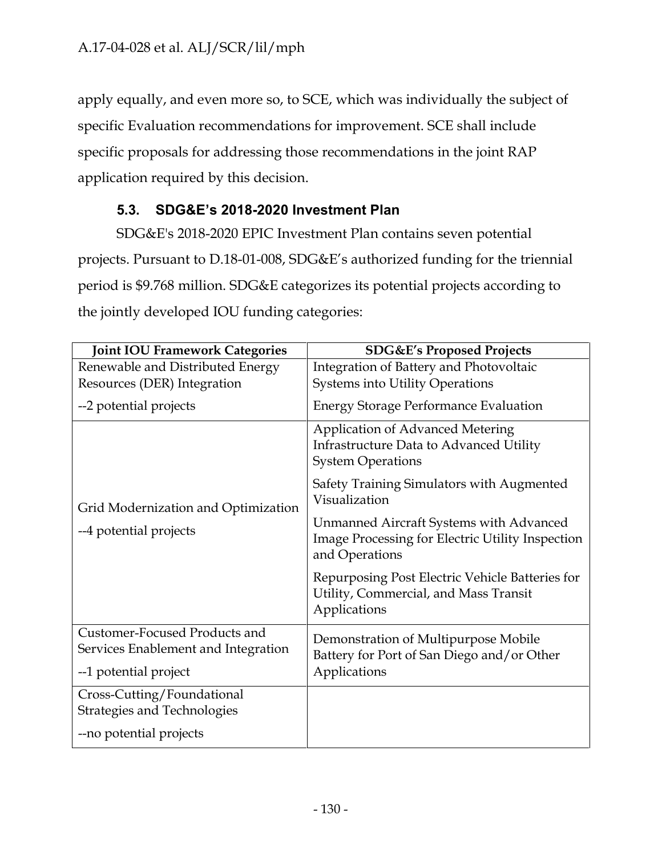apply equally, and even more so, to SCE, which was individually the subject of specific Evaluation recommendations for improvement. SCE shall include specific proposals for addressing those recommendations in the joint RAP application required by this decision.

# **5.3. SDG&E's 2018-2020 Investment Plan**

SDG&E's 2018-2020 EPIC Investment Plan contains seven potential projects. Pursuant to D.18-01-008, SDG&E's authorized funding for the triennial period is \$9.768 million. SDG&E categorizes its potential projects according to the jointly developed IOU funding categories:

| <b>Joint IOU Framework Categories</b>                                | <b>SDG&amp;E's Proposed Projects</b>                                                                           |  |
|----------------------------------------------------------------------|----------------------------------------------------------------------------------------------------------------|--|
| Renewable and Distributed Energy                                     | Integration of Battery and Photovoltaic                                                                        |  |
| Resources (DER) Integration                                          | <b>Systems into Utility Operations</b>                                                                         |  |
| --2 potential projects                                               | <b>Energy Storage Performance Evaluation</b>                                                                   |  |
|                                                                      | <b>Application of Advanced Metering</b><br>Infrastructure Data to Advanced Utility<br><b>System Operations</b> |  |
| Grid Modernization and Optimization<br>--4 potential projects        | Safety Training Simulators with Augmented<br>Visualization                                                     |  |
|                                                                      | Unmanned Aircraft Systems with Advanced<br>Image Processing for Electric Utility Inspection<br>and Operations  |  |
|                                                                      | Repurposing Post Electric Vehicle Batteries for<br>Utility, Commercial, and Mass Transit<br>Applications       |  |
| Customer-Focused Products and<br>Services Enablement and Integration | Demonstration of Multipurpose Mobile<br>Battery for Port of San Diego and/or Other                             |  |
| --1 potential project                                                | Applications                                                                                                   |  |
| Cross-Cutting/Foundational<br><b>Strategies and Technologies</b>     |                                                                                                                |  |
| --no potential projects                                              |                                                                                                                |  |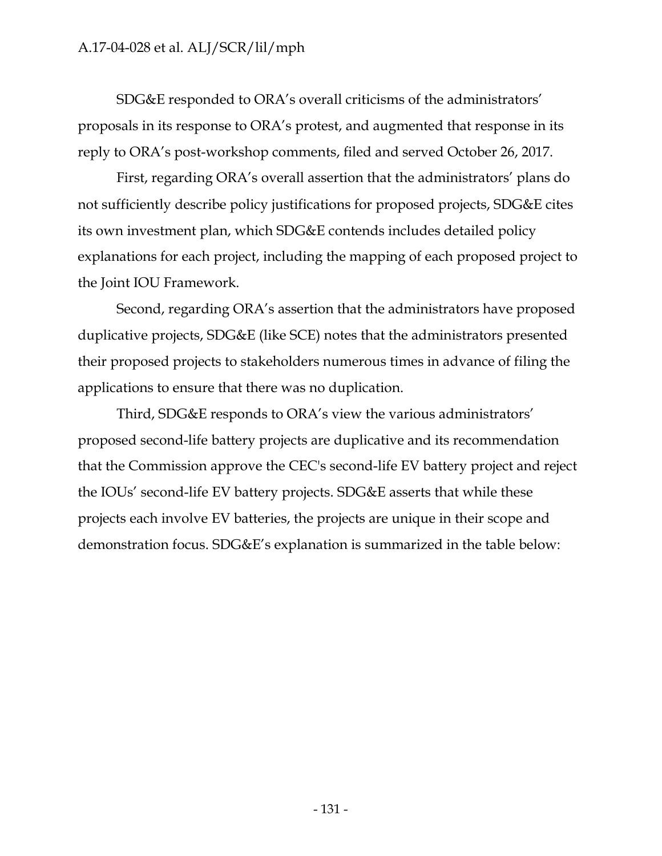SDG&E responded to ORA's overall criticisms of the administrators' proposals in its response to ORA's protest, and augmented that response in its reply to ORA's post-workshop comments, filed and served October 26, 2017.

First, regarding ORA's overall assertion that the administrators' plans do not sufficiently describe policy justifications for proposed projects, SDG&E cites its own investment plan, which SDG&E contends includes detailed policy explanations for each project, including the mapping of each proposed project to the Joint IOU Framework.

Second, regarding ORA's assertion that the administrators have proposed duplicative projects, SDG&E (like SCE) notes that the administrators presented their proposed projects to stakeholders numerous times in advance of filing the applications to ensure that there was no duplication.

Third, SDG&E responds to ORA's view the various administrators' proposed second-life battery projects are duplicative and its recommendation that the Commission approve the CEC's second-life EV battery project and reject the IOUs' second-life EV battery projects. SDG&E asserts that while these projects each involve EV batteries, the projects are unique in their scope and demonstration focus. SDG&E's explanation is summarized in the table below: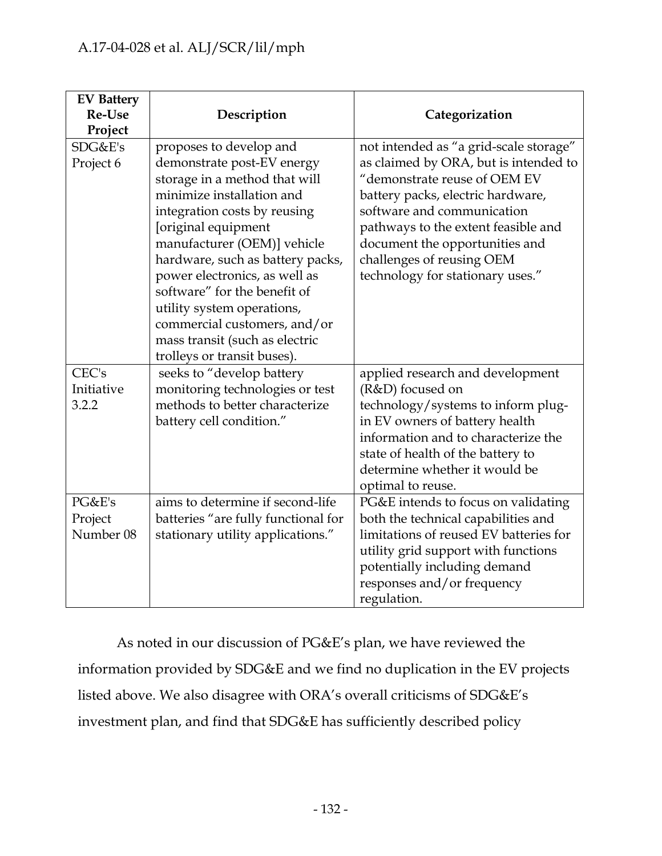| <b>EV Battery</b><br><b>Re-Use</b><br>Project | Description                         | Categorization                         |
|-----------------------------------------------|-------------------------------------|----------------------------------------|
| SDG&E's                                       | proposes to develop and             | not intended as "a grid-scale storage" |
| Project 6                                     | demonstrate post-EV energy          | as claimed by ORA, but is intended to  |
|                                               | storage in a method that will       | "demonstrate reuse of OEM EV           |
|                                               | minimize installation and           | battery packs, electric hardware,      |
|                                               | integration costs by reusing        | software and communication             |
|                                               | [original equipment                 | pathways to the extent feasible and    |
|                                               | manufacturer (OEM)] vehicle         | document the opportunities and         |
|                                               | hardware, such as battery packs,    | challenges of reusing OEM              |
|                                               | power electronics, as well as       | technology for stationary uses."       |
|                                               | software" for the benefit of        |                                        |
|                                               | utility system operations,          |                                        |
|                                               | commercial customers, and/or        |                                        |
|                                               | mass transit (such as electric      |                                        |
|                                               | trolleys or transit buses).         |                                        |
| CEC's                                         | seeks to "develop battery           | applied research and development       |
| Initiative                                    | monitoring technologies or test     | (R&D) focused on                       |
| 3.2.2                                         | methods to better characterize      | technology/systems to inform plug-     |
|                                               | battery cell condition."            | in EV owners of battery health         |
|                                               |                                     | information and to characterize the    |
|                                               |                                     | state of health of the battery to      |
|                                               |                                     | determine whether it would be          |
|                                               |                                     | optimal to reuse.                      |
| PG&E's                                        | aims to determine if second-life    | PG&E intends to focus on validating    |
| Project                                       | batteries "are fully functional for | both the technical capabilities and    |
| Number 08                                     | stationary utility applications."   | limitations of reused EV batteries for |
|                                               |                                     | utility grid support with functions    |
|                                               |                                     | potentially including demand           |
|                                               |                                     | responses and/or frequency             |
|                                               |                                     | regulation.                            |

As noted in our discussion of PG&E's plan, we have reviewed the information provided by SDG&E and we find no duplication in the EV projects listed above. We also disagree with ORA's overall criticisms of SDG&E's investment plan, and find that SDG&E has sufficiently described policy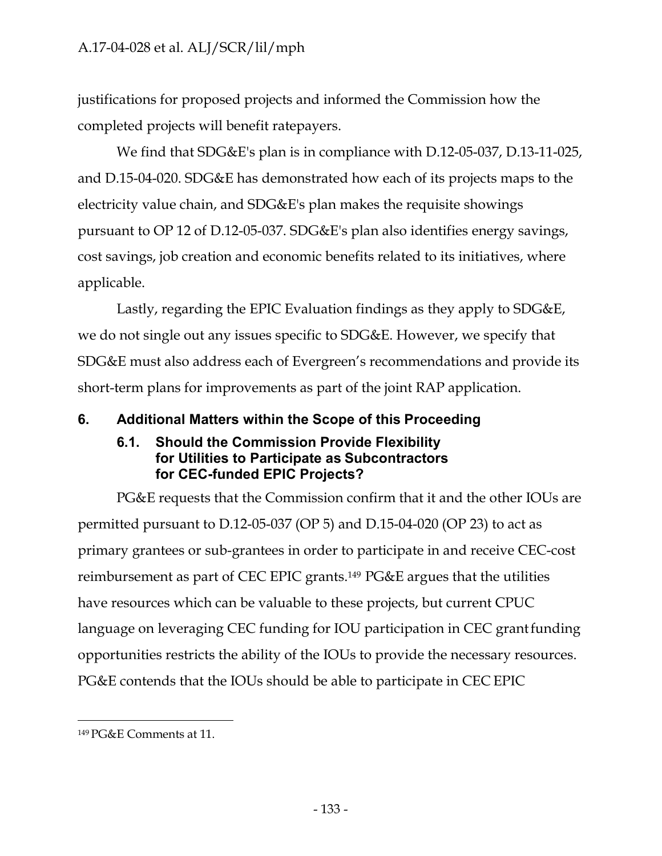justifications for proposed projects and informed the Commission how the completed projects will benefit ratepayers.

We find that SDG&E's plan is in compliance with D.12-05-037, D.13-11-025, and D.15-04-020. SDG&E has demonstrated how each of its projects maps to the electricity value chain, and SDG&E's plan makes the requisite showings pursuant to OP 12 of D.12-05-037. SDG&E's plan also identifies energy savings, cost savings, job creation and economic benefits related to its initiatives, where applicable.

Lastly, regarding the EPIC Evaluation findings as they apply to SDG&E, we do not single out any issues specific to SDG&E. However, we specify that SDG&E must also address each of Evergreen's recommendations and provide its short-term plans for improvements as part of the joint RAP application.

## **6. Additional Matters within the Scope of this Proceeding**

#### **6.1. Should the Commission Provide Flexibility for Utilities to Participate as Subcontractors for CEC-funded EPIC Projects?**

PG&E requests that the Commission confirm that it and the other IOUs are permitted pursuant to D.12-05-037 (OP 5) and D.15-04-020 (OP 23) to act as primary grantees or sub-grantees in order to participate in and receive CEC-cost reimbursement as part of CEC EPIC grants.149 PG&E argues that the utilities have resources which can be valuable to these projects, but current CPUC language on leveraging CEC funding for IOU participation in CEC grant funding opportunities restricts the ability of the IOUs to provide the necessary resources. PG&E contends that the IOUs should be able to participate in CEC EPIC

<sup>149</sup> PG&E Comments at 11.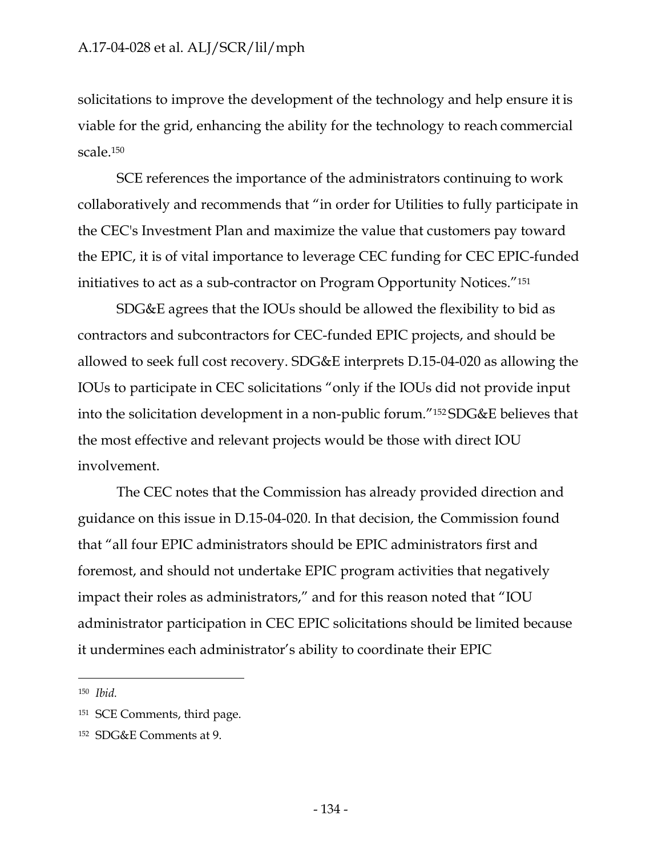solicitations to improve the development of the technology and help ensure it is viable for the grid, enhancing the ability for the technology to reach commercial scale.150

SCE references the importance of the administrators continuing to work collaboratively and recommends that "in order for Utilities to fully participate in the CEC's Investment Plan and maximize the value that customers pay toward the EPIC, it is of vital importance to leverage CEC funding for CEC EPIC-funded initiatives to act as a sub-contractor on Program Opportunity Notices."151

SDG&E agrees that the IOUs should be allowed the flexibility to bid as contractors and subcontractors for CEC-funded EPIC projects, and should be allowed to seek full cost recovery. SDG&E interprets D.15-04-020 as allowing the IOUs to participate in CEC solicitations "only if the IOUs did not provide input into the solicitation development in a non-public forum."152 SDG&E believes that the most effective and relevant projects would be those with direct IOU involvement.

The CEC notes that the Commission has already provided direction and guidance on this issue in D.15-04-020. In that decision, the Commission found that "all four EPIC administrators should be EPIC administrators first and foremost, and should not undertake EPIC program activities that negatively impact their roles as administrators," and for this reason noted that "IOU administrator participation in CEC EPIC solicitations should be limited because it undermines each administrator's ability to coordinate their EPIC

<sup>150</sup> *Ibid.*

<sup>151</sup> SCE Comments, third page.

<sup>152</sup> SDG&E Comments at 9.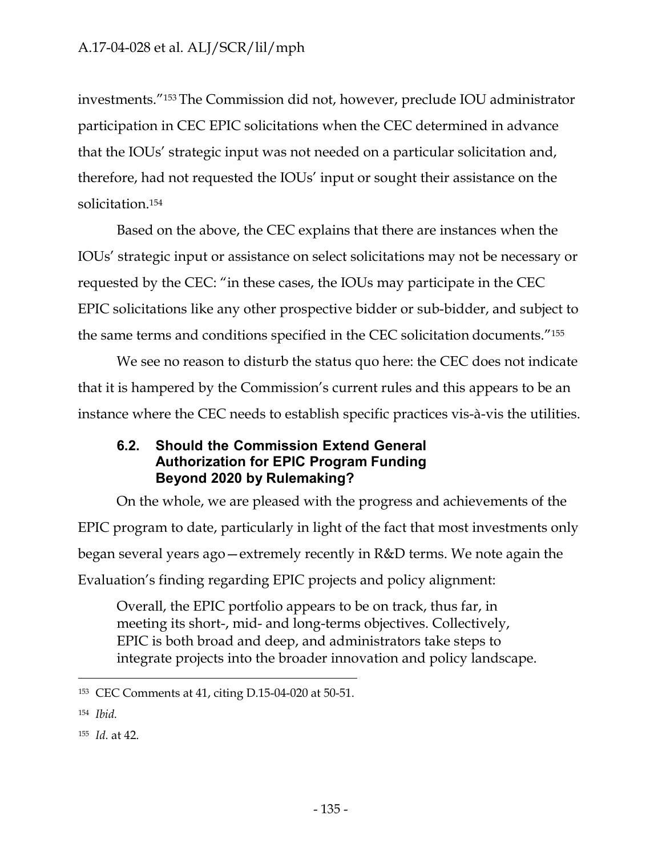investments."153 The Commission did not, however, preclude IOU administrator participation in CEC EPIC solicitations when the CEC determined in advance that the IOUs' strategic input was not needed on a particular solicitation and, therefore, had not requested the IOUs' input or sought their assistance on the solicitation.154

Based on the above, the CEC explains that there are instances when the IOUs' strategic input or assistance on select solicitations may not be necessary or requested by the CEC: "in these cases, the IOUs may participate in the CEC EPIC solicitations like any other prospective bidder or sub-bidder, and subject to the same terms and conditions specified in the CEC solicitation documents."155

We see no reason to disturb the status quo here: the CEC does not indicate that it is hampered by the Commission's current rules and this appears to be an instance where the CEC needs to establish specific practices vis-à-vis the utilities.

#### **6.2. Should the Commission Extend General Authorization for EPIC Program Funding Beyond 2020 by Rulemaking?**

On the whole, we are pleased with the progress and achievements of the EPIC program to date, particularly in light of the fact that most investments only began several years ago—extremely recently in R&D terms. We note again the Evaluation's finding regarding EPIC projects and policy alignment:

Overall, the EPIC portfolio appears to be on track, thus far, in meeting its short-, mid- and long-terms objectives. Collectively, EPIC is both broad and deep, and administrators take steps to integrate projects into the broader innovation and policy landscape.

<sup>154</sup> *Ibid.*

<sup>153</sup> CEC Comments at 41, citing D.15-04-020 at 50-51.

<sup>155</sup> *Id.* at 42.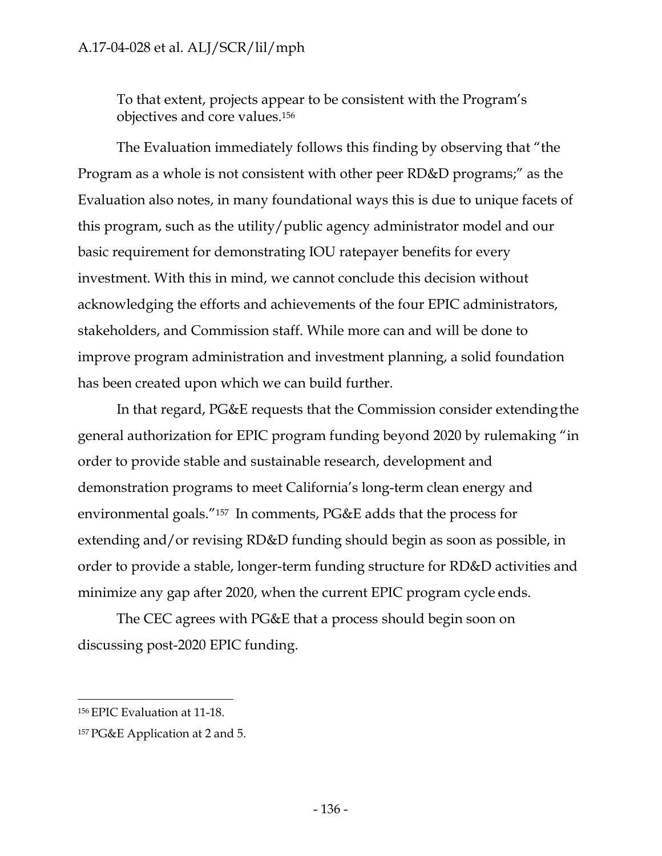To that extent, projects appear to be consistent with the Program's objectives and core values.156

The Evaluation immediately follows this finding by observing that "the Program as a whole is not consistent with other peer RD&D programs;" as the Evaluation also notes, in many foundational ways this is due to unique facets of this program, such as the utility/public agency administrator model and our basic requirement for demonstrating IOU ratepayer benefits for every investment. With this in mind, we cannot conclude this decision without acknowledging the efforts and achievements of the four EPIC administrators, stakeholders, and Commission staff. While more can and will be done to improve program administration and investment planning, a solid foundation has been created upon which we can build further.

In that regard, PG&E requests that the Commission consider extendingthe general authorization for EPIC program funding beyond 2020 by rulemaking "in order to provide stable and sustainable research, development and demonstration programs to meet California's long-term clean energy and environmental goals."157 In comments, PG&E adds that the process for extending and/or revising RD&D funding should begin as soon as possible, in order to provide a stable, longer-term funding structure for RD&D activities and minimize any gap after 2020, when the current EPIC program cycle ends.

The CEC agrees with PG&E that a process should begin soon on discussing post-2020 EPIC funding.

<sup>156</sup> EPIC Evaluation at 11-18.

<sup>157</sup> PG&E Application at 2 and 5.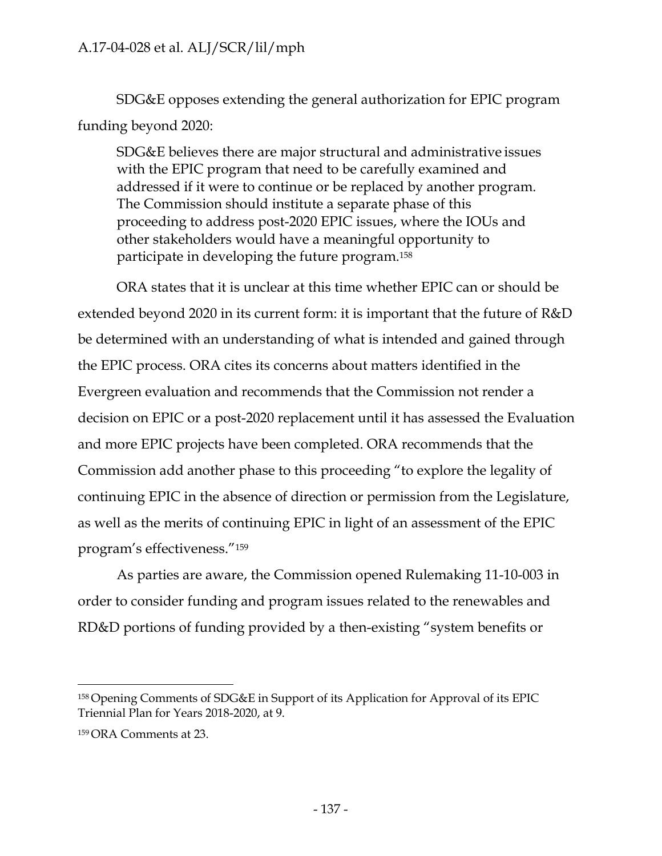SDG&E opposes extending the general authorization for EPIC program funding beyond 2020:

SDG&E believes there are major structural and administrative issues with the EPIC program that need to be carefully examined and addressed if it were to continue or be replaced by another program. The Commission should institute a separate phase of this proceeding to address post-2020 EPIC issues, where the IOUs and other stakeholders would have a meaningful opportunity to participate in developing the future program.158

ORA states that it is unclear at this time whether EPIC can or should be extended beyond 2020 in its current form: it is important that the future of R&D be determined with an understanding of what is intended and gained through the EPIC process. ORA cites its concerns about matters identified in the Evergreen evaluation and recommends that the Commission not render a decision on EPIC or a post-2020 replacement until it has assessed the Evaluation and more EPIC projects have been completed. ORA recommends that the Commission add another phase to this proceeding "to explore the legality of continuing EPIC in the absence of direction or permission from the Legislature, as well as the merits of continuing EPIC in light of an assessment of the EPIC program's effectiveness."159

As parties are aware, the Commission opened Rulemaking 11-10-003 in order to consider funding and program issues related to the renewables and RD&D portions of funding provided by a then-existing "system benefits or

<sup>158</sup> Opening Comments of SDG&E in Support of its Application for Approval of its EPIC Triennial Plan for Years 2018-2020, at 9.

<sup>159</sup> ORA Comments at 23.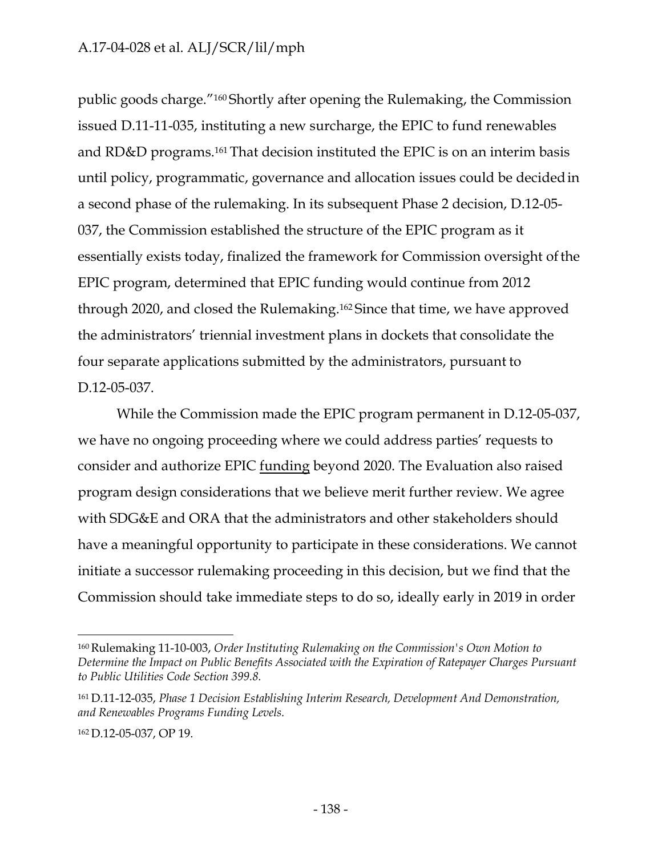public goods charge."160 Shortly after opening the Rulemaking, the Commission issued D.11-11-035, instituting a new surcharge, the EPIC to fund renewables and RD&D programs.161 That decision instituted the EPIC is on an interim basis until policy, programmatic, governance and allocation issues could be decided in a second phase of the rulemaking. In its subsequent Phase 2 decision, D.12-05- 037, the Commission established the structure of the EPIC program as it essentially exists today, finalized the framework for Commission oversight of the EPIC program, determined that EPIC funding would continue from 2012 through 2020, and closed the Rulemaking.162 Since that time, we have approved the administrators' triennial investment plans in dockets that consolidate the four separate applications submitted by the administrators, pursuant to D.12-05-037.

While the Commission made the EPIC program permanent in D.12-05-037, we have no ongoing proceeding where we could address parties' requests to consider and authorize EPIC funding beyond 2020. The Evaluation also raised program design considerations that we believe merit further review. We agree with SDG&E and ORA that the administrators and other stakeholders should have a meaningful opportunity to participate in these considerations. We cannot initiate a successor rulemaking proceeding in this decision, but we find that the Commission should take immediate steps to do so, ideally early in 2019 in order

<sup>160</sup> Rulemaking 11-10-003, *Order Instituting Rulemaking on the Commission's Own Motion to Determine the Impact on Public Benefits Associated with the Expiration of Ratepayer Charges Pursuant to Public Utilities Code Section 399.8.* 

<sup>161</sup> D.11-12-035, *Phase 1 Decision Establishing Interim Research, Development And Demonstration, and Renewables Programs Funding Levels.*

<sup>162</sup> D.12-05-037, OP 19.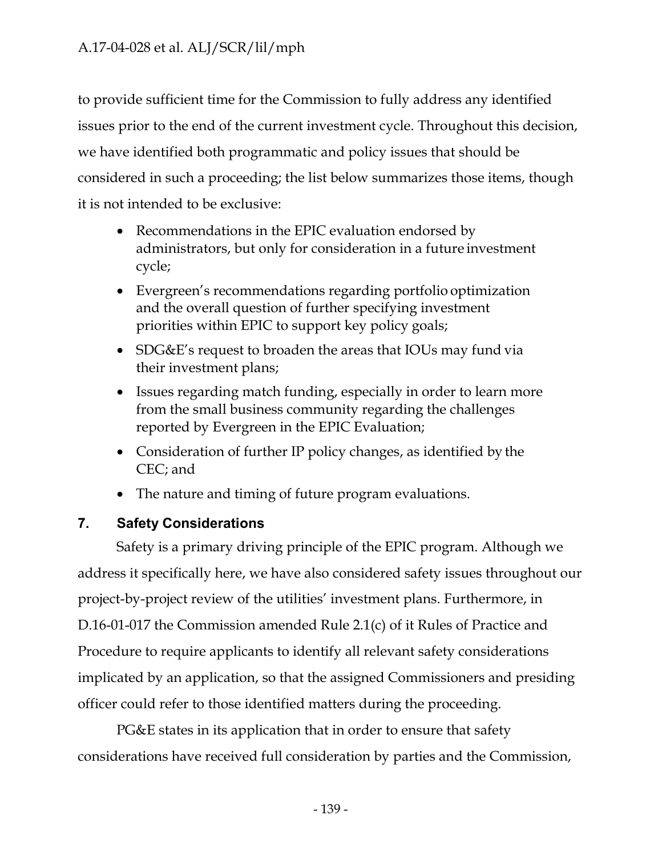to provide sufficient time for the Commission to fully address any identified issues prior to the end of the current investment cycle. Throughout this decision, we have identified both programmatic and policy issues that should be considered in such a proceeding; the list below summarizes those items, though it is not intended to be exclusive:

- Recommendations in the EPIC evaluation endorsed by administrators, but only for consideration in a future investment cycle;
- Evergreen's recommendations regarding portfolio optimization and the overall question of further specifying investment priorities within EPIC to support key policy goals;
- SDG&E's request to broaden the areas that IOUs may fund via their investment plans;
- Issues regarding match funding, especially in order to learn more from the small business community regarding the challenges reported by Evergreen in the EPIC Evaluation;
- Consideration of further IP policy changes, as identified by the CEC; and
- The nature and timing of future program evaluations.

# **7. Safety Considerations**

Safety is a primary driving principle of the EPIC program. Although we address it specifically here, we have also considered safety issues throughout our project-by-project review of the utilities' investment plans. Furthermore, in D.16-01-017 the Commission amended Rule 2.1(c) of it Rules of Practice and Procedure to require applicants to identify all relevant safety considerations implicated by an application, so that the assigned Commissioners and presiding officer could refer to those identified matters during the proceeding.

PG&E states in its application that in order to ensure that safety considerations have received full consideration by parties and the Commission,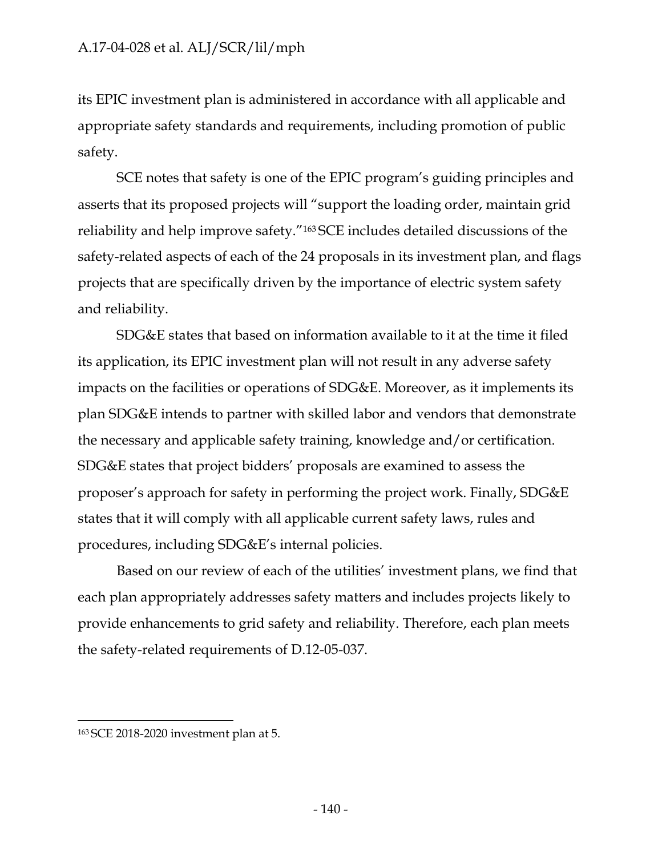its EPIC investment plan is administered in accordance with all applicable and appropriate safety standards and requirements, including promotion of public safety.

SCE notes that safety is one of the EPIC program's guiding principles and asserts that its proposed projects will "support the loading order, maintain grid reliability and help improve safety."163 SCE includes detailed discussions of the safety-related aspects of each of the 24 proposals in its investment plan, and flags projects that are specifically driven by the importance of electric system safety and reliability.

SDG&E states that based on information available to it at the time it filed its application, its EPIC investment plan will not result in any adverse safety impacts on the facilities or operations of SDG&E. Moreover, as it implements its plan SDG&E intends to partner with skilled labor and vendors that demonstrate the necessary and applicable safety training, knowledge and/or certification. SDG&E states that project bidders' proposals are examined to assess the proposer's approach for safety in performing the project work. Finally, SDG&E states that it will comply with all applicable current safety laws, rules and procedures, including SDG&E's internal policies.

Based on our review of each of the utilities' investment plans, we find that each plan appropriately addresses safety matters and includes projects likely to provide enhancements to grid safety and reliability. Therefore, each plan meets the safety-related requirements of D.12-05-037.

<sup>163</sup> SCE 2018-2020 investment plan at 5.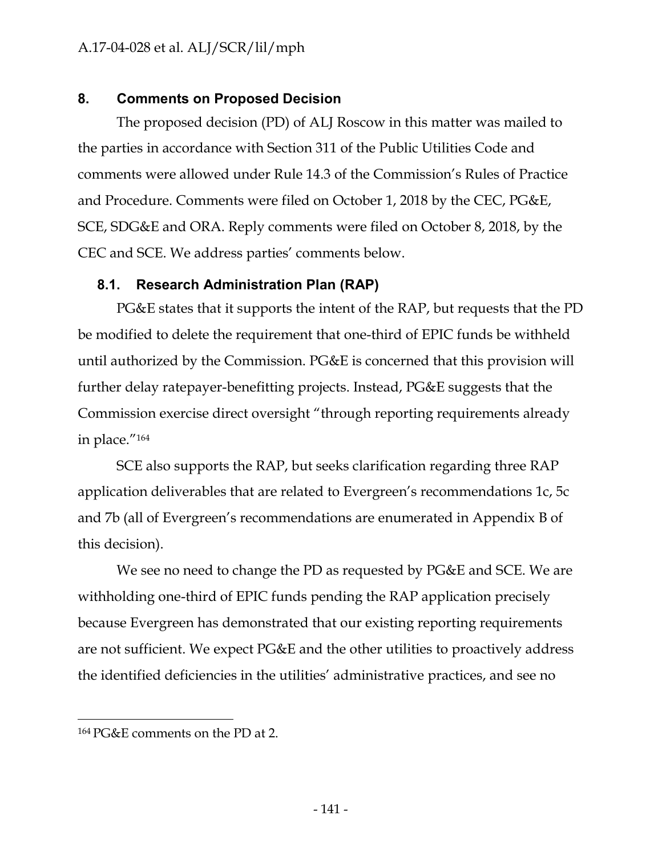## **8. Comments on Proposed Decision**

The proposed decision (PD) of ALJ Roscow in this matter was mailed to the parties in accordance with Section 311 of the Public Utilities Code and comments were allowed under Rule 14.3 of the Commission's Rules of Practice and Procedure. Comments were filed on October 1, 2018 by the CEC, PG&E, SCE, SDG&E and ORA. Reply comments were filed on October 8, 2018, by the CEC and SCE. We address parties' comments below.

## **8.1. Research Administration Plan (RAP)**

PG&E states that it supports the intent of the RAP, but requests that the PD be modified to delete the requirement that one-third of EPIC funds be withheld until authorized by the Commission. PG&E is concerned that this provision will further delay ratepayer-benefitting projects. Instead, PG&E suggests that the Commission exercise direct oversight "through reporting requirements already in place."164

SCE also supports the RAP, but seeks clarification regarding three RAP application deliverables that are related to Evergreen's recommendations 1c, 5c and 7b (all of Evergreen's recommendations are enumerated in Appendix B of this decision).

We see no need to change the PD as requested by PG&E and SCE. We are withholding one-third of EPIC funds pending the RAP application precisely because Evergreen has demonstrated that our existing reporting requirements are not sufficient. We expect PG&E and the other utilities to proactively address the identified deficiencies in the utilities' administrative practices, and see no

<sup>164</sup> PG&E comments on the PD at 2.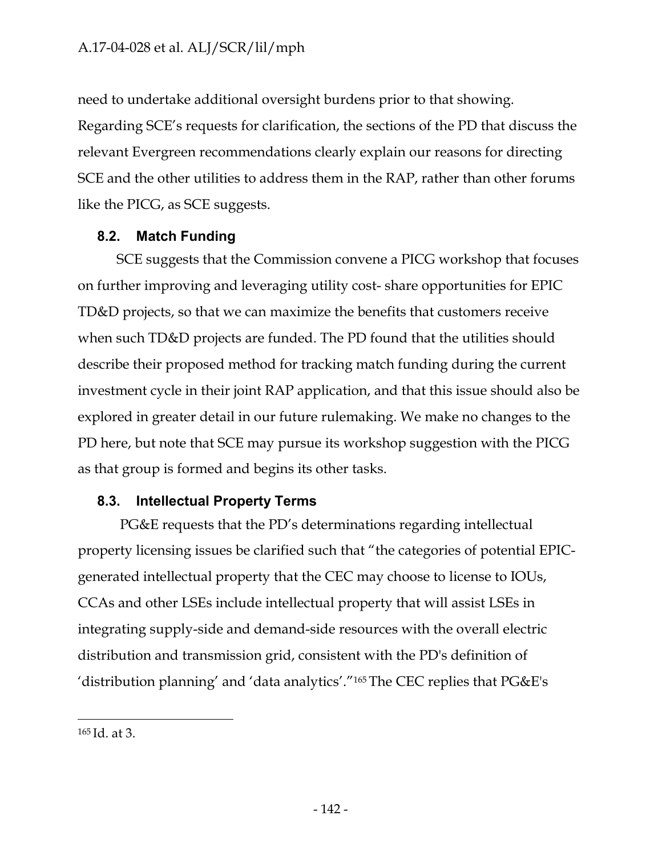need to undertake additional oversight burdens prior to that showing. Regarding SCE's requests for clarification, the sections of the PD that discuss the relevant Evergreen recommendations clearly explain our reasons for directing SCE and the other utilities to address them in the RAP, rather than other forums like the PICG, as SCE suggests.

## **8.2. Match Funding**

SCE suggests that the Commission convene a PICG workshop that focuses on further improving and leveraging utility cost- share opportunities for EPIC TD&D projects, so that we can maximize the benefits that customers receive when such TD&D projects are funded. The PD found that the utilities should describe their proposed method for tracking match funding during the current investment cycle in their joint RAP application, and that this issue should also be explored in greater detail in our future rulemaking. We make no changes to the PD here, but note that SCE may pursue its workshop suggestion with the PICG as that group is formed and begins its other tasks.

## **8.3. Intellectual Property Terms**

PG&E requests that the PD's determinations regarding intellectual property licensing issues be clarified such that "the categories of potential EPICgenerated intellectual property that the CEC may choose to license to IOUs, CCAs and other LSEs include intellectual property that will assist LSEs in integrating supply-side and demand-side resources with the overall electric distribution and transmission grid, consistent with the PD's definition of 'distribution planning' and 'data analytics'."165 The CEC replies that PG&E's

<sup>165</sup> Id. at 3.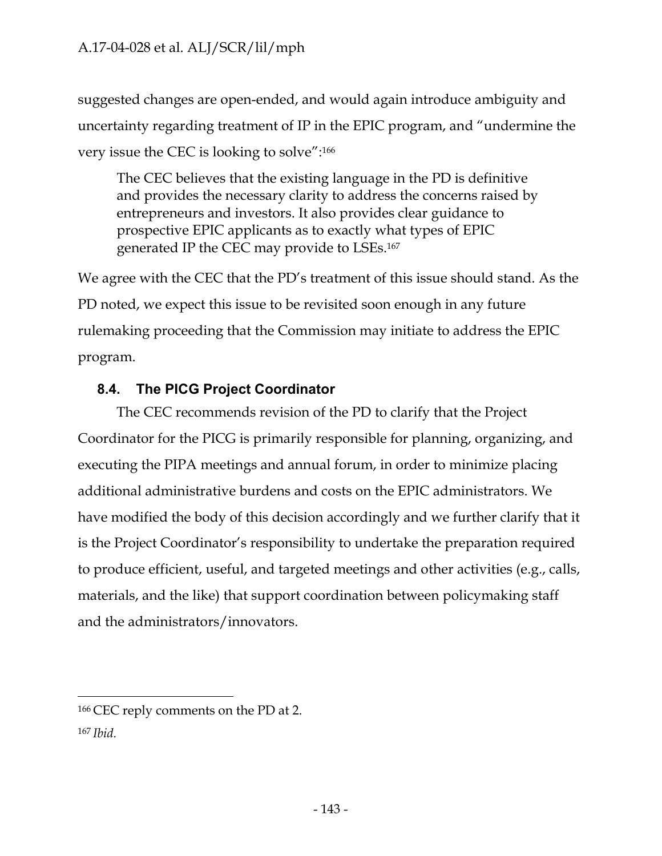suggested changes are open-ended, and would again introduce ambiguity and uncertainty regarding treatment of IP in the EPIC program, and "undermine the very issue the CEC is looking to solve":166

The CEC believes that the existing language in the PD is definitive and provides the necessary clarity to address the concerns raised by entrepreneurs and investors. It also provides clear guidance to prospective EPIC applicants as to exactly what types of EPIC generated IP the CEC may provide to LSEs.167

We agree with the CEC that the PD's treatment of this issue should stand. As the PD noted, we expect this issue to be revisited soon enough in any future rulemaking proceeding that the Commission may initiate to address the EPIC program.

# **8.4. The PICG Project Coordinator**

The CEC recommends revision of the PD to clarify that the Project Coordinator for the PICG is primarily responsible for planning, organizing, and executing the PIPA meetings and annual forum, in order to minimize placing additional administrative burdens and costs on the EPIC administrators. We have modified the body of this decision accordingly and we further clarify that it is the Project Coordinator's responsibility to undertake the preparation required to produce efficient, useful, and targeted meetings and other activities (e.g., calls, materials, and the like) that support coordination between policymaking staff and the administrators/innovators.

<sup>166</sup> CEC reply comments on the PD at 2. 167 *Ibid.*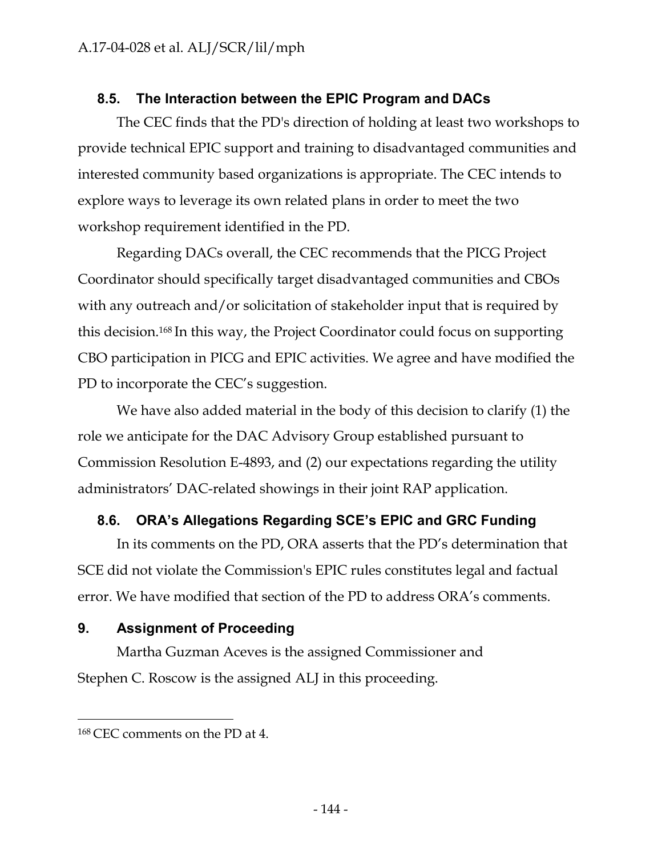# **8.5. The Interaction between the EPIC Program and DACs**

The CEC finds that the PD's direction of holding at least two workshops to provide technical EPIC support and training to disadvantaged communities and interested community based organizations is appropriate. The CEC intends to explore ways to leverage its own related plans in order to meet the two workshop requirement identified in the PD.

Regarding DACs overall, the CEC recommends that the PICG Project Coordinator should specifically target disadvantaged communities and CBOs with any outreach and/or solicitation of stakeholder input that is required by this decision.168 In this way, the Project Coordinator could focus on supporting CBO participation in PICG and EPIC activities. We agree and have modified the PD to incorporate the CEC's suggestion.

We have also added material in the body of this decision to clarify (1) the role we anticipate for the DAC Advisory Group established pursuant to Commission Resolution E-4893, and (2) our expectations regarding the utility administrators' DAC-related showings in their joint RAP application.

## **8.6. ORA's Allegations Regarding SCE's EPIC and GRC Funding**

In its comments on the PD, ORA asserts that the PD's determination that SCE did not violate the Commission's EPIC rules constitutes legal and factual error. We have modified that section of the PD to address ORA's comments.

# **9. Assignment of Proceeding**

Martha Guzman Aceves is the assigned Commissioner and Stephen C. Roscow is the assigned ALJ in this proceeding.

<sup>168</sup> CEC comments on the PD at 4.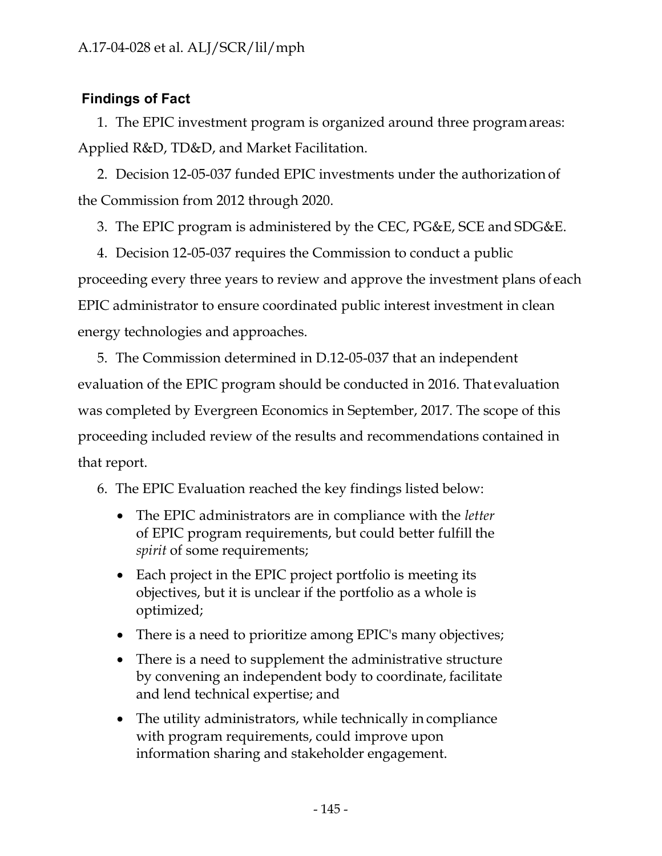# **Findings of Fact**

1. The EPIC investment program is organized around three program areas: Applied R&D, TD&D, and Market Facilitation.

2. Decision 12-05-037 funded EPIC investments under the authorization of the Commission from 2012 through 2020.

3. The EPIC program is administered by the CEC, PG&E, SCE and SDG&E.

4. Decision 12-05-037 requires the Commission to conduct a public proceeding every three years to review and approve the investment plans of each EPIC administrator to ensure coordinated public interest investment in clean energy technologies and approaches.

5. The Commission determined in D.12-05-037 that an independent evaluation of the EPIC program should be conducted in 2016. That evaluation was completed by Evergreen Economics in September, 2017. The scope of this proceeding included review of the results and recommendations contained in that report.

6. The EPIC Evaluation reached the key findings listed below:

- The EPIC administrators are in compliance with the *letter*  of EPIC program requirements, but could better fulfill the *spirit* of some requirements;
- Each project in the EPIC project portfolio is meeting its objectives, but it is unclear if the portfolio as a whole is optimized;
- There is a need to prioritize among EPIC's many objectives;
- There is a need to supplement the administrative structure by convening an independent body to coordinate, facilitate and lend technical expertise; and
- The utility administrators, while technically in compliance with program requirements, could improve upon information sharing and stakeholder engagement.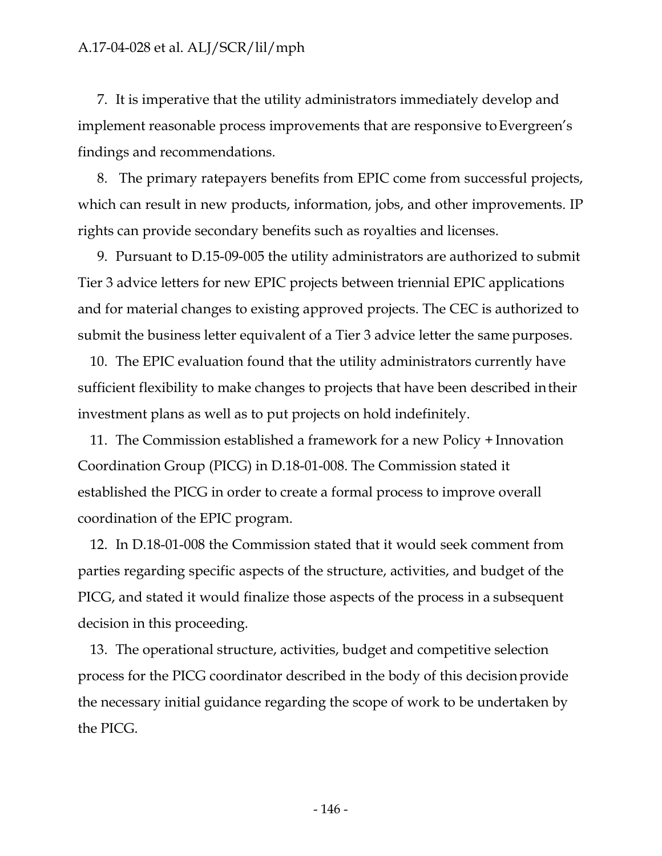7. It is imperative that the utility administrators immediately develop and implement reasonable process improvements that are responsive to Evergreen's findings and recommendations.

8. The primary ratepayers benefits from EPIC come from successful projects, which can result in new products, information, jobs, and other improvements. IP rights can provide secondary benefits such as royalties and licenses.

9. Pursuant to D.15-09-005 the utility administrators are authorized to submit Tier 3 advice letters for new EPIC projects between triennial EPIC applications and for material changes to existing approved projects. The CEC is authorized to submit the business letter equivalent of a Tier 3 advice letter the same purposes.

10. The EPIC evaluation found that the utility administrators currently have sufficient flexibility to make changes to projects that have been described in their investment plans as well as to put projects on hold indefinitely.

11. The Commission established a framework for a new Policy + Innovation Coordination Group (PICG) in D.18-01-008. The Commission stated it established the PICG in order to create a formal process to improve overall coordination of the EPIC program.

12. In D.18-01-008 the Commission stated that it would seek comment from parties regarding specific aspects of the structure, activities, and budget of the PICG, and stated it would finalize those aspects of the process in a subsequent decision in this proceeding.

13. The operational structure, activities, budget and competitive selection process for the PICG coordinator described in the body of this decision provide the necessary initial guidance regarding the scope of work to be undertaken by the PICG.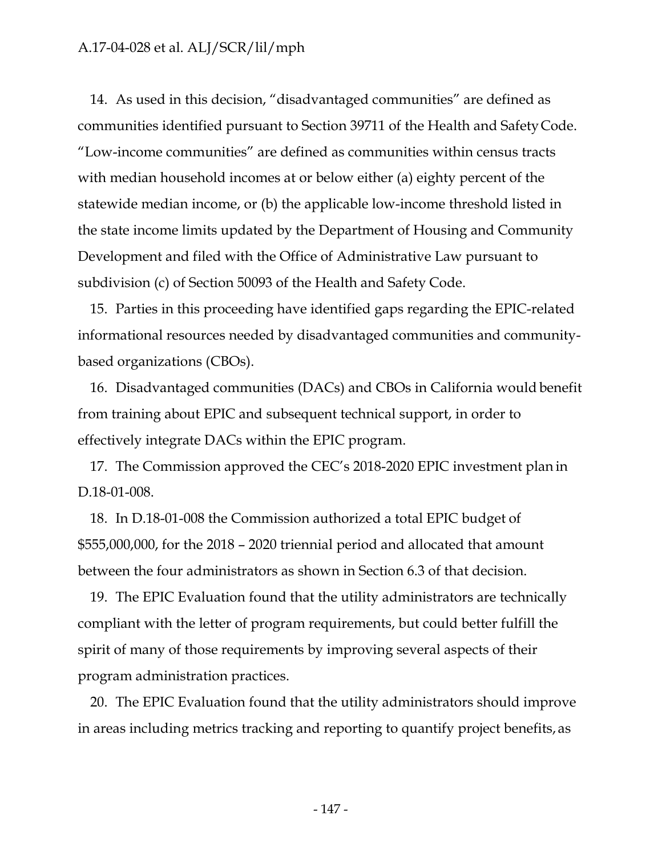14. As used in this decision, "disadvantaged communities" are defined as communities identified pursuant to Section 39711 of the Health and Safety Code. "Low-income communities" are defined as communities within census tracts with median household incomes at or below either (a) eighty percent of the statewide median income, or (b) the applicable low-income threshold listed in the state income limits updated by the Department of Housing and Community Development and filed with the Office of Administrative Law pursuant to subdivision (c) of Section 50093 of the Health and Safety Code.

15. Parties in this proceeding have identified gaps regarding the EPIC-related informational resources needed by disadvantaged communities and communitybased organizations (CBOs).

16. Disadvantaged communities (DACs) and CBOs in California would benefit from training about EPIC and subsequent technical support, in order to effectively integrate DACs within the EPIC program.

17. The Commission approved the CEC's 2018-2020 EPIC investment plan in D.18-01-008.

18. In D.18-01-008 the Commission authorized a total EPIC budget of \$555,000,000, for the 2018 – 2020 triennial period and allocated that amount between the four administrators as shown in Section 6.3 of that decision.

19. The EPIC Evaluation found that the utility administrators are technically compliant with the letter of program requirements, but could better fulfill the spirit of many of those requirements by improving several aspects of their program administration practices.

20. The EPIC Evaluation found that the utility administrators should improve in areas including metrics tracking and reporting to quantify project benefits, as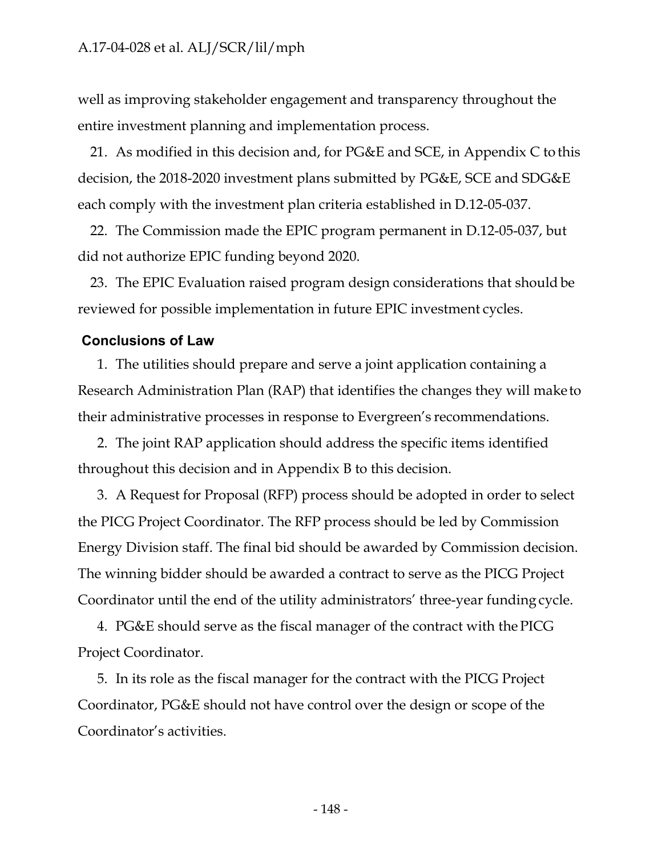well as improving stakeholder engagement and transparency throughout the entire investment planning and implementation process.

21. As modified in this decision and, for PG&E and SCE, in Appendix C to this decision, the 2018-2020 investment plans submitted by PG&E, SCE and SDG&E each comply with the investment plan criteria established in D.12-05-037.

22. The Commission made the EPIC program permanent in D.12-05-037, but did not authorize EPIC funding beyond 2020.

23. The EPIC Evaluation raised program design considerations that should be reviewed for possible implementation in future EPIC investment cycles.

#### **Conclusions of Law**

1. The utilities should prepare and serve a joint application containing a Research Administration Plan (RAP) that identifies the changes they will maketo their administrative processes in response to Evergreen's recommendations.

2. The joint RAP application should address the specific items identified throughout this decision and in Appendix B to this decision.

3. A Request for Proposal (RFP) process should be adopted in order to select the PICG Project Coordinator. The RFP process should be led by Commission Energy Division staff. The final bid should be awarded by Commission decision. The winning bidder should be awarded a contract to serve as the PICG Project Coordinator until the end of the utility administrators' three-year funding cycle.

4. PG&E should serve as the fiscal manager of the contract with the PICG Project Coordinator.

5. In its role as the fiscal manager for the contract with the PICG Project Coordinator, PG&E should not have control over the design or scope of the Coordinator's activities.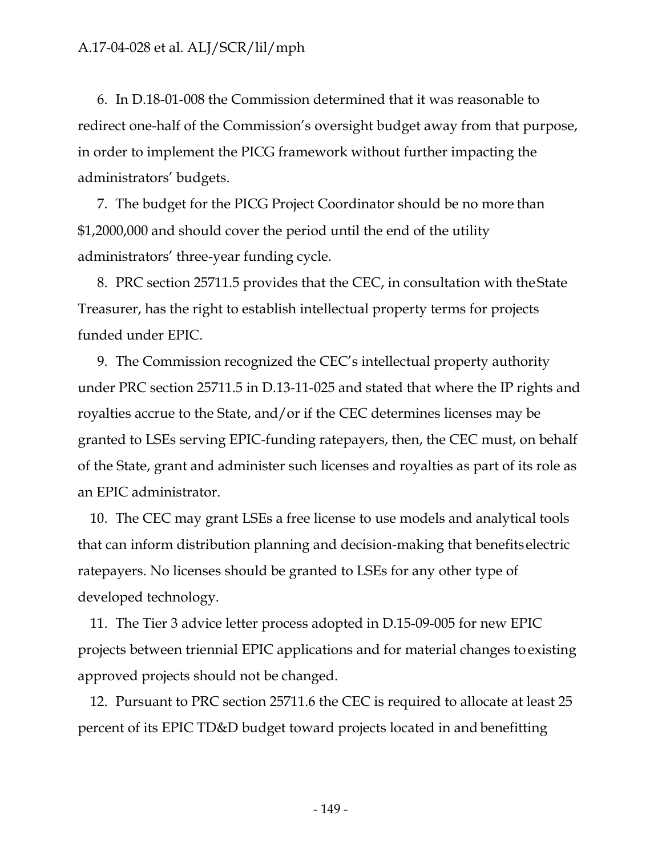6. In D.18-01-008 the Commission determined that it was reasonable to redirect one-half of the Commission's oversight budget away from that purpose, in order to implement the PICG framework without further impacting the administrators' budgets.

7. The budget for the PICG Project Coordinator should be no more than \$1,2000,000 and should cover the period until the end of the utility administrators' three-year funding cycle.

8. PRC section 25711.5 provides that the CEC, in consultation with the State Treasurer, has the right to establish intellectual property terms for projects funded under EPIC.

9. The Commission recognized the CEC's intellectual property authority under PRC section 25711.5 in D.13-11-025 and stated that where the IP rights and royalties accrue to the State, and/or if the CEC determines licenses may be granted to LSEs serving EPIC-funding ratepayers, then, the CEC must, on behalf of the State, grant and administer such licenses and royalties as part of its role as an EPIC administrator.

10. The CEC may grant LSEs a free license to use models and analytical tools that can inform distribution planning and decision-making that benefits electric ratepayers. No licenses should be granted to LSEs for any other type of developed technology.

11. The Tier 3 advice letter process adopted in D.15-09-005 for new EPIC projects between triennial EPIC applications and for material changes toexisting approved projects should not be changed.

12. Pursuant to PRC section 25711.6 the CEC is required to allocate at least 25 percent of its EPIC TD&D budget toward projects located in and benefitting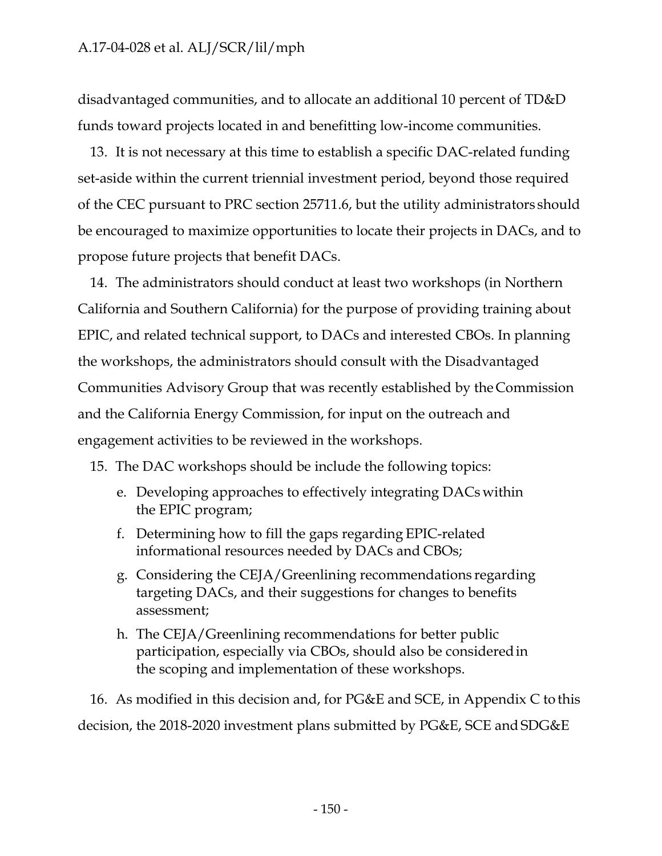disadvantaged communities, and to allocate an additional 10 percent of TD&D funds toward projects located in and benefitting low-income communities.

13. It is not necessary at this time to establish a specific DAC-related funding set-aside within the current triennial investment period, beyond those required of the CEC pursuant to PRC section 25711.6, but the utility administrators should be encouraged to maximize opportunities to locate their projects in DACs, and to propose future projects that benefit DACs.

14. The administrators should conduct at least two workshops (in Northern California and Southern California) for the purpose of providing training about EPIC, and related technical support, to DACs and interested CBOs. In planning the workshops, the administrators should consult with the Disadvantaged Communities Advisory Group that was recently established by the Commission and the California Energy Commission, for input on the outreach and engagement activities to be reviewed in the workshops.

15. The DAC workshops should be include the following topics:

- e. Developing approaches to effectively integrating DACs within the EPIC program;
- f. Determining how to fill the gaps regarding EPIC-related informational resources needed by DACs and CBOs;
- g. Considering the CEJA/Greenlining recommendations regarding targeting DACs, and their suggestions for changes to benefits assessment;
- h. The CEJA/Greenlining recommendations for better public participation, especially via CBOs, should also be considered in the scoping and implementation of these workshops.

16. As modified in this decision and, for PG&E and SCE, in Appendix C to this decision, the 2018-2020 investment plans submitted by PG&E, SCE and SDG&E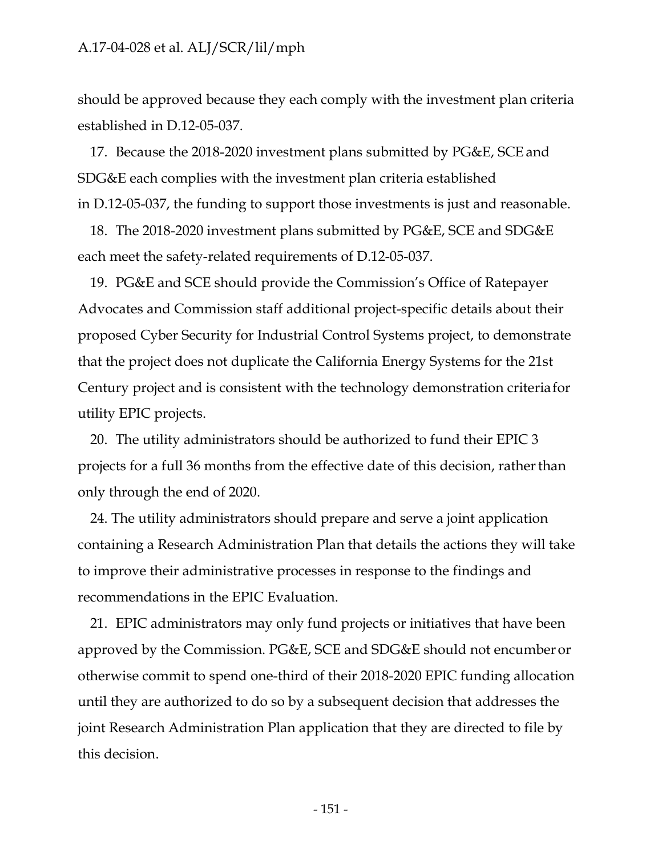should be approved because they each comply with the investment plan criteria established in D.12-05-037.

17. Because the 2018-2020 investment plans submitted by PG&E, SCE and SDG&E each complies with the investment plan criteria established in D.12-05-037, the funding to support those investments is just and reasonable.

18. The 2018-2020 investment plans submitted by PG&E, SCE and SDG&E each meet the safety-related requirements of D.12-05-037.

19. PG&E and SCE should provide the Commission's Office of Ratepayer Advocates and Commission staff additional project-specific details about their proposed Cyber Security for Industrial Control Systems project, to demonstrate that the project does not duplicate the California Energy Systems for the 21st Century project and is consistent with the technology demonstration criteria for utility EPIC projects.

20. The utility administrators should be authorized to fund their EPIC 3 projects for a full 36 months from the effective date of this decision, rather than only through the end of 2020.

24. The utility administrators should prepare and serve a joint application containing a Research Administration Plan that details the actions they will take to improve their administrative processes in response to the findings and recommendations in the EPIC Evaluation.

21. EPIC administrators may only fund projects or initiatives that have been approved by the Commission. PG&E, SCE and SDG&E should not encumber or otherwise commit to spend one-third of their 2018-2020 EPIC funding allocation until they are authorized to do so by a subsequent decision that addresses the joint Research Administration Plan application that they are directed to file by this decision.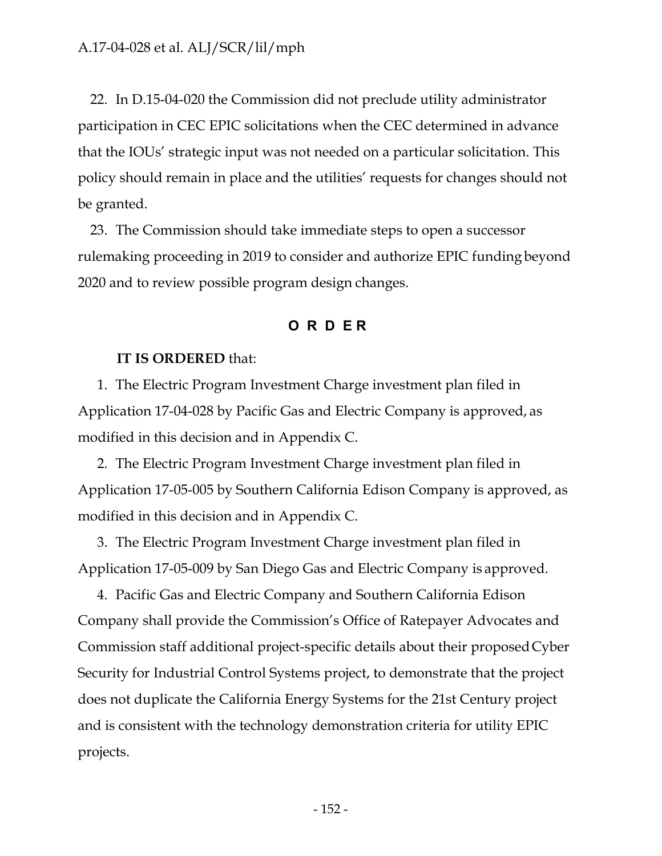22. In D.15-04-020 the Commission did not preclude utility administrator participation in CEC EPIC solicitations when the CEC determined in advance that the IOUs' strategic input was not needed on a particular solicitation. This policy should remain in place and the utilities' requests for changes should not be granted.

23. The Commission should take immediate steps to open a successor rulemaking proceeding in 2019 to consider and authorize EPIC funding beyond 2020 and to review possible program design changes.

#### **O R D E R**

#### **IT IS ORDERED** that:

1. The Electric Program Investment Charge investment plan filed in Application 17-04-028 by Pacific Gas and Electric Company is approved, as modified in this decision and in Appendix C.

2. The Electric Program Investment Charge investment plan filed in Application 17-05-005 by Southern California Edison Company is approved, as modified in this decision and in Appendix C.

3. The Electric Program Investment Charge investment plan filed in Application 17-05-009 by San Diego Gas and Electric Company is approved.

4. Pacific Gas and Electric Company and Southern California Edison Company shall provide the Commission's Office of Ratepayer Advocates and Commission staff additional project-specific details about their proposed Cyber Security for Industrial Control Systems project, to demonstrate that the project does not duplicate the California Energy Systems for the 21st Century project and is consistent with the technology demonstration criteria for utility EPIC projects.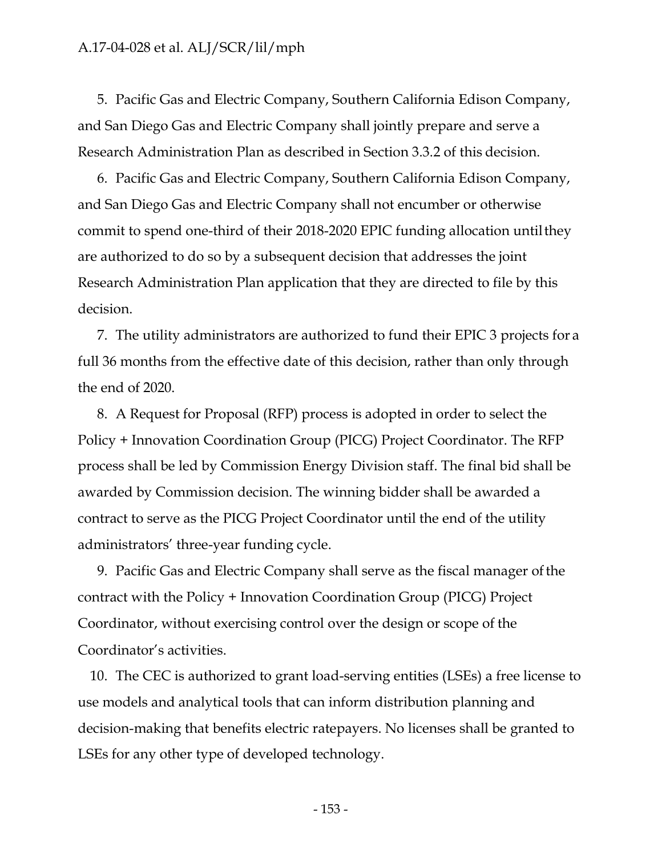5. Pacific Gas and Electric Company, Southern California Edison Company, and San Diego Gas and Electric Company shall jointly prepare and serve a Research Administration Plan as described in Section 3.3.2 of this decision.

6. Pacific Gas and Electric Company, Southern California Edison Company, and San Diego Gas and Electric Company shall not encumber or otherwise commit to spend one-third of their 2018-2020 EPIC funding allocation until they are authorized to do so by a subsequent decision that addresses the joint Research Administration Plan application that they are directed to file by this decision.

7. The utility administrators are authorized to fund their EPIC 3 projects for a full 36 months from the effective date of this decision, rather than only through the end of 2020.

8. A Request for Proposal (RFP) process is adopted in order to select the Policy + Innovation Coordination Group (PICG) Project Coordinator. The RFP process shall be led by Commission Energy Division staff. The final bid shall be awarded by Commission decision. The winning bidder shall be awarded a contract to serve as the PICG Project Coordinator until the end of the utility administrators' three-year funding cycle.

9. Pacific Gas and Electric Company shall serve as the fiscal manager ofthe contract with the Policy + Innovation Coordination Group (PICG) Project Coordinator, without exercising control over the design or scope of the Coordinator's activities.

10. The CEC is authorized to grant load-serving entities (LSEs) a free license to use models and analytical tools that can inform distribution planning and decision-making that benefits electric ratepayers. No licenses shall be granted to LSEs for any other type of developed technology.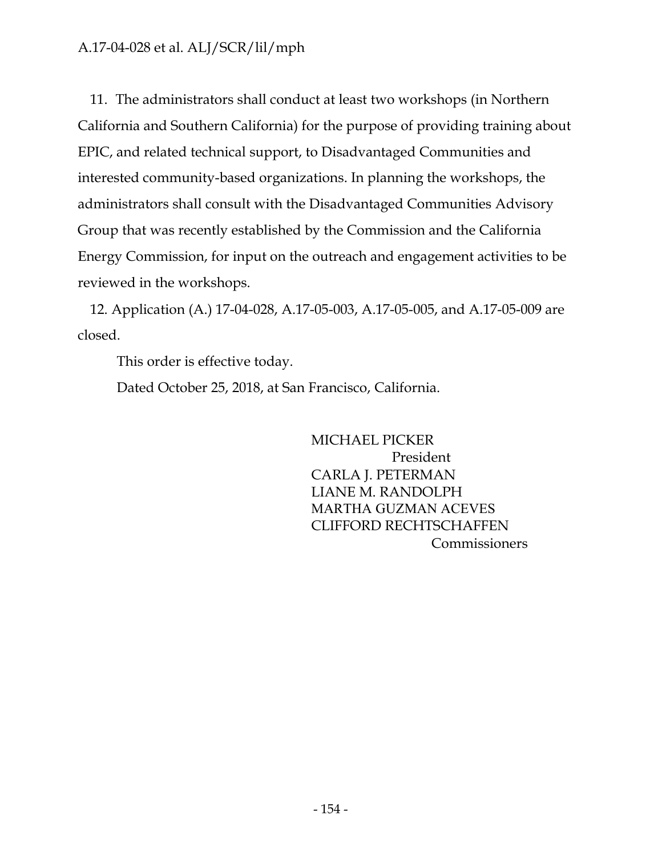11. The administrators shall conduct at least two workshops (in Northern California and Southern California) for the purpose of providing training about EPIC, and related technical support, to Disadvantaged Communities and interested community-based organizations. In planning the workshops, the administrators shall consult with the Disadvantaged Communities Advisory Group that was recently established by the Commission and the California Energy Commission, for input on the outreach and engagement activities to be reviewed in the workshops.

12. Application (A.) 17-04-028, A.17-05-003, A.17-05-005, and A.17-05-009 are closed.

This order is effective today.

Dated October 25, 2018, at San Francisco, California.

MICHAEL PICKER President CARLA J. PETERMAN LIANE M. RANDOLPH MARTHA GUZMAN ACEVES CLIFFORD RECHTSCHAFFEN Commissioners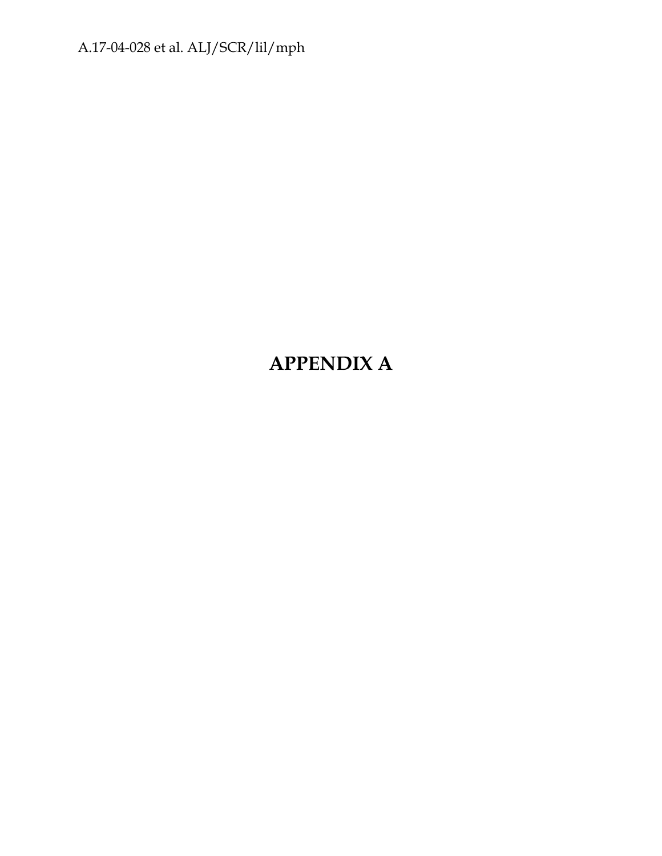# **APPENDIX A**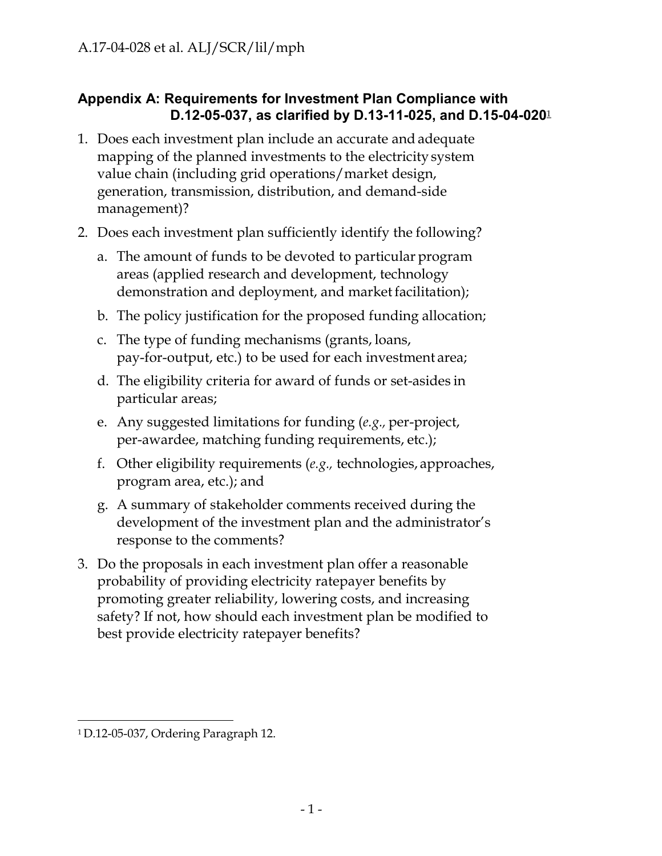# **Appendix A: Requirements for Investment Plan Compliance with D.12-05-037, as clarified by D.13-11-025, and D.15-04-020**<sup>1</sup>

- 1. Does each investment plan include an accurate and adequate mapping of the planned investments to the electricity system value chain (including grid operations/market design, generation, transmission, distribution, and demand-side management)?
- 2. Does each investment plan sufficiently identify the following?
	- a. The amount of funds to be devoted to particular program areas (applied research and development, technology demonstration and deployment, and market facilitation);
	- b. The policy justification for the proposed funding allocation;
	- c. The type of funding mechanisms (grants, loans, pay-for-output, etc.) to be used for each investment area;
	- d. The eligibility criteria for award of funds or set-asides in particular areas;
	- e. Any suggested limitations for funding (*e.g.,* per-project, per-awardee, matching funding requirements, etc.);
	- f. Other eligibility requirements (*e.g.,* technologies, approaches, program area, etc.); and
	- g. A summary of stakeholder comments received during the development of the investment plan and the administrator's response to the comments?
- 3. Do the proposals in each investment plan offer a reasonable probability of providing electricity ratepayer benefits by promoting greater reliability, lowering costs, and increasing safety? If not, how should each investment plan be modified to best provide electricity ratepayer benefits?

<sup>1</sup> D.12-05-037, Ordering Paragraph 12.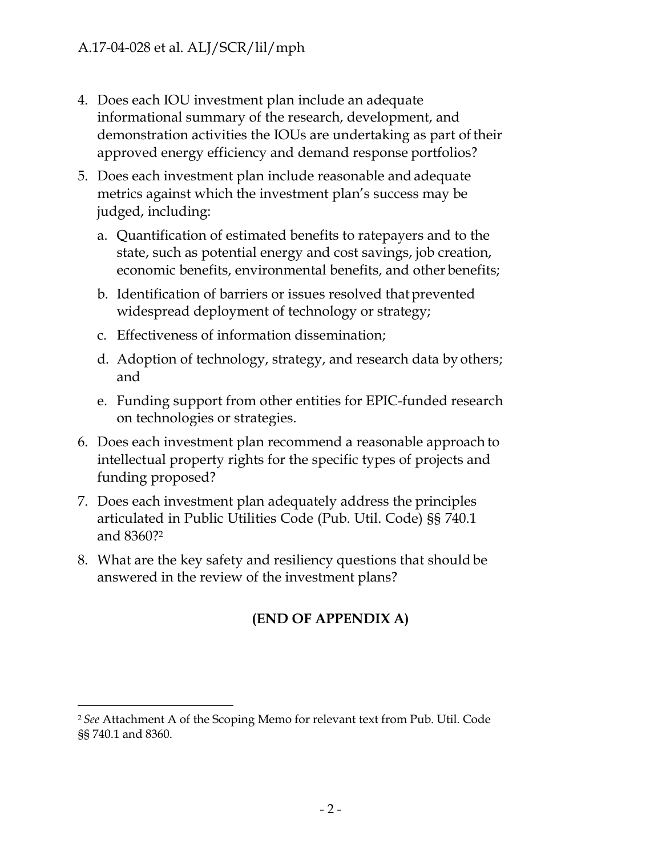- 4. Does each IOU investment plan include an adequate informational summary of the research, development, and demonstration activities the IOUs are undertaking as part of their approved energy efficiency and demand response portfolios?
- 5. Does each investment plan include reasonable and adequate metrics against which the investment plan's success may be judged, including:
	- a. Quantification of estimated benefits to ratepayers and to the state, such as potential energy and cost savings, job creation, economic benefits, environmental benefits, and other benefits;
	- b. Identification of barriers or issues resolved that prevented widespread deployment of technology or strategy;
	- c. Effectiveness of information dissemination;
	- d. Adoption of technology, strategy, and research data by others; and
	- e. Funding support from other entities for EPIC-funded research on technologies or strategies.
- 6. Does each investment plan recommend a reasonable approach to intellectual property rights for the specific types of projects and funding proposed?
- 7. Does each investment plan adequately address the principles articulated in Public Utilities Code (Pub. Util. Code) §§ 740.1 and 8360?2
- 8. What are the key safety and resiliency questions that should be answered in the review of the investment plans?

# **(END OF APPENDIX A)**

<sup>2</sup>*See* Attachment A of the Scoping Memo for relevant text from Pub. Util. Code §§ 740.1 and 8360.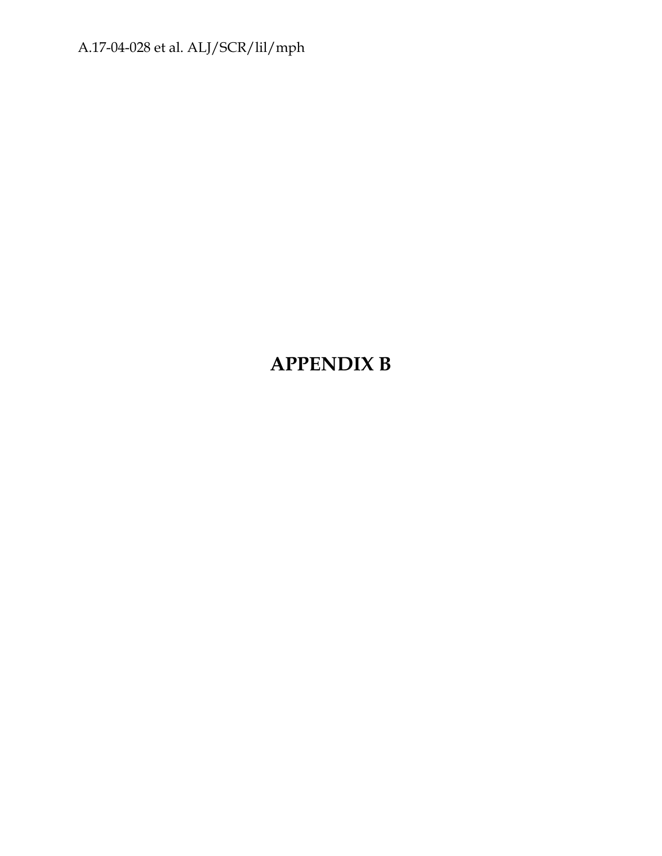# **APPENDIX B**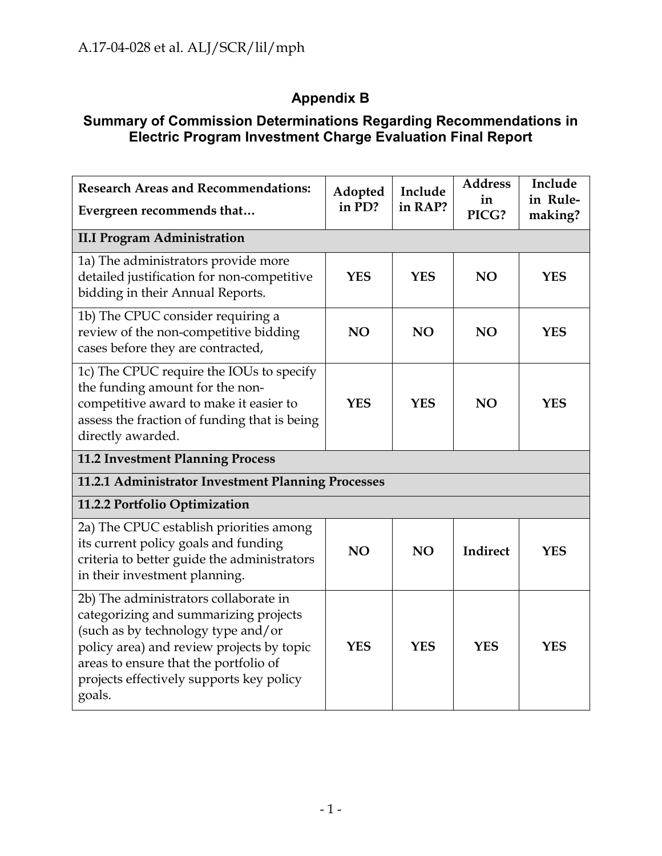# **Appendix B**

# **Summary of Commission Determinations Regarding Recommendations in Electric Program Investment Charge Evaluation Final Report**

| <b>Research Areas and Recommendations:</b><br>Evergreen recommends that                                                                                                                                                                                          | Adopted<br>in PD? | Include<br>in RAP? | <b>Address</b><br>in<br>PICG? | Include<br>in Rule-<br>making? |
|------------------------------------------------------------------------------------------------------------------------------------------------------------------------------------------------------------------------------------------------------------------|-------------------|--------------------|-------------------------------|--------------------------------|
| <b>II.I Program Administration</b>                                                                                                                                                                                                                               |                   |                    |                               |                                |
| 1a) The administrators provide more<br>detailed justification for non-competitive<br>bidding in their Annual Reports.                                                                                                                                            | <b>YES</b>        | <b>YES</b>         | NO                            | <b>YES</b>                     |
| 1b) The CPUC consider requiring a<br>review of the non-competitive bidding<br>cases before they are contracted,                                                                                                                                                  | NO                | <b>NO</b>          | NO                            | <b>YES</b>                     |
| 1c) The CPUC require the IOUs to specify<br>the funding amount for the non-<br>competitive award to make it easier to<br>assess the fraction of funding that is being<br>directly awarded.                                                                       | <b>YES</b>        | <b>YES</b>         | NO                            | <b>YES</b>                     |
| 11.2 Investment Planning Process                                                                                                                                                                                                                                 |                   |                    |                               |                                |
| 11.2.1 Administrator Investment Planning Processes                                                                                                                                                                                                               |                   |                    |                               |                                |
| 11.2.2 Portfolio Optimization                                                                                                                                                                                                                                    |                   |                    |                               |                                |
| 2a) The CPUC establish priorities among<br>its current policy goals and funding<br>criteria to better guide the administrators<br>in their investment planning.                                                                                                  | <b>NO</b>         | <b>NO</b>          | Indirect                      | <b>YES</b>                     |
| 2b) The administrators collaborate in<br>categorizing and summarizing projects<br>(such as by technology type and/or<br>policy area) and review projects by topic<br>areas to ensure that the portfolio of<br>projects effectively supports key policy<br>goals. | <b>YES</b>        | <b>YES</b>         | <b>YES</b>                    | <b>YES</b>                     |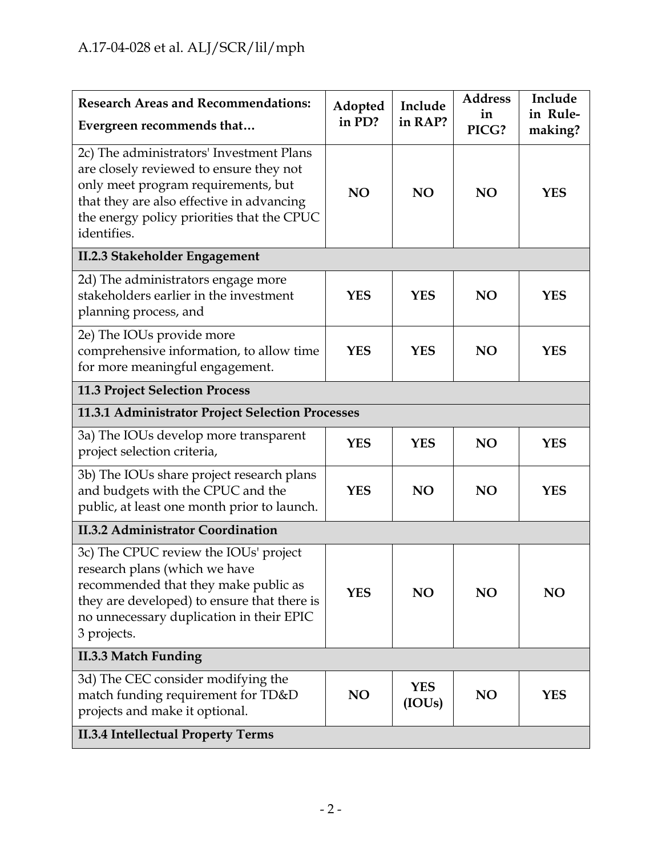| <b>Research Areas and Recommendations:</b><br>Evergreen recommends that                                                                                                                                                              | Adopted<br>in PD? | Include<br>in RAP?   | <b>Address</b><br>in<br>PICG? | Include<br>in Rule-<br>making? |
|--------------------------------------------------------------------------------------------------------------------------------------------------------------------------------------------------------------------------------------|-------------------|----------------------|-------------------------------|--------------------------------|
| 2c) The administrators' Investment Plans<br>are closely reviewed to ensure they not<br>only meet program requirements, but<br>that they are also effective in advancing<br>the energy policy priorities that the CPUC<br>identifies. | <b>NO</b>         | <b>NO</b>            | NO                            | <b>YES</b>                     |
| II.2.3 Stakeholder Engagement                                                                                                                                                                                                        |                   |                      |                               |                                |
| 2d) The administrators engage more<br>stakeholders earlier in the investment<br>planning process, and                                                                                                                                | <b>YES</b>        | <b>YES</b>           | NO                            | <b>YES</b>                     |
| 2e) The IOUs provide more<br>comprehensive information, to allow time<br>for more meaningful engagement.                                                                                                                             | <b>YES</b>        | <b>YES</b>           | NO                            | <b>YES</b>                     |
| <b>11.3 Project Selection Process</b>                                                                                                                                                                                                |                   |                      |                               |                                |
| 11.3.1 Administrator Project Selection Processes                                                                                                                                                                                     |                   |                      |                               |                                |
| 3a) The IOUs develop more transparent<br>project selection criteria,                                                                                                                                                                 | <b>YES</b>        | <b>YES</b>           | <b>NO</b>                     | <b>YES</b>                     |
| 3b) The IOUs share project research plans<br>and budgets with the CPUC and the<br>public, at least one month prior to launch.                                                                                                        | <b>YES</b>        | <b>NO</b>            | NO                            | <b>YES</b>                     |
| <b>II.3.2 Administrator Coordination</b>                                                                                                                                                                                             |                   |                      |                               |                                |
| 3c) The CPUC review the IOUs' project<br>research plans (which we have<br>recommended that they make public as<br>they are developed) to ensure that there is<br>no unnecessary duplication in their EPIC<br>3 projects.             | <b>YES</b>        | <b>NO</b>            | NO                            | NO                             |
| <b>II.3.3 Match Funding</b>                                                                                                                                                                                                          |                   |                      |                               |                                |
| 3d) The CEC consider modifying the<br>match funding requirement for TD&D<br>projects and make it optional.                                                                                                                           | NO                | <b>YES</b><br>(IOUs) | NO                            | <b>YES</b>                     |
| <b>II.3.4 Intellectual Property Terms</b>                                                                                                                                                                                            |                   |                      |                               |                                |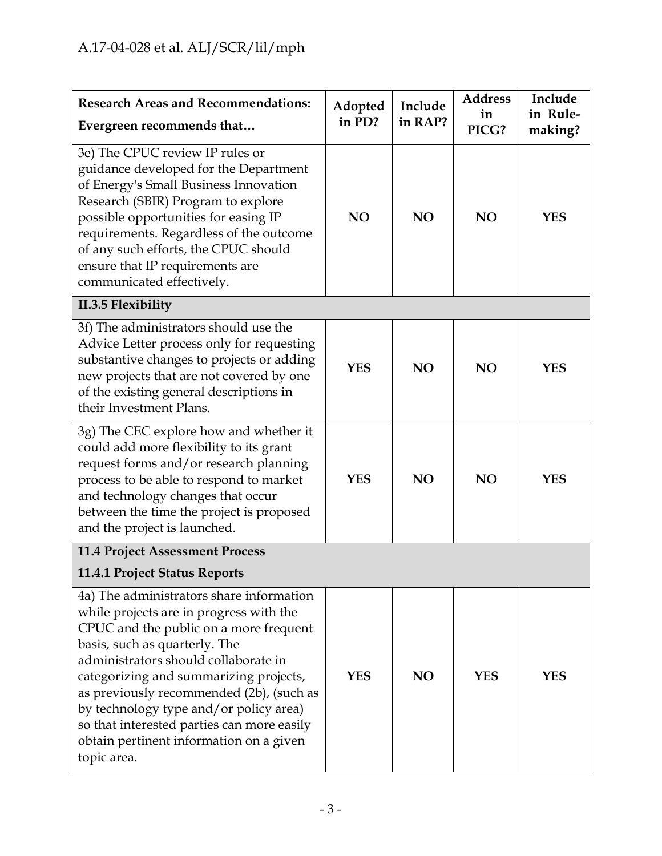| <b>Research Areas and Recommendations:</b><br>Evergreen recommends that                                                                                                                                                                                                                                                                                                                                                                        | Adopted<br>in PD? | Include<br>in RAP? | <b>Address</b><br>in<br>PICG? | Include<br>in Rule-<br>making? |
|------------------------------------------------------------------------------------------------------------------------------------------------------------------------------------------------------------------------------------------------------------------------------------------------------------------------------------------------------------------------------------------------------------------------------------------------|-------------------|--------------------|-------------------------------|--------------------------------|
| 3e) The CPUC review IP rules or<br>guidance developed for the Department<br>of Energy's Small Business Innovation<br>Research (SBIR) Program to explore<br>possible opportunities for easing IP<br>requirements. Regardless of the outcome<br>of any such efforts, the CPUC should<br>ensure that IP requirements are<br>communicated effectively.                                                                                             | NO                | <b>NO</b>          | NO                            | <b>YES</b>                     |
| II.3.5 Flexibility                                                                                                                                                                                                                                                                                                                                                                                                                             |                   |                    |                               |                                |
| 3f) The administrators should use the<br>Advice Letter process only for requesting<br>substantive changes to projects or adding<br>new projects that are not covered by one<br>of the existing general descriptions in<br>their Investment Plans.                                                                                                                                                                                              | <b>YES</b>        | <b>NO</b>          | NO                            | <b>YES</b>                     |
| 3g) The CEC explore how and whether it<br>could add more flexibility to its grant<br>request forms and/or research planning<br>process to be able to respond to market<br>and technology changes that occur<br>between the time the project is proposed<br>and the project is launched.                                                                                                                                                        | <b>YES</b>        | <b>NO</b>          | <b>NO</b>                     | <b>YES</b>                     |
| <b>11.4 Project Assessment Process</b>                                                                                                                                                                                                                                                                                                                                                                                                         |                   |                    |                               |                                |
| 11.4.1 Project Status Reports                                                                                                                                                                                                                                                                                                                                                                                                                  |                   |                    |                               |                                |
| 4a) The administrators share information<br>while projects are in progress with the<br>CPUC and the public on a more frequent<br>basis, such as quarterly. The<br>administrators should collaborate in<br>categorizing and summarizing projects,<br>as previously recommended (2b), (such as<br>by technology type and/or policy area)<br>so that interested parties can more easily<br>obtain pertinent information on a given<br>topic area. | <b>YES</b>        | <b>NO</b>          | <b>YES</b>                    | <b>YES</b>                     |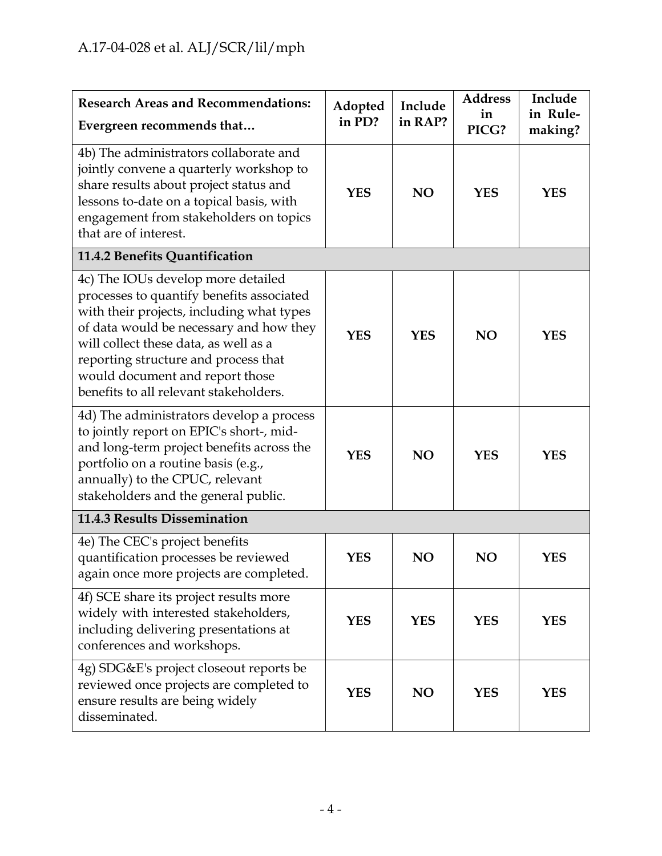| <b>Research Areas and Recommendations:</b><br>Evergreen recommends that                                                                                                                                                                                                                                                               | Adopted<br>in PD? | Include<br>in RAP? | <b>Address</b><br>in<br>PICG? | Include<br>in Rule-<br>making? |
|---------------------------------------------------------------------------------------------------------------------------------------------------------------------------------------------------------------------------------------------------------------------------------------------------------------------------------------|-------------------|--------------------|-------------------------------|--------------------------------|
| 4b) The administrators collaborate and<br>jointly convene a quarterly workshop to<br>share results about project status and<br>lessons to-date on a topical basis, with<br>engagement from stakeholders on topics<br>that are of interest.                                                                                            | <b>YES</b>        | <b>NO</b>          | <b>YES</b>                    | <b>YES</b>                     |
| 11.4.2 Benefits Quantification                                                                                                                                                                                                                                                                                                        |                   |                    |                               |                                |
| 4c) The IOUs develop more detailed<br>processes to quantify benefits associated<br>with their projects, including what types<br>of data would be necessary and how they<br>will collect these data, as well as a<br>reporting structure and process that<br>would document and report those<br>benefits to all relevant stakeholders. | <b>YES</b>        | <b>YES</b>         | NO                            | <b>YES</b>                     |
| 4d) The administrators develop a process<br>to jointly report on EPIC's short-, mid-<br>and long-term project benefits across the<br>portfolio on a routine basis (e.g.,<br>annually) to the CPUC, relevant<br>stakeholders and the general public.                                                                                   | <b>YES</b>        | NO                 | <b>YES</b>                    | <b>YES</b>                     |
| 11.4.3 Results Dissemination                                                                                                                                                                                                                                                                                                          |                   |                    |                               |                                |
| 4e) The CEC's project benefits<br>quantification processes be reviewed<br>again once more projects are completed.                                                                                                                                                                                                                     | <b>YES</b>        | <b>NO</b>          | NO                            | <b>YES</b>                     |
| 4f) SCE share its project results more<br>widely with interested stakeholders,<br>including delivering presentations at<br>conferences and workshops.                                                                                                                                                                                 | <b>YES</b>        | <b>YES</b>         | <b>YES</b>                    | <b>YES</b>                     |
| 4g) SDG&E's project closeout reports be<br>reviewed once projects are completed to<br>ensure results are being widely<br>disseminated.                                                                                                                                                                                                | <b>YES</b>        | <b>NO</b>          | <b>YES</b>                    | <b>YES</b>                     |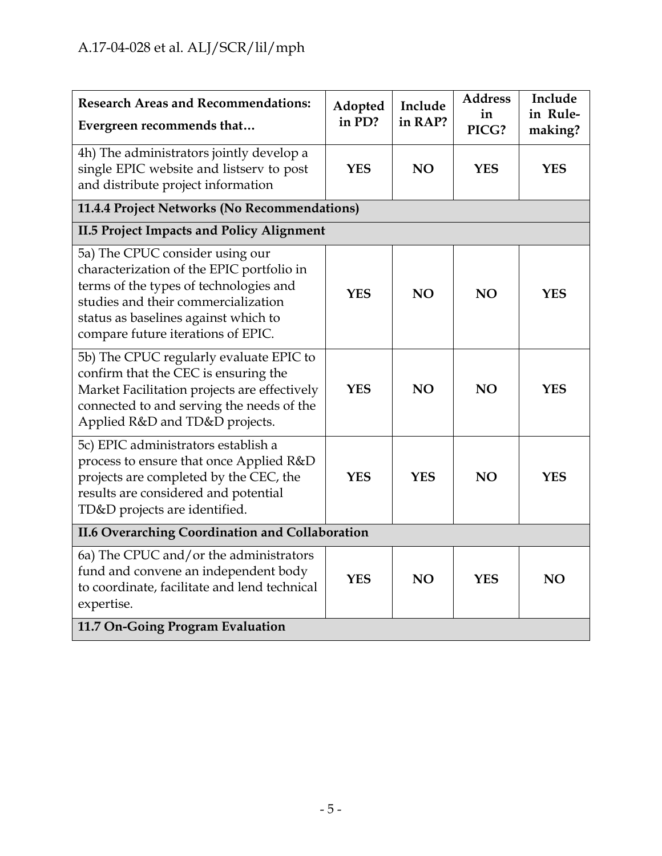| <b>Research Areas and Recommendations:</b><br>Evergreen recommends that                                                                                                                                                                     | Adopted<br>in PD? | Include<br>in RAP? | <b>Address</b><br>in<br>PICG? | Include<br>in Rule-<br>making? |
|---------------------------------------------------------------------------------------------------------------------------------------------------------------------------------------------------------------------------------------------|-------------------|--------------------|-------------------------------|--------------------------------|
| 4h) The administrators jointly develop a<br>single EPIC website and listserv to post<br>and distribute project information                                                                                                                  | <b>YES</b>        | <b>NO</b>          | <b>YES</b>                    | <b>YES</b>                     |
| 11.4.4 Project Networks (No Recommendations)                                                                                                                                                                                                |                   |                    |                               |                                |
| <b>II.5 Project Impacts and Policy Alignment</b>                                                                                                                                                                                            |                   |                    |                               |                                |
| 5a) The CPUC consider using our<br>characterization of the EPIC portfolio in<br>terms of the types of technologies and<br>studies and their commercialization<br>status as baselines against which to<br>compare future iterations of EPIC. | <b>YES</b>        | NO <sub>1</sub>    | <b>NO</b>                     | <b>YES</b>                     |
| 5b) The CPUC regularly evaluate EPIC to<br>confirm that the CEC is ensuring the<br>Market Facilitation projects are effectively<br>connected to and serving the needs of the<br>Applied R&D and TD&D projects.                              | <b>YES</b>        | NO <sub>1</sub>    | <b>NO</b>                     | <b>YES</b>                     |
| 5c) EPIC administrators establish a<br>process to ensure that once Applied R&D<br>projects are completed by the CEC, the<br>results are considered and potential<br>TD&D projects are identified.                                           | <b>YES</b>        | <b>YES</b>         | <b>NO</b>                     | <b>YES</b>                     |
| <b>II.6 Overarching Coordination and Collaboration</b>                                                                                                                                                                                      |                   |                    |                               |                                |
| 6a) The CPUC and/or the administrators<br>fund and convene an independent body<br>to coordinate, facilitate and lend technical<br>expertise.                                                                                                | <b>YES</b>        | <b>NO</b>          | <b>YES</b>                    | <b>NO</b>                      |
| 11.7 On-Going Program Evaluation                                                                                                                                                                                                            |                   |                    |                               |                                |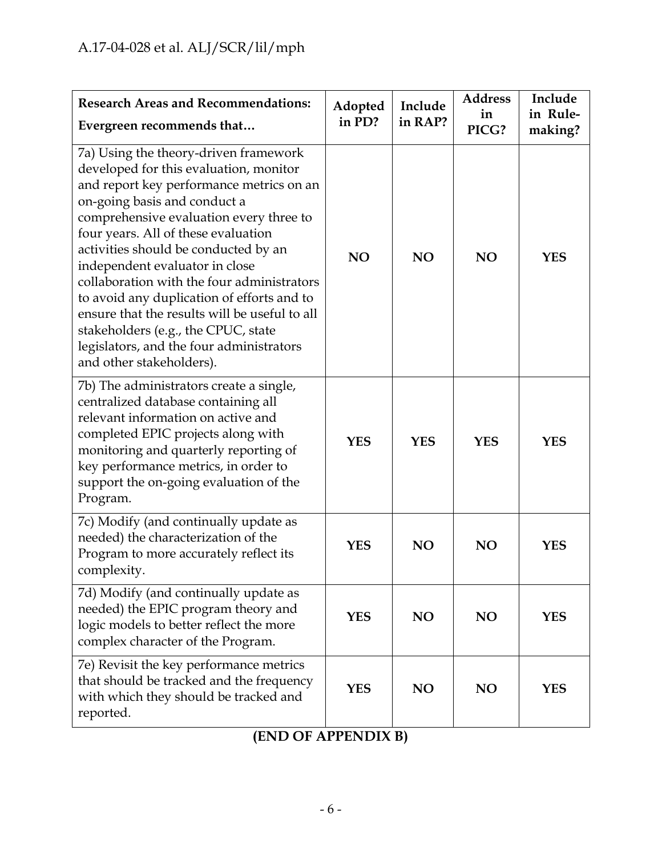| <b>Research Areas and Recommendations:</b><br>Evergreen recommends that                                                                                                                                                                                                                                                                                                                                                                                                                                                                                                             | Adopted<br>in PD? | Include<br>in RAP? | <b>Address</b><br>in<br>PICG? | Include<br>in Rule-<br>making? |
|-------------------------------------------------------------------------------------------------------------------------------------------------------------------------------------------------------------------------------------------------------------------------------------------------------------------------------------------------------------------------------------------------------------------------------------------------------------------------------------------------------------------------------------------------------------------------------------|-------------------|--------------------|-------------------------------|--------------------------------|
| 7a) Using the theory-driven framework<br>developed for this evaluation, monitor<br>and report key performance metrics on an<br>on-going basis and conduct a<br>comprehensive evaluation every three to<br>four years. All of these evaluation<br>activities should be conducted by an<br>independent evaluator in close<br>collaboration with the four administrators<br>to avoid any duplication of efforts and to<br>ensure that the results will be useful to all<br>stakeholders (e.g., the CPUC, state<br>legislators, and the four administrators<br>and other stakeholders). | NO                | <b>NO</b>          | <b>NO</b>                     | <b>YES</b>                     |
| 7b) The administrators create a single,<br>centralized database containing all<br>relevant information on active and<br>completed EPIC projects along with<br>monitoring and quarterly reporting of<br>key performance metrics, in order to<br>support the on-going evaluation of the<br>Program.                                                                                                                                                                                                                                                                                   | <b>YES</b>        | <b>YES</b>         | <b>YES</b>                    | <b>YES</b>                     |
| 7c) Modify (and continually update as<br>needed) the characterization of the<br>Program to more accurately reflect its<br>complexity.                                                                                                                                                                                                                                                                                                                                                                                                                                               | <b>YES</b>        | <b>NO</b>          | <b>NO</b>                     | <b>YES</b>                     |
| 7d) Modify (and continually update as<br>needed) the EPIC program theory and<br>logic models to better reflect the more<br>complex character of the Program.                                                                                                                                                                                                                                                                                                                                                                                                                        | <b>YES</b>        | NO                 | NO                            | <b>YES</b>                     |
| 7e) Revisit the key performance metrics<br>that should be tracked and the frequency<br>with which they should be tracked and<br>reported.                                                                                                                                                                                                                                                                                                                                                                                                                                           | <b>YES</b>        | NO                 | NO                            | <b>YES</b>                     |

**(END OF APPENDIX B)**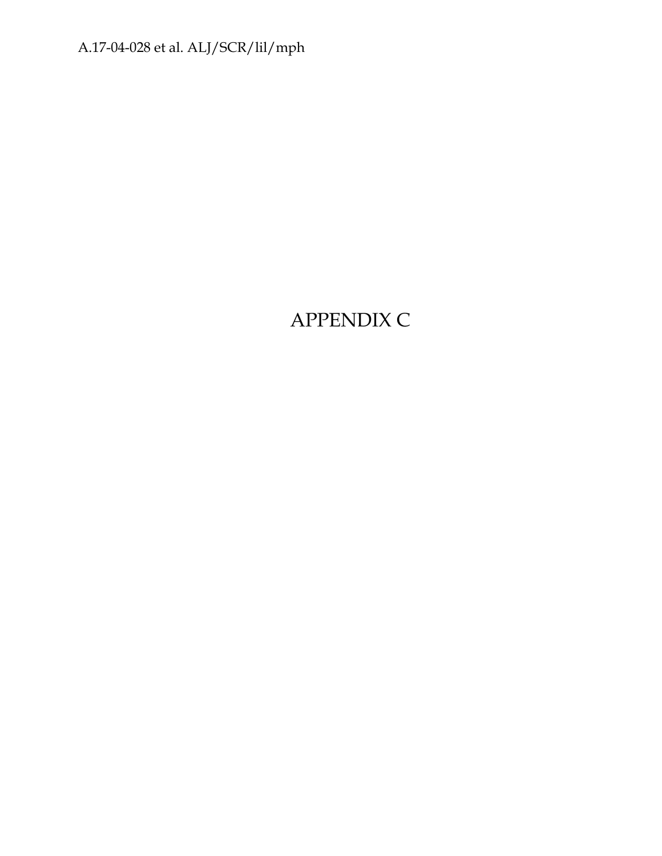# APPENDIX C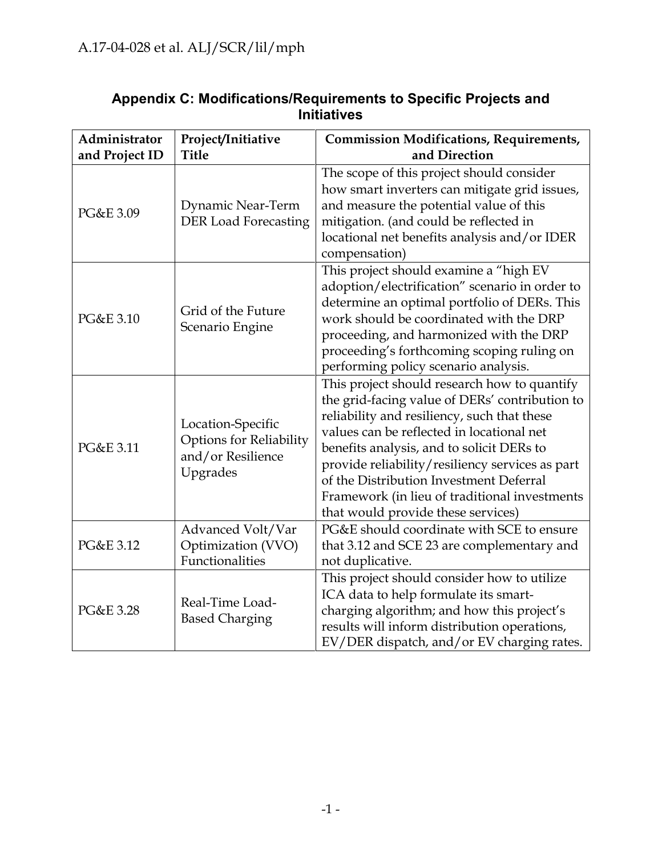| Administrator<br>and Project ID | Project/Initiative<br><b>Title</b>                                                   | <b>Commission Modifications, Requirements,</b><br>and Direction                                                                                                                                                                                                                                                                                                                                                              |
|---------------------------------|--------------------------------------------------------------------------------------|------------------------------------------------------------------------------------------------------------------------------------------------------------------------------------------------------------------------------------------------------------------------------------------------------------------------------------------------------------------------------------------------------------------------------|
| PG&E 3.09                       | Dynamic Near-Term<br><b>DER Load Forecasting</b>                                     | The scope of this project should consider<br>how smart inverters can mitigate grid issues,<br>and measure the potential value of this<br>mitigation. (and could be reflected in<br>locational net benefits analysis and/or IDER<br>compensation)                                                                                                                                                                             |
| PG&E 3.10                       | Grid of the Future<br>Scenario Engine                                                | This project should examine a "high EV<br>adoption/electrification" scenario in order to<br>determine an optimal portfolio of DERs. This<br>work should be coordinated with the DRP<br>proceeding, and harmonized with the DRP<br>proceeding's forthcoming scoping ruling on<br>performing policy scenario analysis.                                                                                                         |
| PG&E 3.11                       | Location-Specific<br><b>Options for Reliability</b><br>and/or Resilience<br>Upgrades | This project should research how to quantify<br>the grid-facing value of DERs' contribution to<br>reliability and resiliency, such that these<br>values can be reflected in locational net<br>benefits analysis, and to solicit DERs to<br>provide reliability/resiliency services as part<br>of the Distribution Investment Deferral<br>Framework (in lieu of traditional investments<br>that would provide these services) |
| PG&E 3.12                       | Advanced Volt/Var<br>Optimization (VVO)<br>Functionalities                           | PG&E should coordinate with SCE to ensure<br>that 3.12 and SCE 23 are complementary and<br>not duplicative.                                                                                                                                                                                                                                                                                                                  |
| PG&E 3.28                       | Real-Time Load-<br><b>Based Charging</b>                                             | This project should consider how to utilize<br>ICA data to help formulate its smart-<br>charging algorithm; and how this project's<br>results will inform distribution operations,<br>EV/DER dispatch, and/or EV charging rates.                                                                                                                                                                                             |

## **Appendix C: Modifications/Requirements to Specific Projects and Initiatives**